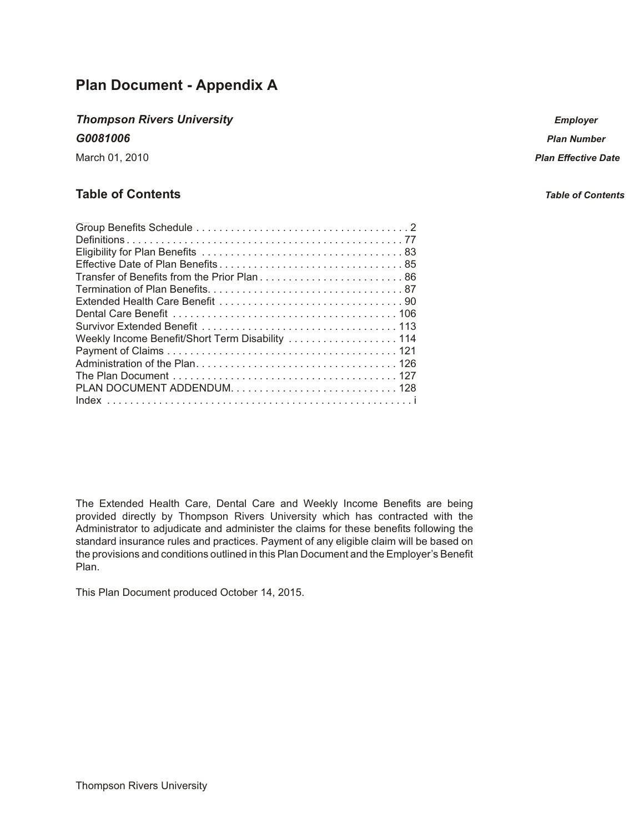### **Plan Document - Appendix A**

### **Thompson Rivers University**

G0081006

March 01, 2010

### **Table of Contents**

| Transfer of Benefits from the Prior Plan 86      |
|--------------------------------------------------|
|                                                  |
|                                                  |
|                                                  |
|                                                  |
| Weekly Income Benefit/Short Term Disability  114 |
|                                                  |
|                                                  |
|                                                  |
|                                                  |
|                                                  |

The Extended Health Care, Dental Care and Weekly Income Benefits are being provided directly by Thompson Rivers University which has contracted with the Administrator to adjudicate and administer the claims for these benefits following the standard insurance rules and practices. Payment of any eligible claim will be based on the provisions and conditions outlined in this Plan Document and the Employer's Benefit Plan.

This Plan Document produced October 14, 2015.

**Employer** 

**Plan Number** 

**Plan Effective Date** 

**Table of Contents**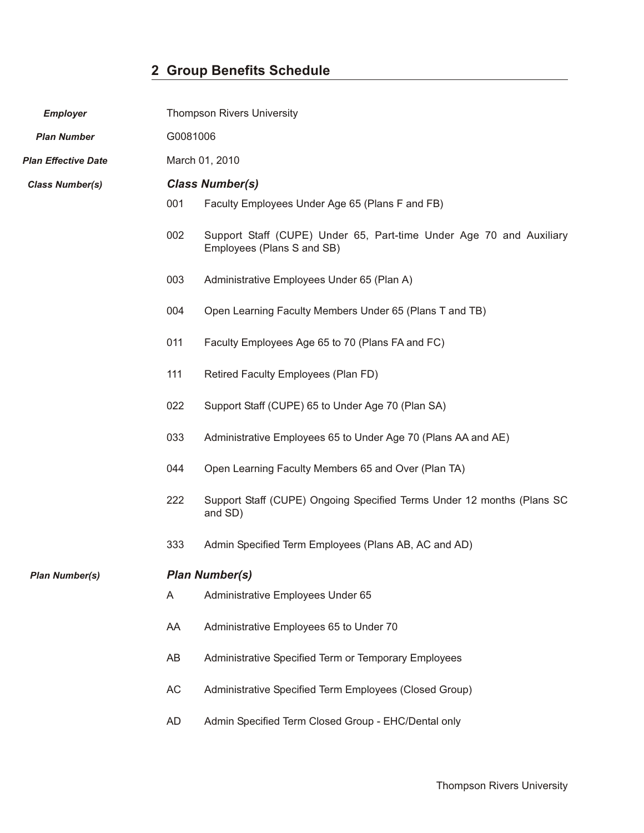### **2 Group Benefits Schedule**

<span id="page-1-0"></span>

| <b>Employer</b>            |          | <b>Thompson Rivers University</b>                                                                 |
|----------------------------|----------|---------------------------------------------------------------------------------------------------|
| <b>Plan Number</b>         | G0081006 |                                                                                                   |
| <b>Plan Effective Date</b> |          | March 01, 2010                                                                                    |
| <b>Class Number(s)</b>     |          | <b>Class Number(s)</b>                                                                            |
|                            | 001      | Faculty Employees Under Age 65 (Plans F and FB)                                                   |
|                            | 002      | Support Staff (CUPE) Under 65, Part-time Under Age 70 and Auxiliary<br>Employees (Plans S and SB) |
|                            | 003      | Administrative Employees Under 65 (Plan A)                                                        |
|                            | 004      | Open Learning Faculty Members Under 65 (Plans T and TB)                                           |
|                            | 011      | Faculty Employees Age 65 to 70 (Plans FA and FC)                                                  |
|                            | 111      | Retired Faculty Employees (Plan FD)                                                               |
|                            | 022      | Support Staff (CUPE) 65 to Under Age 70 (Plan SA)                                                 |
|                            | 033      | Administrative Employees 65 to Under Age 70 (Plans AA and AE)                                     |
|                            | 044      | Open Learning Faculty Members 65 and Over (Plan TA)                                               |
|                            | 222      | Support Staff (CUPE) Ongoing Specified Terms Under 12 months (Plans SC<br>and SD)                 |
|                            | 333      | Admin Specified Term Employees (Plans AB, AC and AD)                                              |
| <b>Plan Number(s)</b>      |          | <b>Plan Number(s)</b>                                                                             |
|                            | A        | Administrative Employees Under 65                                                                 |
|                            | AA       | Administrative Employees 65 to Under 70                                                           |
|                            | AB       | Administrative Specified Term or Temporary Employees                                              |
|                            | AC       | Administrative Specified Term Employees (Closed Group)                                            |

AD Admin Specified Term Closed Group - EHC/Dental only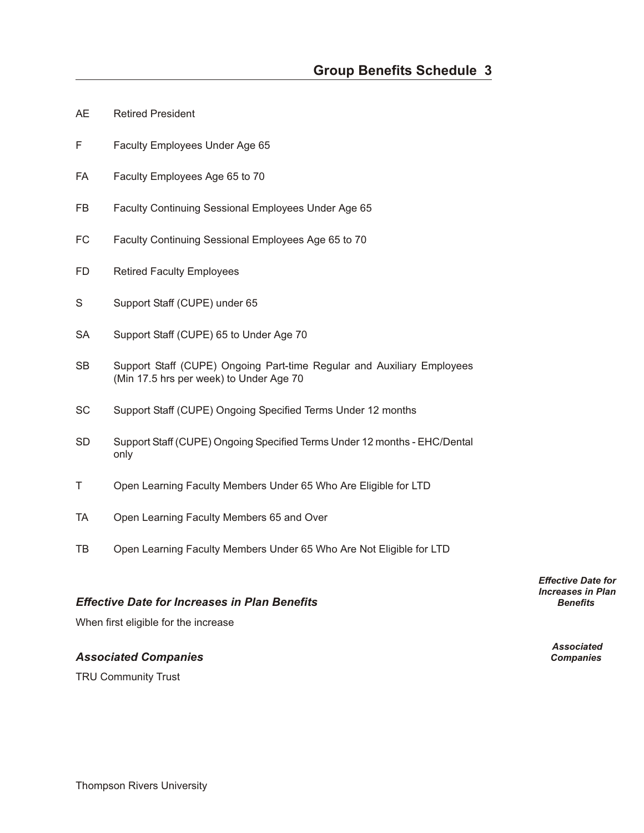- AE Retired President
- F Faculty Employees Under Age 65
- FA Faculty Employees Age 65 to 70
- FB Faculty Continuing Sessional Employees Under Age 65
- FC Faculty Continuing Sessional Employees Age 65 to 70
- FD Retired Faculty Employees
- S Support Staff (CUPE) under 65
- SA Support Staff (CUPE) 65 to Under Age 70
- SB Support Staff (CUPE) Ongoing Part-time Regular and Auxiliary Employees (Min 17.5 hrs per week) to Under Age 70
- SC Support Staff (CUPE) Ongoing Specified Terms Under 12 months
- SD Support Staff (CUPE) Ongoing Specified Terms Under 12 months EHC/Dental only
- T Open Learning Faculty Members Under 65 Who Are Eligible for LTD
- TA Open Learning Faculty Members 65 and Over
- TB Open Learning Faculty Members Under 65 Who Are Not Eligible for LTD

#### *Effec tive Date for In creases in Plan Bene fits Benefits*

When first eligible for the increase

#### *As so ci ated Com pa nies Companies*

TRU Community Trust

*Effective Date for Increases in Plan*

*Associated*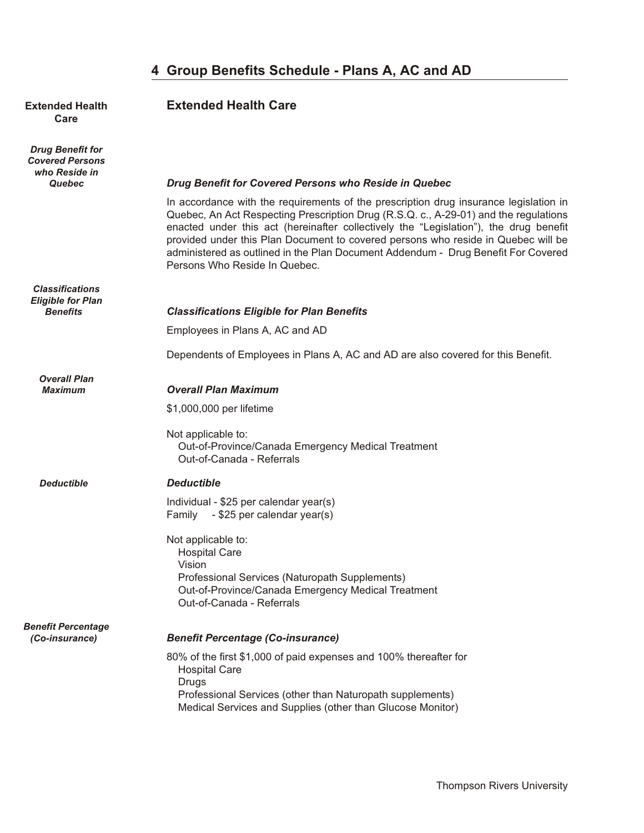### 4 Group Benefits Schedule - Plans A, AC and AD

# **Care**

*Drug Benefit for Covered Persons who Reside in*

*Classifications Eligible for Plan*

*Overall Plan*

### **Extended Health <b>Extended Health Care**

#### *Quebec Drug Benefit for Covered Persons who Reside in Quebec*

In accordance with the requirements of the prescription drug insurance legislation in Quebec, An Act Respecting Prescription Drug (R.S.Q. c., A-29-01) and the regulations enacted under this act (hereinafter collectively the "Legislation"), the drug benefit provided under this Plan Document to covered persons who reside in Quebec will be administered as outlined in the Plan Document Addendum - Drug Benefit For Covered Persons Who Reside In Quebec.

#### *Benefits Classifications Eligible for Plan Benefits*

Employees in Plans A, AC and AD

Dependents of Employees in Plans A, AC and AD are also covered for this Benefit.

#### *Maximum Over all Plan Max i mum*

\$1,000,000 per lifetime

#### Not applicable to: Out-of-Province/Canada Emergency Medical Treatment Out-of-Canada - Referrals

#### *Deductible De duct ible*

Individual - \$25 per calendar year(s) Family - \$25 per calendar year(s)

#### Not applicable to: Hospital Care Vision Professional Services (Naturopath Supplements) Out-of-Province/Canada Emergency Medical Treatment Out-of-Canada - Referrals

## *Benefit Percentage*

#### *(Co-insurance) Ben e fit Per cent age (Co-in sur ance)*

80% of the first \$1,000 of paid expenses and 100% thereafter for Hospital Care Drugs Professional Services (other than Naturopath supplements) Medical Services and Supplies (other than Glucose Monitor)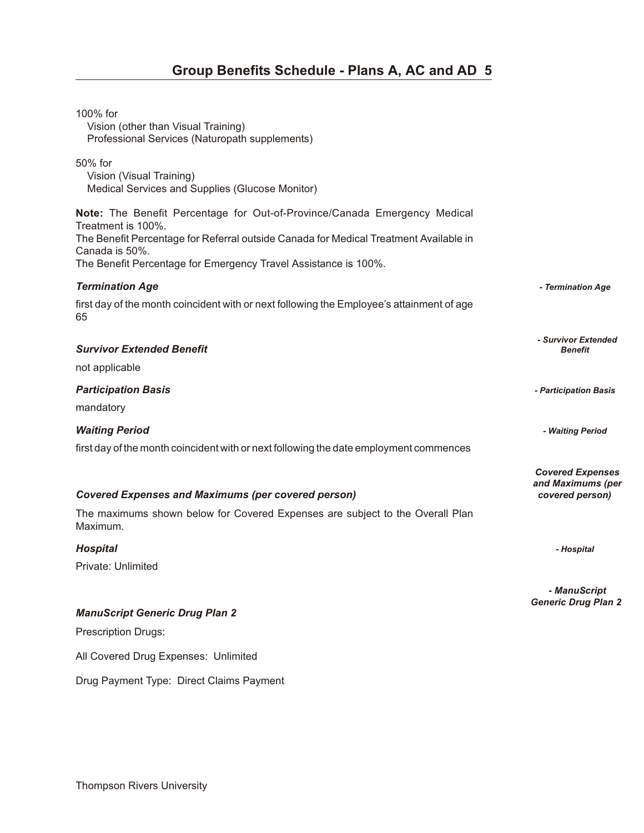| 100% for<br>Vision (other than Visual Training)<br>Professional Services (Naturopath supplements)                                                                                                          |                                                                 |
|------------------------------------------------------------------------------------------------------------------------------------------------------------------------------------------------------------|-----------------------------------------------------------------|
| 50% for<br>Vision (Visual Training)<br>Medical Services and Supplies (Glucose Monitor)                                                                                                                     |                                                                 |
| Note: The Benefit Percentage for Out-of-Province/Canada Emergency Medical<br>Treatment is 100%.<br>The Benefit Percentage for Referral outside Canada for Medical Treatment Available in<br>Canada is 50%. |                                                                 |
| The Benefit Percentage for Emergency Travel Assistance is 100%.                                                                                                                                            |                                                                 |
| <b>Termination Age</b><br>first day of the month coincident with or next following the Employee's attainment of age<br>65                                                                                  | - Termination Age                                               |
| <b>Survivor Extended Benefit</b>                                                                                                                                                                           | - Survivor Extended<br><b>Benefit</b>                           |
| not applicable                                                                                                                                                                                             |                                                                 |
| <b>Participation Basis</b>                                                                                                                                                                                 | - Participation Basis                                           |
| mandatory                                                                                                                                                                                                  |                                                                 |
| <b>Waiting Period</b>                                                                                                                                                                                      | - Waiting Period                                                |
| first day of the month coincident with or next following the date employment commences                                                                                                                     |                                                                 |
| <b>Covered Expenses and Maximums (per covered person)</b>                                                                                                                                                  | <b>Covered Expenses</b><br>and Maximums (per<br>covered person) |
| The maximums shown below for Covered Expenses are subject to the Overall Plan<br>Maximum.                                                                                                                  |                                                                 |
| <b>Hospital</b>                                                                                                                                                                                            | - Hospital                                                      |
| Private: Unlimited                                                                                                                                                                                         |                                                                 |
|                                                                                                                                                                                                            | - ManuScript<br><b>Generic Drug Plan 2</b>                      |
| <b>ManuScript Generic Drug Plan 2</b>                                                                                                                                                                      |                                                                 |
| Prescription Drugs:                                                                                                                                                                                        |                                                                 |
| All Covered Drug Expenses: Unlimited                                                                                                                                                                       |                                                                 |
| Drug Payment Type: Direct Claims Payment                                                                                                                                                                   |                                                                 |
|                                                                                                                                                                                                            |                                                                 |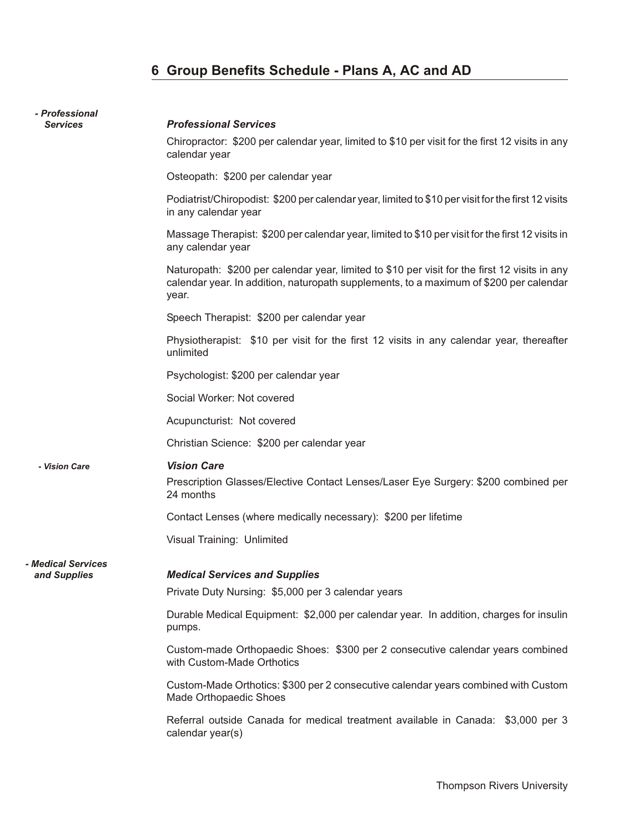## **6 Group Benefits Schedule - Plans A, AC and AD**

| - Professional                   |                                                                                                                                                                                                  |
|----------------------------------|--------------------------------------------------------------------------------------------------------------------------------------------------------------------------------------------------|
| <b>Services</b>                  | <b>Professional Services</b>                                                                                                                                                                     |
|                                  | Chiropractor: \$200 per calendar year, limited to \$10 per visit for the first 12 visits in any<br>calendar year                                                                                 |
|                                  | Osteopath: \$200 per calendar year                                                                                                                                                               |
|                                  | Podiatrist/Chiropodist: \$200 per calendar year, limited to \$10 per visit for the first 12 visits<br>in any calendar year                                                                       |
|                                  | Massage Therapist: \$200 per calendar year, limited to \$10 per visit for the first 12 visits in<br>any calendar year                                                                            |
|                                  | Naturopath: \$200 per calendar year, limited to \$10 per visit for the first 12 visits in any<br>calendar year. In addition, naturopath supplements, to a maximum of \$200 per calendar<br>year. |
|                                  | Speech Therapist: \$200 per calendar year                                                                                                                                                        |
|                                  | Physiotherapist: \$10 per visit for the first 12 visits in any calendar year, thereafter<br>unlimited                                                                                            |
|                                  | Psychologist: \$200 per calendar year                                                                                                                                                            |
|                                  | Social Worker: Not covered                                                                                                                                                                       |
|                                  | Acupuncturist: Not covered                                                                                                                                                                       |
|                                  | Christian Science: \$200 per calendar year                                                                                                                                                       |
| - Vision Care                    | <b>Vision Care</b>                                                                                                                                                                               |
|                                  | Prescription Glasses/Elective Contact Lenses/Laser Eye Surgery: \$200 combined per<br>24 months                                                                                                  |
|                                  | Contact Lenses (where medically necessary): \$200 per lifetime                                                                                                                                   |
|                                  | Visual Training: Unlimited                                                                                                                                                                       |
| <i><b>- Medical Services</b></i> |                                                                                                                                                                                                  |
| and Supplies                     | <b>Medical Services and Supplies</b><br>Private Duty Nursing: \$5,000 per 3 calendar years                                                                                                       |
|                                  |                                                                                                                                                                                                  |
|                                  | Durable Medical Equipment: \$2,000 per calendar year. In addition, charges for insulin<br>pumps.                                                                                                 |
|                                  | Custom-made Orthopaedic Shoes: \$300 per 2 consecutive calendar years combined<br>with Custom-Made Orthotics                                                                                     |
|                                  | Custom-Made Orthotics: \$300 per 2 consecutive calendar years combined with Custom<br>Made Orthopaedic Shoes                                                                                     |
|                                  | Referral outside Canada for medical treatment available in Canada: \$3,000 per 3<br>calendar year(s)                                                                                             |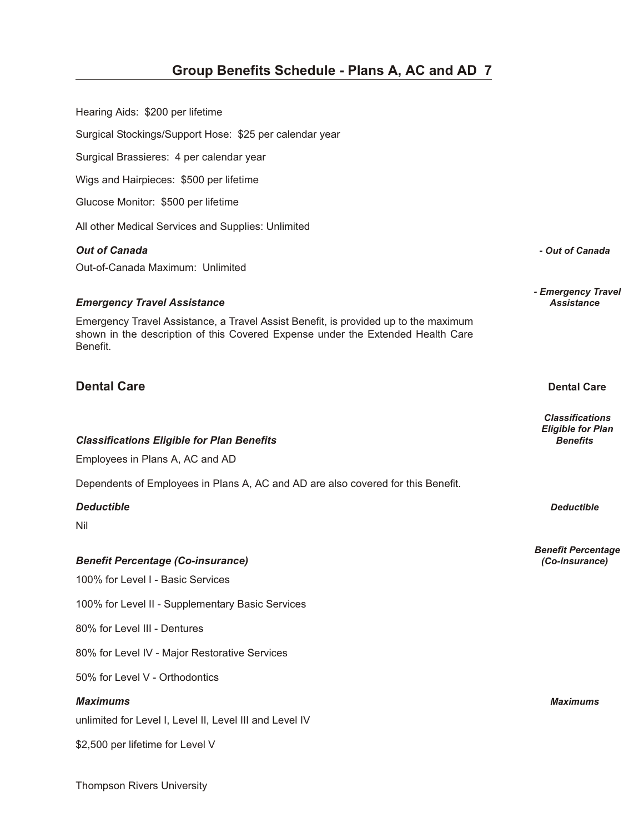| Hearing Aids: \$200 per lifetime                                                                                                                                                                                         |                                                                       |
|--------------------------------------------------------------------------------------------------------------------------------------------------------------------------------------------------------------------------|-----------------------------------------------------------------------|
| Surgical Stockings/Support Hose: \$25 per calendar year                                                                                                                                                                  |                                                                       |
| Surgical Brassieres: 4 per calendar year                                                                                                                                                                                 |                                                                       |
| Wigs and Hairpieces: \$500 per lifetime                                                                                                                                                                                  |                                                                       |
| Glucose Monitor: \$500 per lifetime                                                                                                                                                                                      |                                                                       |
| All other Medical Services and Supplies: Unlimited                                                                                                                                                                       |                                                                       |
| <b>Out of Canada</b><br>Out-of-Canada Maximum: Unlimited                                                                                                                                                                 | - Out of Canada                                                       |
| <b>Emergency Travel Assistance</b><br>Emergency Travel Assistance, a Travel Assist Benefit, is provided up to the maximum<br>shown in the description of this Covered Expense under the Extended Health Care<br>Benefit. | - Emergency Travel<br><b>Assistance</b>                               |
| <b>Dental Care</b>                                                                                                                                                                                                       | <b>Dental Care</b>                                                    |
| <b>Classifications Eligible for Plan Benefits</b><br>Employees in Plans A, AC and AD                                                                                                                                     | <b>Classifications</b><br><b>Eligible for Plan</b><br><b>Benefits</b> |
| Dependents of Employees in Plans A, AC and AD are also covered for this Benefit.                                                                                                                                         |                                                                       |
| <b>Deductible</b>                                                                                                                                                                                                        | <b>Deductible</b>                                                     |
| Nil<br><b>Benefit Percentage (Co-insurance)</b><br>100% for Level I - Basic Services                                                                                                                                     | <b>Benefit Percentage</b><br>(Co-insurance)                           |
| 100% for Level II - Supplementary Basic Services                                                                                                                                                                         |                                                                       |
| 80% for Level III - Dentures                                                                                                                                                                                             |                                                                       |
| 80% for Level IV - Major Restorative Services                                                                                                                                                                            |                                                                       |
| 50% for Level V - Orthodontics                                                                                                                                                                                           |                                                                       |
| <b>Maximums</b><br>unlimited for Level I, Level II, Level III and Level IV                                                                                                                                               | <b>Maximums</b>                                                       |
|                                                                                                                                                                                                                          |                                                                       |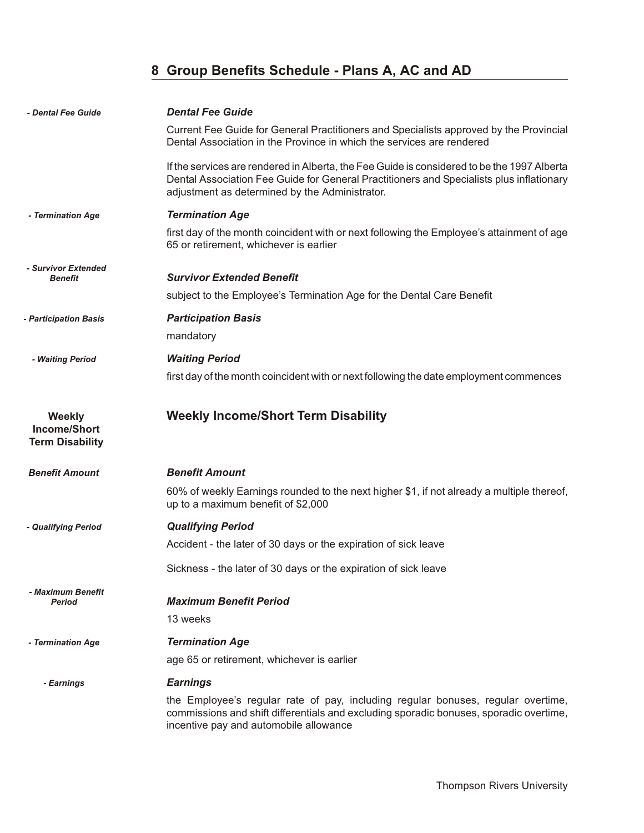### **8 Group Benefits Schedule - Plans A, AC and AD**

| - Dental Fee Guide                                             | <b>Dental Fee Guide</b>                                                                                                                                                                                                                   |
|----------------------------------------------------------------|-------------------------------------------------------------------------------------------------------------------------------------------------------------------------------------------------------------------------------------------|
|                                                                | Current Fee Guide for General Practitioners and Specialists approved by the Provincial<br>Dental Association in the Province in which the services are rendered                                                                           |
|                                                                | If the services are rendered in Alberta, the Fee Guide is considered to be the 1997 Alberta<br>Dental Association Fee Guide for General Practitioners and Specialists plus inflationary<br>adjustment as determined by the Administrator. |
| - Termination Age                                              | <b>Termination Age</b>                                                                                                                                                                                                                    |
|                                                                | first day of the month coincident with or next following the Employee's attainment of age<br>65 or retirement, whichever is earlier                                                                                                       |
| - Survivor Extended<br>Benefit                                 | <b>Survivor Extended Benefit</b>                                                                                                                                                                                                          |
|                                                                | subject to the Employee's Termination Age for the Dental Care Benefit                                                                                                                                                                     |
| - Participation Basis                                          | <b>Participation Basis</b>                                                                                                                                                                                                                |
|                                                                | mandatory                                                                                                                                                                                                                                 |
| - Waiting Period                                               | <b>Waiting Period</b>                                                                                                                                                                                                                     |
|                                                                | first day of the month coincident with or next following the date employment commences                                                                                                                                                    |
| <b>Weekly</b><br><b>Income/Short</b><br><b>Term Disability</b> | <b>Weekly Income/Short Term Disability</b>                                                                                                                                                                                                |
| <b>Benefit Amount</b>                                          | <b>Benefit Amount</b>                                                                                                                                                                                                                     |
|                                                                | 60% of weekly Earnings rounded to the next higher \$1, if not already a multiple thereof,<br>up to a maximum benefit of \$2,000                                                                                                           |
| - Qualifying Period                                            | <b>Qualifying Period</b>                                                                                                                                                                                                                  |
|                                                                | Accident - the later of 30 days or the expiration of sick leave                                                                                                                                                                           |
|                                                                | Sickness - the later of 30 days or the expiration of sick leave                                                                                                                                                                           |
| - Maximum Benefit<br><b>Period</b>                             | <b>Maximum Benefit Period</b>                                                                                                                                                                                                             |
|                                                                | 13 weeks                                                                                                                                                                                                                                  |
| - Termination Age                                              | <b>Termination Age</b>                                                                                                                                                                                                                    |
|                                                                | age 65 or retirement, whichever is earlier                                                                                                                                                                                                |
| - Earnings                                                     | <b>Earnings</b>                                                                                                                                                                                                                           |
|                                                                | the Employee's regular rate of pay, including regular bonuses, regular overtime,<br>commissions and shift differentials and excluding sporadic bonuses, sporadic overtime,<br>incentive pay and automobile allowance                      |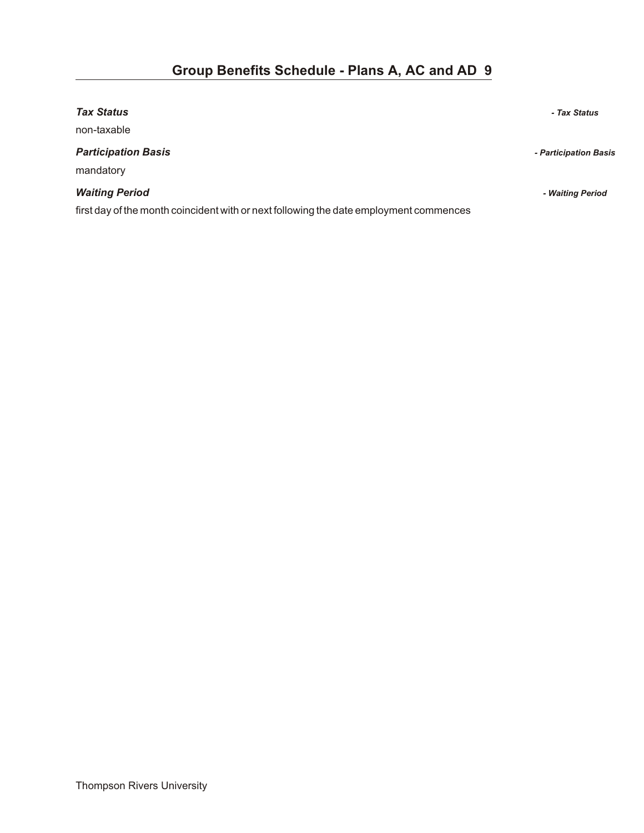| <b>Tax Status</b>                                                                      | - Tax Status          |
|----------------------------------------------------------------------------------------|-----------------------|
| non-taxable                                                                            |                       |
| <b>Participation Basis</b><br>mandatory                                                | - Participation Basis |
| <b>Waiting Period</b>                                                                  | - Waiting Period      |
| first day of the month coincident with or next following the date employment commences |                       |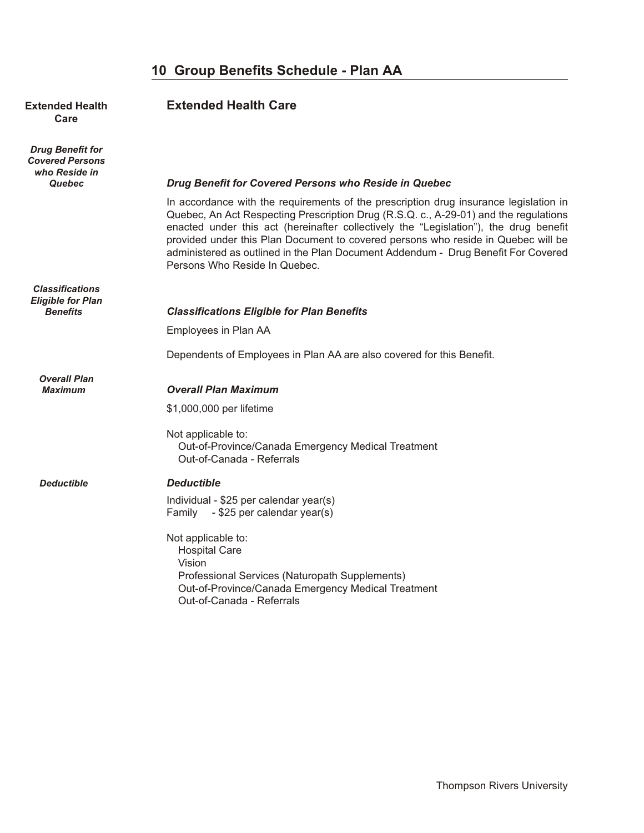# **Care**

*Drug Benefit for Covered Persons who Reside in*

*Classifications Eligible for Plan*

*Overall Plan*

### **Extended Health <b>Extended Health Care**

#### *Quebec Drug Benefit for Covered Persons who Reside in Quebec*

In accordance with the requirements of the prescription drug insurance legislation in Quebec, An Act Respecting Prescription Drug (R.S.Q. c., A-29-01) and the regulations enacted under this act (hereinafter collectively the "Legislation"), the drug benefit provided under this Plan Document to covered persons who reside in Quebec will be administered as outlined in the Plan Document Addendum - Drug Benefit For Covered Persons Who Reside In Quebec.

| Benefits | <b>Classifications Eligible for Plan Benefits</b> |
|----------|---------------------------------------------------|
|----------|---------------------------------------------------|

Employees in Plan AA

Dependents of Employees in Plan AA are also covered for this Benefit.

#### **Overall Plan Maximum**

\$1,000,000 per lifetime

Not applicable to: Out-of-Province/Canada Emergency Medical Treatment Out-of-Canada - Referrals

#### *Deductible De duct ible*

Individual - \$25 per calendar year(s) Family - \$25 per calendar year(s)

Not applicable to: Hospital Care Vision Professional Services (Naturopath Supplements) Out-of-Province/Canada Emergency Medical Treatment Out-of-Canada - Referrals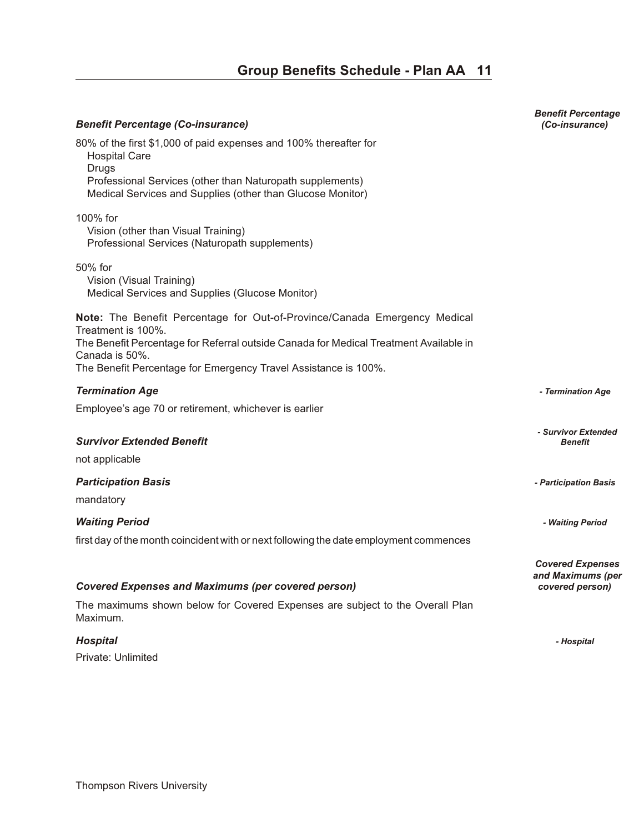| <b>Benefit Percentage (Co-insurance)</b>                                                                                                                                                                                                                                      | <b>Benefit Percentage</b><br>(Co-insurance)                     |
|-------------------------------------------------------------------------------------------------------------------------------------------------------------------------------------------------------------------------------------------------------------------------------|-----------------------------------------------------------------|
| 80% of the first \$1,000 of paid expenses and 100% thereafter for<br><b>Hospital Care</b><br><b>Drugs</b><br>Professional Services (other than Naturopath supplements)<br>Medical Services and Supplies (other than Glucose Monitor)                                          |                                                                 |
| 100% for<br>Vision (other than Visual Training)<br>Professional Services (Naturopath supplements)                                                                                                                                                                             |                                                                 |
| 50% for<br>Vision (Visual Training)<br>Medical Services and Supplies (Glucose Monitor)                                                                                                                                                                                        |                                                                 |
| Note: The Benefit Percentage for Out-of-Province/Canada Emergency Medical<br>Treatment is 100%.<br>The Benefit Percentage for Referral outside Canada for Medical Treatment Available in<br>Canada is 50%.<br>The Benefit Percentage for Emergency Travel Assistance is 100%. |                                                                 |
| <b>Termination Age</b>                                                                                                                                                                                                                                                        | - Termination Age                                               |
| Employee's age 70 or retirement, whichever is earlier                                                                                                                                                                                                                         |                                                                 |
| <b>Survivor Extended Benefit</b><br>not applicable                                                                                                                                                                                                                            | - Survivor Extended<br><b>Benefit</b>                           |
| <b>Participation Basis</b><br>mandatory                                                                                                                                                                                                                                       | - Participation Basis                                           |
| <b>Waiting Period</b>                                                                                                                                                                                                                                                         | - Waiting Period                                                |
| first day of the month coincident with or next following the date employment commences                                                                                                                                                                                        |                                                                 |
| <b>Covered Expenses and Maximums (per covered person)</b><br>The maximums shown below for Covered Expenses are subject to the Overall Plan<br>Maximum.                                                                                                                        | <b>Covered Expenses</b><br>and Maximums (per<br>covered person) |
|                                                                                                                                                                                                                                                                               |                                                                 |
| <b>Hospital</b><br>Private: Unlimited                                                                                                                                                                                                                                         | - Hospital                                                      |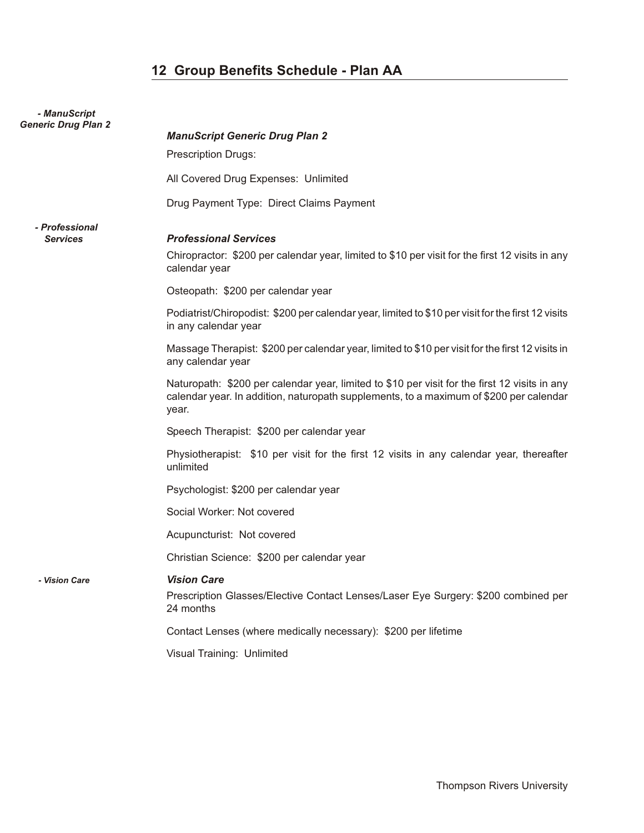| - ManuScript<br><b>Generic Drug Plan 2</b> | <b>ManuScript Generic Drug Plan 2</b>                                                                                                                                                            |
|--------------------------------------------|--------------------------------------------------------------------------------------------------------------------------------------------------------------------------------------------------|
|                                            | <b>Prescription Drugs:</b>                                                                                                                                                                       |
|                                            | All Covered Drug Expenses: Unlimited                                                                                                                                                             |
|                                            | Drug Payment Type: Direct Claims Payment                                                                                                                                                         |
| - Professional<br><b>Services</b>          | <b>Professional Services</b><br>Chiropractor: \$200 per calendar year, limited to \$10 per visit for the first 12 visits in any                                                                  |
|                                            | calendar year                                                                                                                                                                                    |
|                                            | Osteopath: \$200 per calendar year                                                                                                                                                               |
|                                            | Podiatrist/Chiropodist: \$200 per calendar year, limited to \$10 per visit for the first 12 visits<br>in any calendar year                                                                       |
|                                            | Massage Therapist: \$200 per calendar year, limited to \$10 per visit for the first 12 visits in<br>any calendar year                                                                            |
|                                            | Naturopath: \$200 per calendar year, limited to \$10 per visit for the first 12 visits in any<br>calendar year. In addition, naturopath supplements, to a maximum of \$200 per calendar<br>year. |
|                                            | Speech Therapist: \$200 per calendar year                                                                                                                                                        |
|                                            | Physiotherapist: \$10 per visit for the first 12 visits in any calendar year, thereafter<br>unlimited                                                                                            |
|                                            | Psychologist: \$200 per calendar year                                                                                                                                                            |
|                                            | Social Worker: Not covered                                                                                                                                                                       |
|                                            | Acupuncturist: Not covered                                                                                                                                                                       |
|                                            | Christian Science: \$200 per calendar year                                                                                                                                                       |
| - Vision Care                              | <i><b>Vision Care</b></i><br>Prescription Glasses/Elective Contact Lenses/Laser Eye Surgery: \$200 combined per<br>24 months                                                                     |
|                                            | Contact Lenses (where medically necessary): \$200 per lifetime                                                                                                                                   |
|                                            | Visual Training: Unlimited                                                                                                                                                                       |
|                                            |                                                                                                                                                                                                  |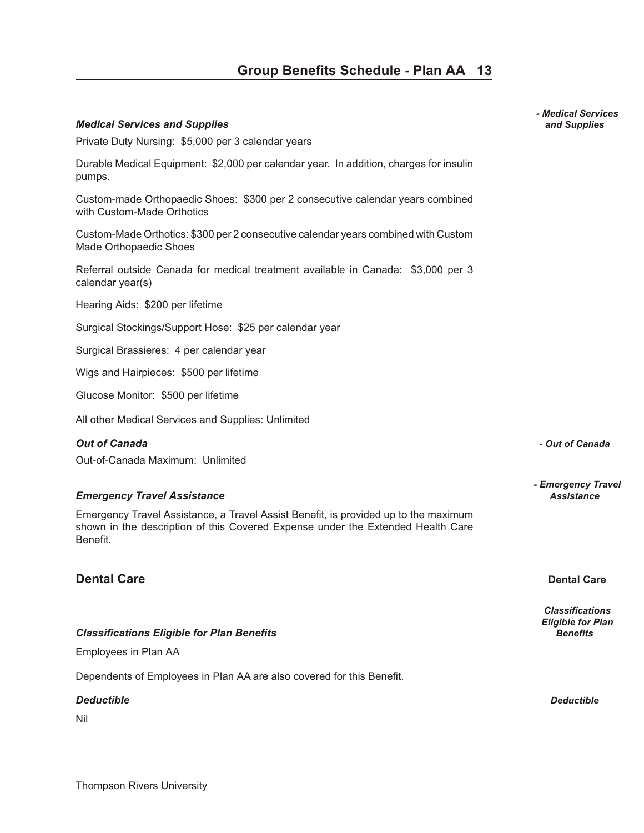Private Duty Nursing: \$5,000 per 3 calendar years

Surgical Stockings/Support Hose: \$25 per calendar year

All other Medical Services and Supplies: Unlimited

Dependents of Employees in Plan AA are also covered for this Benefit.

#### *De duct ible Deductible*

Nil

*- Medical Services Med i cal Ser vices and Sup plies and Supplies*

*Out of Can ada - Out of Canada* 

*- Emergency Travel*

*Classifications Eligible for Plan* **Classifications Eligible for Plan Benefits** *Benefits* **Benefits Benefits** 

### **Group Benefits Schedule - Plan AA 13**

# *Emer gency Travel As sis tance Assistance*

Emergency Travel Assistance, a Travel Assist Benefit, is provided up to the maximum shown in the description of this Covered Expense under the Extended Health Care Benefit.

Durable Medical Equipment: \$2,000 per calendar year. In addition, charges for insulin

Custom-made Orthopaedic Shoes: \$300 per 2 consecutive calendar years combined

Custom-Made Orthotics: \$300 per 2 consecutive calendar years combined with Custom

Referral outside Canada for medical treatment available in Canada: \$3,000 per 3

### **Dental Care Dental Care**

### Out-of-Canada Maximum: Unlimited

pumps.

with Custom-Made Orthotics

Made Orthopaedic Shoes

Hearing Aids: \$200 per lifetime

Surgical Brassieres: 4 per calendar year

Wigs and Hairpieces: \$500 per lifetime

Glucose Monitor: \$500 per lifetime

calendar year(s)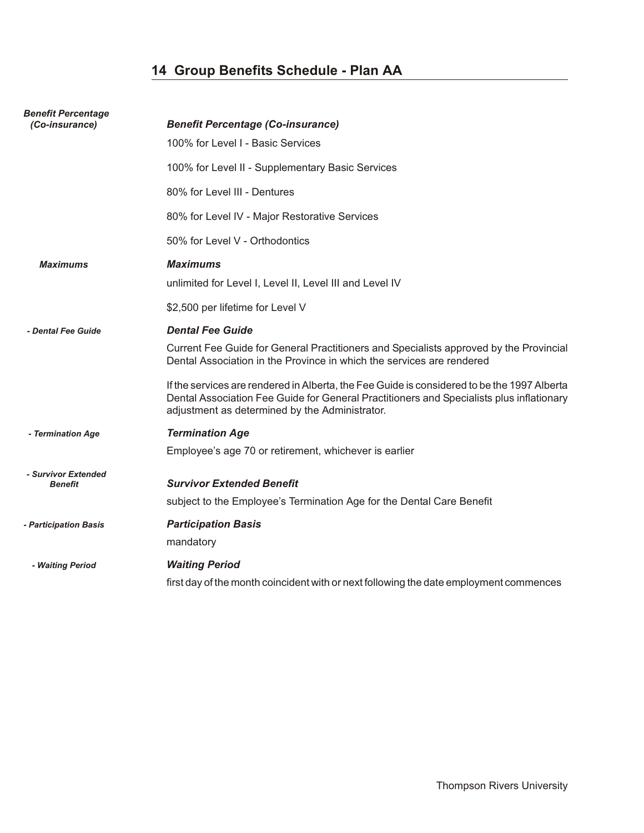| <b>Benefit Percentage</b><br>(Co-insurance) | <b>Benefit Percentage (Co-insurance)</b>                                                                                                                                                                                                  |
|---------------------------------------------|-------------------------------------------------------------------------------------------------------------------------------------------------------------------------------------------------------------------------------------------|
|                                             | 100% for Level I - Basic Services                                                                                                                                                                                                         |
|                                             | 100% for Level II - Supplementary Basic Services                                                                                                                                                                                          |
|                                             | 80% for Level III - Dentures                                                                                                                                                                                                              |
|                                             | 80% for Level IV - Major Restorative Services                                                                                                                                                                                             |
|                                             | 50% for Level V - Orthodontics                                                                                                                                                                                                            |
| <b>Maximums</b>                             | <b>Maximums</b>                                                                                                                                                                                                                           |
|                                             | unlimited for Level I, Level II, Level III and Level IV                                                                                                                                                                                   |
|                                             | \$2,500 per lifetime for Level V                                                                                                                                                                                                          |
| - Dental Fee Guide                          | <b>Dental Fee Guide</b>                                                                                                                                                                                                                   |
|                                             | Current Fee Guide for General Practitioners and Specialists approved by the Provincial<br>Dental Association in the Province in which the services are rendered                                                                           |
|                                             | If the services are rendered in Alberta, the Fee Guide is considered to be the 1997 Alberta<br>Dental Association Fee Guide for General Practitioners and Specialists plus inflationary<br>adjustment as determined by the Administrator. |
| - Termination Age                           | <b>Termination Age</b>                                                                                                                                                                                                                    |
|                                             | Employee's age 70 or retirement, whichever is earlier                                                                                                                                                                                     |
| - Survivor Extended<br><b>Benefit</b>       | <b>Survivor Extended Benefit</b>                                                                                                                                                                                                          |
|                                             | subject to the Employee's Termination Age for the Dental Care Benefit                                                                                                                                                                     |
| - Participation Basis                       | <b>Participation Basis</b>                                                                                                                                                                                                                |
|                                             | mandatory                                                                                                                                                                                                                                 |
| - Waiting Period                            | <b>Waiting Period</b>                                                                                                                                                                                                                     |
|                                             | first day of the month coincident with or next following the date employment commences                                                                                                                                                    |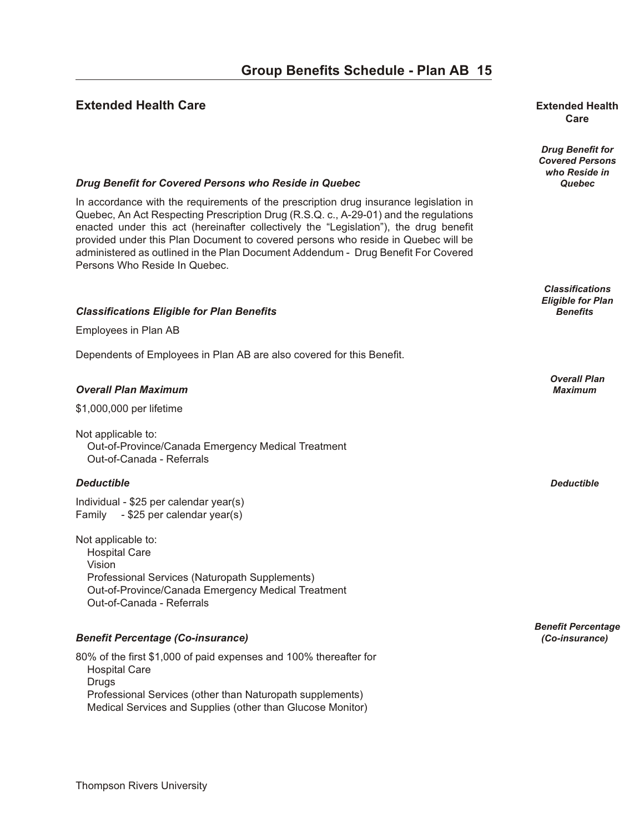#### **Extended Health Care our B en extended Health Extended Health**

# **Care**

*Drug Benefit for Covered Persons who Reside in Drug Benefit for Covered Persons who Reside in Quebec* **<b>***Quebec* **Quebec Quebec** 

> *Classifications Eligible for Plan*

> > *Overall Plan*

*Benefit Percentage*

## In accordance with the requirements of the prescription drug insurance legislation in

Quebec, An Act Respecting Prescription Drug (R.S.Q. c., A-29-01) and the regulations enacted under this act (hereinafter collectively the "Legislation"), the drug benefit provided under this Plan Document to covered persons who reside in Quebec will be administered as outlined in the Plan Document Addendum - Drug Benefit For Covered Persons Who Reside In Quebec.

#### *Clas si fi ca tions El i gi ble for Plan Ben e fits Benefits*

Employees in Plan AB

Dependents of Employees in Plan AB are also covered for this Benefit.

#### *Over all Plan Max i mum Maximum*

\$1,000,000 per lifetime

Not applicable to: Out-of-Province/Canada Emergency Medical Treatment Out-of-Canada - Referrals

#### *De duct ible Deductible*

Individual - \$25 per calendar year(s) Family - \$25 per calendar year(s)

Not applicable to: Hospital Care Vision Professional Services (Naturopath Supplements) Out-of-Province/Canada Emergency Medical Treatment Out-of-Canada - Referrals

#### *Ben e fit Per cent age (Co-in sur ance) (Co-insurance)*

80% of the first \$1,000 of paid expenses and 100% thereafter for Hospital Care Drugs Professional Services (other than Naturopath supplements) Medical Services and Supplies (other than Glucose Monitor)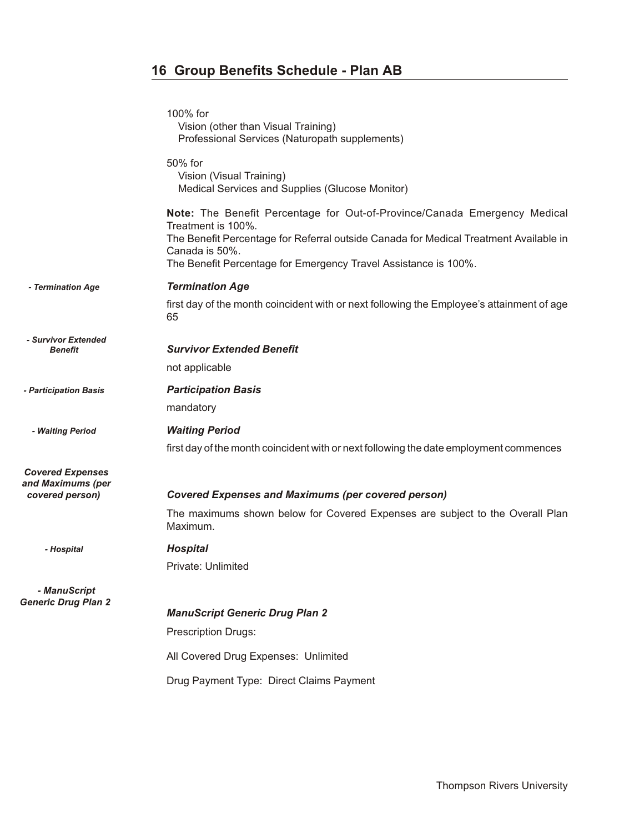|                                                                 | 100% for<br>Vision (other than Visual Training)<br>Professional Services (Naturopath supplements)                                                                                                                                                                             |
|-----------------------------------------------------------------|-------------------------------------------------------------------------------------------------------------------------------------------------------------------------------------------------------------------------------------------------------------------------------|
|                                                                 | 50% for<br>Vision (Visual Training)<br>Medical Services and Supplies (Glucose Monitor)                                                                                                                                                                                        |
|                                                                 | Note: The Benefit Percentage for Out-of-Province/Canada Emergency Medical<br>Treatment is 100%.<br>The Benefit Percentage for Referral outside Canada for Medical Treatment Available in<br>Canada is 50%.<br>The Benefit Percentage for Emergency Travel Assistance is 100%. |
| - Termination Age                                               | <b>Termination Age</b>                                                                                                                                                                                                                                                        |
|                                                                 | first day of the month coincident with or next following the Employee's attainment of age<br>65                                                                                                                                                                               |
| - Survivor Extended<br><b>Benefit</b>                           | <b>Survivor Extended Benefit</b>                                                                                                                                                                                                                                              |
|                                                                 | not applicable                                                                                                                                                                                                                                                                |
| - Participation Basis                                           | <b>Participation Basis</b>                                                                                                                                                                                                                                                    |
|                                                                 | mandatory                                                                                                                                                                                                                                                                     |
| - Waiting Period                                                | <b>Waiting Period</b>                                                                                                                                                                                                                                                         |
|                                                                 | first day of the month coincident with or next following the date employment commences                                                                                                                                                                                        |
| <b>Covered Expenses</b><br>and Maximums (per<br>covered person) | <b>Covered Expenses and Maximums (per covered person)</b>                                                                                                                                                                                                                     |
|                                                                 | The maximums shown below for Covered Expenses are subject to the Overall Plan<br>Maximum.                                                                                                                                                                                     |
| - Hospital                                                      | <b>Hospital</b>                                                                                                                                                                                                                                                               |
|                                                                 | Private: Unlimited                                                                                                                                                                                                                                                            |
| - ManuScript<br><b>Generic Drug Plan 2</b>                      |                                                                                                                                                                                                                                                                               |
|                                                                 | <b>ManuScript Generic Drug Plan 2</b>                                                                                                                                                                                                                                         |
|                                                                 | <b>Prescription Drugs:</b>                                                                                                                                                                                                                                                    |
|                                                                 | All Covered Drug Expenses: Unlimited                                                                                                                                                                                                                                          |
|                                                                 | Drug Payment Type: Direct Claims Payment                                                                                                                                                                                                                                      |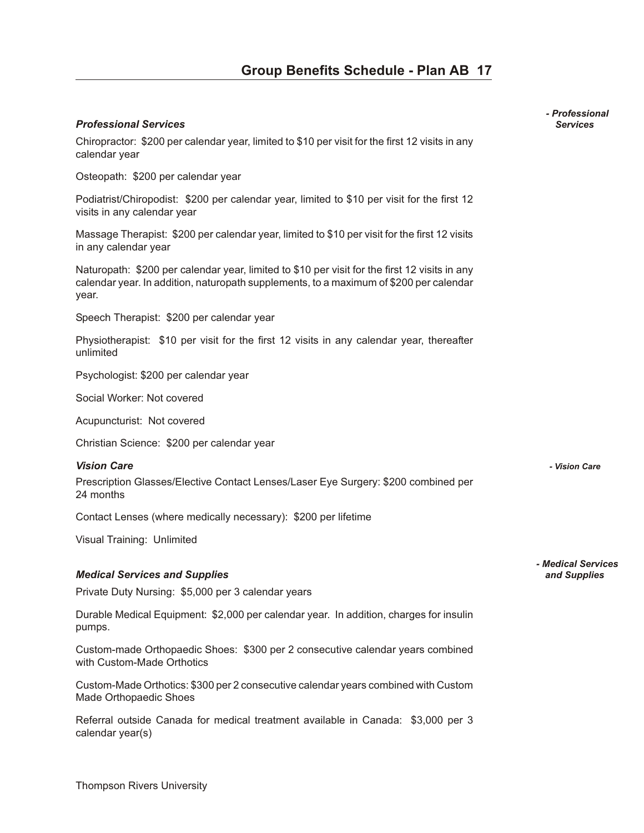#### *Pro fes sional Ser vices Services*

Chiropractor: \$200 per calendar year, limited to \$10 per visit for the first 12 visits in any calendar year

Osteopath: \$200 per calendar year

Podiatrist/Chiropodist: \$200 per calendar year, limited to \$10 per visit for the first 12 visits in any calendar year

Massage Therapist: \$200 per calendar year, limited to \$10 per visit for the first 12 visits in any calendar year

Naturopath: \$200 per calendar year, limited to \$10 per visit for the first 12 visits in any calendar year. In addition, naturopath supplements, to a maximum of \$200 per calendar year.

Speech Therapist: \$200 per calendar year

Physiotherapist: \$10 per visit for the first 12 visits in any calendar year, thereafter unlimited

Psychologist: \$200 per calendar year

Social Worker: Not covered

Acupuncturist: Not covered

Christian Science: \$200 per calendar year

#### *Vi sion Care - Vision Care*

Prescription Glasses/Elective Contact Lenses/Laser Eye Surgery: \$200 combined per 24 months

Contact Lenses (where medically necessary): \$200 per lifetime

Visual Training: Unlimited

#### *Med i cal Ser vices and Sup plies and Supplies*

Private Duty Nursing: \$5,000 per 3 calendar years

Durable Medical Equipment: \$2,000 per calendar year. In addition, charges for insulin pumps.

Custom-made Orthopaedic Shoes: \$300 per 2 consecutive calendar years combined with Custom-Made Orthotics

Custom-Made Orthotics: \$300 per 2 consecutive calendar years combined with Custom Made Orthopaedic Shoes

Referral outside Canada for medical treatment available in Canada: \$3,000 per 3 calendar year(s)

*- Professional*

*- Medical Services*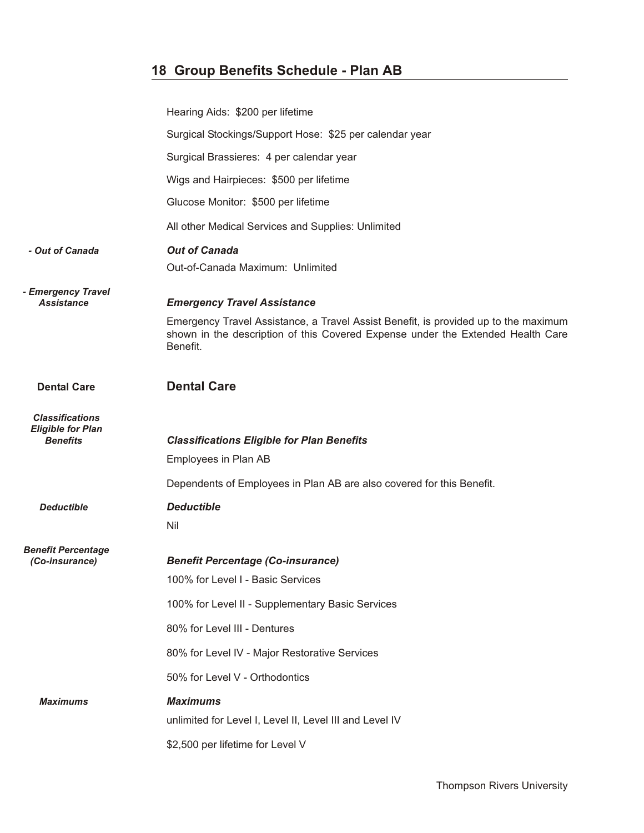|                                             | Hearing Aids: \$200 per lifetime                                                                                                                                                   |
|---------------------------------------------|------------------------------------------------------------------------------------------------------------------------------------------------------------------------------------|
|                                             | Surgical Stockings/Support Hose: \$25 per calendar year                                                                                                                            |
|                                             | Surgical Brassieres: 4 per calendar year                                                                                                                                           |
|                                             | Wigs and Hairpieces: \$500 per lifetime                                                                                                                                            |
|                                             | Glucose Monitor: \$500 per lifetime                                                                                                                                                |
|                                             | All other Medical Services and Supplies: Unlimited                                                                                                                                 |
| - Out of Canada                             | <b>Out of Canada</b><br>Out-of-Canada Maximum: Unlimited                                                                                                                           |
| - Emergency Travel<br><b>Assistance</b>     | <b>Emergency Travel Assistance</b>                                                                                                                                                 |
|                                             | Emergency Travel Assistance, a Travel Assist Benefit, is provided up to the maximum<br>shown in the description of this Covered Expense under the Extended Health Care<br>Benefit. |
| <b>Dental Care</b>                          | <b>Dental Care</b>                                                                                                                                                                 |
| <b>Classifications</b>                      |                                                                                                                                                                                    |
| <b>Eligible for Plan</b><br><b>Benefits</b> | <b>Classifications Eligible for Plan Benefits</b>                                                                                                                                  |
|                                             | Employees in Plan AB                                                                                                                                                               |
|                                             | Dependents of Employees in Plan AB are also covered for this Benefit.                                                                                                              |
| <b>Deductible</b>                           | <b>Deductible</b>                                                                                                                                                                  |
|                                             | Nil                                                                                                                                                                                |
| <b>Benefit Percentage</b><br>(Co-insurance) | <b>Benefit Percentage (Co-insurance)</b>                                                                                                                                           |
|                                             | 100% for Level I - Basic Services                                                                                                                                                  |
|                                             | 100% for Level II - Supplementary Basic Services                                                                                                                                   |
|                                             | 80% for Level III - Dentures                                                                                                                                                       |
|                                             | 80% for Level IV - Major Restorative Services                                                                                                                                      |
|                                             | 50% for Level V - Orthodontics                                                                                                                                                     |
| <b>Maximums</b>                             | <b>Maximums</b>                                                                                                                                                                    |
|                                             | unlimited for Level I, Level II, Level III and Level IV                                                                                                                            |
|                                             | \$2,500 per lifetime for Level V                                                                                                                                                   |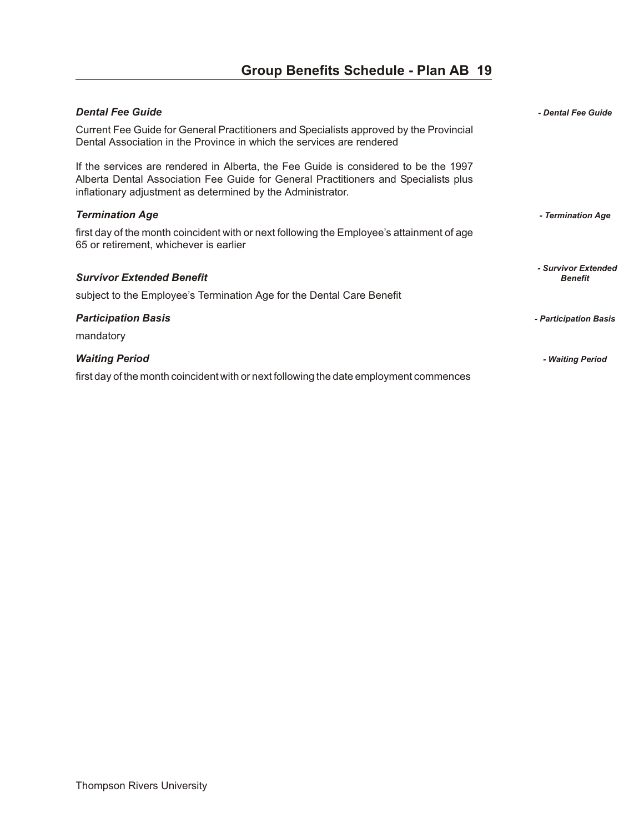| <b>Dental Fee Guide</b>                                                                                                                                                                                                                   | - Dental Fee Guide                    |
|-------------------------------------------------------------------------------------------------------------------------------------------------------------------------------------------------------------------------------------------|---------------------------------------|
| Current Fee Guide for General Practitioners and Specialists approved by the Provincial<br>Dental Association in the Province in which the services are rendered                                                                           |                                       |
| If the services are rendered in Alberta, the Fee Guide is considered to be the 1997<br>Alberta Dental Association Fee Guide for General Practitioners and Specialists plus<br>inflationary adjustment as determined by the Administrator. |                                       |
| <b>Termination Age</b>                                                                                                                                                                                                                    | - Termination Age                     |
| first day of the month coincident with or next following the Employee's attainment of age<br>65 or retirement, whichever is earlier                                                                                                       |                                       |
| <b>Survivor Extended Benefit</b><br>subject to the Employee's Termination Age for the Dental Care Benefit                                                                                                                                 | - Survivor Extended<br><b>Benefit</b> |
| <b>Participation Basis</b><br>mandatory                                                                                                                                                                                                   | - Participation Basis                 |
| <b>Waiting Period</b><br>first day of the month coincident with or next following the date employment commences                                                                                                                           | - Waiting Period                      |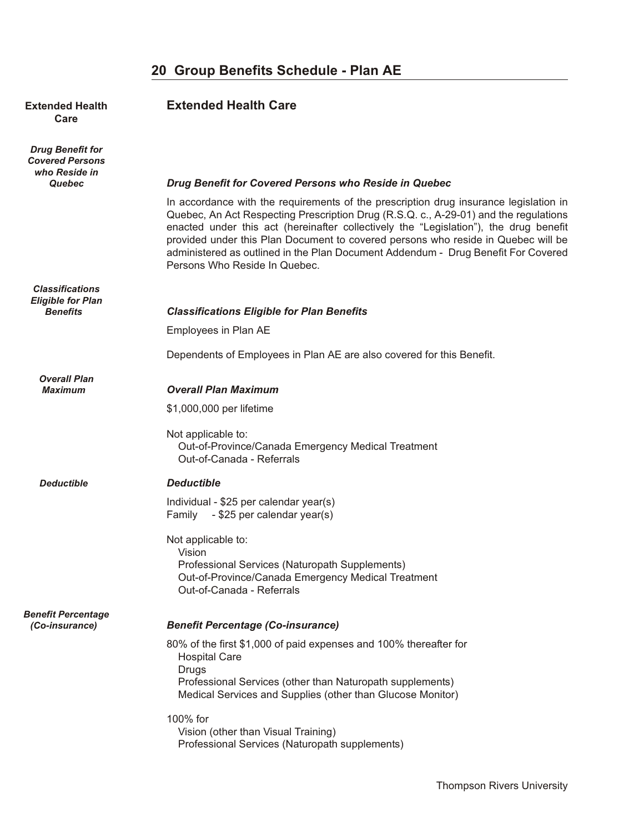#### **Extended Health <b>Extended Health Care Care**

*Drug Benefit for Covered Persons who Reside in*

*Classifications Eligible for Plan*

*Overall Plan*

#### *Quebec Drug Benefit for Covered Persons who Reside in Quebec*

In accordance with the requirements of the prescription drug insurance legislation in Quebec, An Act Respecting Prescription Drug (R.S.Q. c., A-29-01) and the regulations enacted under this act (hereinafter collectively the "Legislation"), the drug benefit provided under this Plan Document to covered persons who reside in Quebec will be administered as outlined in the Plan Document Addendum - Drug Benefit For Covered Persons Who Reside In Quebec.

| Benefits | <b>Classifications Eligible for Plan Benefits</b> |
|----------|---------------------------------------------------|
|----------|---------------------------------------------------|

Employees in Plan AE

Dependents of Employees in Plan AE are also covered for this Benefit.

#### *Maximum Over all Plan Max i mum*

\$1,000,000 per lifetime

#### Not applicable to: Out-of-Province/Canada Emergency Medical Treatment Out-of-Canada - Referrals

#### *Deductible De duct ible*

Individual - \$25 per calendar year(s) Family - \$25 per calendar year(s)

### Not applicable to: Vision

 Professional Services (Naturopath Supplements) Out-of-Province/Canada Emergency Medical Treatment Out-of-Canada - Referrals

### *Benefit Percentage*

### *(Co-insurance) Ben e fit Per cent age (Co-in sur ance)*

80% of the first \$1,000 of paid expenses and 100% thereafter for Hospital Care Drugs Professional Services (other than Naturopath supplements) Medical Services and Supplies (other than Glucose Monitor)

#### 100% for

 Vision (other than Visual Training) Professional Services (Naturopath supplements)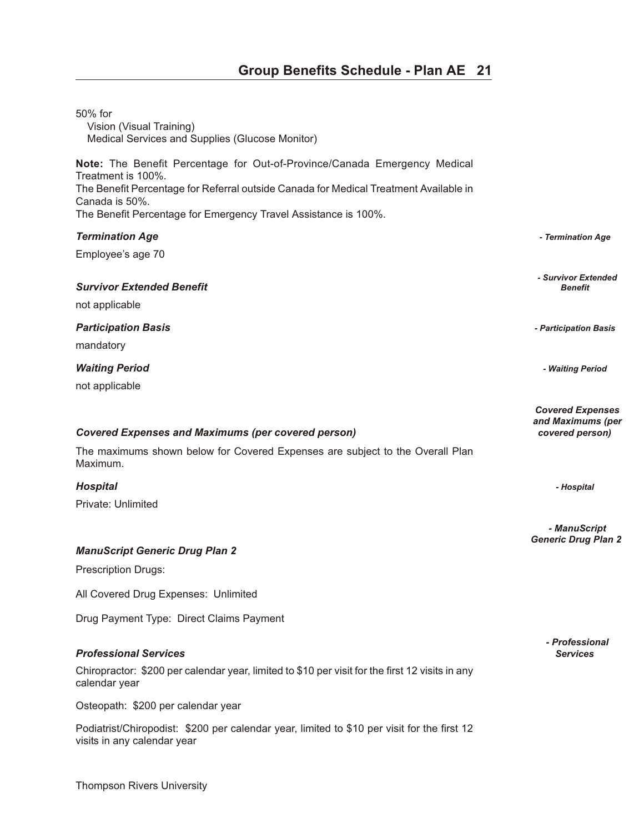| 50% for<br>Vision (Visual Training)<br>Medical Services and Supplies (Glucose Monitor)                                                                                     |                                                                 |
|----------------------------------------------------------------------------------------------------------------------------------------------------------------------------|-----------------------------------------------------------------|
| Note: The Benefit Percentage for Out-of-Province/Canada Emergency Medical<br>Treatment is 100%.                                                                            |                                                                 |
| The Benefit Percentage for Referral outside Canada for Medical Treatment Available in<br>Canada is 50%.<br>The Benefit Percentage for Emergency Travel Assistance is 100%. |                                                                 |
| <b>Termination Age</b>                                                                                                                                                     | - Termination Age                                               |
| Employee's age 70                                                                                                                                                          |                                                                 |
| <b>Survivor Extended Benefit</b>                                                                                                                                           | - Survivor Extended<br><b>Benefit</b>                           |
| not applicable                                                                                                                                                             |                                                                 |
| <b>Participation Basis</b>                                                                                                                                                 | - Participation Basis                                           |
| mandatory                                                                                                                                                                  |                                                                 |
| <b>Waiting Period</b>                                                                                                                                                      | - Waiting Period                                                |
| not applicable                                                                                                                                                             |                                                                 |
| <b>Covered Expenses and Maximums (per covered person)</b>                                                                                                                  | <b>Covered Expenses</b><br>and Maximums (per<br>covered person) |
| The maximums shown below for Covered Expenses are subject to the Overall Plan<br>Maximum.                                                                                  |                                                                 |
| <b>Hospital</b>                                                                                                                                                            | - Hospital                                                      |
| Private: Unlimited                                                                                                                                                         |                                                                 |
|                                                                                                                                                                            | - ManuScript<br><b>Generic Drug Plan 2</b>                      |
| <b>ManuScript Generic Drug Plan 2</b>                                                                                                                                      |                                                                 |
| <b>Prescription Drugs:</b>                                                                                                                                                 |                                                                 |
| All Covered Drug Expenses: Unlimited                                                                                                                                       |                                                                 |
| Drug Payment Type: Direct Claims Payment                                                                                                                                   |                                                                 |
| <b>Professional Services</b>                                                                                                                                               | <i><b>- Professional</b></i><br><b>Services</b>                 |
| Chiropractor: \$200 per calendar year, limited to \$10 per visit for the first 12 visits in any<br>calendar year                                                           |                                                                 |
| Osteopath: \$200 per calendar year                                                                                                                                         |                                                                 |
| Podiatrist/Chiropodist: \$200 per calendar year, limited to \$10 per visit for the first 12<br>visits in any calendar year                                                 |                                                                 |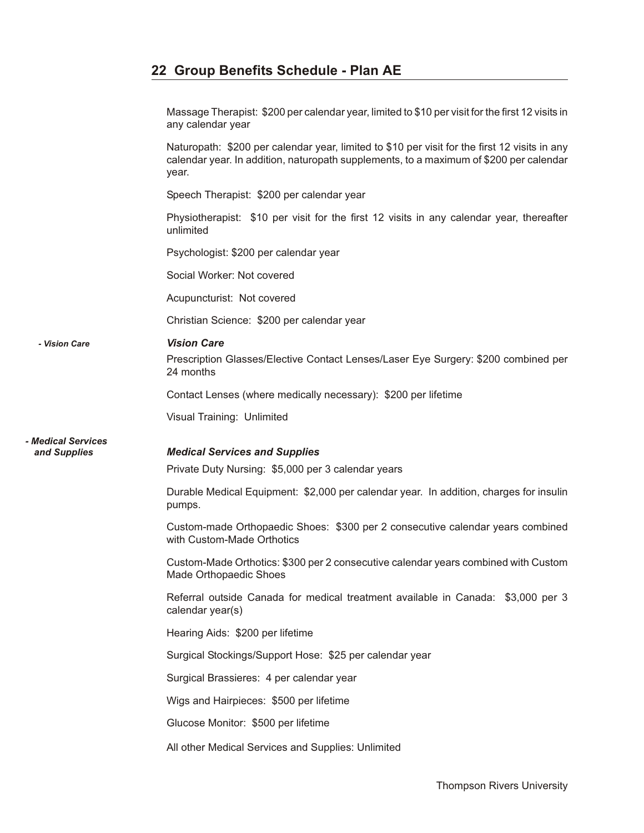Massage Therapist: \$200 per calendar year, limited to \$10 per visit for the first 12 visits in any calendar year

Naturopath: \$200 per calendar year, limited to \$10 per visit for the first 12 visits in any calendar year. In addition, naturopath supplements, to a maximum of \$200 per calendar year.

Speech Therapist: \$200 per calendar year

Physiotherapist: \$10 per visit for the first 12 visits in any calendar year, thereafter unlimited

Psychologist: \$200 per calendar year

Social Worker: Not covered

Acupuncturist: Not covered

Christian Science: \$200 per calendar year

#### *- Vision Care Vi sion Care*

Prescription Glasses/Elective Contact Lenses/Laser Eye Surgery: \$200 combined per 24 months

Contact Lenses (where medically necessary): \$200 per lifetime

Visual Training: Unlimited

*- Medical Services*

#### *and Supplies Med i cal Ser vices and Sup plies*

Private Duty Nursing: \$5,000 per 3 calendar years

Durable Medical Equipment: \$2,000 per calendar year. In addition, charges for insulin pumps.

Custom-made Orthopaedic Shoes: \$300 per 2 consecutive calendar years combined with Custom-Made Orthotics

Custom-Made Orthotics: \$300 per 2 consecutive calendar years combined with Custom Made Orthopaedic Shoes

Referral outside Canada for medical treatment available in Canada: \$3,000 per 3 calendar year(s)

Hearing Aids: \$200 per lifetime

Surgical Stockings/Support Hose: \$25 per calendar year

Surgical Brassieres: 4 per calendar year

Wigs and Hairpieces: \$500 per lifetime

Glucose Monitor: \$500 per lifetime

All other Medical Services and Supplies: Unlimited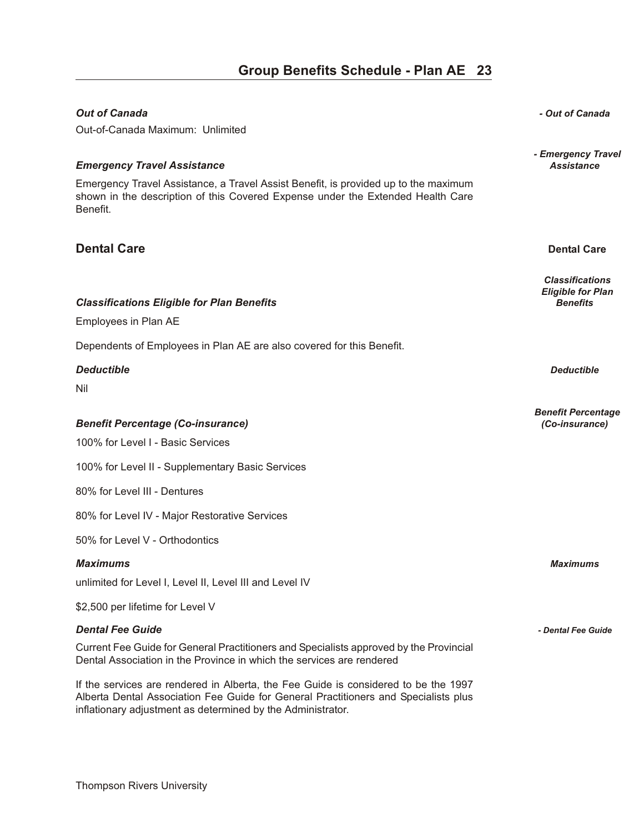| <b>Out of Canada</b>                                                                                                                                                               | - Out of Canada                                                       |
|------------------------------------------------------------------------------------------------------------------------------------------------------------------------------------|-----------------------------------------------------------------------|
| Out-of-Canada Maximum: Unlimited                                                                                                                                                   |                                                                       |
| <b>Emergency Travel Assistance</b>                                                                                                                                                 | - Emergency Travel<br><b>Assistance</b>                               |
| Emergency Travel Assistance, a Travel Assist Benefit, is provided up to the maximum<br>shown in the description of this Covered Expense under the Extended Health Care<br>Benefit. |                                                                       |
| <b>Dental Care</b>                                                                                                                                                                 | <b>Dental Care</b>                                                    |
| <b>Classifications Eligible for Plan Benefits</b><br>Employees in Plan AE                                                                                                          | <b>Classifications</b><br><b>Eligible for Plan</b><br><b>Benefits</b> |
| Dependents of Employees in Plan AE are also covered for this Benefit.                                                                                                              |                                                                       |
| <b>Deductible</b><br>Nil                                                                                                                                                           | <b>Deductible</b>                                                     |
| <b>Benefit Percentage (Co-insurance)</b>                                                                                                                                           | <b>Benefit Percentage</b><br>(Co-insurance)                           |
| 100% for Level I - Basic Services                                                                                                                                                  |                                                                       |
| 100% for Level II - Supplementary Basic Services                                                                                                                                   |                                                                       |
| 80% for Level III - Dentures                                                                                                                                                       |                                                                       |
| 80% for Level IV - Major Restorative Services                                                                                                                                      |                                                                       |
| 50% for Level V - Orthodontics                                                                                                                                                     |                                                                       |
| <b>Maximums</b>                                                                                                                                                                    | <b>Maximums</b>                                                       |
| unlimited for Level I, Level II, Level III and Level IV                                                                                                                            |                                                                       |
| \$2,500 per lifetime for Level V                                                                                                                                                   |                                                                       |
| <b>Dental Fee Guide</b>                                                                                                                                                            | - Dental Fee Guide                                                    |
| Current Fee Guide for General Practitioners and Specialists approved by the Provincial<br>Dental Association in the Province in which the services are rendered                    |                                                                       |
| If the services are rendered in Alberta, the Fee Guide is considered to be the 1997<br>Alberta Dental Association Fee Guide for General Practitioners and Specialists plus         |                                                                       |

inflationary adjustment as determined by the Administrator.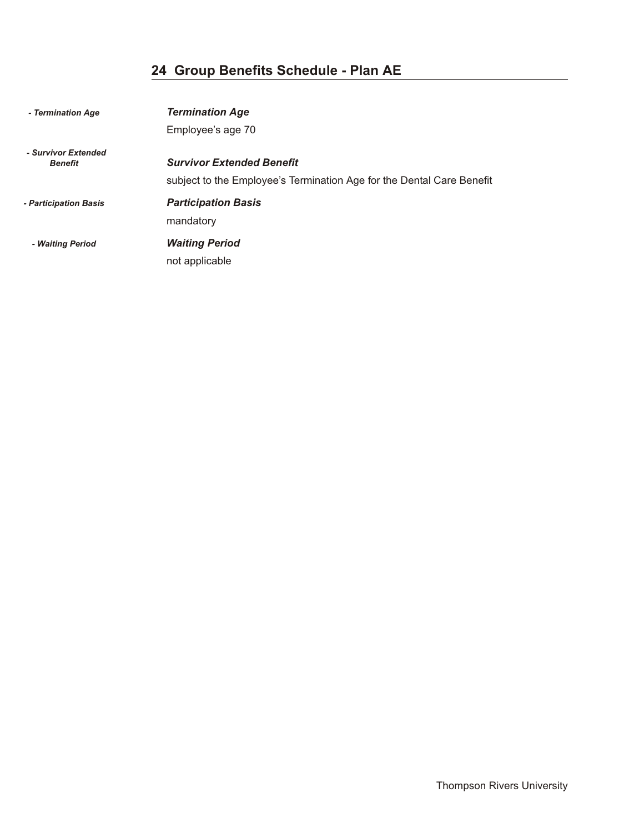| - Termination Age                     | <b>Termination Age</b>                                                                                    |
|---------------------------------------|-----------------------------------------------------------------------------------------------------------|
|                                       | Employee's age 70                                                                                         |
| - Survivor Extended<br><b>Benefit</b> | <b>Survivor Extended Benefit</b><br>subject to the Employee's Termination Age for the Dental Care Benefit |
| - Participation Basis                 | <b>Participation Basis</b><br>mandatory                                                                   |
| - Waiting Period                      | <b>Waiting Period</b><br>not applicable                                                                   |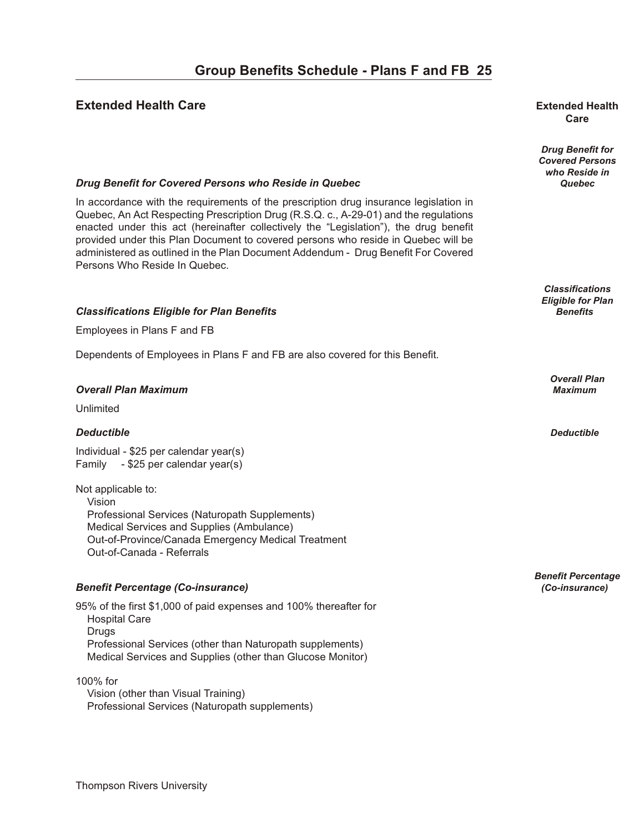#### **Extended Health Care oup B en extended Health Extended Health**

# **Care**

*Drug Benefit for Covered Persons who Reside in*

*Classifications Eligible for Plan*

*Overall Plan*

*Benefit Percentage*

#### *Drug Benefit for Covered Persons who Reside in Quebec* **<b>***Quebec* **Quebec Quebec**

In accordance with the requirements of the prescription drug insurance legislation in Quebec, An Act Respecting Prescription Drug (R.S.Q. c., A-29-01) and the regulations enacted under this act (hereinafter collectively the "Legislation"), the drug benefit provided under this Plan Document to covered persons who reside in Quebec will be administered as outlined in the Plan Document Addendum - Drug Benefit For Covered Persons Who Reside In Quebec.

#### *Clas si fi ca tions El i gi ble for Plan Ben e fits Benefits*

Employees in Plans F and FB

Dependents of Employees in Plans F and FB are also covered for this Benefit.

#### *Over all Plan Max i mum Maximum*

Unlimited

#### *De duct ible Deductible*

Individual - \$25 per calendar year(s) Family - \$25 per calendar year(s)

Not applicable to: Vision Professional Services (Naturopath Supplements) Medical Services and Supplies (Ambulance) Out-of-Province/Canada Emergency Medical Treatment Out-of-Canada - Referrals

#### *Ben e fit Per cent age (Co-in sur ance) (Co-insurance)*

95% of the first \$1,000 of paid expenses and 100% thereafter for Hospital Care Drugs Professional Services (other than Naturopath supplements) Medical Services and Supplies (other than Glucose Monitor)

100% for

 Vision (other than Visual Training) Professional Services (Naturopath supplements)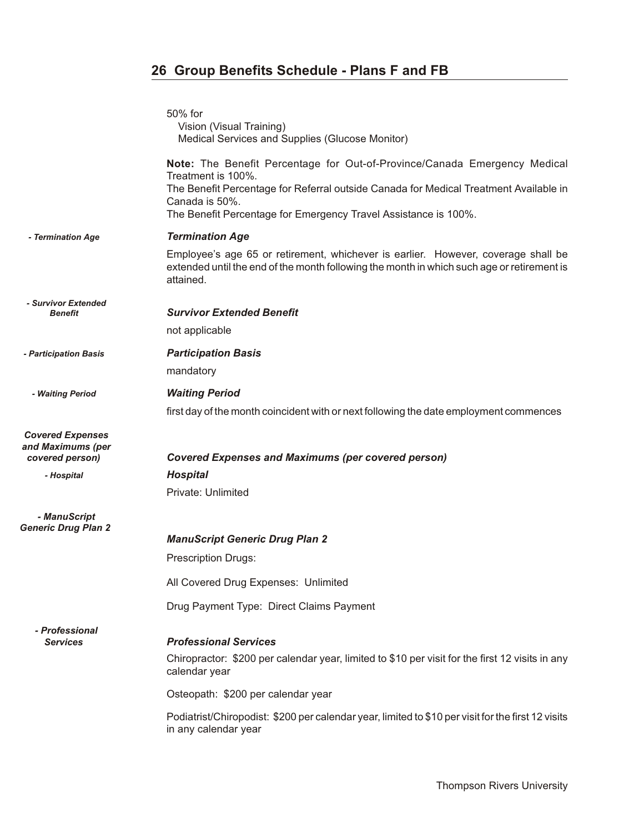|                                                                 | 50% for<br>Vision (Visual Training)<br>Medical Services and Supplies (Glucose Monitor)                                                                                                                                                                                        |
|-----------------------------------------------------------------|-------------------------------------------------------------------------------------------------------------------------------------------------------------------------------------------------------------------------------------------------------------------------------|
|                                                                 | Note: The Benefit Percentage for Out-of-Province/Canada Emergency Medical<br>Treatment is 100%.<br>The Benefit Percentage for Referral outside Canada for Medical Treatment Available in<br>Canada is 50%.<br>The Benefit Percentage for Emergency Travel Assistance is 100%. |
| - Termination Age                                               | <b>Termination Age</b>                                                                                                                                                                                                                                                        |
|                                                                 | Employee's age 65 or retirement, whichever is earlier. However, coverage shall be<br>extended until the end of the month following the month in which such age or retirement is<br>attained.                                                                                  |
| - Survivor Extended<br>Benefit                                  | <b>Survivor Extended Benefit</b>                                                                                                                                                                                                                                              |
|                                                                 | not applicable                                                                                                                                                                                                                                                                |
| - Participation Basis                                           | <b>Participation Basis</b>                                                                                                                                                                                                                                                    |
|                                                                 | mandatory                                                                                                                                                                                                                                                                     |
| - Waiting Period                                                | <b>Waiting Period</b>                                                                                                                                                                                                                                                         |
|                                                                 | first day of the month coincident with or next following the date employment commences                                                                                                                                                                                        |
| <b>Covered Expenses</b><br>and Maximums (per<br>covered person) | <b>Covered Expenses and Maximums (per covered person)</b>                                                                                                                                                                                                                     |
| - Hospital                                                      | <b>Hospital</b>                                                                                                                                                                                                                                                               |
|                                                                 | Private: Unlimited                                                                                                                                                                                                                                                            |
| - ManuScript                                                    |                                                                                                                                                                                                                                                                               |
| <b>Generic Drug Plan 2</b>                                      | <b>ManuScript Generic Drug Plan 2</b>                                                                                                                                                                                                                                         |
|                                                                 | <b>Prescription Drugs:</b>                                                                                                                                                                                                                                                    |
|                                                                 | All Covered Drug Expenses: Unlimited                                                                                                                                                                                                                                          |
|                                                                 | Drug Payment Type: Direct Claims Payment                                                                                                                                                                                                                                      |
| - Professional                                                  |                                                                                                                                                                                                                                                                               |
| <b>Services</b>                                                 | <b>Professional Services</b>                                                                                                                                                                                                                                                  |
|                                                                 | Chiropractor: \$200 per calendar year, limited to \$10 per visit for the first 12 visits in any<br>calendar year                                                                                                                                                              |
|                                                                 | Osteopath: \$200 per calendar year                                                                                                                                                                                                                                            |
|                                                                 | Podiatrist/Chiropodist: \$200 per calendar year, limited to \$10 per visit for the first 12 visits<br>in any calendar year                                                                                                                                                    |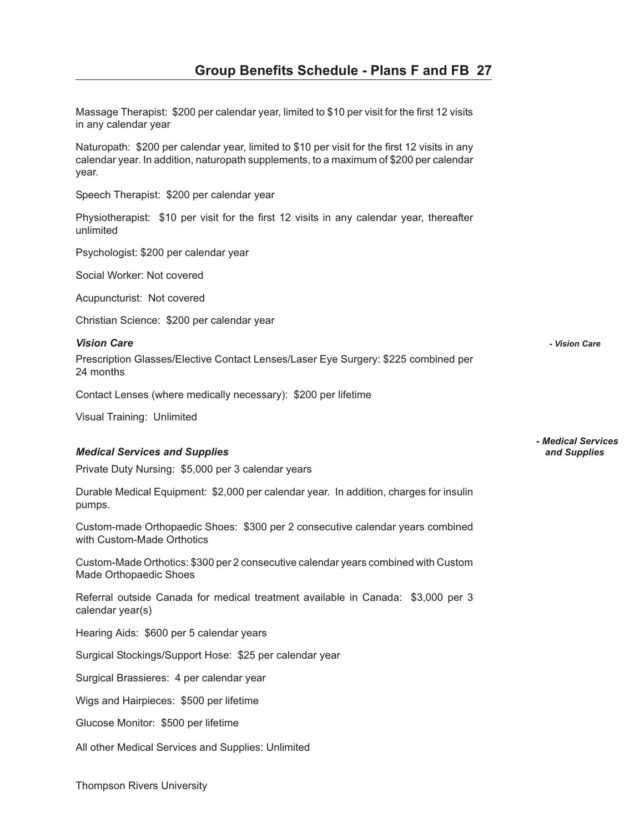Massage Therapist: \$200 per calendar year, limited to \$10 per visit for the first 12 visits in any calendar year

Naturopath: \$200 per calendar year, limited to \$10 per visit for the first 12 visits in any calendar year. In addition, naturopath supplements, to a maximum of \$200 per calendar year.

Speech Therapist: \$200 per calendar year

Physiotherapist: \$10 per visit for the first 12 visits in any calendar year, thereafter unlimited

Psychologist: \$200 per calendar year

Social Worker: Not covered

Acupuncturist: Not covered

Christian Science: \$200 per calendar year

#### *Vi sion Care - Vision Care*

Prescription Glasses/Elective Contact Lenses/Laser Eye Surgery: \$225 combined per 24 months

Contact Lenses (where medically necessary): \$200 per lifetime

Visual Training: Unlimited

#### *Med i cal Ser vices and Sup plies and Supplies*

Private Duty Nursing: \$5,000 per 3 calendar years

Durable Medical Equipment: \$2,000 per calendar year. In addition, charges for insulin pumps.

Custom-made Orthopaedic Shoes: \$300 per 2 consecutive calendar years combined with Custom-Made Orthotics

Custom-Made Orthotics: \$300 per 2 consecutive calendar years combined with Custom Made Orthopaedic Shoes

Referral outside Canada for medical treatment available in Canada: \$3,000 per 3 calendar year(s)

Hearing Aids: \$600 per 5 calendar years

Surgical Stockings/Support Hose: \$25 per calendar year

Surgical Brassieres: 4 per calendar year

Wigs and Hairpieces: \$500 per lifetime

Glucose Monitor: \$500 per lifetime

All other Medical Services and Supplies: Unlimited

*- Medical Services*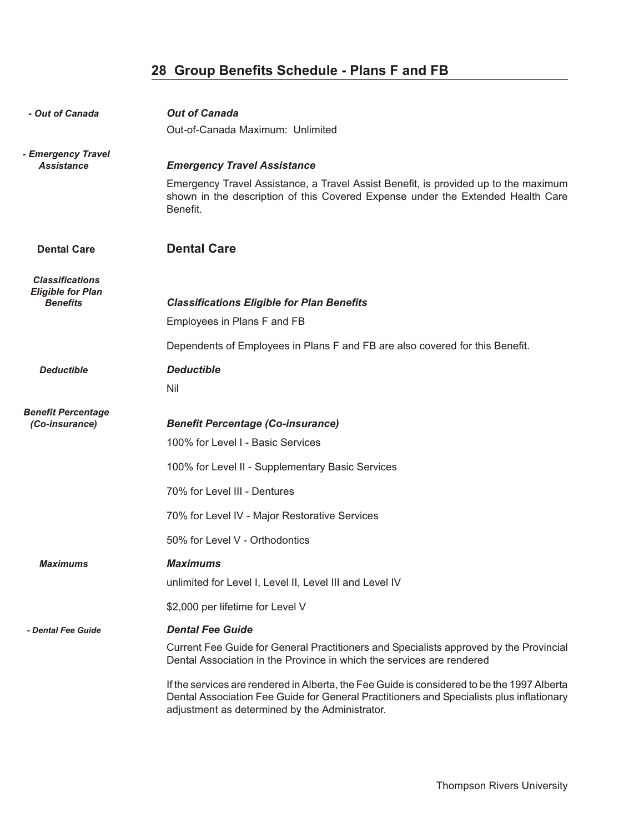| - Out of Canada                                                       | <b>Out of Canada</b><br>Out-of-Canada Maximum: Unlimited                                                                                                                                                                                                                                                                                                                                                                                |
|-----------------------------------------------------------------------|-----------------------------------------------------------------------------------------------------------------------------------------------------------------------------------------------------------------------------------------------------------------------------------------------------------------------------------------------------------------------------------------------------------------------------------------|
| - Emergency Travel<br><b>Assistance</b>                               | <b>Emergency Travel Assistance</b><br>Emergency Travel Assistance, a Travel Assist Benefit, is provided up to the maximum<br>shown in the description of this Covered Expense under the Extended Health Care<br>Benefit.                                                                                                                                                                                                                |
| <b>Dental Care</b>                                                    | <b>Dental Care</b>                                                                                                                                                                                                                                                                                                                                                                                                                      |
| <b>Classifications</b><br><b>Eligible for Plan</b><br><b>Benefits</b> | <b>Classifications Eligible for Plan Benefits</b><br>Employees in Plans F and FB<br>Dependents of Employees in Plans F and FB are also covered for this Benefit.                                                                                                                                                                                                                                                                        |
| <b>Deductible</b>                                                     | <b>Deductible</b><br>Nil                                                                                                                                                                                                                                                                                                                                                                                                                |
| <b>Benefit Percentage</b><br>(Co-insurance)                           | <b>Benefit Percentage (Co-insurance)</b><br>100% for Level I - Basic Services<br>100% for Level II - Supplementary Basic Services<br>70% for Level III - Dentures<br>70% for Level IV - Major Restorative Services<br>50% for Level V - Orthodontics                                                                                                                                                                                    |
| Maximums                                                              | <b>Maximums</b><br>unlimited for Level I, Level II, Level III and Level IV                                                                                                                                                                                                                                                                                                                                                              |
|                                                                       | \$2,000 per lifetime for Level V                                                                                                                                                                                                                                                                                                                                                                                                        |
| - Dental Fee Guide                                                    | <b>Dental Fee Guide</b><br>Current Fee Guide for General Practitioners and Specialists approved by the Provincial<br>Dental Association in the Province in which the services are rendered<br>If the services are rendered in Alberta, the Fee Guide is considered to be the 1997 Alberta<br>Dental Association Fee Guide for General Practitioners and Specialists plus inflationary<br>adjustment as determined by the Administrator. |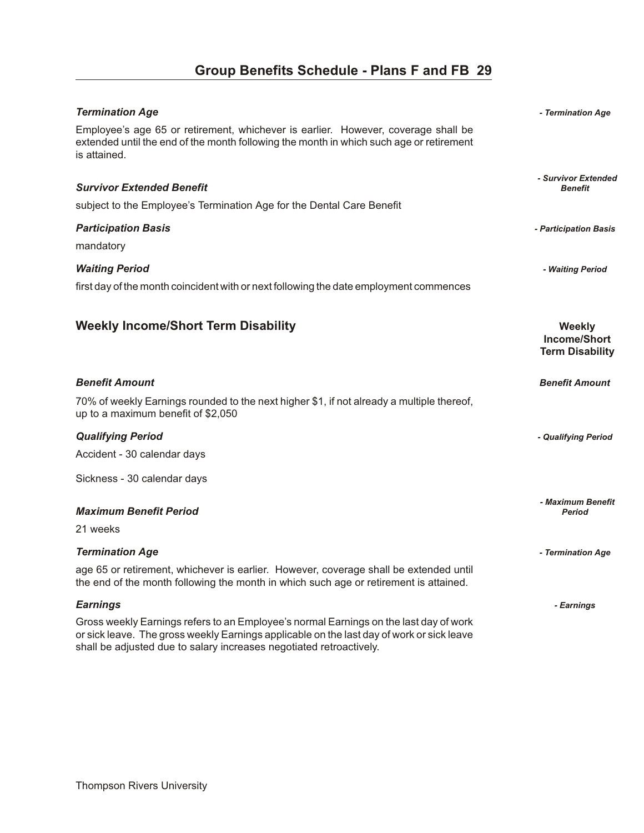| <b>Termination Age</b>                                                                                                                                                                                                                                    | - Termination Age                                              |
|-----------------------------------------------------------------------------------------------------------------------------------------------------------------------------------------------------------------------------------------------------------|----------------------------------------------------------------|
| Employee's age 65 or retirement, whichever is earlier. However, coverage shall be<br>extended until the end of the month following the month in which such age or retirement<br>is attained.                                                              |                                                                |
|                                                                                                                                                                                                                                                           | - Survivor Extended                                            |
| <b>Survivor Extended Benefit</b>                                                                                                                                                                                                                          | <b>Benefit</b>                                                 |
| subject to the Employee's Termination Age for the Dental Care Benefit                                                                                                                                                                                     |                                                                |
| <b>Participation Basis</b>                                                                                                                                                                                                                                | - Participation Basis                                          |
| mandatory                                                                                                                                                                                                                                                 |                                                                |
| <b>Waiting Period</b>                                                                                                                                                                                                                                     | - Waiting Period                                               |
| first day of the month coincident with or next following the date employment commences                                                                                                                                                                    |                                                                |
|                                                                                                                                                                                                                                                           |                                                                |
| <b>Weekly Income/Short Term Disability</b>                                                                                                                                                                                                                | <b>Weekly</b><br><b>Income/Short</b><br><b>Term Disability</b> |
| <b>Benefit Amount</b>                                                                                                                                                                                                                                     | <b>Benefit Amount</b>                                          |
| 70% of weekly Earnings rounded to the next higher \$1, if not already a multiple thereof,<br>up to a maximum benefit of \$2,050                                                                                                                           |                                                                |
| <b>Qualifying Period</b>                                                                                                                                                                                                                                  | - Qualifying Period                                            |
| Accident - 30 calendar days                                                                                                                                                                                                                               |                                                                |
| Sickness - 30 calendar days                                                                                                                                                                                                                               |                                                                |
|                                                                                                                                                                                                                                                           |                                                                |
| <b>Maximum Benefit Period</b>                                                                                                                                                                                                                             | - Maximum Benefit<br><b>Period</b>                             |
| 21 weeks                                                                                                                                                                                                                                                  |                                                                |
| <b>Termination Age</b>                                                                                                                                                                                                                                    | - Termination Age                                              |
| age 65 or retirement, whichever is earlier. However, coverage shall be extended until<br>the end of the month following the month in which such age or retirement is attained.                                                                            |                                                                |
| <b>Earnings</b>                                                                                                                                                                                                                                           | - Earnings                                                     |
| Gross weekly Earnings refers to an Employee's normal Earnings on the last day of work<br>or sick leave. The gross weekly Earnings applicable on the last day of work or sick leave<br>shall be adjusted due to salary increases negotiated retroactively. |                                                                |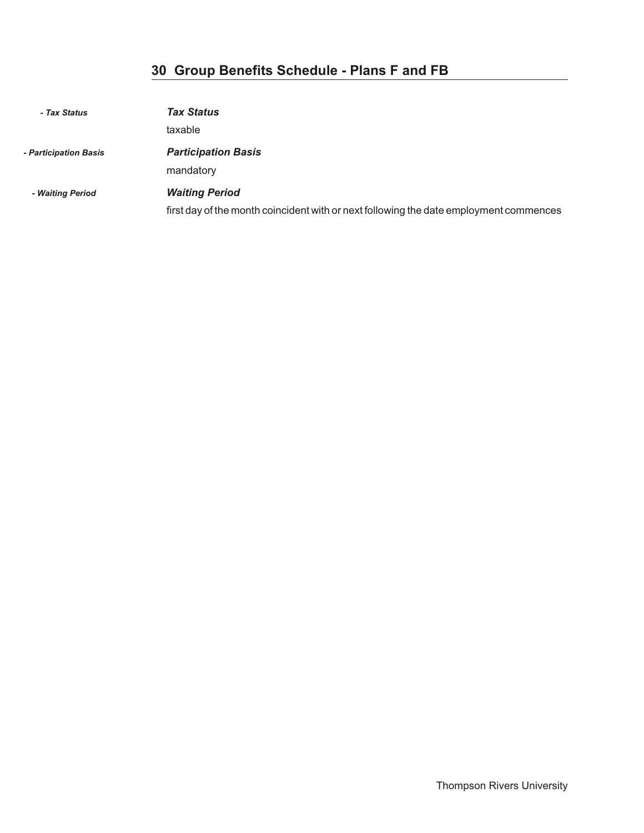| - Tax Status          | <b>Tax Status</b>                                                                                               |
|-----------------------|-----------------------------------------------------------------------------------------------------------------|
|                       | taxable                                                                                                         |
| - Participation Basis | <b>Participation Basis</b><br>mandatory                                                                         |
| - Waiting Period      | <b>Waiting Period</b><br>first day of the month coincident with or next following the date employment commences |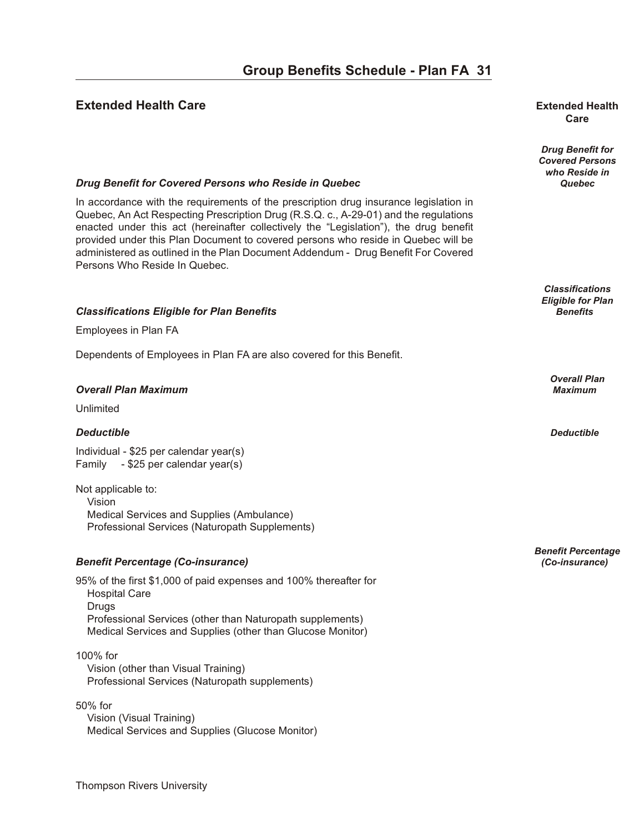#### **Extended Health Care our B en extended Health Extended Health**

# **Care**

*Drug Benefit for Covered Persons who Reside in*

*Classifications Eligible for Plan*

*Overall Plan*

*Benefit Percentage*

#### *Drug Benefit for Covered Persons who Reside in Quebec* **<b>***Quebec* **Quebec Quebec**

In accordance with the requirements of the prescription drug insurance legislation in Quebec, An Act Respecting Prescription Drug (R.S.Q. c., A-29-01) and the regulations enacted under this act (hereinafter collectively the "Legislation"), the drug benefit provided under this Plan Document to covered persons who reside in Quebec will be administered as outlined in the Plan Document Addendum - Drug Benefit For Covered Persons Who Reside In Quebec.

#### *Clas si fi ca tions El i gi ble for Plan Ben e fits Benefits*

Employees in Plan FA

Dependents of Employees in Plan FA are also covered for this Benefit.

#### *Over all Plan Max i mum Maximum*

Unlimited

#### *De duct ible Deductible*

Individual - \$25 per calendar year(s) Family - \$25 per calendar year(s)

Not applicable to: Vision Medical Services and Supplies (Ambulance) Professional Services (Naturopath Supplements)

#### *Ben e fit Per cent age (Co-in sur ance) (Co-insurance)*

95% of the first \$1,000 of paid expenses and 100% thereafter for Hospital Care Drugs Professional Services (other than Naturopath supplements) Medical Services and Supplies (other than Glucose Monitor)

#### 100% for

 Vision (other than Visual Training) Professional Services (Naturopath supplements)

50% for Vision (Visual Training) Medical Services and Supplies (Glucose Monitor)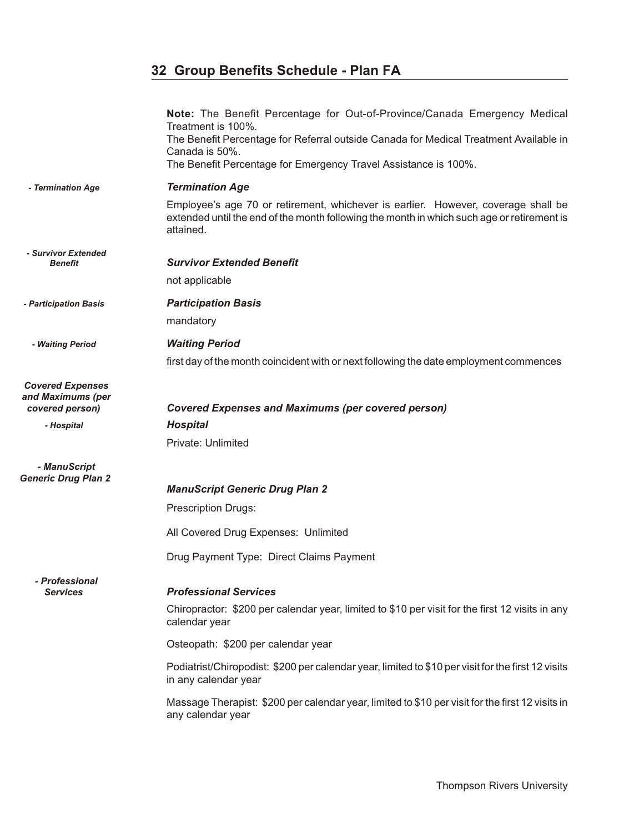|                                                                 | Note: The Benefit Percentage for Out-of-Province/Canada Emergency Medical<br>Treatment is 100%.<br>The Benefit Percentage for Referral outside Canada for Medical Treatment Available in<br>Canada is 50%.<br>The Benefit Percentage for Emergency Travel Assistance is 100%. |
|-----------------------------------------------------------------|-------------------------------------------------------------------------------------------------------------------------------------------------------------------------------------------------------------------------------------------------------------------------------|
| - Termination Age                                               | <b>Termination Age</b>                                                                                                                                                                                                                                                        |
|                                                                 | Employee's age 70 or retirement, whichever is earlier. However, coverage shall be<br>extended until the end of the month following the month in which such age or retirement is<br>attained.                                                                                  |
| - Survivor Extended<br><b>Benefit</b>                           | <b>Survivor Extended Benefit</b>                                                                                                                                                                                                                                              |
|                                                                 | not applicable                                                                                                                                                                                                                                                                |
|                                                                 |                                                                                                                                                                                                                                                                               |
| - Participation Basis                                           | <b>Participation Basis</b>                                                                                                                                                                                                                                                    |
|                                                                 | mandatory                                                                                                                                                                                                                                                                     |
| - Waiting Period                                                | <b>Waiting Period</b>                                                                                                                                                                                                                                                         |
|                                                                 | first day of the month coincident with or next following the date employment commences                                                                                                                                                                                        |
| <b>Covered Expenses</b><br>and Maximums (per<br>covered person) | <b>Covered Expenses and Maximums (per covered person)</b>                                                                                                                                                                                                                     |
| - Hospital                                                      | <b>Hospital</b>                                                                                                                                                                                                                                                               |
|                                                                 | Private: Unlimited                                                                                                                                                                                                                                                            |
| - ManuScript<br><b>Generic Drug Plan 2</b>                      | <b>ManuScript Generic Drug Plan 2</b>                                                                                                                                                                                                                                         |
|                                                                 | <b>Prescription Drugs:</b>                                                                                                                                                                                                                                                    |
|                                                                 | All Covered Drug Expenses: Unlimited                                                                                                                                                                                                                                          |
|                                                                 |                                                                                                                                                                                                                                                                               |
|                                                                 | Drug Payment Type: Direct Claims Payment                                                                                                                                                                                                                                      |
| - Professional<br><b>Services</b>                               | <b>Professional Services</b><br>Chiropractor: \$200 per calendar year, limited to \$10 per visit for the first 12 visits in any<br>calendar year                                                                                                                              |
|                                                                 | Osteopath: \$200 per calendar year                                                                                                                                                                                                                                            |
|                                                                 | Podiatrist/Chiropodist: \$200 per calendar year, limited to \$10 per visit for the first 12 visits<br>in any calendar year                                                                                                                                                    |
|                                                                 | Massage Therapist: \$200 per calendar year, limited to \$10 per visit for the first 12 visits in<br>any calendar year                                                                                                                                                         |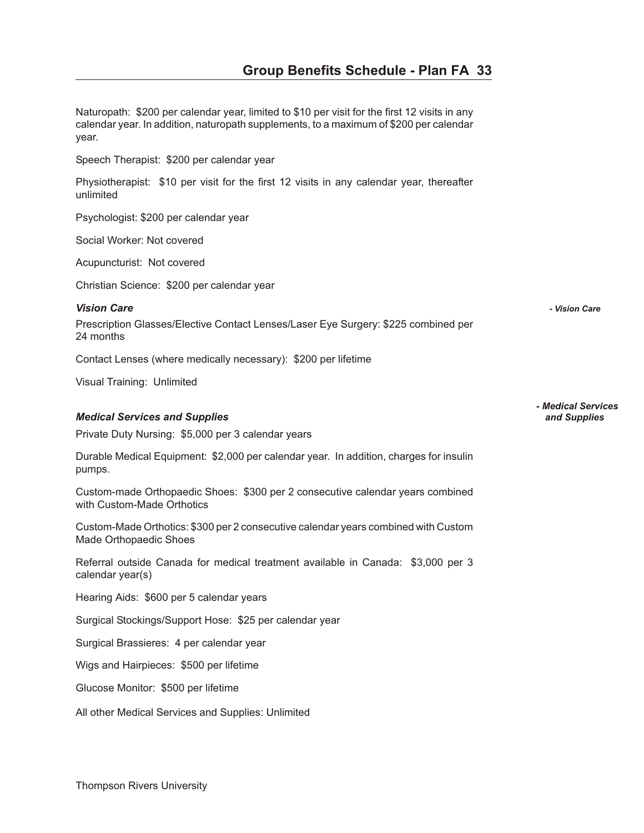Naturopath: \$200 per calendar year, limited to \$10 per visit for the first 12 visits in any calendar year. In addition, naturopath supplements, to a maximum of \$200 per calendar year.

Speech Therapist: \$200 per calendar year

Physiotherapist: \$10 per visit for the first 12 visits in any calendar year, thereafter unlimited

Psychologist: \$200 per calendar year

Social Worker: Not covered

Acupuncturist: Not covered

Christian Science: \$200 per calendar year

*Vi sion Care - Vision Care* 

Prescription Glasses/Elective Contact Lenses/Laser Eye Surgery: \$225 combined per 24 months

Contact Lenses (where medically necessary): \$200 per lifetime

Visual Training: Unlimited

#### *Med i cal Ser vices and Sup plies and Supplies*

Private Duty Nursing: \$5,000 per 3 calendar years

Durable Medical Equipment: \$2,000 per calendar year. In addition, charges for insulin pumps.

Custom-made Orthopaedic Shoes: \$300 per 2 consecutive calendar years combined with Custom-Made Orthotics

Custom-Made Orthotics: \$300 per 2 consecutive calendar years combined with Custom Made Orthopaedic Shoes

Referral outside Canada for medical treatment available in Canada: \$3,000 per 3 calendar year(s)

Hearing Aids: \$600 per 5 calendar years

Surgical Stockings/Support Hose: \$25 per calendar year

Surgical Brassieres: 4 per calendar year

Wigs and Hairpieces: \$500 per lifetime

Glucose Monitor: \$500 per lifetime

All other Medical Services and Supplies: Unlimited

*- Medical Services*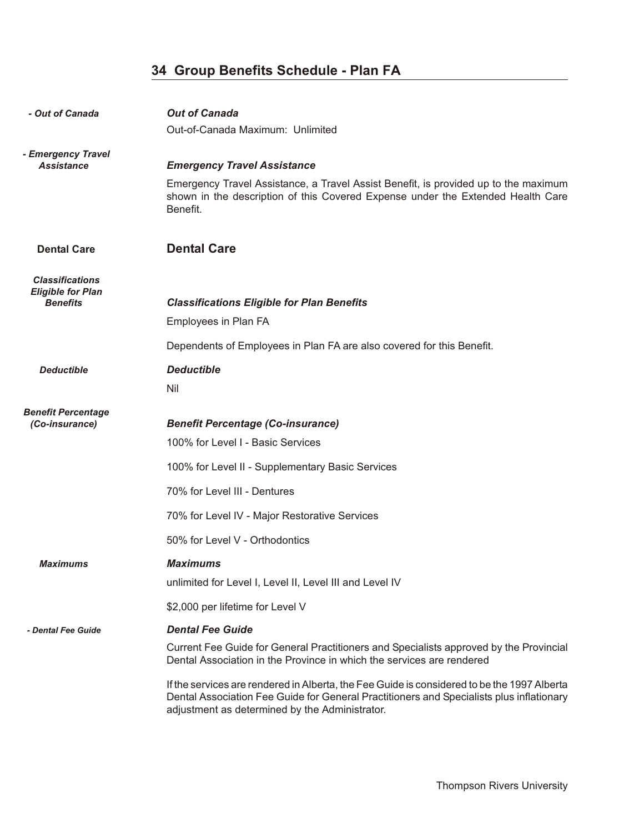| - Out of Canada                                    | <b>Out of Canada</b>                                                                                                                                                                                                                      |
|----------------------------------------------------|-------------------------------------------------------------------------------------------------------------------------------------------------------------------------------------------------------------------------------------------|
|                                                    | Out-of-Canada Maximum: Unlimited                                                                                                                                                                                                          |
| - Emergency Travel<br><b>Assistance</b>            | <b>Emergency Travel Assistance</b>                                                                                                                                                                                                        |
|                                                    | Emergency Travel Assistance, a Travel Assist Benefit, is provided up to the maximum<br>shown in the description of this Covered Expense under the Extended Health Care<br>Benefit.                                                        |
| <b>Dental Care</b>                                 | <b>Dental Care</b>                                                                                                                                                                                                                        |
| <b>Classifications</b><br><b>Eligible for Plan</b> |                                                                                                                                                                                                                                           |
| <b>Benefits</b>                                    | <b>Classifications Eligible for Plan Benefits</b>                                                                                                                                                                                         |
|                                                    | Employees in Plan FA                                                                                                                                                                                                                      |
|                                                    | Dependents of Employees in Plan FA are also covered for this Benefit.                                                                                                                                                                     |
| <b>Deductible</b>                                  | <b>Deductible</b>                                                                                                                                                                                                                         |
|                                                    | Nil                                                                                                                                                                                                                                       |
| <b>Benefit Percentage</b>                          |                                                                                                                                                                                                                                           |
| (Co-insurance)                                     | <b>Benefit Percentage (Co-insurance)</b>                                                                                                                                                                                                  |
|                                                    | 100% for Level I - Basic Services                                                                                                                                                                                                         |
|                                                    | 100% for Level II - Supplementary Basic Services                                                                                                                                                                                          |
|                                                    | 70% for Level III - Dentures                                                                                                                                                                                                              |
|                                                    | 70% for Level IV - Major Restorative Services                                                                                                                                                                                             |
|                                                    | 50% for Level V - Orthodontics                                                                                                                                                                                                            |
| <b>Maximums</b>                                    | <b>Maximums</b>                                                                                                                                                                                                                           |
|                                                    | unlimited for Level I, Level II, Level III and Level IV                                                                                                                                                                                   |
|                                                    | \$2,000 per lifetime for Level V                                                                                                                                                                                                          |
| - Dental Fee Guide                                 | <b>Dental Fee Guide</b>                                                                                                                                                                                                                   |
|                                                    | Current Fee Guide for General Practitioners and Specialists approved by the Provincial<br>Dental Association in the Province in which the services are rendered                                                                           |
|                                                    | If the services are rendered in Alberta, the Fee Guide is considered to be the 1997 Alberta<br>Dental Association Fee Guide for General Practitioners and Specialists plus inflationary<br>adjustment as determined by the Administrator. |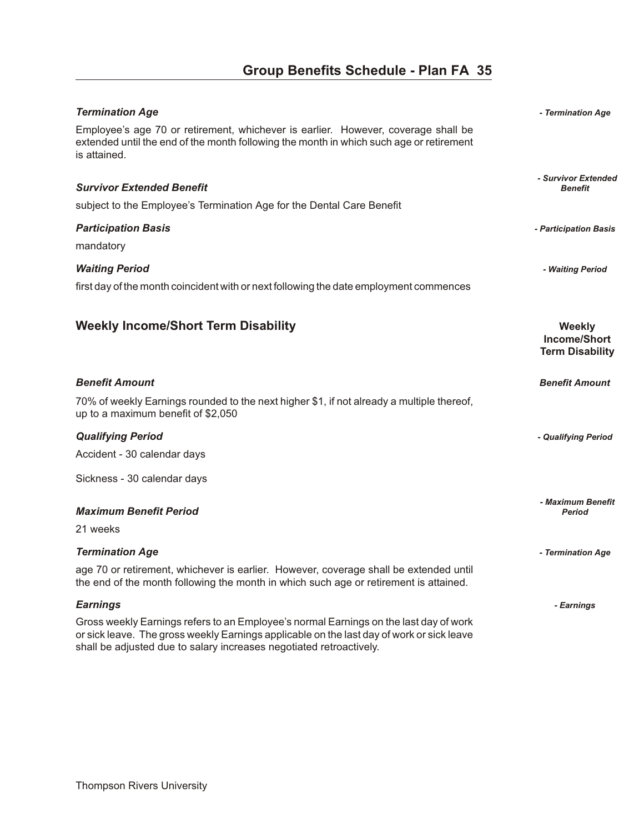| <b>Termination Age</b>                                                                                                                                                                                                                                    | - Termination Age                                              |
|-----------------------------------------------------------------------------------------------------------------------------------------------------------------------------------------------------------------------------------------------------------|----------------------------------------------------------------|
| Employee's age 70 or retirement, whichever is earlier. However, coverage shall be<br>extended until the end of the month following the month in which such age or retirement<br>is attained.                                                              |                                                                |
|                                                                                                                                                                                                                                                           | - Survivor Extended                                            |
| <b>Survivor Extended Benefit</b>                                                                                                                                                                                                                          | <b>Benefit</b>                                                 |
| subject to the Employee's Termination Age for the Dental Care Benefit                                                                                                                                                                                     |                                                                |
| <b>Participation Basis</b>                                                                                                                                                                                                                                | - Participation Basis                                          |
| mandatory                                                                                                                                                                                                                                                 |                                                                |
| <b>Waiting Period</b>                                                                                                                                                                                                                                     | - Waiting Period                                               |
| first day of the month coincident with or next following the date employment commences                                                                                                                                                                    |                                                                |
|                                                                                                                                                                                                                                                           |                                                                |
| <b>Weekly Income/Short Term Disability</b>                                                                                                                                                                                                                | <b>Weekly</b><br><b>Income/Short</b><br><b>Term Disability</b> |
| <b>Benefit Amount</b>                                                                                                                                                                                                                                     | <b>Benefit Amount</b>                                          |
| 70% of weekly Earnings rounded to the next higher \$1, if not already a multiple thereof,<br>up to a maximum benefit of \$2,050                                                                                                                           |                                                                |
| <b>Qualifying Period</b>                                                                                                                                                                                                                                  | - Qualifying Period                                            |
| Accident - 30 calendar days                                                                                                                                                                                                                               |                                                                |
| Sickness - 30 calendar days                                                                                                                                                                                                                               |                                                                |
|                                                                                                                                                                                                                                                           |                                                                |
| <b>Maximum Benefit Period</b>                                                                                                                                                                                                                             | - Maximum Benefit<br>Period                                    |
| 21 weeks                                                                                                                                                                                                                                                  |                                                                |
| <b>Termination Age</b>                                                                                                                                                                                                                                    | - Termination Age                                              |
| age 70 or retirement, whichever is earlier. However, coverage shall be extended until<br>the end of the month following the month in which such age or retirement is attained.                                                                            |                                                                |
| <b>Earnings</b>                                                                                                                                                                                                                                           | - Earnings                                                     |
| Gross weekly Earnings refers to an Employee's normal Earnings on the last day of work<br>or sick leave. The gross weekly Earnings applicable on the last day of work or sick leave<br>shall be adjusted due to salary increases negotiated retroactively. |                                                                |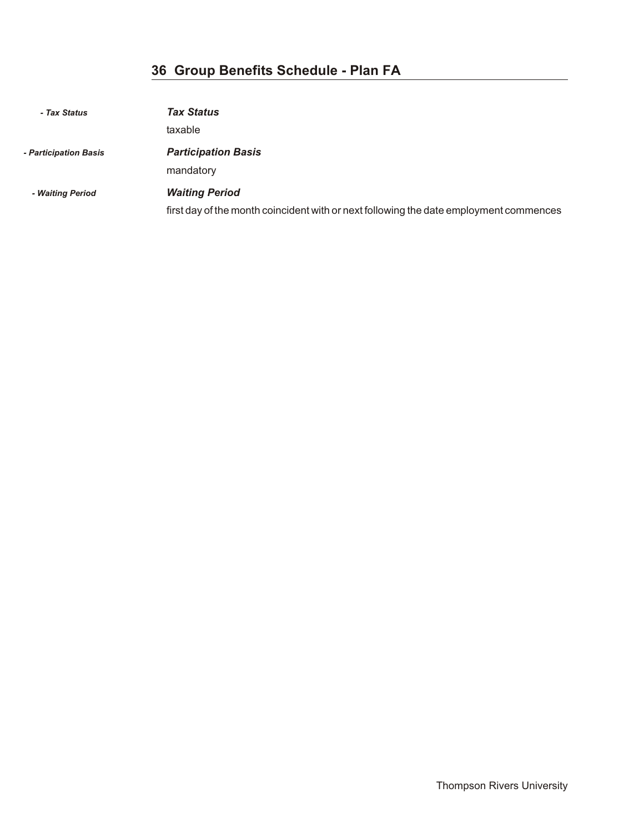| - Tax Status          | <b>Tax Status</b>                                                                      |
|-----------------------|----------------------------------------------------------------------------------------|
|                       | taxable                                                                                |
| - Participation Basis | <b>Participation Basis</b>                                                             |
|                       | mandatory                                                                              |
| - Waiting Period      | <b>Waiting Period</b>                                                                  |
|                       | first day of the month coincident with or next following the date employment commences |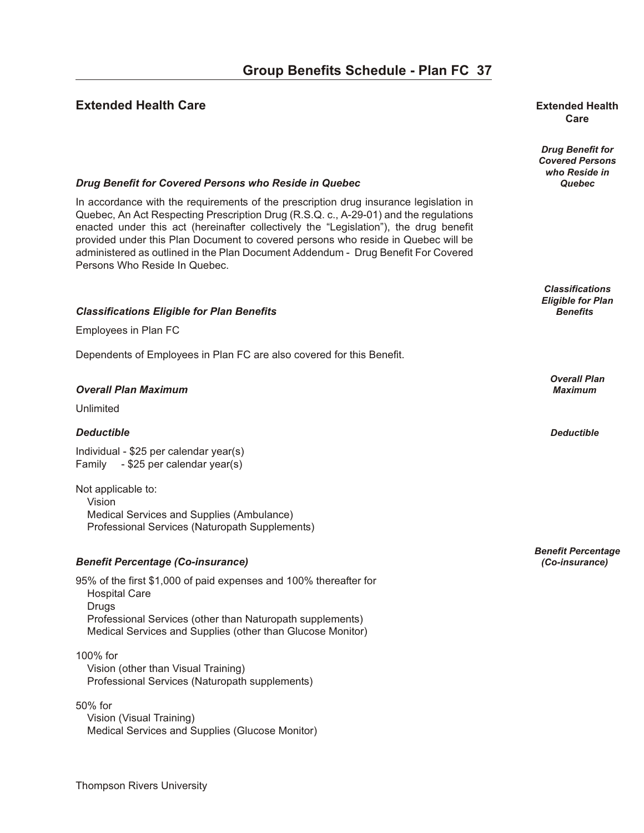#### **Extended Health Care our B end under the S health** end under the S health end under the - P and FC and Extended Health

## **Care**

*Drug Benefit for Covered Persons who Reside in*

*Classifications Eligible for Plan*

*Overall Plan*

*Benefit Percentage*

#### *Drug Benefit for Covered Persons who Reside in Quebec* **<b>***Quebec* **Quebec Quebec**

In accordance with the requirements of the prescription drug insurance legislation in Quebec, An Act Respecting Prescription Drug (R.S.Q. c., A-29-01) and the regulations enacted under this act (hereinafter collectively the "Legislation"), the drug benefit provided under this Plan Document to covered persons who reside in Quebec will be administered as outlined in the Plan Document Addendum - Drug Benefit For Covered Persons Who Reside In Quebec.

#### *Clas si fi ca tions El i gi ble for Plan Ben e fits Benefits*

Employees in Plan FC

Dependents of Employees in Plan FC are also covered for this Benefit.

#### *Over all Plan Max i mum Maximum*

Unlimited

#### *De duct ible Deductible*

Individual - \$25 per calendar year(s) Family - \$25 per calendar year(s)

Not applicable to: Vision Medical Services and Supplies (Ambulance) Professional Services (Naturopath Supplements)

#### *Ben e fit Per cent age (Co-in sur ance) (Co-insurance)*

95% of the first \$1,000 of paid expenses and 100% thereafter for Hospital Care Drugs Professional Services (other than Naturopath supplements) Medical Services and Supplies (other than Glucose Monitor)

#### 100% for

 Vision (other than Visual Training) Professional Services (Naturopath supplements)

50% for Vision (Visual Training) Medical Services and Supplies (Glucose Monitor)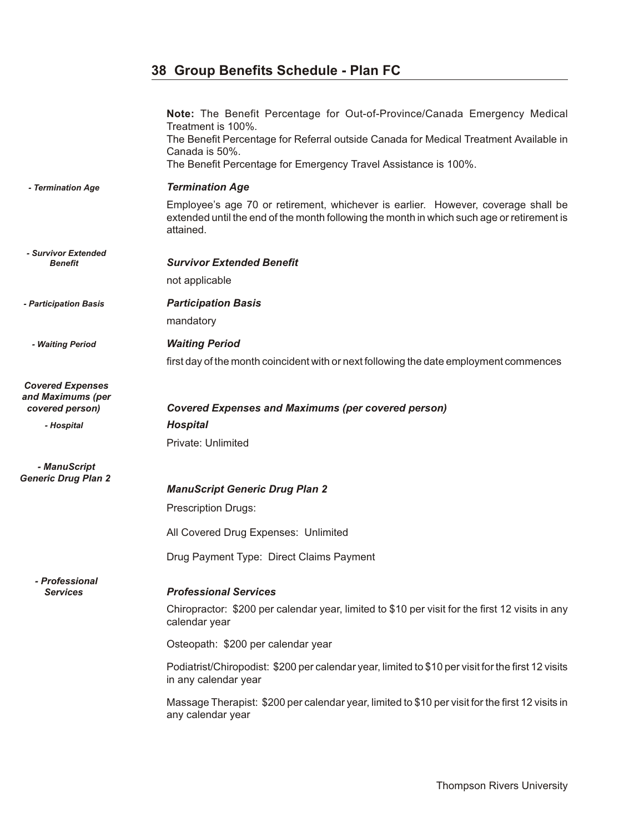|                                                                 | Note: The Benefit Percentage for Out-of-Province/Canada Emergency Medical<br>Treatment is 100%.<br>The Benefit Percentage for Referral outside Canada for Medical Treatment Available in<br>Canada is 50%.<br>The Benefit Percentage for Emergency Travel Assistance is 100%. |
|-----------------------------------------------------------------|-------------------------------------------------------------------------------------------------------------------------------------------------------------------------------------------------------------------------------------------------------------------------------|
| - Termination Age                                               | <b>Termination Age</b>                                                                                                                                                                                                                                                        |
|                                                                 | Employee's age 70 or retirement, whichever is earlier. However, coverage shall be<br>extended until the end of the month following the month in which such age or retirement is<br>attained.                                                                                  |
| - Survivor Extended<br><b>Benefit</b>                           | <b>Survivor Extended Benefit</b>                                                                                                                                                                                                                                              |
|                                                                 | not applicable                                                                                                                                                                                                                                                                |
|                                                                 |                                                                                                                                                                                                                                                                               |
| - Participation Basis                                           | <b>Participation Basis</b>                                                                                                                                                                                                                                                    |
|                                                                 | mandatory                                                                                                                                                                                                                                                                     |
| - Waiting Period                                                | <b>Waiting Period</b>                                                                                                                                                                                                                                                         |
|                                                                 | first day of the month coincident with or next following the date employment commences                                                                                                                                                                                        |
| <b>Covered Expenses</b><br>and Maximums (per<br>covered person) | <b>Covered Expenses and Maximums (per covered person)</b>                                                                                                                                                                                                                     |
| - Hospital                                                      | <b>Hospital</b>                                                                                                                                                                                                                                                               |
|                                                                 | Private: Unlimited                                                                                                                                                                                                                                                            |
| - ManuScript<br><b>Generic Drug Plan 2</b>                      | <b>ManuScript Generic Drug Plan 2</b>                                                                                                                                                                                                                                         |
|                                                                 | <b>Prescription Drugs:</b>                                                                                                                                                                                                                                                    |
|                                                                 | All Covered Drug Expenses: Unlimited                                                                                                                                                                                                                                          |
|                                                                 |                                                                                                                                                                                                                                                                               |
|                                                                 | Drug Payment Type: Direct Claims Payment                                                                                                                                                                                                                                      |
| - Professional<br><b>Services</b>                               | <b>Professional Services</b><br>Chiropractor: \$200 per calendar year, limited to \$10 per visit for the first 12 visits in any<br>calendar year                                                                                                                              |
|                                                                 | Osteopath: \$200 per calendar year                                                                                                                                                                                                                                            |
|                                                                 | Podiatrist/Chiropodist: \$200 per calendar year, limited to \$10 per visit for the first 12 visits<br>in any calendar year                                                                                                                                                    |
|                                                                 | Massage Therapist: \$200 per calendar year, limited to \$10 per visit for the first 12 visits in<br>any calendar year                                                                                                                                                         |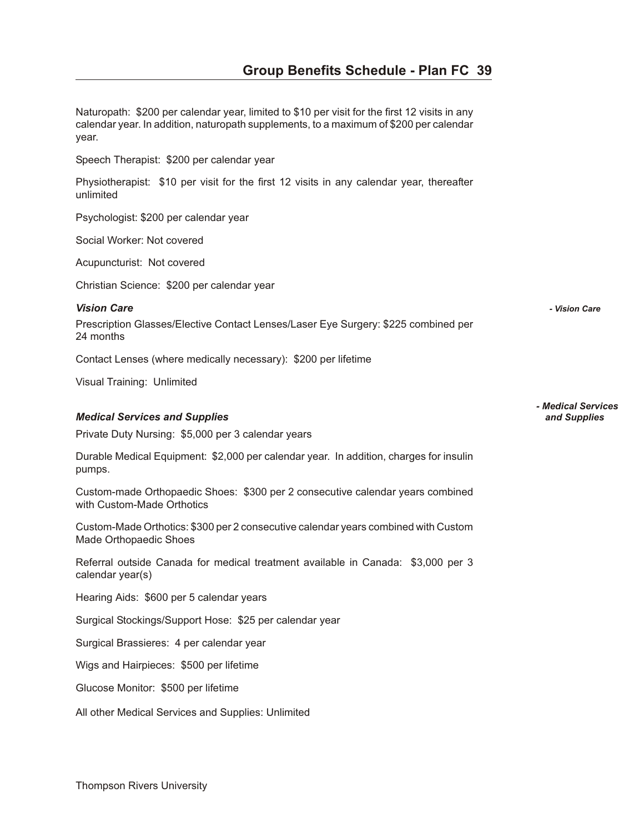Naturopath: \$200 per calendar year, limited to \$10 per visit for the first 12 visits in any calendar year. In addition, naturopath supplements, to a maximum of \$200 per calendar year.

Speech Therapist: \$200 per calendar year

Physiotherapist: \$10 per visit for the first 12 visits in any calendar year, thereafter unlimited

Psychologist: \$200 per calendar year

Social Worker: Not covered

Acupuncturist: Not covered

Christian Science: \$200 per calendar year

*Vi sion Care - Vision Care* 

Prescription Glasses/Elective Contact Lenses/Laser Eye Surgery: \$225 combined per 24 months

Contact Lenses (where medically necessary): \$200 per lifetime

Visual Training: Unlimited

#### *Med i cal Ser vices and Sup plies and Supplies*

Private Duty Nursing: \$5,000 per 3 calendar years

Durable Medical Equipment: \$2,000 per calendar year. In addition, charges for insulin pumps.

Custom-made Orthopaedic Shoes: \$300 per 2 consecutive calendar years combined with Custom-Made Orthotics

Custom-Made Orthotics: \$300 per 2 consecutive calendar years combined with Custom Made Orthopaedic Shoes

Referral outside Canada for medical treatment available in Canada: \$3,000 per 3 calendar year(s)

Hearing Aids: \$600 per 5 calendar years

Surgical Stockings/Support Hose: \$25 per calendar year

Surgical Brassieres: 4 per calendar year

Wigs and Hairpieces: \$500 per lifetime

Glucose Monitor: \$500 per lifetime

All other Medical Services and Supplies: Unlimited

*- Medical Services*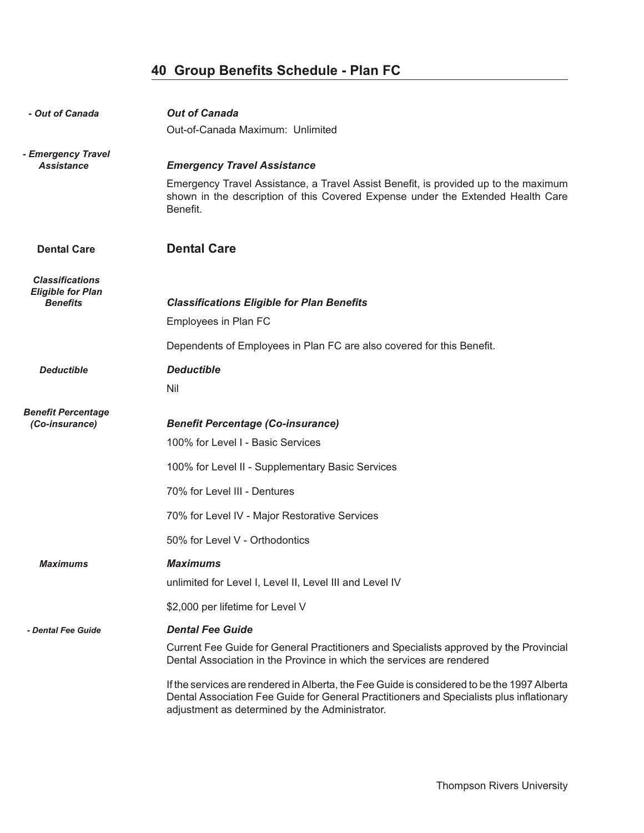| - Out of Canada                                                       | <b>Out of Canada</b><br>Out-of-Canada Maximum: Unlimited                                                                                                                                                                                                                                                                                                                                                                                                                    |
|-----------------------------------------------------------------------|-----------------------------------------------------------------------------------------------------------------------------------------------------------------------------------------------------------------------------------------------------------------------------------------------------------------------------------------------------------------------------------------------------------------------------------------------------------------------------|
| - Emergency Travel<br><b>Assistance</b>                               | <b>Emergency Travel Assistance</b><br>Emergency Travel Assistance, a Travel Assist Benefit, is provided up to the maximum<br>shown in the description of this Covered Expense under the Extended Health Care<br>Benefit.                                                                                                                                                                                                                                                    |
| <b>Dental Care</b>                                                    | <b>Dental Care</b>                                                                                                                                                                                                                                                                                                                                                                                                                                                          |
| <b>Classifications</b><br><b>Eligible for Plan</b><br><b>Benefits</b> | <b>Classifications Eligible for Plan Benefits</b><br>Employees in Plan FC<br>Dependents of Employees in Plan FC are also covered for this Benefit.                                                                                                                                                                                                                                                                                                                          |
| <b>Deductible</b>                                                     | <b>Deductible</b><br>Nil                                                                                                                                                                                                                                                                                                                                                                                                                                                    |
| <b>Benefit Percentage</b><br>(Co-insurance)                           | <b>Benefit Percentage (Co-insurance)</b><br>100% for Level I - Basic Services<br>100% for Level II - Supplementary Basic Services<br>70% for Level III - Dentures<br>70% for Level IV - Major Restorative Services<br>50% for Level V - Orthodontics                                                                                                                                                                                                                        |
| <b>Maximums</b>                                                       | <b>Maximums</b><br>unlimited for Level I, Level II, Level III and Level IV                                                                                                                                                                                                                                                                                                                                                                                                  |
| - Dental Fee Guide                                                    | \$2,000 per lifetime for Level V<br><b>Dental Fee Guide</b><br>Current Fee Guide for General Practitioners and Specialists approved by the Provincial<br>Dental Association in the Province in which the services are rendered<br>If the services are rendered in Alberta, the Fee Guide is considered to be the 1997 Alberta<br>Dental Association Fee Guide for General Practitioners and Specialists plus inflationary<br>adjustment as determined by the Administrator. |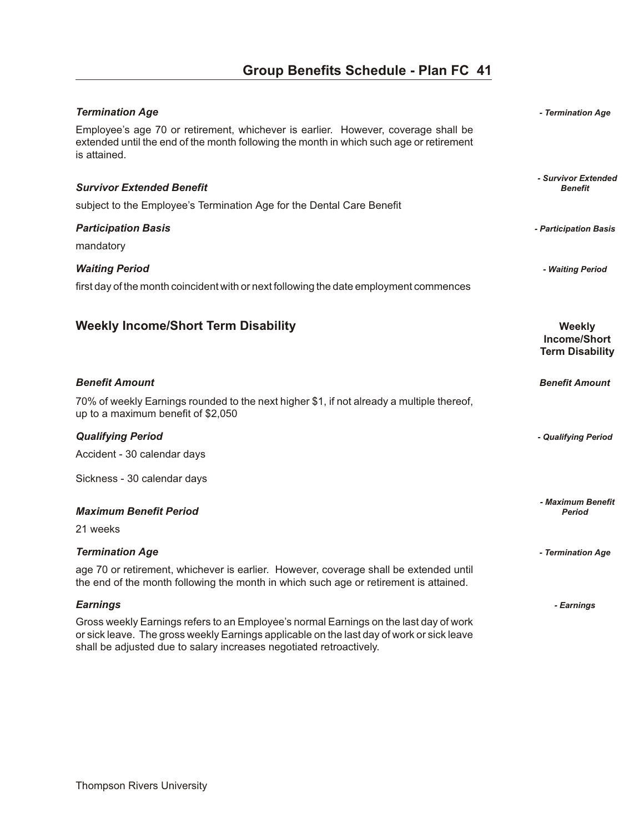| <b>Termination Age</b>                                                                                                                                                                                                                                    | - Termination Age                                              |
|-----------------------------------------------------------------------------------------------------------------------------------------------------------------------------------------------------------------------------------------------------------|----------------------------------------------------------------|
| Employee's age 70 or retirement, whichever is earlier. However, coverage shall be<br>extended until the end of the month following the month in which such age or retirement<br>is attained.                                                              |                                                                |
|                                                                                                                                                                                                                                                           | - Survivor Extended                                            |
| <b>Survivor Extended Benefit</b>                                                                                                                                                                                                                          | <b>Benefit</b>                                                 |
| subject to the Employee's Termination Age for the Dental Care Benefit                                                                                                                                                                                     |                                                                |
| <b>Participation Basis</b>                                                                                                                                                                                                                                | - Participation Basis                                          |
| mandatory                                                                                                                                                                                                                                                 |                                                                |
| <b>Waiting Period</b>                                                                                                                                                                                                                                     | - Waiting Period                                               |
| first day of the month coincident with or next following the date employment commences                                                                                                                                                                    |                                                                |
|                                                                                                                                                                                                                                                           |                                                                |
| <b>Weekly Income/Short Term Disability</b>                                                                                                                                                                                                                | <b>Weekly</b><br><b>Income/Short</b><br><b>Term Disability</b> |
| <b>Benefit Amount</b>                                                                                                                                                                                                                                     | <b>Benefit Amount</b>                                          |
| 70% of weekly Earnings rounded to the next higher \$1, if not already a multiple thereof,<br>up to a maximum benefit of \$2,050                                                                                                                           |                                                                |
| <b>Qualifying Period</b>                                                                                                                                                                                                                                  | - Qualifying Period                                            |
| Accident - 30 calendar days                                                                                                                                                                                                                               |                                                                |
| Sickness - 30 calendar days                                                                                                                                                                                                                               |                                                                |
|                                                                                                                                                                                                                                                           | - Maximum Benefit                                              |
| <b>Maximum Benefit Period</b>                                                                                                                                                                                                                             | <b>Period</b>                                                  |
| 21 weeks                                                                                                                                                                                                                                                  |                                                                |
| <b>Termination Age</b>                                                                                                                                                                                                                                    | - Termination Age                                              |
| age 70 or retirement, whichever is earlier. However, coverage shall be extended until<br>the end of the month following the month in which such age or retirement is attained.                                                                            |                                                                |
| <b>Earnings</b>                                                                                                                                                                                                                                           | - Earnings                                                     |
| Gross weekly Earnings refers to an Employee's normal Earnings on the last day of work<br>or sick leave. The gross weekly Earnings applicable on the last day of work or sick leave<br>shall be adjusted due to salary increases negotiated retroactively. |                                                                |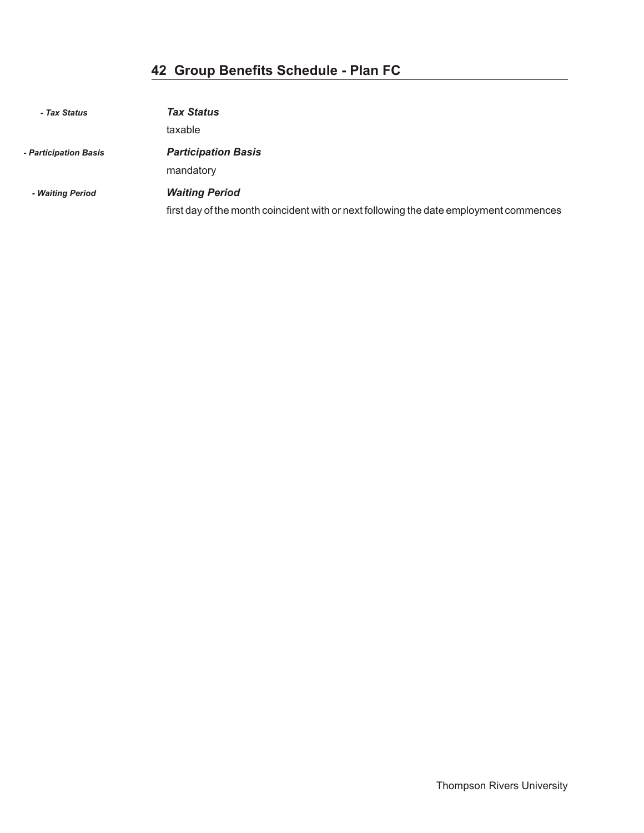| - Tax Status          | <b>Tax Status</b>                                                                                               |
|-----------------------|-----------------------------------------------------------------------------------------------------------------|
|                       | taxable                                                                                                         |
| - Participation Basis | <b>Participation Basis</b><br>mandatory                                                                         |
| - Waiting Period      | <b>Waiting Period</b><br>first day of the month coincident with or next following the date employment commences |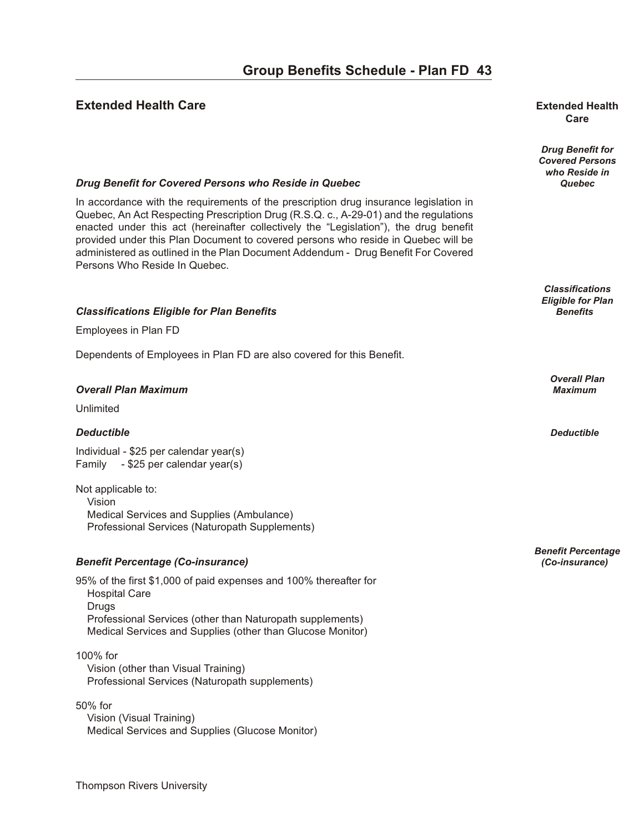#### **Extended Health Care our B en extended Health Extended Health**

## **Care**

*Drug Benefit for Covered Persons who Reside in*

*Classifications Eligible for Plan*

*Overall Plan*

*Benefit Percentage*

#### *Drug Benefit for Covered Persons who Reside in Quebec* **<b>***Quebec* **Quebec Quebec**

In accordance with the requirements of the prescription drug insurance legislation in Quebec, An Act Respecting Prescription Drug (R.S.Q. c., A-29-01) and the regulations enacted under this act (hereinafter collectively the "Legislation"), the drug benefit provided under this Plan Document to covered persons who reside in Quebec will be administered as outlined in the Plan Document Addendum - Drug Benefit For Covered Persons Who Reside In Quebec.

#### *Clas si fi ca tions El i gi ble for Plan Ben e fits Benefits*

Employees in Plan FD

Dependents of Employees in Plan FD are also covered for this Benefit.

#### *Over all Plan Max i mum Maximum*

Unlimited

#### *De duct ible Deductible*

Individual - \$25 per calendar year(s) Family - \$25 per calendar year(s)

Not applicable to: Vision Medical Services and Supplies (Ambulance) Professional Services (Naturopath Supplements)

#### *Ben e fit Per cent age (Co-in sur ance) (Co-insurance)*

95% of the first \$1,000 of paid expenses and 100% thereafter for Hospital Care Drugs Professional Services (other than Naturopath supplements) Medical Services and Supplies (other than Glucose Monitor)

#### 100% for

 Vision (other than Visual Training) Professional Services (Naturopath supplements)

50% for Vision (Visual Training) Medical Services and Supplies (Glucose Monitor)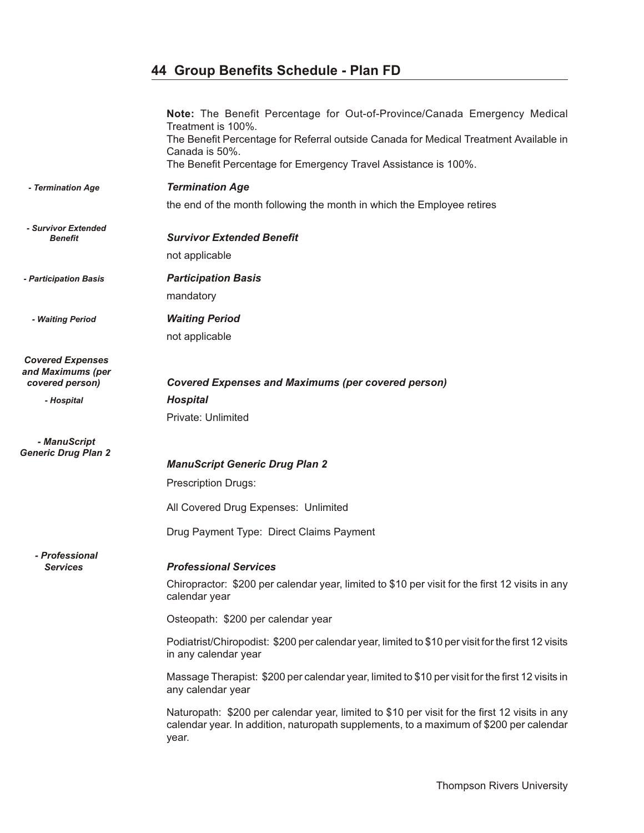|                                                                 | Note: The Benefit Percentage for Out-of-Province/Canada Emergency Medical<br>Treatment is 100%.<br>The Benefit Percentage for Referral outside Canada for Medical Treatment Available in<br>Canada is 50%.<br>The Benefit Percentage for Emergency Travel Assistance is 100%. |
|-----------------------------------------------------------------|-------------------------------------------------------------------------------------------------------------------------------------------------------------------------------------------------------------------------------------------------------------------------------|
| - Termination Age                                               | <b>Termination Age</b>                                                                                                                                                                                                                                                        |
|                                                                 | the end of the month following the month in which the Employee retires                                                                                                                                                                                                        |
| - Survivor Extended<br><b>Benefit</b>                           | <b>Survivor Extended Benefit</b>                                                                                                                                                                                                                                              |
|                                                                 | not applicable                                                                                                                                                                                                                                                                |
| - Participation Basis                                           | <b>Participation Basis</b>                                                                                                                                                                                                                                                    |
|                                                                 | mandatory                                                                                                                                                                                                                                                                     |
| - Waiting Period                                                | <b>Waiting Period</b>                                                                                                                                                                                                                                                         |
|                                                                 | not applicable                                                                                                                                                                                                                                                                |
| <b>Covered Expenses</b><br>and Maximums (per<br>covered person) | <b>Covered Expenses and Maximums (per covered person)</b>                                                                                                                                                                                                                     |
| - Hospital                                                      | <b>Hospital</b>                                                                                                                                                                                                                                                               |
|                                                                 | Private: Unlimited                                                                                                                                                                                                                                                            |
| - ManuScript<br><b>Generic Drug Plan 2</b>                      |                                                                                                                                                                                                                                                                               |
|                                                                 | <b>ManuScript Generic Drug Plan 2</b>                                                                                                                                                                                                                                         |
|                                                                 | <b>Prescription Drugs:</b>                                                                                                                                                                                                                                                    |
|                                                                 | All Covered Drug Expenses: Unlimited                                                                                                                                                                                                                                          |
|                                                                 | Drug Payment Type: Direct Claims Payment                                                                                                                                                                                                                                      |
| - Professional                                                  |                                                                                                                                                                                                                                                                               |
| <b>Services</b>                                                 | <b>Professional Services</b>                                                                                                                                                                                                                                                  |
|                                                                 | Chiropractor: \$200 per calendar year, limited to \$10 per visit for the first 12 visits in any<br>calendar year                                                                                                                                                              |
|                                                                 | Osteopath: \$200 per calendar year                                                                                                                                                                                                                                            |
|                                                                 | Podiatrist/Chiropodist: \$200 per calendar year, limited to \$10 per visit for the first 12 visits<br>in any calendar year                                                                                                                                                    |
|                                                                 | Massage Therapist: \$200 per calendar year, limited to \$10 per visit for the first 12 visits in<br>any calendar year                                                                                                                                                         |
|                                                                 | Naturopath: \$200 per calendar year, limited to \$10 per visit for the first 12 visits in any<br>calendar year. In addition, naturopath supplements, to a maximum of \$200 per calendar<br>year.                                                                              |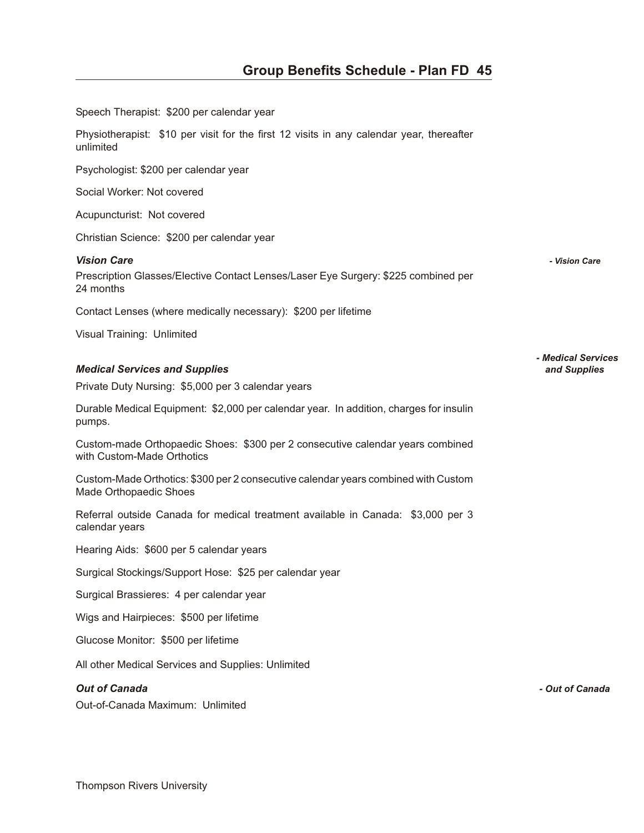| Speech Therapist: \$200 per calendar year                                                                    |                    |
|--------------------------------------------------------------------------------------------------------------|--------------------|
| Physiotherapist: \$10 per visit for the first 12 visits in any calendar year, thereafter<br>unlimited        |                    |
| Psychologist: \$200 per calendar year                                                                        |                    |
| Social Worker: Not covered                                                                                   |                    |
| Acupuncturist: Not covered                                                                                   |                    |
| Christian Science: \$200 per calendar year                                                                   |                    |
| <b>Vision Care</b>                                                                                           | - Vision Care      |
| Prescription Glasses/Elective Contact Lenses/Laser Eye Surgery: \$225 combined per<br>24 months              |                    |
| Contact Lenses (where medically necessary): \$200 per lifetime                                               |                    |
| Visual Training: Unlimited                                                                                   |                    |
|                                                                                                              | - Medical Services |
| <b>Medical Services and Supplies</b>                                                                         | and Supplies       |
| Private Duty Nursing: \$5,000 per 3 calendar years                                                           |                    |
| Durable Medical Equipment: \$2,000 per calendar year. In addition, charges for insulin<br>pumps.             |                    |
| Custom-made Orthopaedic Shoes: \$300 per 2 consecutive calendar years combined<br>with Custom-Made Orthotics |                    |
| Custom-Made Orthotics: \$300 per 2 consecutive calendar years combined with Custom<br>Made Orthopaedic Shoes |                    |
| Referral outside Canada for medical treatment available in Canada: \$3,000 per 3<br>calendar years           |                    |
| Hearing Aids: \$600 per 5 calendar years                                                                     |                    |
| Surgical Stockings/Support Hose: \$25 per calendar year                                                      |                    |
| Surgical Brassieres: 4 per calendar year                                                                     |                    |
| Wigs and Hairpieces: \$500 per lifetime                                                                      |                    |
| Glucose Monitor: \$500 per lifetime                                                                          |                    |
| All other Medical Services and Supplies: Unlimited                                                           |                    |
| <b>Out of Canada</b>                                                                                         | - Out of Canada    |
| Out-of-Canada Maximum: Unlimited                                                                             |                    |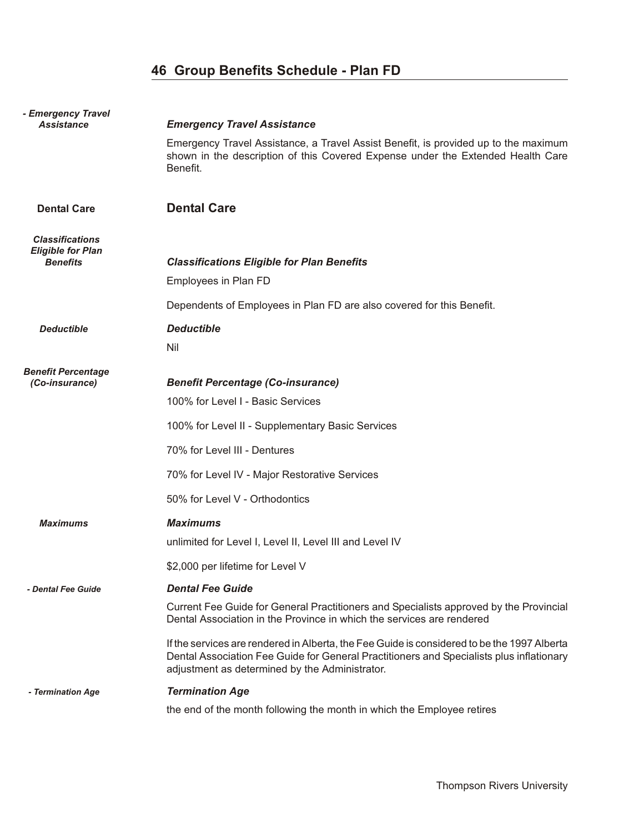| - Emergency Travel<br><b>Assistance</b>                               | <b>Emergency Travel Assistance</b>                                                                                                                                                                                                        |
|-----------------------------------------------------------------------|-------------------------------------------------------------------------------------------------------------------------------------------------------------------------------------------------------------------------------------------|
|                                                                       | Emergency Travel Assistance, a Travel Assist Benefit, is provided up to the maximum<br>shown in the description of this Covered Expense under the Extended Health Care<br>Benefit.                                                        |
| <b>Dental Care</b>                                                    | <b>Dental Care</b>                                                                                                                                                                                                                        |
| <b>Classifications</b><br><b>Eligible for Plan</b><br><b>Benefits</b> | <b>Classifications Eligible for Plan Benefits</b><br>Employees in Plan FD                                                                                                                                                                 |
|                                                                       | Dependents of Employees in Plan FD are also covered for this Benefit.                                                                                                                                                                     |
| <b>Deductible</b>                                                     | <b>Deductible</b>                                                                                                                                                                                                                         |
|                                                                       | <b>Nil</b>                                                                                                                                                                                                                                |
| <b>Benefit Percentage</b><br>(Co-insurance)                           | <b>Benefit Percentage (Co-insurance)</b>                                                                                                                                                                                                  |
|                                                                       | 100% for Level I - Basic Services                                                                                                                                                                                                         |
|                                                                       | 100% for Level II - Supplementary Basic Services                                                                                                                                                                                          |
|                                                                       | 70% for Level III - Dentures                                                                                                                                                                                                              |
|                                                                       | 70% for Level IV - Major Restorative Services                                                                                                                                                                                             |
|                                                                       | 50% for Level V - Orthodontics                                                                                                                                                                                                            |
| <b>Maximums</b>                                                       | <b>Maximums</b>                                                                                                                                                                                                                           |
|                                                                       | unlimited for Level I, Level II, Level III and Level IV                                                                                                                                                                                   |
|                                                                       | \$2,000 per lifetime for Level V                                                                                                                                                                                                          |
| - Dental Fee Guide                                                    | <b>Dental Fee Guide</b>                                                                                                                                                                                                                   |
|                                                                       | Current Fee Guide for General Practitioners and Specialists approved by the Provincial<br>Dental Association in the Province in which the services are rendered                                                                           |
|                                                                       | If the services are rendered in Alberta, the Fee Guide is considered to be the 1997 Alberta<br>Dental Association Fee Guide for General Practitioners and Specialists plus inflationary<br>adjustment as determined by the Administrator. |
| - Termination Age                                                     | <b>Termination Age</b>                                                                                                                                                                                                                    |
|                                                                       | the end of the month following the month in which the Employee retires                                                                                                                                                                    |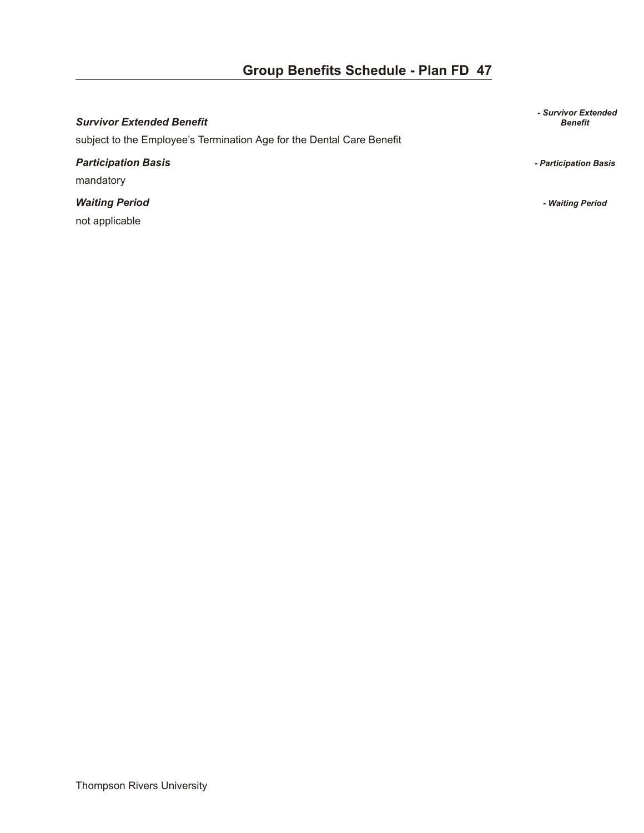#### **Survivor Extended Benefit**

subject to the Employee's Termination Age for the Dental Care Benefit

### *Par tic i pa tion Ba sis - Participation Basis*  mandatory

*Wait ing Pe riod - Waiting Period*  not applicable

*- Survivor Extended*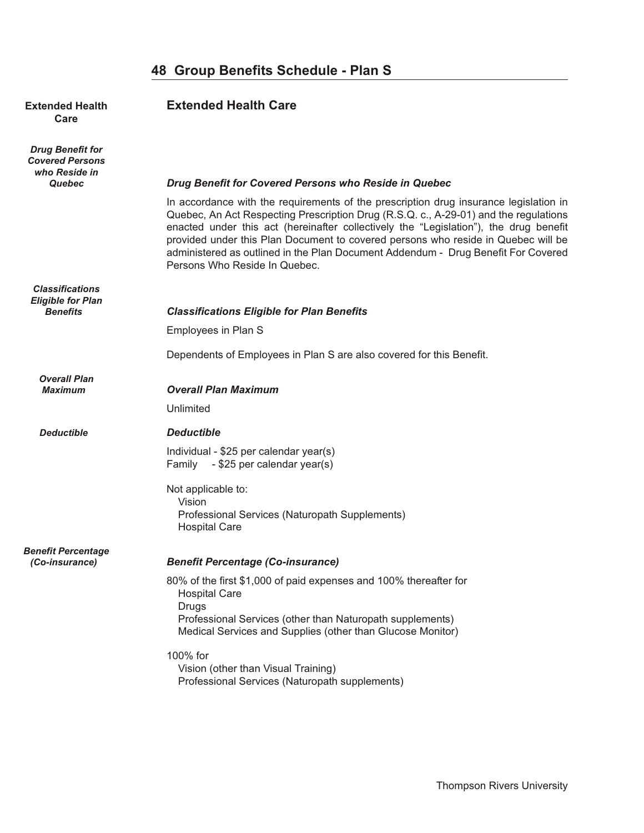#### **Extended Health <b>Extended Health Care Care**

*Drug Benefit for Covered Persons who Reside in*

### *Quebec Drug Benefit for Covered Persons who Reside in Quebec*

In accordance with the requirements of the prescription drug insurance legislation in Quebec, An Act Respecting Prescription Drug (R.S.Q. c., A-29-01) and the regulations enacted under this act (hereinafter collectively the "Legislation"), the drug benefit provided under this Plan Document to covered persons who reside in Quebec will be administered as outlined in the Plan Document Addendum - Drug Benefit For Covered Persons Who Reside In Quebec.

#### *Classifications Eligible for Plan Benefits Classifications Eligible for Plan Benefits*

Employees in Plan S

Dependents of Employees in Plan S are also covered for this Benefit.

### *Overall Plan*

#### **Overall Plan Maximum**

Unlimited

#### *Deductible De duct ible*

Individual - \$25 per calendar year(s) Family - \$25 per calendar year(s)

Not applicable to: Vision Professional Services (Naturopath Supplements) Hospital Care

### *Benefit Percentage*

#### *(Co-insurance) Ben e fit Per cent age (Co-in sur ance)*

80% of the first \$1,000 of paid expenses and 100% thereafter for Hospital Care **Drugs**  Professional Services (other than Naturopath supplements) Medical Services and Supplies (other than Glucose Monitor)

#### 100% for Vision (other than Visual Training)

Professional Services (Naturopath supplements)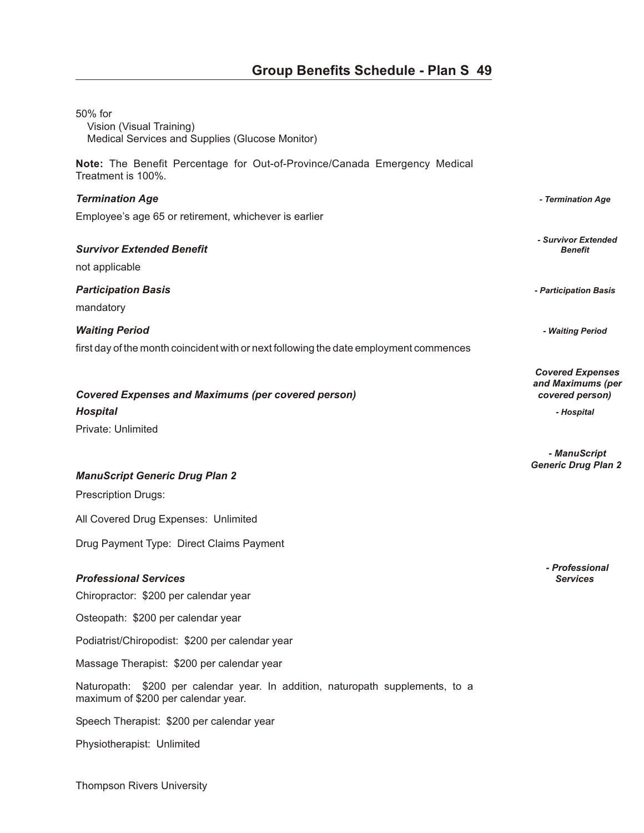| 50% for<br>Vision (Visual Training)<br>Medical Services and Supplies (Glucose Monitor)                                |                                                                 |
|-----------------------------------------------------------------------------------------------------------------------|-----------------------------------------------------------------|
| Note: The Benefit Percentage for Out-of-Province/Canada Emergency Medical<br>Treatment is 100%.                       |                                                                 |
| <b>Termination Age</b>                                                                                                | - Termination Age                                               |
| Employee's age 65 or retirement, whichever is earlier                                                                 |                                                                 |
| <b>Survivor Extended Benefit</b><br>not applicable                                                                    | - Survivor Extended<br><b>Benefit</b>                           |
| <b>Participation Basis</b><br>mandatory                                                                               | - Participation Basis                                           |
| <b>Waiting Period</b>                                                                                                 | - Waiting Period                                                |
| first day of the month coincident with or next following the date employment commences                                |                                                                 |
| <b>Covered Expenses and Maximums (per covered person)</b>                                                             | <b>Covered Expenses</b><br>and Maximums (per<br>covered person) |
| <b>Hospital</b>                                                                                                       | - Hospital                                                      |
| Private: Unlimited                                                                                                    |                                                                 |
|                                                                                                                       | - ManuScript<br><b>Generic Drug Plan 2</b>                      |
| <b>ManuScript Generic Drug Plan 2</b>                                                                                 |                                                                 |
| <b>Prescription Drugs:</b>                                                                                            |                                                                 |
| All Covered Drug Expenses: Unlimited                                                                                  |                                                                 |
| Drug Payment Type: Direct Claims Payment                                                                              |                                                                 |
| <b>Professional Services</b><br>Chiropractor: \$200 per calendar year                                                 | - Professional<br><b>Services</b>                               |
| Osteopath: \$200 per calendar year                                                                                    |                                                                 |
| Podiatrist/Chiropodist: \$200 per calendar year                                                                       |                                                                 |
| Massage Therapist: \$200 per calendar year                                                                            |                                                                 |
| Naturopath: \$200 per calendar year. In addition, naturopath supplements, to a<br>maximum of \$200 per calendar year. |                                                                 |
| Speech Therapist: \$200 per calendar year                                                                             |                                                                 |
| Physiotherapist: Unlimited                                                                                            |                                                                 |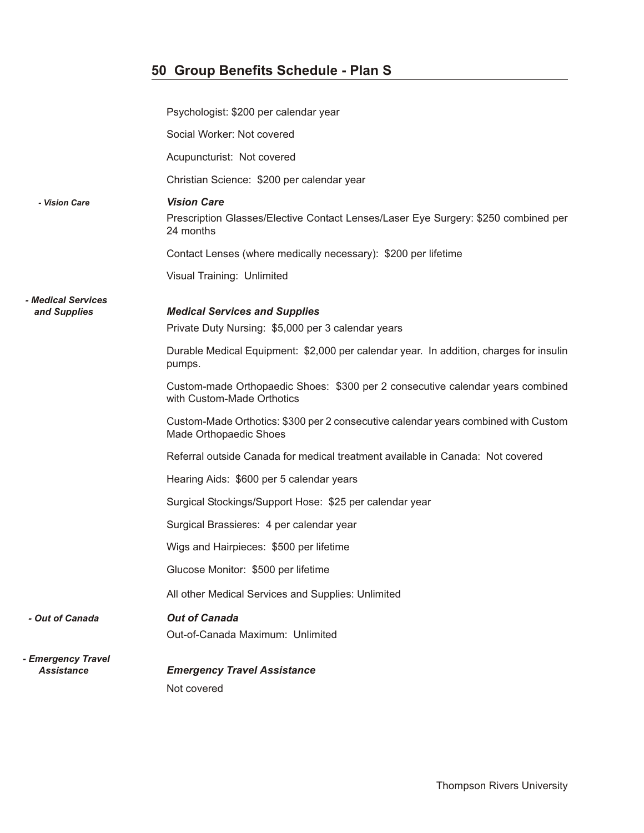|                                         | Psychologist: \$200 per calendar year                                                                        |
|-----------------------------------------|--------------------------------------------------------------------------------------------------------------|
|                                         | Social Worker: Not covered                                                                                   |
|                                         | Acupuncturist: Not covered                                                                                   |
|                                         | Christian Science: \$200 per calendar year                                                                   |
| - Vision Care                           | <b>Vision Care</b>                                                                                           |
|                                         | Prescription Glasses/Elective Contact Lenses/Laser Eye Surgery: \$250 combined per<br>24 months              |
|                                         | Contact Lenses (where medically necessary): \$200 per lifetime                                               |
|                                         | Visual Training: Unlimited                                                                                   |
| <i><b>- Medical Services</b></i>        |                                                                                                              |
| and Supplies                            | <b>Medical Services and Supplies</b><br>Private Duty Nursing: \$5,000 per 3 calendar years                   |
|                                         |                                                                                                              |
|                                         | Durable Medical Equipment: \$2,000 per calendar year. In addition, charges for insulin<br>pumps.             |
|                                         | Custom-made Orthopaedic Shoes: \$300 per 2 consecutive calendar years combined<br>with Custom-Made Orthotics |
|                                         | Custom-Made Orthotics: \$300 per 2 consecutive calendar years combined with Custom<br>Made Orthopaedic Shoes |
|                                         | Referral outside Canada for medical treatment available in Canada: Not covered                               |
|                                         | Hearing Aids: \$600 per 5 calendar years                                                                     |
|                                         | Surgical Stockings/Support Hose: \$25 per calendar year                                                      |
|                                         | Surgical Brassieres: 4 per calendar year                                                                     |
|                                         | Wigs and Hairpieces: \$500 per lifetime                                                                      |
|                                         | Glucose Monitor: \$500 per lifetime                                                                          |
|                                         | All other Medical Services and Supplies: Unlimited                                                           |
| - Out of Canada                         | <b>Out of Canada</b>                                                                                         |
|                                         | Out-of-Canada Maximum: Unlimited                                                                             |
| - Emergency Travel<br><b>Assistance</b> | <b>Emergency Travel Assistance</b>                                                                           |
|                                         | Not covered                                                                                                  |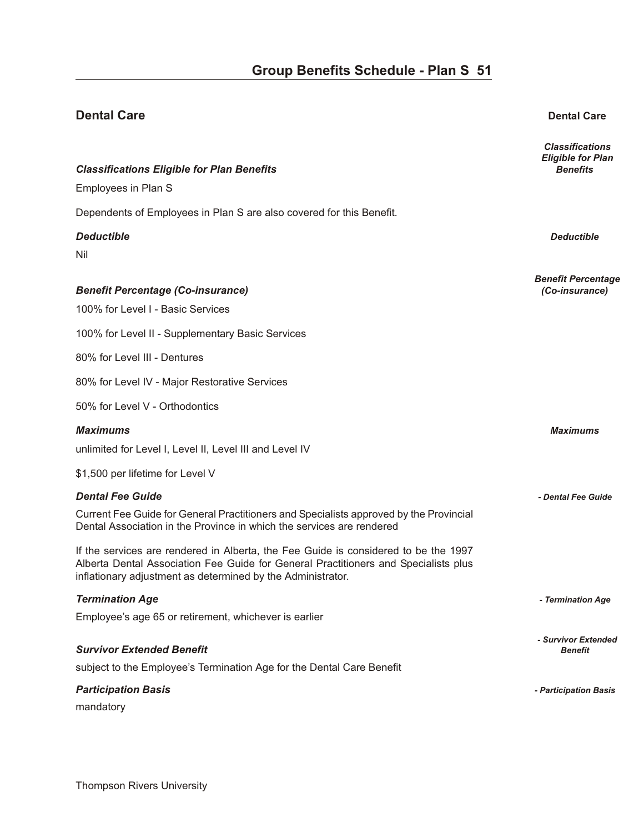### **Dental Care Dental Care** *Classifications Eligible for Plan* **Classifications Eligible for Plan Benefits Classifications** *Benefits Benefits* Employees in Plan S Dependents of Employees in Plan S are also covered for this Benefit. *De duct ible Deductible*  Nil *Benefit Percentage Ben e fit Per cent age (Co-in sur ance) (Co-insurance)*  100% for Level I - Basic Services 100% for Level II - Supplementary Basic Services 80% for Level III - Dentures 80% for Level IV - Major Restorative Services 50% for Level V - Orthodontics *Max i mums Maximums*  unlimited for Level I, Level II, Level III and Level IV \$1,500 per lifetime for Level V *Den tal Fee Guide - Dental Fee Guide*  Current Fee Guide for General Practitioners and Specialists approved by the Provincial Dental Association in the Province in which the services are rendered If the services are rendered in Alberta, the Fee Guide is considered to be the 1997 Alberta Dental Association Fee Guide for General Practitioners and Specialists plus inflationary adjustment as determined by the Administrator. *Ter mi na tion Age - Termination Age*  Employee's age 65 or retirement, whichever is earlier *- Survivor Extended* **Survivor Extended Benefit** subject to the Employee's Termination Age for the Dental Care Benefit *Par tic i pa tion Ba sis - Participation Basis*  mandatory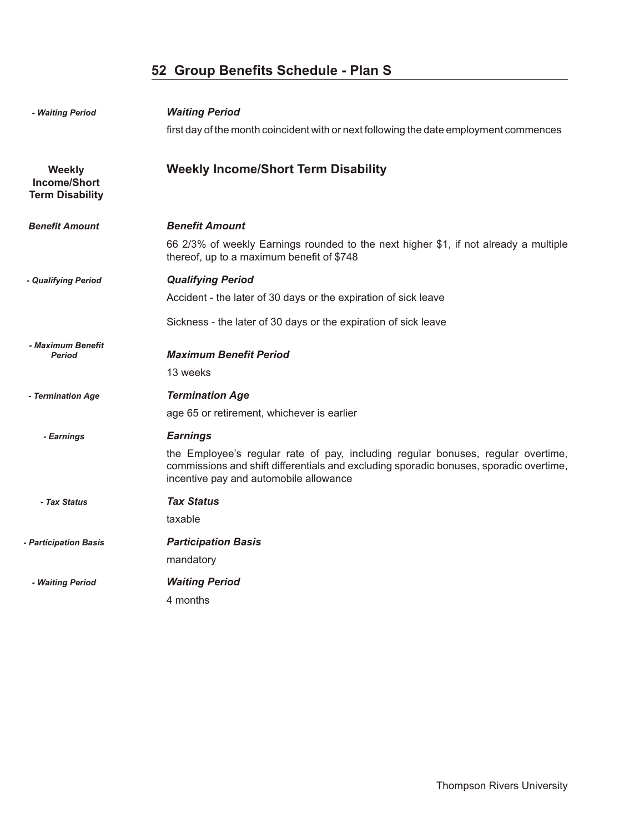| - Waiting Period                                               | <b>Waiting Period</b>                                                                                                                                                                                                |
|----------------------------------------------------------------|----------------------------------------------------------------------------------------------------------------------------------------------------------------------------------------------------------------------|
|                                                                | first day of the month coincident with or next following the date employment commences                                                                                                                               |
| <b>Weekly</b><br><b>Income/Short</b><br><b>Term Disability</b> | <b>Weekly Income/Short Term Disability</b>                                                                                                                                                                           |
| <b>Benefit Amount</b>                                          | <b>Benefit Amount</b>                                                                                                                                                                                                |
|                                                                | 66 2/3% of weekly Earnings rounded to the next higher \$1, if not already a multiple<br>thereof, up to a maximum benefit of \$748                                                                                    |
| - Qualifying Period                                            | <b>Qualifying Period</b>                                                                                                                                                                                             |
|                                                                | Accident - the later of 30 days or the expiration of sick leave                                                                                                                                                      |
|                                                                | Sickness - the later of 30 days or the expiration of sick leave                                                                                                                                                      |
| - Maximum Benefit<br><b>Period</b>                             | <b>Maximum Benefit Period</b><br>13 weeks                                                                                                                                                                            |
| - Termination Age                                              | <b>Termination Age</b>                                                                                                                                                                                               |
|                                                                | age 65 or retirement, whichever is earlier                                                                                                                                                                           |
| - Earnings                                                     | <b>Earnings</b>                                                                                                                                                                                                      |
|                                                                | the Employee's regular rate of pay, including regular bonuses, regular overtime,<br>commissions and shift differentials and excluding sporadic bonuses, sporadic overtime,<br>incentive pay and automobile allowance |
| - Tax Status                                                   | <b>Tax Status</b>                                                                                                                                                                                                    |
|                                                                | taxable                                                                                                                                                                                                              |
| - Participation Basis                                          | <b>Participation Basis</b>                                                                                                                                                                                           |
|                                                                | mandatory                                                                                                                                                                                                            |
| - Waiting Period                                               | <b>Waiting Period</b>                                                                                                                                                                                                |
|                                                                | 4 months                                                                                                                                                                                                             |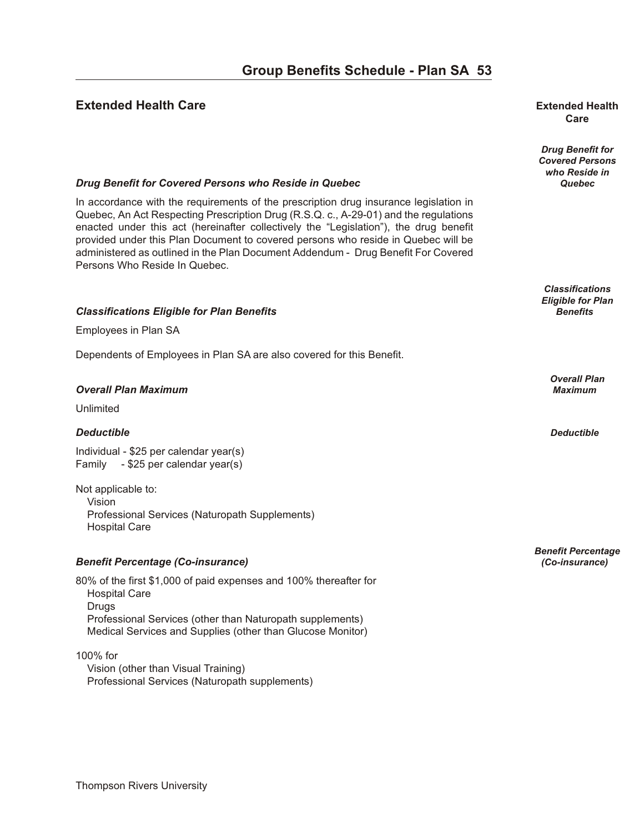#### **Extended Health Care our B en extended Health B en extended Health**

## **Care**

*Drug Benefit for Covered Persons who Reside in*

*Classifications Eligible for Plan*

*Overall Plan*

*Benefit Percentage*

#### *Drug Benefit for Covered Persons who Reside in Quebec* **<b>***Quebec* **Quebec Quebec**

In accordance with the requirements of the prescription drug insurance legislation in Quebec, An Act Respecting Prescription Drug (R.S.Q. c., A-29-01) and the regulations enacted under this act (hereinafter collectively the "Legislation"), the drug benefit provided under this Plan Document to covered persons who reside in Quebec will be administered as outlined in the Plan Document Addendum - Drug Benefit For Covered Persons Who Reside In Quebec.

#### *Clas si fi ca tions El i gi ble for Plan Ben e fits Benefits*

Employees in Plan SA

Dependents of Employees in Plan SA are also covered for this Benefit.

#### *Over all Plan Max i mum Maximum*

Unlimited

#### *De duct ible Deductible*

Individual - \$25 per calendar year(s) Family - \$25 per calendar year(s)

Not applicable to: Vision Professional Services (Naturopath Supplements) Hospital Care

#### *Ben e fit Per cent age (Co-in sur ance) (Co-insurance)*

80% of the first \$1,000 of paid expenses and 100% thereafter for Hospital Care Drugs Professional Services (other than Naturopath supplements) Medical Services and Supplies (other than Glucose Monitor)

#### 100% for

 Vision (other than Visual Training) Professional Services (Naturopath supplements)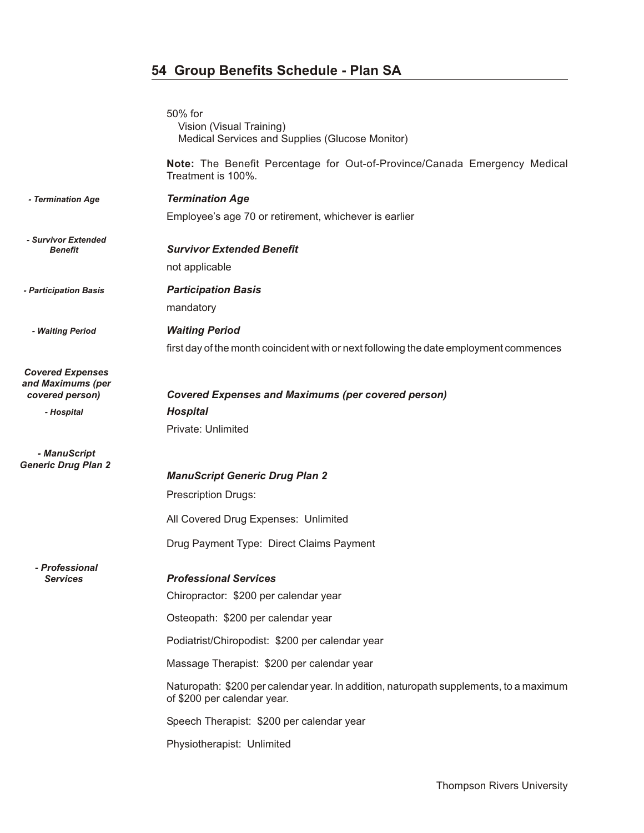|                                              | 50% for<br>Vision (Visual Training)                                                                                   |
|----------------------------------------------|-----------------------------------------------------------------------------------------------------------------------|
|                                              | Medical Services and Supplies (Glucose Monitor)                                                                       |
|                                              | Note: The Benefit Percentage for Out-of-Province/Canada Emergency Medical<br>Treatment is 100%.                       |
| - Termination Age                            | <b>Termination Age</b>                                                                                                |
|                                              | Employee's age 70 or retirement, whichever is earlier                                                                 |
| - Survivor Extended<br><b>Benefit</b>        | <b>Survivor Extended Benefit</b>                                                                                      |
|                                              | not applicable                                                                                                        |
| - Participation Basis                        | <b>Participation Basis</b>                                                                                            |
|                                              | mandatory                                                                                                             |
| - Waiting Period                             | <b>Waiting Period</b>                                                                                                 |
|                                              | first day of the month coincident with or next following the date employment commences                                |
| <b>Covered Expenses</b><br>and Maximums (per |                                                                                                                       |
| covered person)                              | <b>Covered Expenses and Maximums (per covered person)</b>                                                             |
| - Hospital                                   | <b>Hospital</b>                                                                                                       |
|                                              | Private: Unlimited                                                                                                    |
| - ManuScript<br><b>Generic Drug Plan 2</b>   |                                                                                                                       |
|                                              | <b>ManuScript Generic Drug Plan 2</b>                                                                                 |
|                                              | <b>Prescription Drugs:</b>                                                                                            |
|                                              | All Covered Drug Expenses: Unlimited                                                                                  |
|                                              | Drug Payment Type: Direct Claims Payment                                                                              |
| - Professional                               |                                                                                                                       |
| Services                                     | <b>Professional Services</b>                                                                                          |
|                                              | Chiropractor: \$200 per calendar year                                                                                 |
|                                              | Osteopath: \$200 per calendar year                                                                                    |
|                                              | Podiatrist/Chiropodist: \$200 per calendar year                                                                       |
|                                              | Massage Therapist: \$200 per calendar year                                                                            |
|                                              | Naturopath: \$200 per calendar year. In addition, naturopath supplements, to a maximum<br>of \$200 per calendar year. |
|                                              | Speech Therapist: \$200 per calendar year                                                                             |
|                                              | Physiotherapist: Unlimited                                                                                            |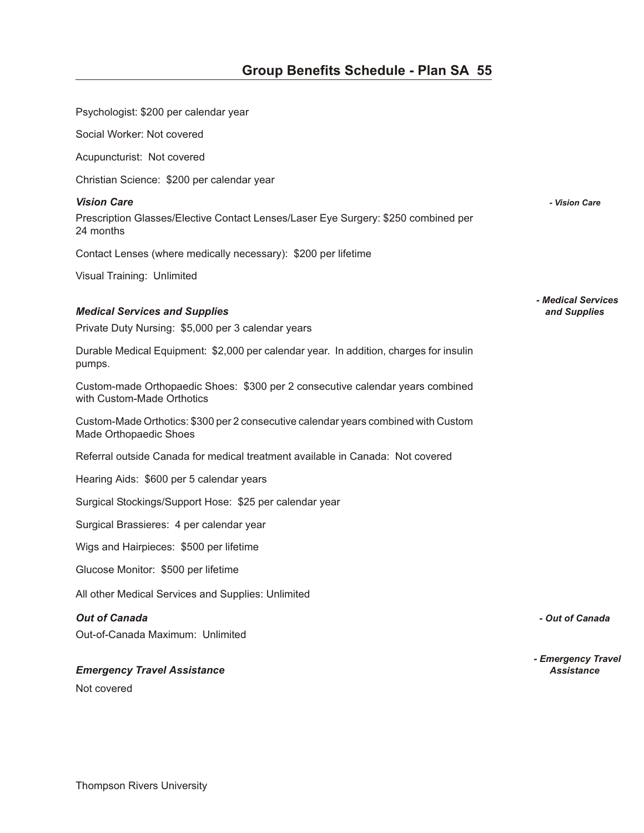Psychologist: \$200 per calendar year

Social Worker: Not covered

Acupuncturist: Not covered

Christian Science: \$200 per calendar year

#### *Vi sion Care - Vision Care*

Prescription Glasses/Elective Contact Lenses/Laser Eye Surgery: \$250 combined per 24 months

Contact Lenses (where medically necessary): \$200 per lifetime

Visual Training: Unlimited

#### *Med i cal Ser vices and Sup plies and Supplies*

Private Duty Nursing: \$5,000 per 3 calendar years

Durable Medical Equipment: \$2,000 per calendar year. In addition, charges for insulin pumps.

Custom-made Orthopaedic Shoes: \$300 per 2 consecutive calendar years combined with Custom-Made Orthotics

Custom-Made Orthotics: \$300 per 2 consecutive calendar years combined with Custom Made Orthopaedic Shoes

Referral outside Canada for medical treatment available in Canada: Not covered

Hearing Aids: \$600 per 5 calendar years

Surgical Stockings/Support Hose: \$25 per calendar year

Surgical Brassieres: 4 per calendar year

Wigs and Hairpieces: \$500 per lifetime

Glucose Monitor: \$500 per lifetime

All other Medical Services and Supplies: Unlimited

#### *Out of Can ada - Out of Canada*

Out-of-Canada Maximum: Unlimited

#### *Emer gency Travel As sis tance Assistance*

Not covered

*- Medical Services*

*- Emergency Travel*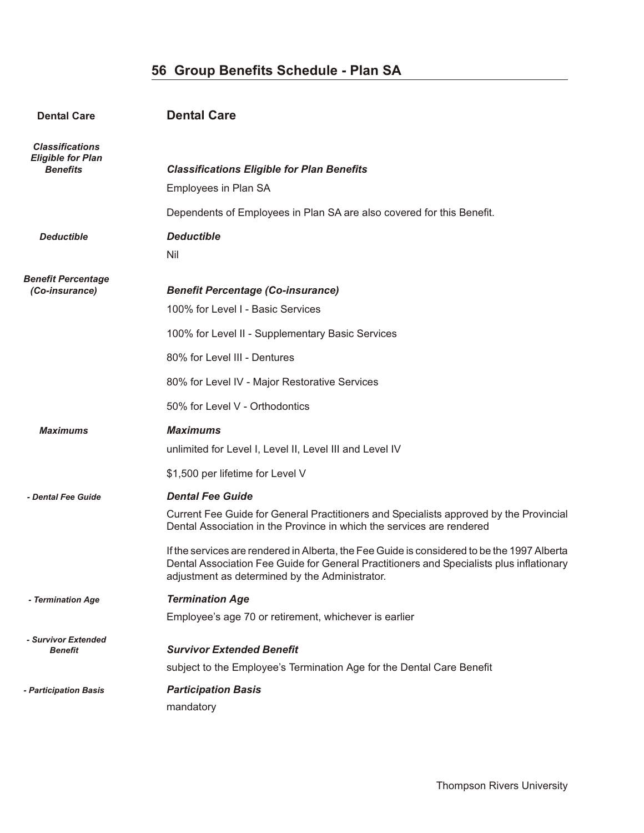| <b>Dental Care</b>                                                    | <b>Dental Care</b>                                                                                                                                                                                                                                                                                                                                                                                                                      |
|-----------------------------------------------------------------------|-----------------------------------------------------------------------------------------------------------------------------------------------------------------------------------------------------------------------------------------------------------------------------------------------------------------------------------------------------------------------------------------------------------------------------------------|
| <b>Classifications</b><br><b>Eligible for Plan</b><br><b>Benefits</b> | <b>Classifications Eligible for Plan Benefits</b><br>Employees in Plan SA<br>Dependents of Employees in Plan SA are also covered for this Benefit.                                                                                                                                                                                                                                                                                      |
| <b>Deductible</b>                                                     | <b>Deductible</b><br>Nil                                                                                                                                                                                                                                                                                                                                                                                                                |
| <b>Benefit Percentage</b><br>(Co-insurance)                           | <b>Benefit Percentage (Co-insurance)</b><br>100% for Level I - Basic Services<br>100% for Level II - Supplementary Basic Services<br>80% for Level III - Dentures<br>80% for Level IV - Major Restorative Services<br>50% for Level V - Orthodontics                                                                                                                                                                                    |
| <b>Maximums</b>                                                       | <b>Maximums</b><br>unlimited for Level I, Level II, Level III and Level IV<br>\$1,500 per lifetime for Level V                                                                                                                                                                                                                                                                                                                          |
| - Dental Fee Guide                                                    | <b>Dental Fee Guide</b><br>Current Fee Guide for General Practitioners and Specialists approved by the Provincial<br>Dental Association in the Province in which the services are rendered<br>If the services are rendered in Alberta, the Fee Guide is considered to be the 1997 Alberta<br>Dental Association Fee Guide for General Practitioners and Specialists plus inflationary<br>adjustment as determined by the Administrator. |
| - Termination Age                                                     | <b>Termination Age</b><br>Employee's age 70 or retirement, whichever is earlier                                                                                                                                                                                                                                                                                                                                                         |
| - Survivor Extended<br><b>Benefit</b>                                 | <b>Survivor Extended Benefit</b><br>subject to the Employee's Termination Age for the Dental Care Benefit                                                                                                                                                                                                                                                                                                                               |
| - Participation Basis                                                 | <b>Participation Basis</b><br>mandatory                                                                                                                                                                                                                                                                                                                                                                                                 |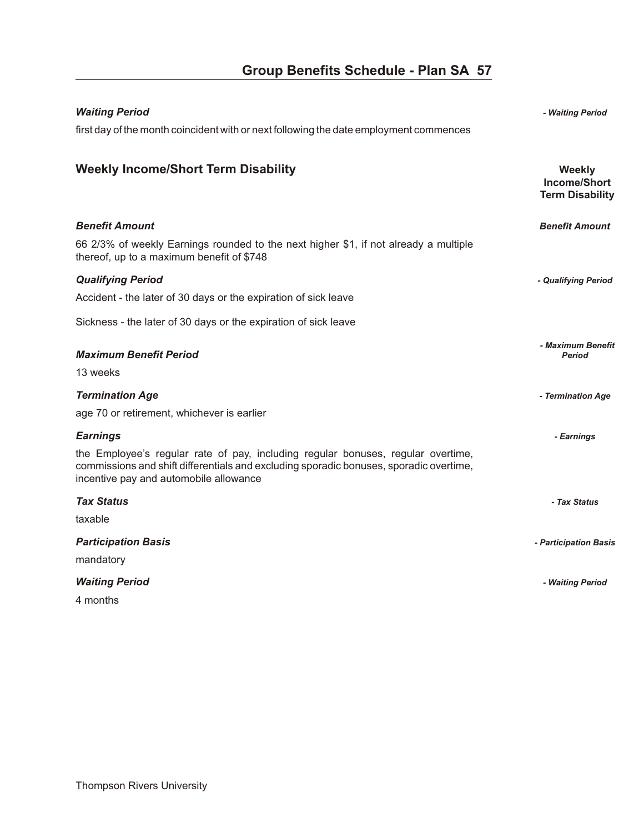| <b>Waiting Period</b>                                                                                                                                                                                                | - Waiting Period                                        |
|----------------------------------------------------------------------------------------------------------------------------------------------------------------------------------------------------------------------|---------------------------------------------------------|
| first day of the month coincident with or next following the date employment commences                                                                                                                               |                                                         |
|                                                                                                                                                                                                                      |                                                         |
| <b>Weekly Income/Short Term Disability</b>                                                                                                                                                                           | <b>Weekly</b><br>Income/Short<br><b>Term Disability</b> |
| <b>Benefit Amount</b>                                                                                                                                                                                                | <b>Benefit Amount</b>                                   |
| 66 2/3% of weekly Earnings rounded to the next higher \$1, if not already a multiple<br>thereof, up to a maximum benefit of \$748                                                                                    |                                                         |
| <b>Qualifying Period</b>                                                                                                                                                                                             | - Qualifying Period                                     |
| Accident - the later of 30 days or the expiration of sick leave                                                                                                                                                      |                                                         |
| Sickness - the later of 30 days or the expiration of sick leave                                                                                                                                                      |                                                         |
| <b>Maximum Benefit Period</b>                                                                                                                                                                                        | - Maximum Benefit                                       |
| 13 weeks                                                                                                                                                                                                             | <b>Period</b>                                           |
|                                                                                                                                                                                                                      |                                                         |
| <b>Termination Age</b>                                                                                                                                                                                               | - Termination Age                                       |
| age 70 or retirement, whichever is earlier                                                                                                                                                                           |                                                         |
| <b>Earnings</b>                                                                                                                                                                                                      | - Earnings                                              |
| the Employee's regular rate of pay, including regular bonuses, regular overtime,<br>commissions and shift differentials and excluding sporadic bonuses, sporadic overtime,<br>incentive pay and automobile allowance |                                                         |
| <b>Tax Status</b>                                                                                                                                                                                                    | - Tax Status                                            |
| taxable                                                                                                                                                                                                              |                                                         |
| <b>Participation Basis</b>                                                                                                                                                                                           | - Participation Basis                                   |
| mandatory                                                                                                                                                                                                            |                                                         |
| <b>Waiting Period</b>                                                                                                                                                                                                | - Waiting Period                                        |

4 months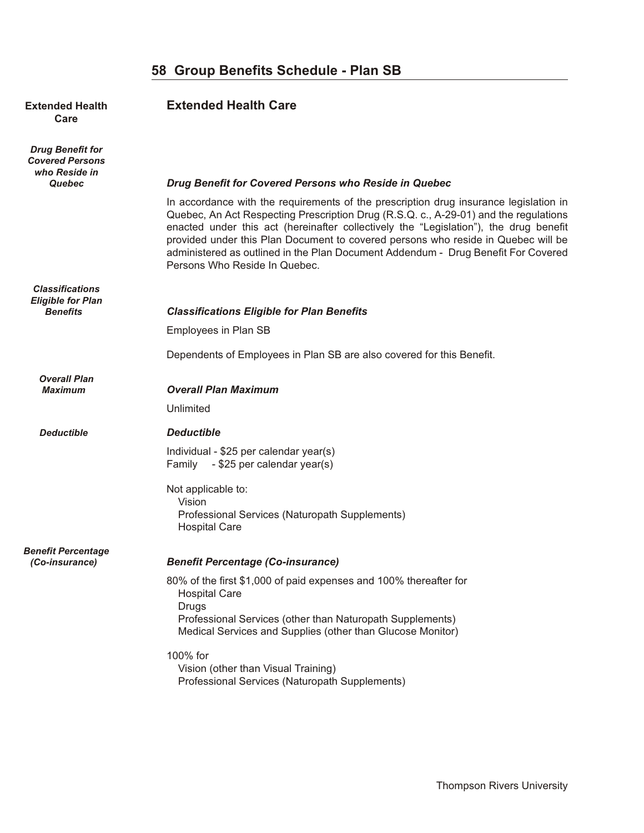#### **Extended Health <b>Extended Health Care Care**

*Drug Benefit for Covered Persons who Reside in Quebec Drug Benefit for Covered Persons who Reside in Quebec* 

*Classifications Eligible for Plan*

*Overall Plan*

*Benefit Percentage*

In accordance with the requirements of the prescription drug insurance legislation in Quebec, An Act Respecting Prescription Drug (R.S.Q. c., A-29-01) and the regulations enacted under this act (hereinafter collectively the "Legislation"), the drug benefit provided under this Plan Document to covered persons who reside in Quebec will be administered as outlined in the Plan Document Addendum - Drug Benefit For Covered Persons Who Reside In Quebec.

#### *Benefits Classifications Eligible for Plan Benefits*

Employees in Plan SB

Dependents of Employees in Plan SB are also covered for this Benefit.

#### **Overall Plan Maximum**

Unlimited

#### *Deductible De duct ible*

Individual - \$25 per calendar year(s) Family - \$25 per calendar year(s)

Not applicable to: Vision Professional Services (Naturopath Supplements) Hospital Care

#### *(Co-insurance) Ben e fit Per cent age (Co-in sur ance)*

80% of the first \$1,000 of paid expenses and 100% thereafter for Hospital Care **Drugs**  Professional Services (other than Naturopath Supplements) Medical Services and Supplies (other than Glucose Monitor)

100% for Vision (other than Visual Training) Professional Services (Naturopath Supplements)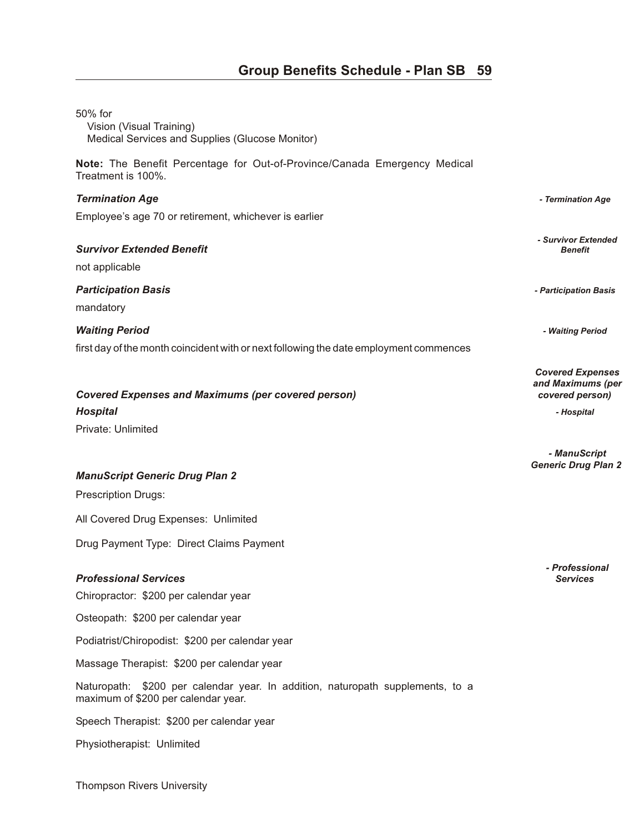| 50% for<br>Vision (Visual Training)<br>Medical Services and Supplies (Glucose Monitor)                                |                                                                 |
|-----------------------------------------------------------------------------------------------------------------------|-----------------------------------------------------------------|
| Note: The Benefit Percentage for Out-of-Province/Canada Emergency Medical<br>Treatment is 100%.                       |                                                                 |
| <b>Termination Age</b>                                                                                                | - Termination Age                                               |
| Employee's age 70 or retirement, whichever is earlier                                                                 |                                                                 |
| <b>Survivor Extended Benefit</b><br>not applicable                                                                    | - Survivor Extended<br>Benefit                                  |
| <b>Participation Basis</b><br>mandatory                                                                               | - Participation Basis                                           |
| <b>Waiting Period</b>                                                                                                 | - Waiting Period                                                |
| first day of the month coincident with or next following the date employment commences                                |                                                                 |
| <b>Covered Expenses and Maximums (per covered person)</b>                                                             | <b>Covered Expenses</b><br>and Maximums (per<br>covered person) |
| <b>Hospital</b>                                                                                                       | - Hospital                                                      |
| Private: Unlimited                                                                                                    |                                                                 |
|                                                                                                                       | - ManuScript<br><b>Generic Drug Plan 2</b>                      |
| <b>ManuScript Generic Drug Plan 2</b>                                                                                 |                                                                 |
| <b>Prescription Drugs:</b>                                                                                            |                                                                 |
| All Covered Drug Expenses: Unlimited                                                                                  |                                                                 |
| Drug Payment Type: Direct Claims Payment                                                                              |                                                                 |
| <b>Professional Services</b><br>Chiropractor: \$200 per calendar year                                                 | - Professional<br><b>Services</b>                               |
| Osteopath: \$200 per calendar year                                                                                    |                                                                 |
| Podiatrist/Chiropodist: \$200 per calendar year                                                                       |                                                                 |
| Massage Therapist: \$200 per calendar year                                                                            |                                                                 |
| Naturopath: \$200 per calendar year. In addition, naturopath supplements, to a<br>maximum of \$200 per calendar year. |                                                                 |
| Speech Therapist: \$200 per calendar year                                                                             |                                                                 |
| Physiotherapist: Unlimited                                                                                            |                                                                 |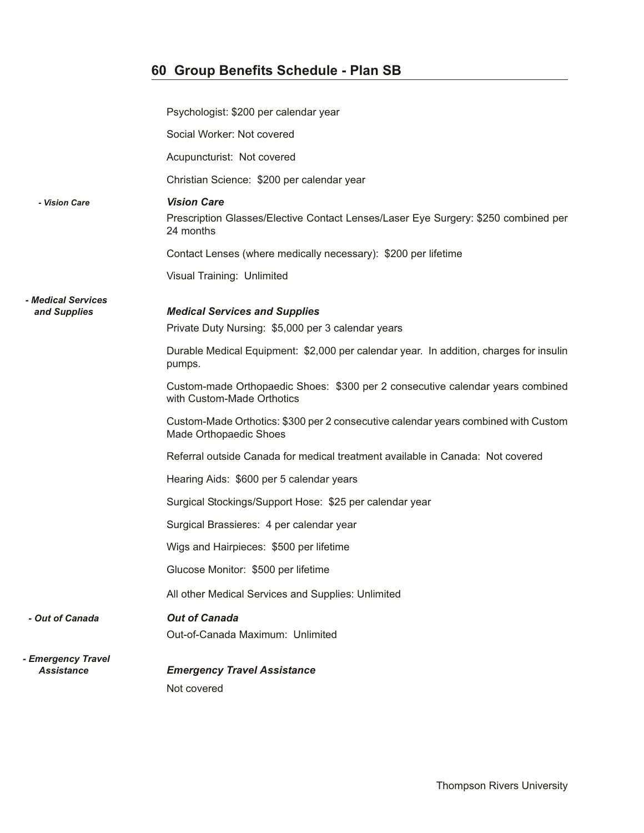|                                                  | Psychologist: \$200 per calendar year                                                                                 |
|--------------------------------------------------|-----------------------------------------------------------------------------------------------------------------------|
|                                                  | Social Worker: Not covered                                                                                            |
|                                                  | Acupuncturist: Not covered                                                                                            |
|                                                  | Christian Science: \$200 per calendar year                                                                            |
| - Vision Care                                    | <b>Vision Care</b><br>Prescription Glasses/Elective Contact Lenses/Laser Eye Surgery: \$250 combined per<br>24 months |
|                                                  | Contact Lenses (where medically necessary): \$200 per lifetime                                                        |
|                                                  | Visual Training: Unlimited                                                                                            |
| <i><b>- Medical Services</b></i><br>and Supplies | <b>Medical Services and Supplies</b><br>Private Duty Nursing: \$5,000 per 3 calendar years                            |
|                                                  | Durable Medical Equipment: \$2,000 per calendar year. In addition, charges for insulin<br>pumps.                      |
|                                                  | Custom-made Orthopaedic Shoes: \$300 per 2 consecutive calendar years combined<br>with Custom-Made Orthotics          |
|                                                  | Custom-Made Orthotics: \$300 per 2 consecutive calendar years combined with Custom<br>Made Orthopaedic Shoes          |
|                                                  | Referral outside Canada for medical treatment available in Canada: Not covered                                        |
|                                                  | Hearing Aids: \$600 per 5 calendar years                                                                              |
|                                                  | Surgical Stockings/Support Hose: \$25 per calendar year                                                               |
|                                                  | Surgical Brassieres: 4 per calendar year                                                                              |
|                                                  | Wigs and Hairpieces: \$500 per lifetime                                                                               |
|                                                  | Glucose Monitor: \$500 per lifetime                                                                                   |
|                                                  | All other Medical Services and Supplies: Unlimited                                                                    |
| - Out of Canada                                  | <b>Out of Canada</b><br>Out-of-Canada Maximum: Unlimited                                                              |
| - Emergency Travel<br><b>Assistance</b>          | <b>Emergency Travel Assistance</b><br>Not covered                                                                     |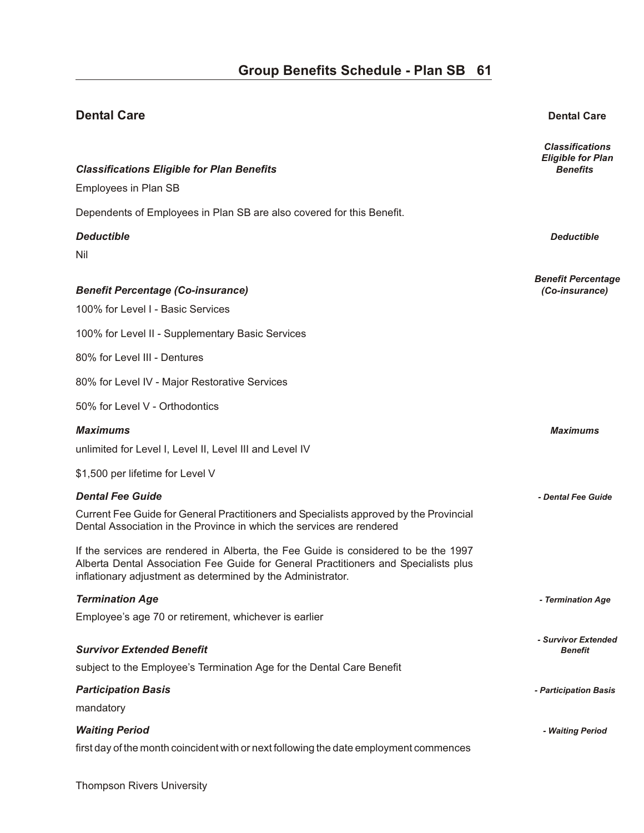*Classifications*

**Dental Care Dental Care**

### *Eligible for Plan* **Classifications Eligible for Plan Benefits Classifications** *Benefits* **<b>Benefits Benefits** Employees in Plan SB Dependents of Employees in Plan SB are also covered for this Benefit. *De duct ible Deductible*  Nil *Benefit Percentage Ben e fit Per cent age (Co-in sur ance) (Co-insurance)*  100% for Level I - Basic Services 100% for Level II - Supplementary Basic Services 80% for Level III - Dentures 80% for Level IV - Major Restorative Services 50% for Level V - Orthodontics *Max i mums Maximums*  unlimited for Level I, Level II, Level III and Level IV \$1,500 per lifetime for Level V *Den tal Fee Guide - Dental Fee Guide*  Current Fee Guide for General Practitioners and Specialists approved by the Provincial Dental Association in the Province in which the services are rendered If the services are rendered in Alberta, the Fee Guide is considered to be the 1997 Alberta Dental Association Fee Guide for General Practitioners and Specialists plus inflationary adjustment as determined by the Administrator. *Ter mi na tion Age - Termination Age*  Employee's age 70 or retirement, whichever is earlier *- Survivor Extended* **Survivor Extended Benefit** subject to the Employee's Termination Age for the Dental Care Benefit *Par tic i pa tion Ba sis - Participation Basis*  mandatory *Wait ing Pe riod - Waiting Period*

first day of the month coincident with or next following the date employment commences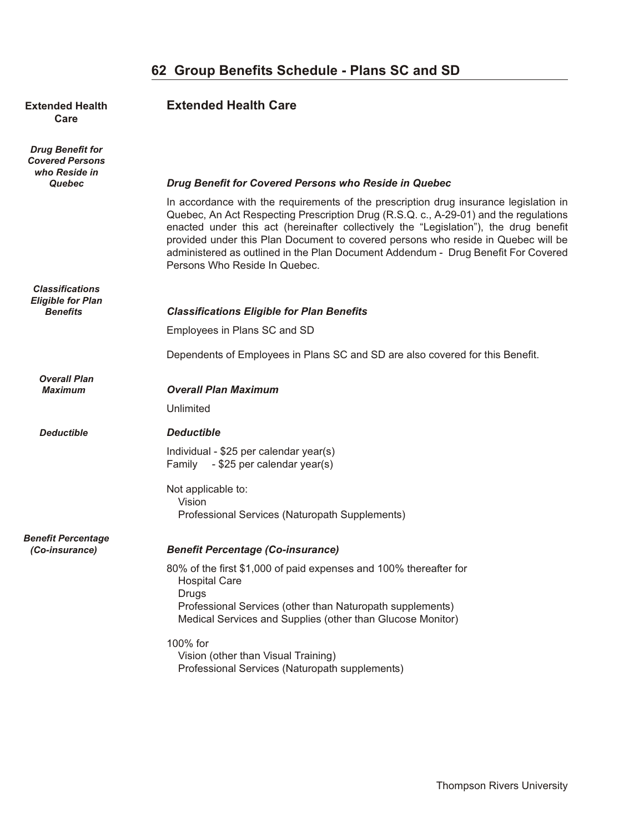### **62 Group Benefits Schedule - Plans SC and SD**

## **Care**

*Drug Benefit for Covered Persons who Reside in*

*Classifications Eligible for Plan*

*Overall Plan*

#### **Extended Health <b>Extended Health Care**

#### *Quebec Drug Benefit for Covered Persons who Reside in Quebec*

In accordance with the requirements of the prescription drug insurance legislation in Quebec, An Act Respecting Prescription Drug (R.S.Q. c., A-29-01) and the regulations enacted under this act (hereinafter collectively the "Legislation"), the drug benefit provided under this Plan Document to covered persons who reside in Quebec will be administered as outlined in the Plan Document Addendum - Drug Benefit For Covered Persons Who Reside In Quebec.

#### *Benefits Classifications Eligible for Plan Benefits*

Employees in Plans SC and SD

Dependents of Employees in Plans SC and SD are also covered for this Benefit.

#### **Overall Plan Maximum**

Unlimited

#### *Deductible De duct ible*

Individual - \$25 per calendar year(s) Family - \$25 per calendar year(s)

Not applicable to: Vision Professional Services (Naturopath Supplements)

## *Benefit Percentage*

#### *(Co-insurance) Ben e fit Per cent age (Co-in sur ance)*

80% of the first \$1,000 of paid expenses and 100% thereafter for Hospital Care **Drugs**  Professional Services (other than Naturopath supplements) Medical Services and Supplies (other than Glucose Monitor)

100% for

 Vision (other than Visual Training) Professional Services (Naturopath supplements)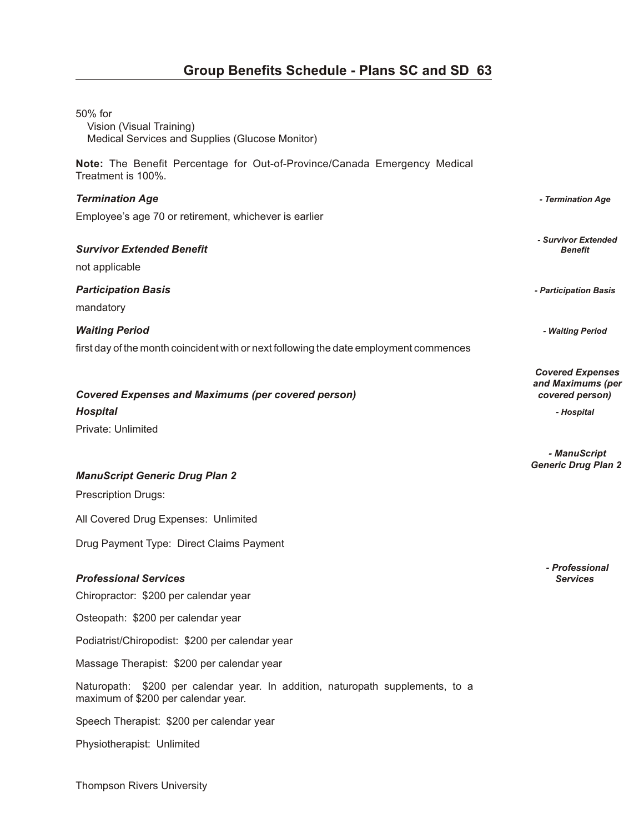| 50% for<br>Vision (Visual Training)<br>Medical Services and Supplies (Glucose Monitor)                                |                                                                 |
|-----------------------------------------------------------------------------------------------------------------------|-----------------------------------------------------------------|
| Note: The Benefit Percentage for Out-of-Province/Canada Emergency Medical<br>Treatment is 100%.                       |                                                                 |
| <b>Termination Age</b>                                                                                                | - Termination Age                                               |
| Employee's age 70 or retirement, whichever is earlier                                                                 |                                                                 |
| <b>Survivor Extended Benefit</b><br>not applicable                                                                    | - Survivor Extended<br><b>Benefit</b>                           |
| <b>Participation Basis</b><br>mandatory                                                                               | - Participation Basis                                           |
| <b>Waiting Period</b>                                                                                                 | - Waiting Period                                                |
| first day of the month coincident with or next following the date employment commences                                |                                                                 |
| <b>Covered Expenses and Maximums (per covered person)</b>                                                             | <b>Covered Expenses</b><br>and Maximums (per<br>covered person) |
| <b>Hospital</b>                                                                                                       | - Hospital                                                      |
| Private: Unlimited                                                                                                    |                                                                 |
|                                                                                                                       | - ManuScript<br><b>Generic Drug Plan 2</b>                      |
| <b>ManuScript Generic Drug Plan 2</b>                                                                                 |                                                                 |
| <b>Prescription Drugs:</b>                                                                                            |                                                                 |
| All Covered Drug Expenses: Unlimited                                                                                  |                                                                 |
| Drug Payment Type: Direct Claims Payment                                                                              |                                                                 |
| <b>Professional Services</b><br>Chiropractor: \$200 per calendar year                                                 | - Professional<br><b>Services</b>                               |
| Osteopath: \$200 per calendar year                                                                                    |                                                                 |
| Podiatrist/Chiropodist: \$200 per calendar year                                                                       |                                                                 |
| Massage Therapist: \$200 per calendar year                                                                            |                                                                 |
| Naturopath: \$200 per calendar year. In addition, naturopath supplements, to a<br>maximum of \$200 per calendar year. |                                                                 |
| Speech Therapist: \$200 per calendar year                                                                             |                                                                 |
| Physiotherapist: Unlimited                                                                                            |                                                                 |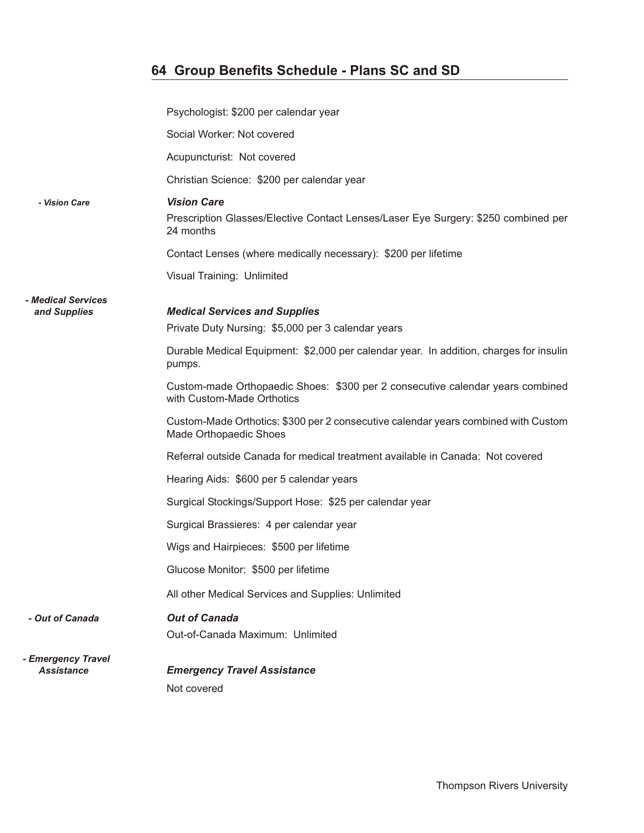### **64 Group Benefits Schedule - Plans SC and SD**

|                                         | Psychologist: \$200 per calendar year                                                                        |
|-----------------------------------------|--------------------------------------------------------------------------------------------------------------|
|                                         | Social Worker: Not covered                                                                                   |
|                                         | Acupuncturist: Not covered                                                                                   |
|                                         | Christian Science: \$200 per calendar year                                                                   |
| - Vision Care                           | <b>Vision Care</b>                                                                                           |
|                                         | Prescription Glasses/Elective Contact Lenses/Laser Eye Surgery: \$250 combined per<br>24 months              |
|                                         | Contact Lenses (where medically necessary): \$200 per lifetime                                               |
|                                         | Visual Training: Unlimited                                                                                   |
| - Medical Services                      |                                                                                                              |
| and Supplies                            | <b>Medical Services and Supplies</b><br>Private Duty Nursing: \$5,000 per 3 calendar years                   |
|                                         |                                                                                                              |
|                                         | Durable Medical Equipment: \$2,000 per calendar year. In addition, charges for insulin<br>pumps.             |
|                                         | Custom-made Orthopaedic Shoes: \$300 per 2 consecutive calendar years combined<br>with Custom-Made Orthotics |
|                                         | Custom-Made Orthotics: \$300 per 2 consecutive calendar years combined with Custom<br>Made Orthopaedic Shoes |
|                                         | Referral outside Canada for medical treatment available in Canada: Not covered                               |
|                                         | Hearing Aids: \$600 per 5 calendar years                                                                     |
|                                         | Surgical Stockings/Support Hose: \$25 per calendar year                                                      |
|                                         | Surgical Brassieres: 4 per calendar year                                                                     |
|                                         | Wigs and Hairpieces: \$500 per lifetime                                                                      |
|                                         | Glucose Monitor: \$500 per lifetime                                                                          |
|                                         | All other Medical Services and Supplies: Unlimited                                                           |
| - Out of Canada                         | <b>Out of Canada</b>                                                                                         |
|                                         | Out-of-Canada Maximum: Unlimited                                                                             |
| - Emergency Travel<br><b>Assistance</b> | <b>Emergency Travel Assistance</b>                                                                           |
|                                         | Not covered                                                                                                  |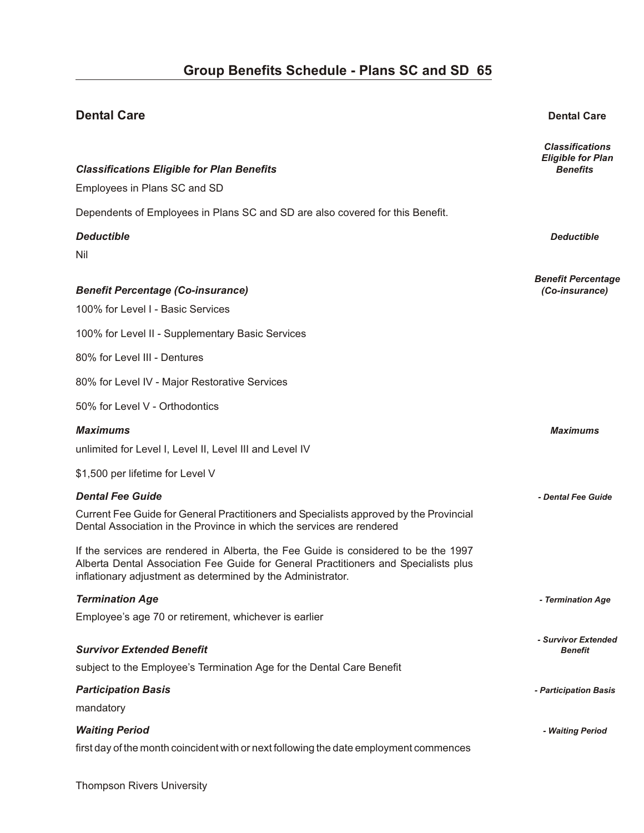### **Dental Care Dental Care** *Classifications Eligible for Plan* **Classifications Eligible for Plan Benefits Classifications** *Benefits* **<b>Benefits Benefits** Employees in Plans SC and SD Dependents of Employees in Plans SC and SD are also covered for this Benefit. *De duct ible Deductible*  Nil *Benefit Percentage Ben e fit Per cent age (Co-in sur ance) (Co-insurance)*  100% for Level I - Basic Services 100% for Level II - Supplementary Basic Services 80% for Level III - Dentures 80% for Level IV - Major Restorative Services 50% for Level V - Orthodontics *Max i mums Maximums*  unlimited for Level I, Level II, Level III and Level IV \$1,500 per lifetime for Level V *Den tal Fee Guide - Dental Fee Guide*  Current Fee Guide for General Practitioners and Specialists approved by the Provincial Dental Association in the Province in which the services are rendered If the services are rendered in Alberta, the Fee Guide is considered to be the 1997 Alberta Dental Association Fee Guide for General Practitioners and Specialists plus inflationary adjustment as determined by the Administrator. *Ter mi na tion Age - Termination Age*  Employee's age 70 or retirement, whichever is earlier *- Survivor Extended* **Survivor Extended Benefit** subject to the Employee's Termination Age for the Dental Care Benefit *Par tic i pa tion Ba sis - Participation Basis*  mandatory *Wait ing Pe riod - Waiting Period*

first day of the month coincident with or next following the date employment commences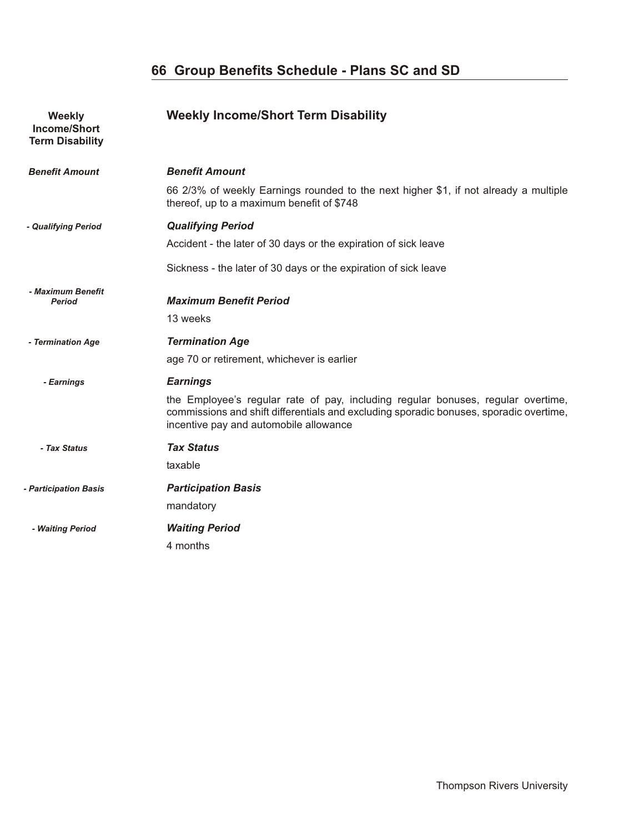### **66 Group Benefits Schedule - Plans SC and SD**

| Weekly<br><b>Income/Short</b><br><b>Term Disability</b> | <b>Weekly Income/Short Term Disability</b>                                                                                                                                                                           |
|---------------------------------------------------------|----------------------------------------------------------------------------------------------------------------------------------------------------------------------------------------------------------------------|
| <b>Benefit Amount</b>                                   | <b>Benefit Amount</b>                                                                                                                                                                                                |
|                                                         | 66 2/3% of weekly Earnings rounded to the next higher \$1, if not already a multiple<br>thereof, up to a maximum benefit of \$748                                                                                    |
| - Qualifying Period                                     | <b>Qualifying Period</b>                                                                                                                                                                                             |
|                                                         | Accident - the later of 30 days or the expiration of sick leave                                                                                                                                                      |
|                                                         | Sickness - the later of 30 days or the expiration of sick leave                                                                                                                                                      |
| - Maximum Benefit<br><b>Period</b>                      | <b>Maximum Benefit Period</b>                                                                                                                                                                                        |
|                                                         | 13 weeks                                                                                                                                                                                                             |
| - Termination Age                                       | <b>Termination Age</b>                                                                                                                                                                                               |
|                                                         | age 70 or retirement, whichever is earlier                                                                                                                                                                           |
| - Earnings                                              | <b>Earnings</b>                                                                                                                                                                                                      |
|                                                         | the Employee's regular rate of pay, including regular bonuses, regular overtime,<br>commissions and shift differentials and excluding sporadic bonuses, sporadic overtime,<br>incentive pay and automobile allowance |
| - Tax Status                                            | <b>Tax Status</b>                                                                                                                                                                                                    |
|                                                         | taxable                                                                                                                                                                                                              |
| - Participation Basis                                   | <b>Participation Basis</b>                                                                                                                                                                                           |
|                                                         | mandatory                                                                                                                                                                                                            |
| - Waiting Period                                        | <b>Waiting Period</b>                                                                                                                                                                                                |
|                                                         | 4 months                                                                                                                                                                                                             |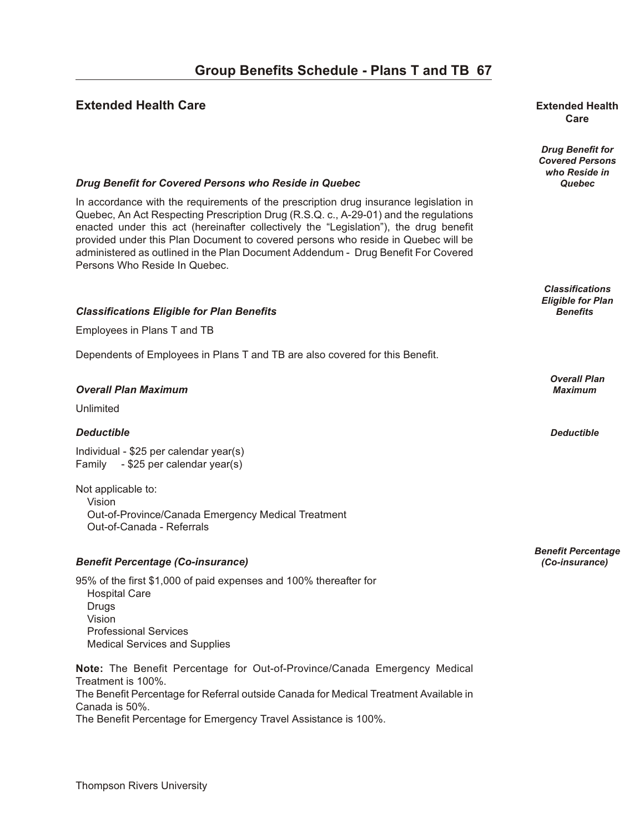#### **Extended Health Care our B en extended Health Extended Health**

# **Care**

*Drug Benefit for Covered Persons who Reside in*

*Classifications Eligible for Plan*

*Overall Plan*

*Benefit Percentage*

#### *Drug Benefit for Covered Persons who Reside in Quebec* **<b>***Quebec* **Quebec Quebec**

In accordance with the requirements of the prescription drug insurance legislation in Quebec, An Act Respecting Prescription Drug (R.S.Q. c., A-29-01) and the regulations enacted under this act (hereinafter collectively the "Legislation"), the drug benefit provided under this Plan Document to covered persons who reside in Quebec will be administered as outlined in the Plan Document Addendum - Drug Benefit For Covered Persons Who Reside In Quebec.

#### **Classifications Eligible for Plan Benefits** *Benefits* **Benefits**

Employees in Plans T and TB

Dependents of Employees in Plans T and TB are also covered for this Benefit.

#### *Over all Plan Max i mum Maximum*

Unlimited

#### *De duct ible Deductible*

Individual - \$25 per calendar year(s) Family - \$25 per calendar year(s)

Not applicable to: Vision Out-of-Province/Canada Emergency Medical Treatment Out-of-Canada - Referrals

#### *Ben e fit Per cent age (Co-in sur ance) (Co-insurance)*

95% of the first \$1,000 of paid expenses and 100% thereafter for Hospital Care Drugs Vision Professional Services Medical Services and Supplies

**Note:** The Benefit Percentage for Out-of-Province/Canada Emergency Medical Treatment is 100%. The Benefit Percentage for Referral outside Canada for Medical Treatment Available in Canada is 50%. The Benefit Percentage for Emergency Travel Assistance is 100%.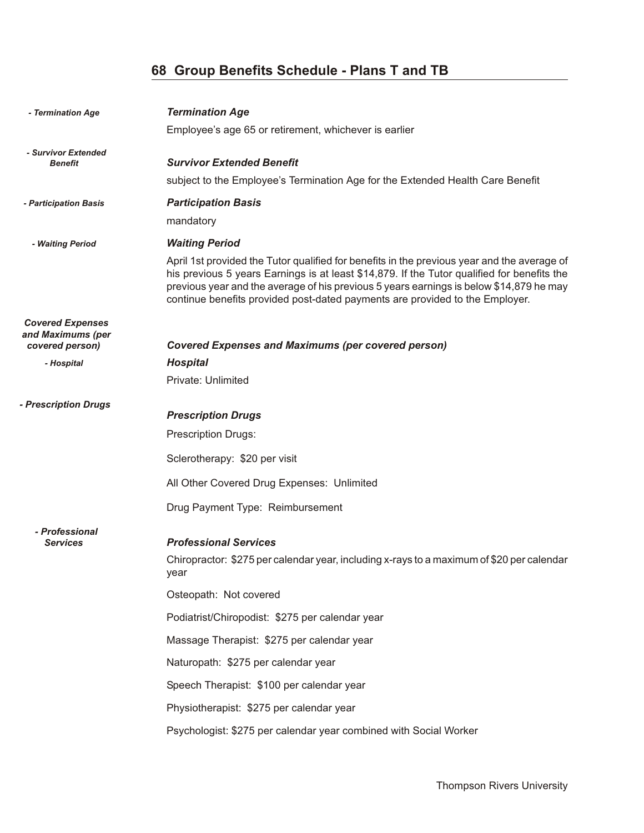### **68 Group Benefits Schedule - Plans T and TB**

| - Termination Age                            | <b>Termination Age</b>                                                                                                                                                                                                                                                                                                                                                |
|----------------------------------------------|-----------------------------------------------------------------------------------------------------------------------------------------------------------------------------------------------------------------------------------------------------------------------------------------------------------------------------------------------------------------------|
|                                              | Employee's age 65 or retirement, whichever is earlier                                                                                                                                                                                                                                                                                                                 |
| - Survivor Extended                          | <b>Survivor Extended Benefit</b>                                                                                                                                                                                                                                                                                                                                      |
| <b>Benefit</b>                               | subject to the Employee's Termination Age for the Extended Health Care Benefit                                                                                                                                                                                                                                                                                        |
|                                              | <b>Participation Basis</b>                                                                                                                                                                                                                                                                                                                                            |
| - Participation Basis                        | mandatory                                                                                                                                                                                                                                                                                                                                                             |
| - Waiting Period                             | <b>Waiting Period</b>                                                                                                                                                                                                                                                                                                                                                 |
|                                              | April 1st provided the Tutor qualified for benefits in the previous year and the average of<br>his previous 5 years Earnings is at least \$14,879. If the Tutor qualified for benefits the<br>previous year and the average of his previous 5 years earnings is below \$14,879 he may<br>continue benefits provided post-dated payments are provided to the Employer. |
| <b>Covered Expenses</b><br>and Maximums (per |                                                                                                                                                                                                                                                                                                                                                                       |
| covered person)                              | <b>Covered Expenses and Maximums (per covered person)</b>                                                                                                                                                                                                                                                                                                             |
| - Hospital                                   | <b>Hospital</b><br>Private: Unlimited                                                                                                                                                                                                                                                                                                                                 |
|                                              |                                                                                                                                                                                                                                                                                                                                                                       |
| - Prescription Drugs                         | <b>Prescription Drugs</b>                                                                                                                                                                                                                                                                                                                                             |
|                                              | <b>Prescription Drugs:</b>                                                                                                                                                                                                                                                                                                                                            |
|                                              | Sclerotherapy: \$20 per visit                                                                                                                                                                                                                                                                                                                                         |
|                                              | All Other Covered Drug Expenses: Unlimited                                                                                                                                                                                                                                                                                                                            |
|                                              | Drug Payment Type: Reimbursement                                                                                                                                                                                                                                                                                                                                      |
| - Professional<br><b>Services</b>            | <b>Professional Services</b><br>Chiropractor: \$275 per calendar year, including x-rays to a maximum of \$20 per calendar<br>vear                                                                                                                                                                                                                                     |
|                                              | Osteopath: Not covered                                                                                                                                                                                                                                                                                                                                                |
|                                              | Podiatrist/Chiropodist: \$275 per calendar year                                                                                                                                                                                                                                                                                                                       |
|                                              | Massage Therapist: \$275 per calendar year                                                                                                                                                                                                                                                                                                                            |
|                                              | Naturopath: \$275 per calendar year                                                                                                                                                                                                                                                                                                                                   |
|                                              | Speech Therapist: \$100 per calendar year                                                                                                                                                                                                                                                                                                                             |
|                                              | Physiotherapist: \$275 per calendar year                                                                                                                                                                                                                                                                                                                              |
|                                              | Psychologist: \$275 per calendar year combined with Social Worker                                                                                                                                                                                                                                                                                                     |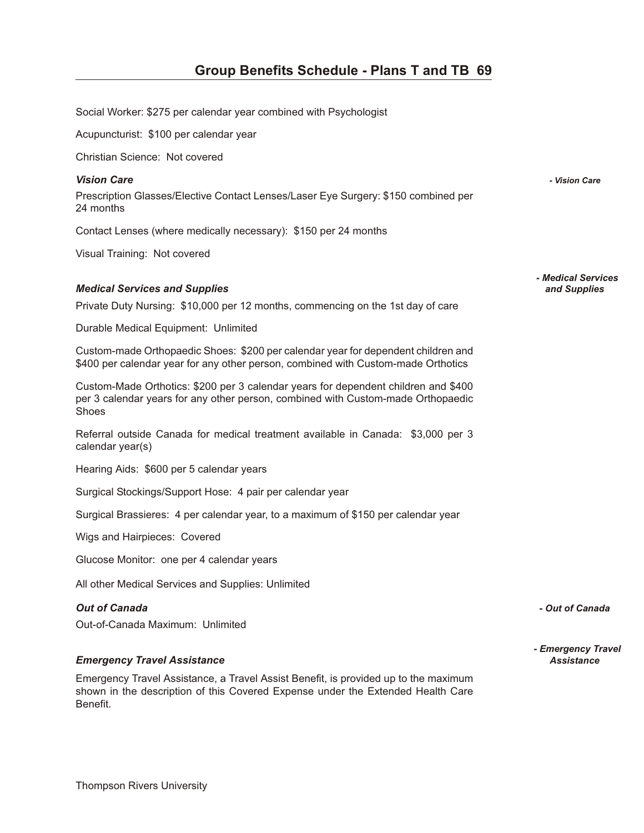Social Worker: \$275 per calendar year combined with Psychologist

Acupuncturist: \$100 per calendar year

Christian Science: Not covered

#### *Vi sion Care - Vision Care*

Prescription Glasses/Elective Contact Lenses/Laser Eye Surgery: \$150 combined per 24 months

Contact Lenses (where medically necessary): \$150 per 24 months

Visual Training: Not covered

#### *Med i cal Ser vices and Sup plies and Supplies*

Private Duty Nursing: \$10,000 per 12 months, commencing on the 1st day of care

Durable Medical Equipment: Unlimited

Custom-made Orthopaedic Shoes: \$200 per calendar year for dependent children and \$400 per calendar year for any other person, combined with Custom-made Orthotics

Custom-Made Orthotics: \$200 per 3 calendar years for dependent children and \$400 per 3 calendar years for any other person, combined with Custom-made Orthopaedic Shoes

Referral outside Canada for medical treatment available in Canada: \$3,000 per 3 calendar year(s)

Hearing Aids: \$600 per 5 calendar years

Surgical Stockings/Support Hose: 4 pair per calendar year

Surgical Brassieres: 4 per calendar year, to a maximum of \$150 per calendar year

Wigs and Hairpieces: Covered

Glucose Monitor: one per 4 calendar years

All other Medical Services and Supplies: Unlimited

#### *Out of Can ada - Out of Canada*

Out-of-Canada Maximum: Unlimited

#### *Emer gency Travel As sis tance Assistance*

Emergency Travel Assistance, a Travel Assist Benefit, is provided up to the maximum shown in the description of this Covered Expense under the Extended Health Care Benefit.

*- Medical Services*

*- Emergency Travel*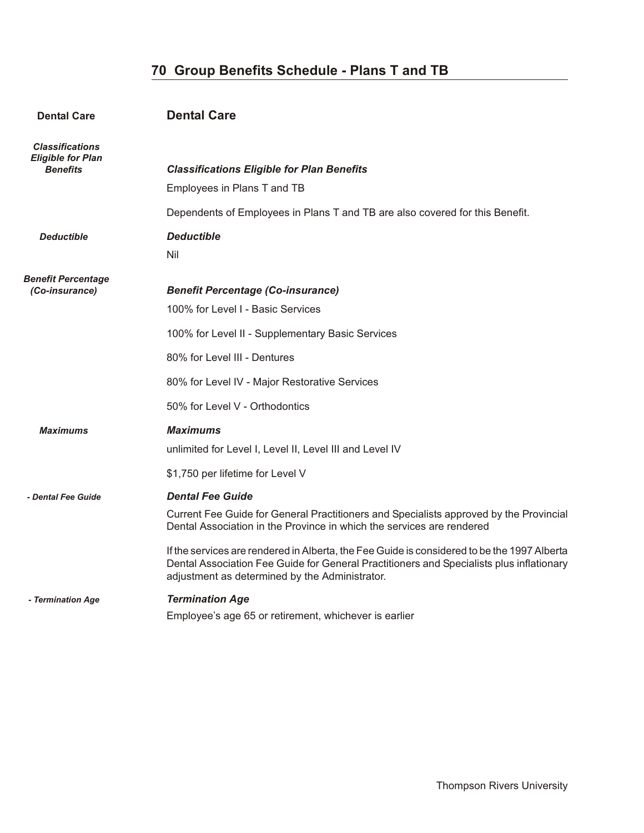### **70 Group Benefits Schedule - Plans T and TB**

| <b>Dental Care</b>                                                    | <b>Dental Care</b>                                                                                                                                                                                                                        |
|-----------------------------------------------------------------------|-------------------------------------------------------------------------------------------------------------------------------------------------------------------------------------------------------------------------------------------|
| <b>Classifications</b><br><b>Eligible for Plan</b><br><b>Benefits</b> | <b>Classifications Eligible for Plan Benefits</b><br>Employees in Plans T and TB                                                                                                                                                          |
|                                                                       | Dependents of Employees in Plans T and TB are also covered for this Benefit.                                                                                                                                                              |
| <b>Deductible</b>                                                     | <b>Deductible</b><br>Nil                                                                                                                                                                                                                  |
| <b>Benefit Percentage</b><br>(Co-insurance)                           | <b>Benefit Percentage (Co-insurance)</b><br>100% for Level I - Basic Services                                                                                                                                                             |
|                                                                       | 100% for Level II - Supplementary Basic Services                                                                                                                                                                                          |
|                                                                       | 80% for Level III - Dentures                                                                                                                                                                                                              |
|                                                                       | 80% for Level IV - Major Restorative Services                                                                                                                                                                                             |
|                                                                       | 50% for Level V - Orthodontics                                                                                                                                                                                                            |
| <b>Maximums</b>                                                       | <b>Maximums</b><br>unlimited for Level I, Level II, Level III and Level IV                                                                                                                                                                |
|                                                                       | \$1,750 per lifetime for Level V                                                                                                                                                                                                          |
| - Dental Fee Guide                                                    | <b>Dental Fee Guide</b>                                                                                                                                                                                                                   |
|                                                                       | Current Fee Guide for General Practitioners and Specialists approved by the Provincial<br>Dental Association in the Province in which the services are rendered                                                                           |
|                                                                       | If the services are rendered in Alberta, the Fee Guide is considered to be the 1997 Alberta<br>Dental Association Fee Guide for General Practitioners and Specialists plus inflationary<br>adjustment as determined by the Administrator. |
| - Termination Age                                                     | <b>Termination Age</b>                                                                                                                                                                                                                    |
|                                                                       | Employee's age 65 or retirement, whichever is earlier                                                                                                                                                                                     |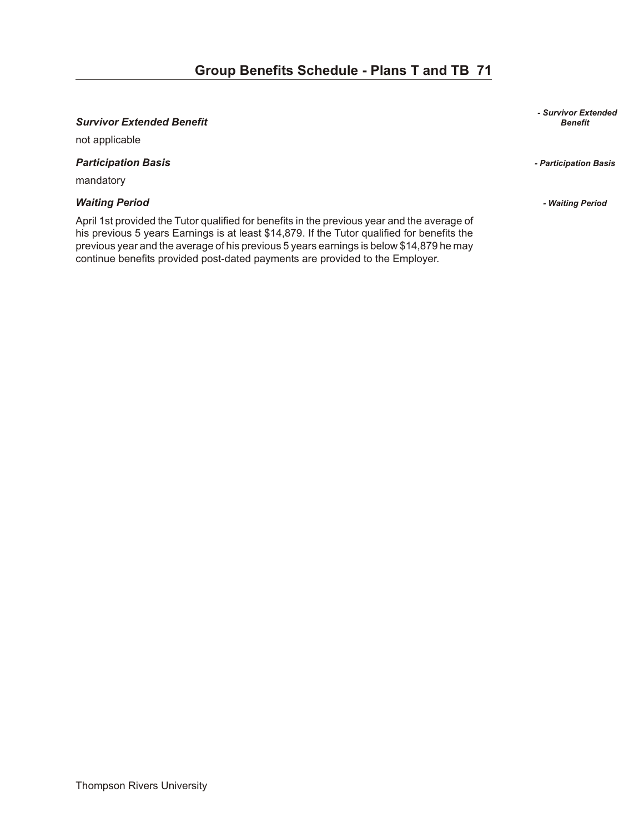#### *Sur vi vor Ex tended Ben e fit Benefit*

not applicable

*Par tic i pa tion Ba sis - Participation Basis* 

mandatory

#### *Wait ing Pe riod - Waiting Period*

April 1st provided the Tutor qualified for benefits in the previous year and the average of his previous 5 years Earnings is at least \$14,879. If the Tutor qualified for benefits the previous year and the average of his previous 5 years earnings is below \$14,879 he may continue benefits provided post-dated payments are provided to the Employer.

*- Survivor Extended*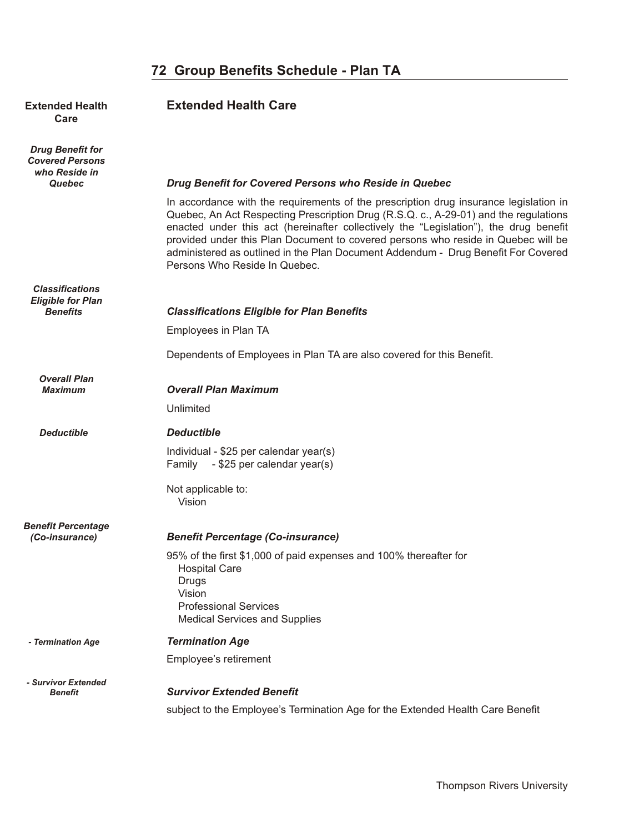| <b>Extended Health</b><br>Care                                        | <b>Extended Health Care</b>                                                                                                                                                                                                                                                                                                                                                                                                                                                       |
|-----------------------------------------------------------------------|-----------------------------------------------------------------------------------------------------------------------------------------------------------------------------------------------------------------------------------------------------------------------------------------------------------------------------------------------------------------------------------------------------------------------------------------------------------------------------------|
| <b>Drug Benefit for</b><br><b>Covered Persons</b><br>who Reside in    |                                                                                                                                                                                                                                                                                                                                                                                                                                                                                   |
| <b>Quebec</b>                                                         | Drug Benefit for Covered Persons who Reside in Quebec                                                                                                                                                                                                                                                                                                                                                                                                                             |
|                                                                       | In accordance with the requirements of the prescription drug insurance legislation in<br>Quebec, An Act Respecting Prescription Drug (R.S.Q. c., A-29-01) and the regulations<br>enacted under this act (hereinafter collectively the "Legislation"), the drug benefit<br>provided under this Plan Document to covered persons who reside in Quebec will be<br>administered as outlined in the Plan Document Addendum - Drug Benefit For Covered<br>Persons Who Reside In Quebec. |
| <b>Classifications</b><br><b>Eligible for Plan</b><br><b>Benefits</b> | <b>Classifications Eligible for Plan Benefits</b>                                                                                                                                                                                                                                                                                                                                                                                                                                 |
|                                                                       | Employees in Plan TA                                                                                                                                                                                                                                                                                                                                                                                                                                                              |
|                                                                       |                                                                                                                                                                                                                                                                                                                                                                                                                                                                                   |
|                                                                       | Dependents of Employees in Plan TA are also covered for this Benefit.                                                                                                                                                                                                                                                                                                                                                                                                             |
| <b>Overall Plan</b><br><b>Maximum</b>                                 | <b>Overall Plan Maximum</b>                                                                                                                                                                                                                                                                                                                                                                                                                                                       |
|                                                                       | Unlimited                                                                                                                                                                                                                                                                                                                                                                                                                                                                         |
| <b>Deductible</b>                                                     | <b>Deductible</b>                                                                                                                                                                                                                                                                                                                                                                                                                                                                 |
|                                                                       | Individual - \$25 per calendar year(s)<br>- \$25 per calendar year(s)<br>Family                                                                                                                                                                                                                                                                                                                                                                                                   |
|                                                                       | Not applicable to:<br>Vision                                                                                                                                                                                                                                                                                                                                                                                                                                                      |
| <b>Benefit Percentage</b>                                             |                                                                                                                                                                                                                                                                                                                                                                                                                                                                                   |
| (Co-insurance)                                                        | <b>Benefit Percentage (Co-insurance)</b>                                                                                                                                                                                                                                                                                                                                                                                                                                          |
|                                                                       | 95% of the first \$1,000 of paid expenses and 100% thereafter for<br><b>Hospital Care</b><br>Drugs<br>Vision<br><b>Professional Services</b><br><b>Medical Services and Supplies</b>                                                                                                                                                                                                                                                                                              |
| - Termination Age                                                     | <b>Termination Age</b>                                                                                                                                                                                                                                                                                                                                                                                                                                                            |
|                                                                       | Employee's retirement                                                                                                                                                                                                                                                                                                                                                                                                                                                             |
| - Survivor Extended<br><b>Benefit</b>                                 | <b>Survivor Extended Benefit</b>                                                                                                                                                                                                                                                                                                                                                                                                                                                  |

subject to the Employee's Termination Age for the Extended Health Care Benefit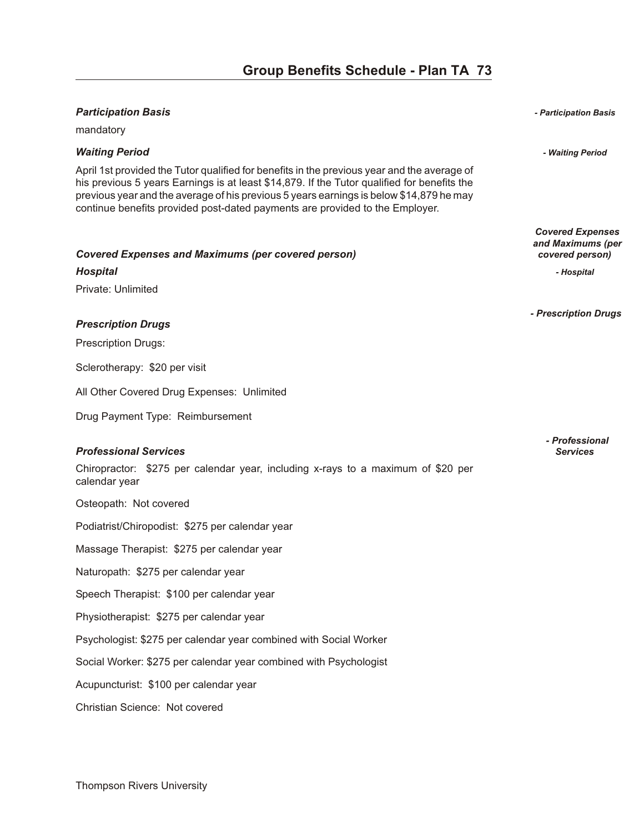| <b>Participation Basis</b>                                                                                                                                                                                                                                                                                                                                            | - Participation Basis                                           |
|-----------------------------------------------------------------------------------------------------------------------------------------------------------------------------------------------------------------------------------------------------------------------------------------------------------------------------------------------------------------------|-----------------------------------------------------------------|
| mandatory                                                                                                                                                                                                                                                                                                                                                             |                                                                 |
| <b>Waiting Period</b>                                                                                                                                                                                                                                                                                                                                                 | - Waiting Period                                                |
| April 1st provided the Tutor qualified for benefits in the previous year and the average of<br>his previous 5 years Earnings is at least \$14,879. If the Tutor qualified for benefits the<br>previous year and the average of his previous 5 years earnings is below \$14,879 he may<br>continue benefits provided post-dated payments are provided to the Employer. |                                                                 |
| <b>Covered Expenses and Maximums (per covered person)</b>                                                                                                                                                                                                                                                                                                             | <b>Covered Expenses</b><br>and Maximums (per<br>covered person) |
| <b>Hospital</b>                                                                                                                                                                                                                                                                                                                                                       | - Hospital                                                      |
| Private: Unlimited                                                                                                                                                                                                                                                                                                                                                    |                                                                 |
| <b>Prescription Drugs</b>                                                                                                                                                                                                                                                                                                                                             | - Prescription Drugs                                            |
| <b>Prescription Drugs:</b>                                                                                                                                                                                                                                                                                                                                            |                                                                 |
| Sclerotherapy: \$20 per visit                                                                                                                                                                                                                                                                                                                                         |                                                                 |
| All Other Covered Drug Expenses: Unlimited                                                                                                                                                                                                                                                                                                                            |                                                                 |
| Drug Payment Type: Reimbursement                                                                                                                                                                                                                                                                                                                                      |                                                                 |
| <b>Professional Services</b><br>Chiropractor: \$275 per calendar year, including x-rays to a maximum of \$20 per<br>calendar year                                                                                                                                                                                                                                     | - Professional<br><b>Services</b>                               |
| Osteopath: Not covered                                                                                                                                                                                                                                                                                                                                                |                                                                 |
| Podiatrist/Chiropodist: \$275 per calendar year                                                                                                                                                                                                                                                                                                                       |                                                                 |
| Massage Therapist: \$275 per calendar year                                                                                                                                                                                                                                                                                                                            |                                                                 |
| Naturopath: \$275 per calendar year                                                                                                                                                                                                                                                                                                                                   |                                                                 |
| Speech Therapist: \$100 per calendar year                                                                                                                                                                                                                                                                                                                             |                                                                 |
| Physiotherapist: \$275 per calendar year                                                                                                                                                                                                                                                                                                                              |                                                                 |
| Psychologist: \$275 per calendar year combined with Social Worker                                                                                                                                                                                                                                                                                                     |                                                                 |
| Social Worker: \$275 per calendar year combined with Psychologist                                                                                                                                                                                                                                                                                                     |                                                                 |
| Acupuncturist: \$100 per calendar year                                                                                                                                                                                                                                                                                                                                |                                                                 |
| Christian Science: Not covered                                                                                                                                                                                                                                                                                                                                        |                                                                 |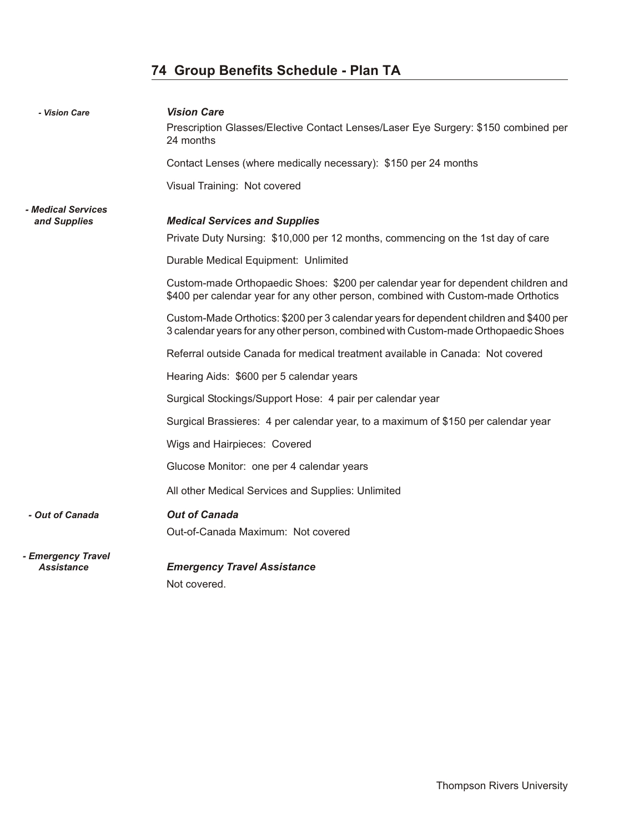# **74 Group Benefits Schedule - Plan TA**

| - Vision Care                             | <b>Vision Care</b><br>Prescription Glasses/Elective Contact Lenses/Laser Eye Surgery: \$150 combined per<br>24 months                                                        |
|-------------------------------------------|------------------------------------------------------------------------------------------------------------------------------------------------------------------------------|
|                                           | Contact Lenses (where medically necessary): \$150 per 24 months                                                                                                              |
|                                           | Visual Training: Not covered                                                                                                                                                 |
| <i>- Medical Services</i><br>and Supplies | <b>Medical Services and Supplies</b>                                                                                                                                         |
|                                           | Private Duty Nursing: \$10,000 per 12 months, commencing on the 1st day of care                                                                                              |
|                                           | Durable Medical Equipment: Unlimited                                                                                                                                         |
|                                           | Custom-made Orthopaedic Shoes: \$200 per calendar year for dependent children and<br>\$400 per calendar year for any other person, combined with Custom-made Orthotics       |
|                                           | Custom-Made Orthotics: \$200 per 3 calendar years for dependent children and \$400 per<br>3 calendar years for any other person, combined with Custom-made Orthopaedic Shoes |
|                                           | Referral outside Canada for medical treatment available in Canada: Not covered                                                                                               |
|                                           | Hearing Aids: \$600 per 5 calendar years                                                                                                                                     |
|                                           | Surgical Stockings/Support Hose: 4 pair per calendar year                                                                                                                    |
|                                           | Surgical Brassieres: 4 per calendar year, to a maximum of \$150 per calendar year                                                                                            |
|                                           | Wigs and Hairpieces: Covered                                                                                                                                                 |
|                                           | Glucose Monitor: one per 4 calendar years                                                                                                                                    |
|                                           | All other Medical Services and Supplies: Unlimited                                                                                                                           |
| - Out of Canada                           | <b>Out of Canada</b>                                                                                                                                                         |
|                                           | Out-of-Canada Maximum: Not covered                                                                                                                                           |
| - Emergency Travel<br><b>Assistance</b>   | <b>Emergency Travel Assistance</b>                                                                                                                                           |

Not covered.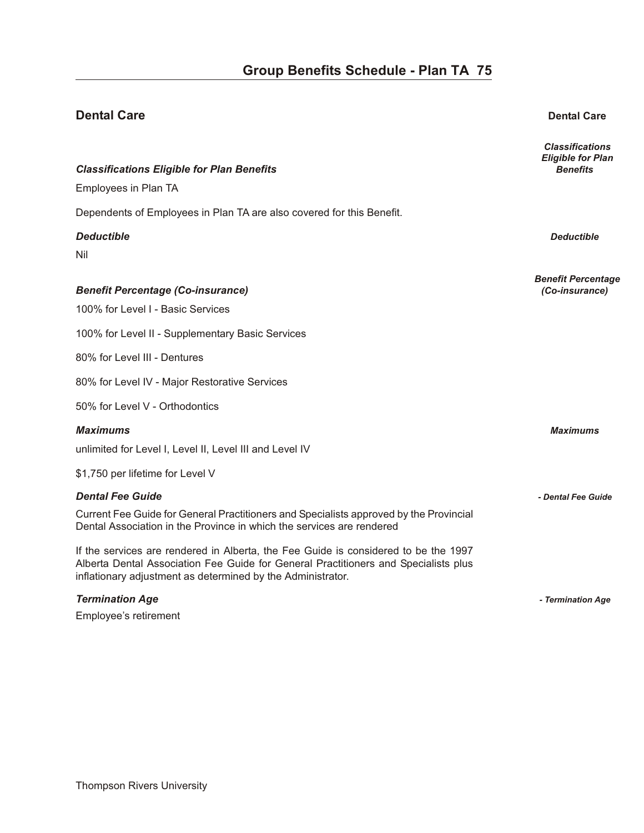# **Dental Care Dental Care** *Classifications Eligible for Plan* **Classifications Eligible for Plan Benefits Classifications** *Benefits Benefits* Employees in Plan TA Dependents of Employees in Plan TA are also covered for this Benefit. *De duct ible Deductible*  Nil *Benefit Percentage Ben e fit Per cent age (Co-in sur ance) (Co-insurance)*  100% for Level I - Basic Services 100% for Level II - Supplementary Basic Services 80% for Level III - Dentures 80% for Level IV - Major Restorative Services 50% for Level V - Orthodontics *Max i mums Maximums*  unlimited for Level I, Level II, Level III and Level IV \$1,750 per lifetime for Level V *Den tal Fee Guide - Dental Fee Guide*  Current Fee Guide for General Practitioners and Specialists approved by the Provincial Dental Association in the Province in which the services are rendered If the services are rendered in Alberta, the Fee Guide is considered to be the 1997 Alberta Dental Association Fee Guide for General Practitioners and Specialists plus inflationary adjustment as determined by the Administrator.

*Ter mi na tion Age - Termination Age* 

Employee's retirement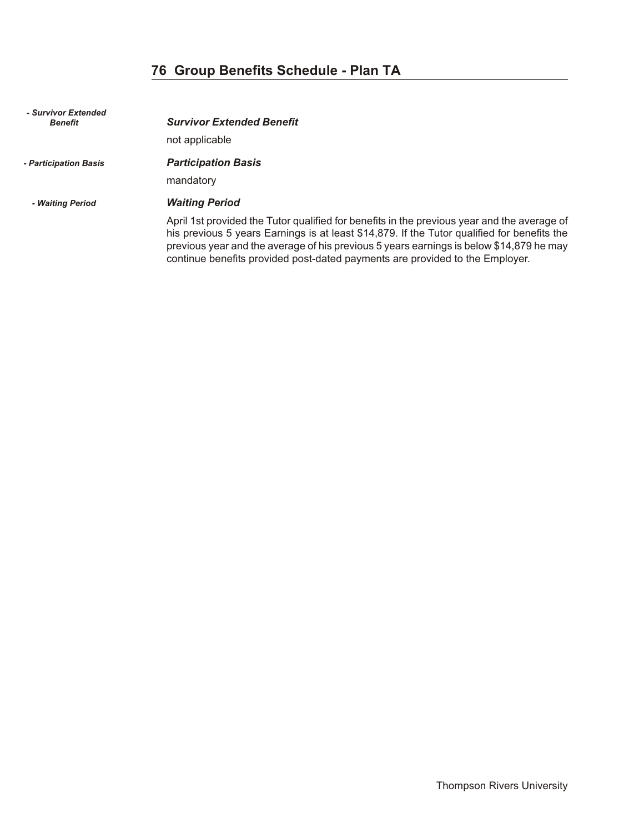# **76 Group Benefits Schedule - Plan TA**

| - Survivor Extended<br><b>Benefit</b> | <b>Survivor Extended Benefit</b><br>not applicable                                                                                                                                                                                                                                                                                                                    |
|---------------------------------------|-----------------------------------------------------------------------------------------------------------------------------------------------------------------------------------------------------------------------------------------------------------------------------------------------------------------------------------------------------------------------|
| - Participation Basis                 | <b>Participation Basis</b><br>mandatory                                                                                                                                                                                                                                                                                                                               |
| - Waiting Period                      | <b>Waiting Period</b>                                                                                                                                                                                                                                                                                                                                                 |
|                                       | April 1st provided the Tutor qualified for benefits in the previous year and the average of<br>his previous 5 years Earnings is at least \$14,879. If the Tutor qualified for benefits the<br>previous year and the average of his previous 5 years earnings is below \$14,879 he may<br>continue benefits provided post-dated payments are provided to the Employer. |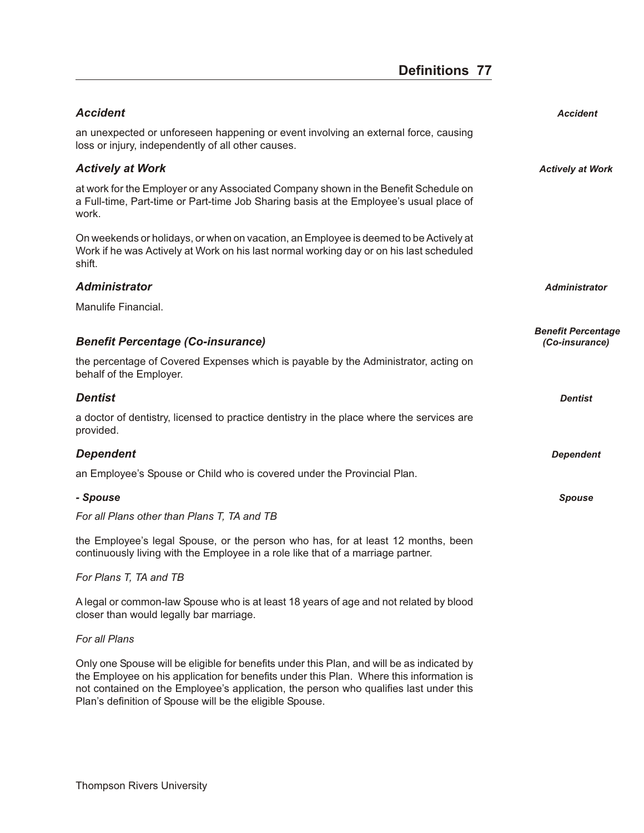## **Definitions 77**

| <b>Accident</b>                                                                                                                                                                            | <b>Accident</b>           |
|--------------------------------------------------------------------------------------------------------------------------------------------------------------------------------------------|---------------------------|
| an unexpected or unforeseen happening or event involving an external force, causing<br>loss or injury, independently of all other causes.                                                  |                           |
| <b>Actively at Work</b>                                                                                                                                                                    | <b>Actively at Work</b>   |
| at work for the Employer or any Associated Company shown in the Benefit Schedule on<br>a Full-time, Part-time or Part-time Job Sharing basis at the Employee's usual place of<br>work.     |                           |
| On weekends or holidays, or when on vacation, an Employee is deemed to be Actively at<br>Work if he was Actively at Work on his last normal working day or on his last scheduled<br>shift. |                           |
| <b>Administrator</b>                                                                                                                                                                       | <b>Administrator</b>      |
| Manulife Financial.                                                                                                                                                                        |                           |
|                                                                                                                                                                                            | <b>Benefit Percentage</b> |
| <b>Benefit Percentage (Co-insurance)</b>                                                                                                                                                   | (Co-insurance)            |
| the percentage of Covered Expenses which is payable by the Administrator, acting on<br>behalf of the Employer.                                                                             |                           |
| <b>Dentist</b>                                                                                                                                                                             | <b>Dentist</b>            |
| a doctor of dentistry, licensed to practice dentistry in the place where the services are<br>provided.                                                                                     |                           |
| <b>Dependent</b>                                                                                                                                                                           | <b>Dependent</b>          |
| an Employee's Spouse or Child who is covered under the Provincial Plan.                                                                                                                    |                           |
| - Spouse                                                                                                                                                                                   | <b>Spouse</b>             |
| For all Plans other than Plans T, TA and TB                                                                                                                                                |                           |
| the Employee's legal Spouse, or the person who has, for at least 12 months, been<br>continuously living with the Employee in a role like that of a marriage partner.                       |                           |
| For Plans T, TA and TB                                                                                                                                                                     |                           |
| A legal or common-law Spouse who is at least 18 years of age and not related by blood<br>closer than would legally bar marriage.                                                           |                           |
| For all Plans                                                                                                                                                                              |                           |

Only one Spouse will be eligible for benefits under this Plan, and will be as indicated by the Employee on his application for benefits under this Plan. Where this information is not contained on the Employee's application, the person who qualifies last under this Plan's definition of Spouse will be the eligible Spouse.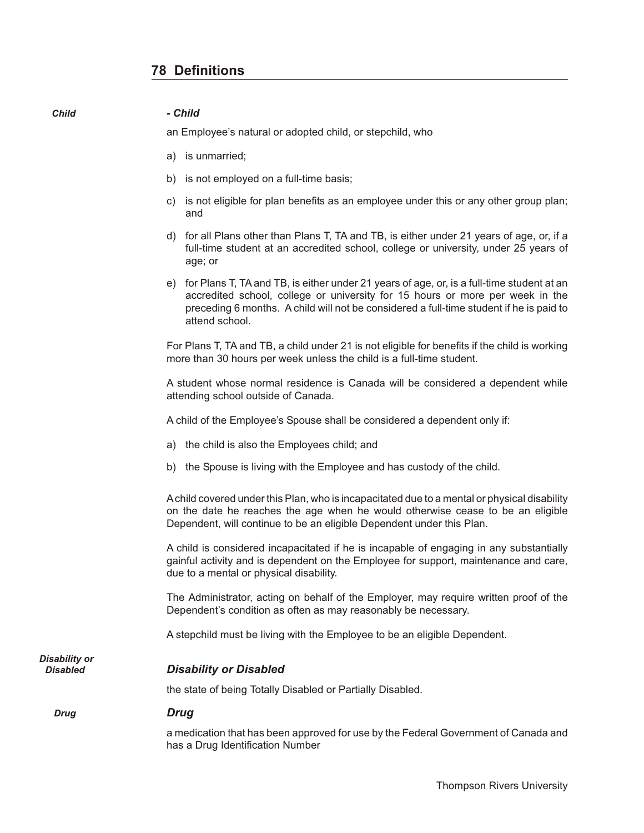*Child - Child*

|                                  | a) is unmarried;                                                                                                                                                                                                                                                                           |
|----------------------------------|--------------------------------------------------------------------------------------------------------------------------------------------------------------------------------------------------------------------------------------------------------------------------------------------|
|                                  | b) is not employed on a full-time basis;                                                                                                                                                                                                                                                   |
|                                  | c) is not eligible for plan benefits as an employee under this or any other group plan;<br>and                                                                                                                                                                                             |
|                                  | d) for all Plans other than Plans T, TA and TB, is either under 21 years of age, or, if a<br>full-time student at an accredited school, college or university, under 25 years of<br>age; or                                                                                                |
|                                  | e) for Plans T, TA and TB, is either under 21 years of age, or, is a full-time student at an<br>accredited school, college or university for 15 hours or more per week in the<br>preceding 6 months. A child will not be considered a full-time student if he is paid to<br>attend school. |
|                                  | For Plans T, TA and TB, a child under 21 is not eligible for benefits if the child is working<br>more than 30 hours per week unless the child is a full-time student.                                                                                                                      |
|                                  | A student whose normal residence is Canada will be considered a dependent while<br>attending school outside of Canada.                                                                                                                                                                     |
|                                  | A child of the Employee's Spouse shall be considered a dependent only if:                                                                                                                                                                                                                  |
|                                  | a) the child is also the Employees child; and                                                                                                                                                                                                                                              |
|                                  | b) the Spouse is living with the Employee and has custody of the child.                                                                                                                                                                                                                    |
|                                  | A child covered under this Plan, who is incapacitated due to a mental or physical disability<br>on the date he reaches the age when he would otherwise cease to be an eligible<br>Dependent, will continue to be an eligible Dependent under this Plan.                                    |
|                                  | A child is considered incapacitated if he is incapable of engaging in any substantially<br>gainful activity and is dependent on the Employee for support, maintenance and care,<br>due to a mental or physical disability.                                                                 |
|                                  | The Administrator, acting on behalf of the Employer, may require written proof of the<br>Dependent's condition as often as may reasonably be necessary.                                                                                                                                    |
|                                  | A stepchild must be living with the Employee to be an eligible Dependent.                                                                                                                                                                                                                  |
| Disability or<br><b>Disabled</b> | <b>Disability or Disabled</b>                                                                                                                                                                                                                                                              |
|                                  | the state of being Totally Disabled or Partially Disabled.                                                                                                                                                                                                                                 |
| <b>Drug</b>                      | <b>Drug</b>                                                                                                                                                                                                                                                                                |
|                                  | a medication that has been approved for use by the Federal Government of Canada and<br>has a Drug Identification Number                                                                                                                                                                    |

an Employee's natural or adopted child, or stepchild, who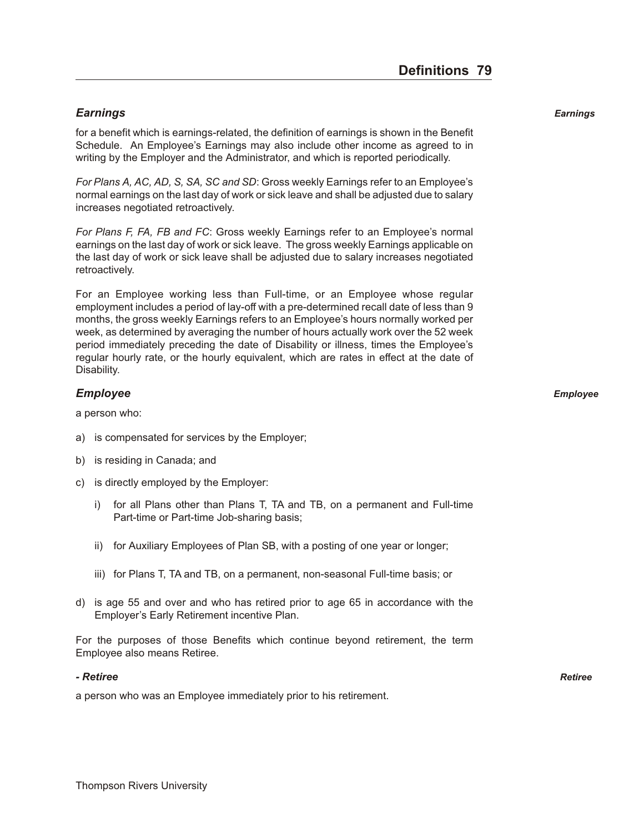## *Earn ings Earnings*

for a benefit which is earnings-related, the definition of earnings is shown in the Benefit Schedule. An Employee's Earnings may also include other income as agreed to in writing by the Employer and the Administrator, and which is reported periodically.

*For Plans A, AC, AD, S, SA, SC and SD*: Gross weekly Earnings refer to an Employee's normal earnings on the last day of work or sick leave and shall be adjusted due to salary increases negotiated retroactively.

*For Plans F, FA, FB and FC*: Gross weekly Earnings refer to an Employee's normal earnings on the last day of work or sick leave. The gross weekly Earnings applicable on the last day of work or sick leave shall be adjusted due to salary increases negotiated retroactively.

For an Employee working less than Full-time, or an Employee whose regular employment includes a period of lay-off with a pre-determined recall date of less than 9 months, the gross weekly Earnings refers to an Employee's hours normally worked per week, as determined by averaging the number of hours actually work over the 52 week period immediately preceding the date of Disability or illness, times the Employee's regular hourly rate, or the hourly equivalent, which are rates in effect at the date of Disability.

## *Em ployee Employee*

a person who:

- a) is compensated for services by the Employer;
- b) is residing in Canada; and
- c) is directly employed by the Employer:
	- i) for all Plans other than Plans T, TA and TB, on a permanent and Full-time Part-time or Part-time Job-sharing basis;
	- ii) for Auxiliary Employees of Plan SB, with a posting of one year or longer;
	- iii) for Plans T, TA and TB, on a permanent, non-seasonal Full-time basis; or
- d) is age 55 and over and who has retired prior to age 65 in accordance with the Employer's Early Retirement incentive Plan.

For the purposes of those Benefits which continue beyond retirement, the term Employee also means Retiree.

#### *- Re tiree Retiree*

a person who was an Employee immediately prior to his retirement.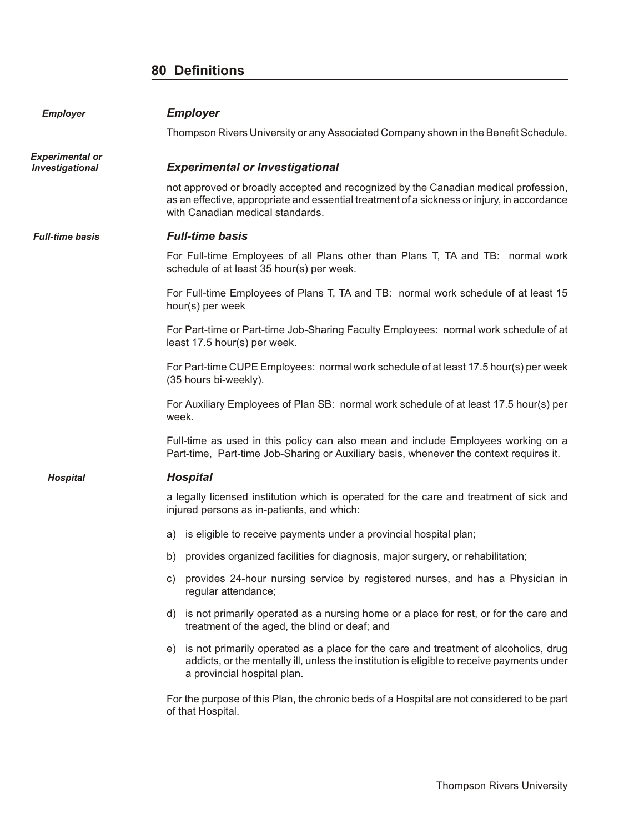## **80 Definitions**

| <b>Employer</b>                                  | <b>Employer</b>                                                                                                                                                                                                        |
|--------------------------------------------------|------------------------------------------------------------------------------------------------------------------------------------------------------------------------------------------------------------------------|
|                                                  | Thompson Rivers University or any Associated Company shown in the Benefit Schedule.                                                                                                                                    |
| <b>Experimental or</b><br><b>Investigational</b> | <b>Experimental or Investigational</b>                                                                                                                                                                                 |
|                                                  | not approved or broadly accepted and recognized by the Canadian medical profession,<br>as an effective, appropriate and essential treatment of a sickness or injury, in accordance<br>with Canadian medical standards. |
| <b>Full-time basis</b>                           | <b>Full-time basis</b>                                                                                                                                                                                                 |
|                                                  | For Full-time Employees of all Plans other than Plans T, TA and TB: normal work<br>schedule of at least 35 hour(s) per week.                                                                                           |
|                                                  | For Full-time Employees of Plans T, TA and TB: normal work schedule of at least 15<br>hour(s) per week                                                                                                                 |
|                                                  | For Part-time or Part-time Job-Sharing Faculty Employees: normal work schedule of at<br>least 17.5 hour(s) per week.                                                                                                   |
|                                                  | For Part-time CUPE Employees: normal work schedule of at least 17.5 hour(s) per week<br>(35 hours bi-weekly).                                                                                                          |
|                                                  | For Auxiliary Employees of Plan SB: normal work schedule of at least 17.5 hour(s) per<br>week.                                                                                                                         |
|                                                  | Full-time as used in this policy can also mean and include Employees working on a<br>Part-time, Part-time Job-Sharing or Auxiliary basis, whenever the context requires it.                                            |
| <b>Hospital</b>                                  | <b>Hospital</b>                                                                                                                                                                                                        |
|                                                  | a legally licensed institution which is operated for the care and treatment of sick and<br>injured persons as in-patients, and which:                                                                                  |
|                                                  | a) is eligible to receive payments under a provincial hospital plan;                                                                                                                                                   |
|                                                  | b) provides organized facilities for diagnosis, major surgery, or rehabilitation;                                                                                                                                      |
|                                                  | c) provides 24-hour nursing service by registered nurses, and has a Physician in<br>regular attendance;                                                                                                                |
|                                                  | d) is not primarily operated as a nursing home or a place for rest, or for the care and<br>treatment of the aged, the blind or deaf; and                                                                               |
|                                                  | e) is not primarily operated as a place for the care and treatment of alcoholics, drug<br>addicts, or the mentally ill, unless the institution is eligible to receive payments under<br>a provincial hospital plan.    |
|                                                  | For the purpose of this Plan, the chronic beds of a Hospital are not considered to be part<br>of that Hospital.                                                                                                        |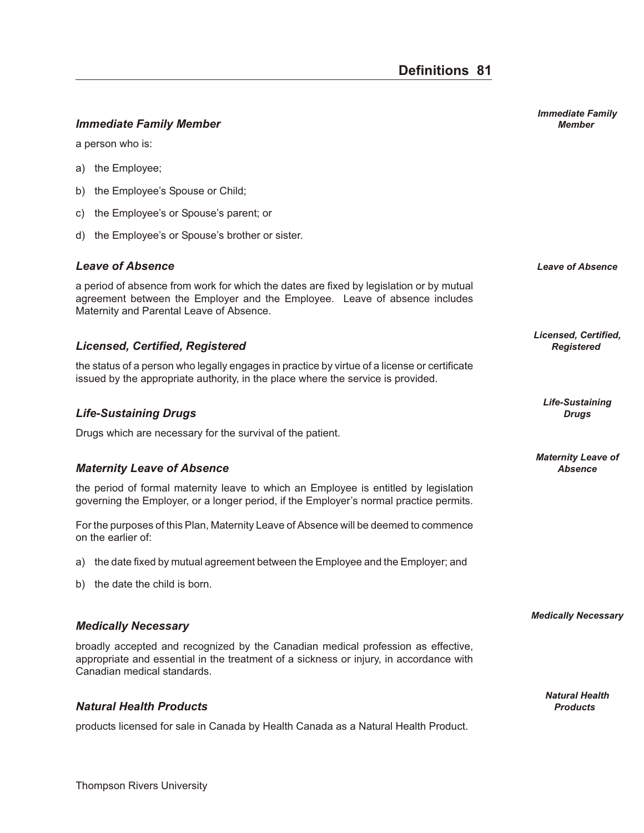## *Im me di ate Fam ily Mem ber Member*

a person who is:

- a) the Employee;
- b) the Employee's Spouse or Child;
- c) the Employee's or Spouse's parent; or
- d) the Employee's or Spouse's brother or sister.

#### *Leave of Ab sence Leave of Absence*

a period of absence from work for which the dates are fixed by legislation or by mutual agreement between the Employer and the Employee. Leave of absence includes Maternity and Parental Leave of Absence.

## *Li censed, Cer ti fied, Reg is tered Registered*

the status of a person who legally engages in practice by virtue of a license or certificate issued by the appropriate authority, in the place where the service is provided.

### *Life-Sus tain ing Drugs Drugs*

Drugs which are necessary for the survival of the patient.

#### *Ma ter nity Leave of Ab sence Absence*

the period of formal maternity leave to which an Employee is entitled by legislation governing the Employer, or a longer period, if the Employer's normal practice permits.

For the purposes of this Plan, Maternity Leave of Absence will be deemed to commence on the earlier of:

- a) the date fixed by mutual agreement between the Employee and the Employer; and
- b) the date the child is born.

#### **Medically Necessary**

broadly accepted and recognized by the Canadian medical profession as effective, appropriate and essential in the treatment of a sickness or injury, in accordance with Canadian medical standards.

## $Natural Health Products$

products licensed for sale in Canada by Health Canada as a Natural Health Product.

*Licensed, Certified,*

*Life-Sustaining*

*Maternity Leave of*

*Medically Necessary* 

*Natural Health*

*Immediate Family*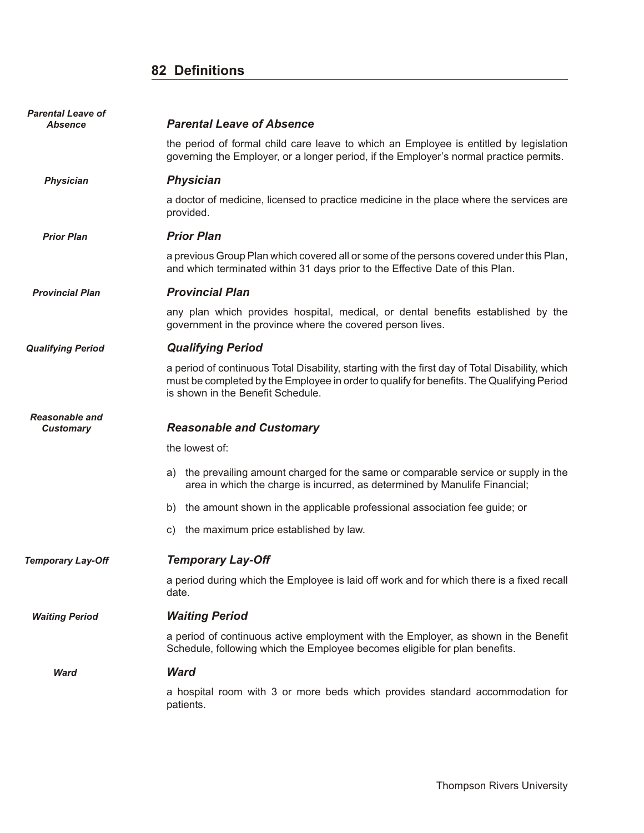## **82 Definitions**

| <b>Parental Leave of</b><br>Absence       | <b>Parental Leave of Absence</b>                                                                                                                                                                                                  |
|-------------------------------------------|-----------------------------------------------------------------------------------------------------------------------------------------------------------------------------------------------------------------------------------|
|                                           | the period of formal child care leave to which an Employee is entitled by legislation<br>governing the Employer, or a longer period, if the Employer's normal practice permits.                                                   |
| <b>Physician</b>                          | <b>Physician</b>                                                                                                                                                                                                                  |
|                                           | a doctor of medicine, licensed to practice medicine in the place where the services are<br>provided.                                                                                                                              |
| <b>Prior Plan</b>                         | <b>Prior Plan</b>                                                                                                                                                                                                                 |
|                                           | a previous Group Plan which covered all or some of the persons covered under this Plan,<br>and which terminated within 31 days prior to the Effective Date of this Plan.                                                          |
| <b>Provincial Plan</b>                    | <b>Provincial Plan</b>                                                                                                                                                                                                            |
|                                           | any plan which provides hospital, medical, or dental benefits established by the<br>government in the province where the covered person lives.                                                                                    |
| <b>Qualifying Period</b>                  | <b>Qualifying Period</b>                                                                                                                                                                                                          |
|                                           | a period of continuous Total Disability, starting with the first day of Total Disability, which<br>must be completed by the Employee in order to qualify for benefits. The Qualifying Period<br>is shown in the Benefit Schedule. |
| <b>Reasonable and</b><br><b>Customary</b> | <b>Reasonable and Customary</b>                                                                                                                                                                                                   |
|                                           | the lowest of:                                                                                                                                                                                                                    |
|                                           | a) the prevailing amount charged for the same or comparable service or supply in the<br>area in which the charge is incurred, as determined by Manulife Financial;                                                                |
|                                           | the amount shown in the applicable professional association fee guide; or<br>b)                                                                                                                                                   |
|                                           | the maximum price established by law.<br>C)                                                                                                                                                                                       |
| <b>Temporary Lay-Off</b>                  | <b>Temporary Lay-Off</b>                                                                                                                                                                                                          |
|                                           | a period during which the Employee is laid off work and for which there is a fixed recall<br>date.                                                                                                                                |
| <b>Waiting Period</b>                     | <b>Waiting Period</b>                                                                                                                                                                                                             |
|                                           | a period of continuous active employment with the Employer, as shown in the Benefit<br>Schedule, following which the Employee becomes eligible for plan benefits.                                                                 |
| Ward                                      | <b>Ward</b>                                                                                                                                                                                                                       |
|                                           | a hospital room with 3 or more beds which provides standard accommodation for<br>patients.                                                                                                                                        |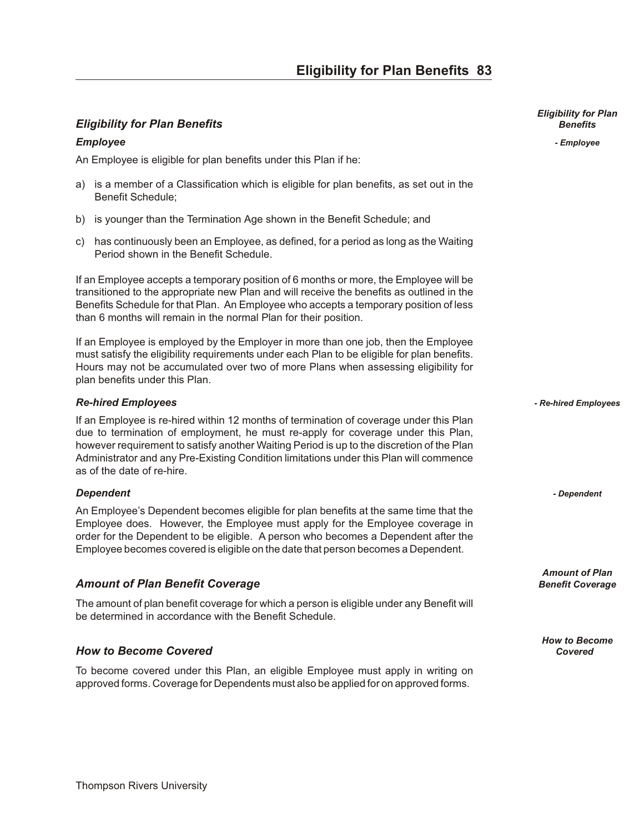## *Eligibility for Plan Benefits Benefits* **Benefits** *Benefits Benefits*

### *Em ployee - Employee*

An Employee is eligible for plan benefits under this Plan if he:

- a) is a member of a Classification which is eligible for plan benefits, as set out in the Benefit Schedule;
- b) is younger than the Termination Age shown in the Benefit Schedule; and
- c) has continuously been an Employee, as defined, for a period as long as the Waiting Period shown in the Benefit Schedule.

If an Employee accepts a temporary position of 6 months or more, the Employee will be transitioned to the appropriate new Plan and will receive the benefits as outlined in the Benefits Schedule for that Plan. An Employee who accepts a temporary position of less than 6 months will remain in the normal Plan for their position.

If an Employee is employed by the Employer in more than one job, then the Employee must satisfy the eligibility requirements under each Plan to be eligible for plan benefits. Hours may not be accumulated over two of more Plans when assessing eligibility for plan benefits under this Plan.

### *Re-hired Em ploy ees - Re-hired Employees*

If an Employee is re-hired within 12 months of termination of coverage under this Plan due to termination of employment, he must re-apply for coverage under this Plan, however requirement to satisfy another Waiting Period is up to the discretion of the Plan Administrator and any Pre-Existing Condition limitations under this Plan will commence as of the date of re-hire.

#### *De pend ent - Dependent*

An Employee's Dependent becomes eligible for plan benefits at the same time that the Employee does. However, the Employee must apply for the Employee coverage in order for the Dependent to be eligible. A person who becomes a Dependent after the Employee becomes covered is eligible on the date that person becomes a Dependent.

## *Amount of Plan Benefit Coverage* **Benefit Coverage Benefit Coverage Benefit Coverage**

The amount of plan benefit coverage for which a person is eligible under any Benefit will be determined in accordance with the Benefit Schedule.

## *How to Be come Cov ered Covered*

To become covered under this Plan, an eligible Employee must apply in writing on approved forms. Coverage for Dependents must also be applied for on approved forms.

*Eligibility for Plan*

*Amount of Plan*

*How to Become*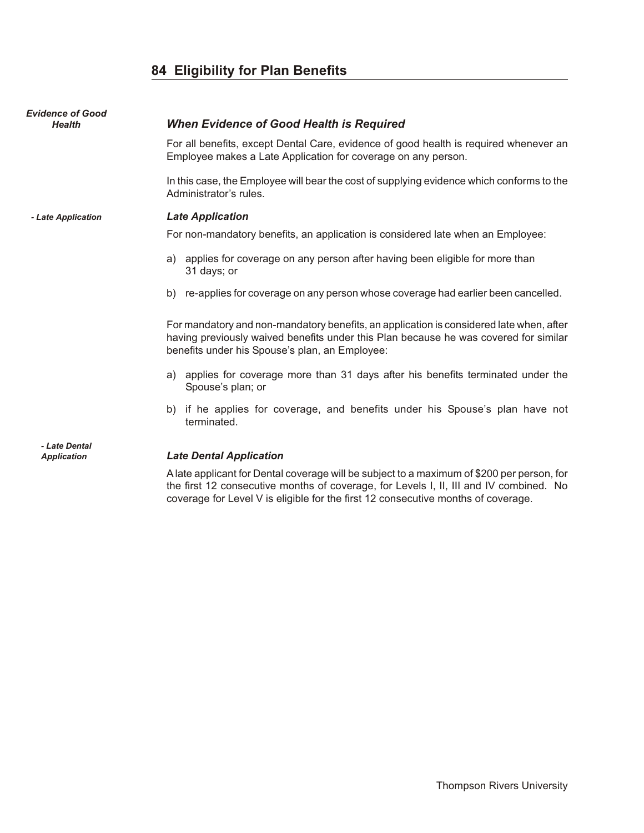## **84 Eligibility for Plan Benefits**

| <b>Evidence of Good</b><br><b>Health</b> | <b>When Evidence of Good Health is Required</b>                                                                                                                                                                                   |
|------------------------------------------|-----------------------------------------------------------------------------------------------------------------------------------------------------------------------------------------------------------------------------------|
|                                          | For all benefits, except Dental Care, evidence of good health is required whenever an<br>Employee makes a Late Application for coverage on any person.                                                                            |
|                                          | In this case, the Employee will bear the cost of supplying evidence which conforms to the<br>Administrator's rules.                                                                                                               |
| - Late Application                       | <b>Late Application</b>                                                                                                                                                                                                           |
|                                          | For non-mandatory benefits, an application is considered late when an Employee:                                                                                                                                                   |
|                                          | a) applies for coverage on any person after having been eligible for more than<br>31 days; or                                                                                                                                     |
|                                          | b) re-applies for coverage on any person whose coverage had earlier been cancelled.                                                                                                                                               |
|                                          | For mandatory and non-mandatory benefits, an application is considered late when, after<br>having previously waived benefits under this Plan because he was covered for similar<br>benefits under his Spouse's plan, an Employee: |
|                                          | a) applies for coverage more than 31 days after his benefits terminated under the<br>Spouse's plan; or                                                                                                                            |
|                                          | if he applies for coverage, and benefits under his Spouse's plan have not<br>b)<br>terminated.                                                                                                                                    |
| - Late Dental<br><b>Application</b>      | <b>Late Dental Application</b>                                                                                                                                                                                                    |

A late applicant for Dental coverage will be subject to a maximum of \$200 per person, for the first 12 consecutive months of coverage, for Levels I, II, III and IV combined. No coverage for Level V is eligible for the first 12 consecutive months of coverage.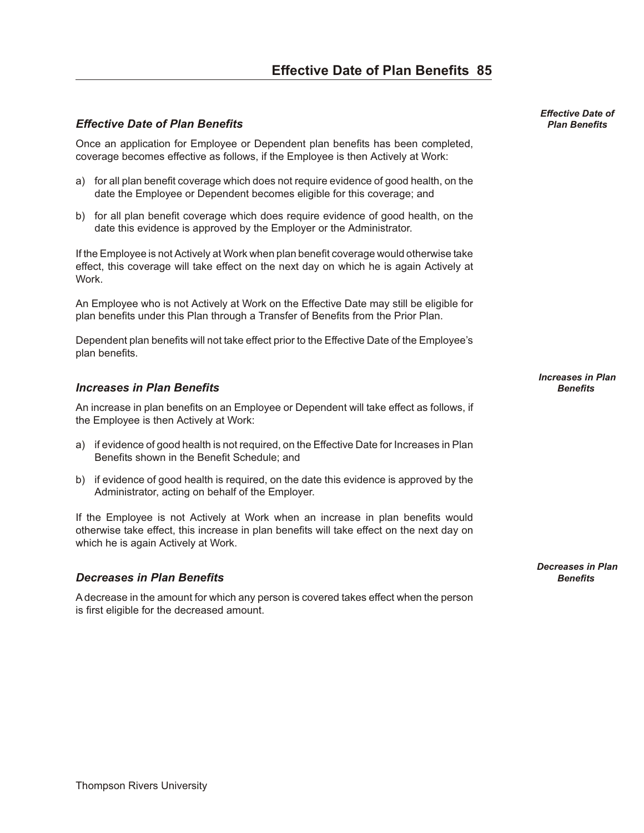## **Effective Date of Plan Benefits 85**

## *Effec tive Date of Plan Ben e fits Plan Benefits*

Once an application for Employee or Dependent plan benefits has been completed, coverage becomes effective as follows, if the Employee is then Actively at Work:

- a) for all plan benefit coverage which does not require evidence of good health, on the date the Employee or Dependent becomes eligible for this coverage; and
- b) for all plan benefit coverage which does require evidence of good health, on the date this evidence is approved by the Employer or the Administrator.

If the Employee is not Actively at Work when plan benefit coverage would otherwise take effect, this coverage will take effect on the next day on which he is again Actively at Work.

An Employee who is not Actively at Work on the Effective Date may still be eligible for plan benefits under this Plan through a Transfer of Benefits from the Prior Plan.

Dependent plan benefits will not take effect prior to the Effective Date of the Employee's plan benefits.

### *In creases in Plan Bene fits Benefits*

An increase in plan benefits on an Employee or Dependent will take effect as follows, if the Employee is then Actively at Work:

- a) if evidence of good health is not required, on the Effective Date for Increases in Plan Benefits shown in the Benefit Schedule; and
- b) if evidence of good health is required, on the date this evidence is approved by the Administrator, acting on behalf of the Employer.

If the Employee is not Actively at Work when an increase in plan benefits would otherwise take effect, this increase in plan benefits will take effect on the next day on which he is again Actively at Work.

#### *De creases in Plan Bene fits Benefits*

A decrease in the amount for which any person is covered takes effect when the person is first eligible for the decreased amount.

*Effective Date of*

*Increases in Plan*

*Decreases in Plan*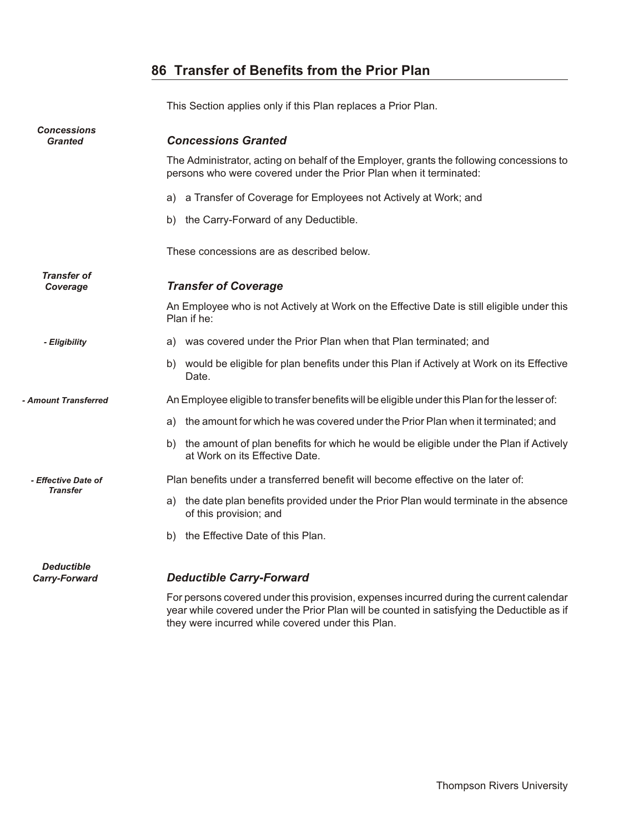## **86 Transfer of Benefits from the Prior Plan**

This Section applies only if this Plan replaces a Prior Plan. *Concessions Granted Con ces sions Granted* The Administrator, acting on behalf of the Employer, grants the following concessions to persons who were covered under the Prior Plan when it terminated: a) a Transfer of Coverage for Employees not Actively at Work; and b) the Carry-Forward of any Deductible. These concessions are as described below. *Transfer of Coverage Transfer of Coverage* An Employee who is not Actively at Work on the Effective Date is still eligible under this Plan if he: *- Eligibility* a) was covered under the Prior Plan when that Plan terminated; and b) would be eligible for plan benefits under this Plan if Actively at Work on its Effective Date. *- Amount Transferred* An Employee eligible to transfer benefits will be eligible under this Plan for the lesser of: a) the amount for which he was covered under the Prior Plan when it terminated; and b) the amount of plan benefits for which he would be eligible under the Plan if Actively at Work on its Effective Date. *- Effective Date of Transfer* Plan benefits under a transferred benefit will become effective on the later of: a) the date plan benefits provided under the Prior Plan would terminate in the absence of this provision; and b) the Effective Date of this Plan. *Deductible*

#### *Carry-Forward De duct ible Carry-For ward*

For persons covered under this provision, expenses incurred during the current calendar year while covered under the Prior Plan will be counted in satisfying the Deductible as if they were incurred while covered under this Plan.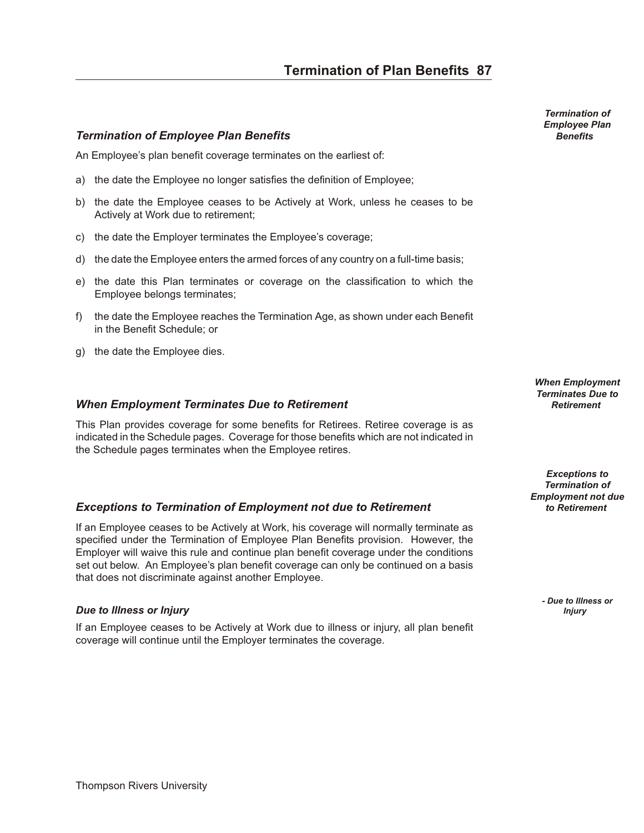## *Ter mi na tion of Em ployee Plan Ben e fits Benefits*

An Employee's plan benefit coverage terminates on the earliest of:

- a) the date the Employee no longer satisfies the definition of Employee;
- b) the date the Employee ceases to be Actively at Work, unless he ceases to be Actively at Work due to retirement;
- c) the date the Employer terminates the Employee's coverage;
- d) the date the Employee enters the armed forces of any country on a full-time basis;
- e) the date this Plan terminates or coverage on the classification to which the Employee belongs terminates;
- f) the date the Employee reaches the Termination Age, as shown under each Benefit in the Benefit Schedule; or
- g) the date the Employee dies.

#### *When Em ploy ment Ter mi nates Due to Re tire ment Retirement*

This Plan provides coverage for some benefits for Retirees. Retiree coverage is as indicated in the Schedule pages. Coverage for those benefits which are not indicated in the Schedule pages terminates when the Employee retires.

#### **Exceptions to Termination of Employment not due to Retirement** *to Retirement*

If an Employee ceases to be Actively at Work, his coverage will normally terminate as specified under the Termination of Employee Plan Benefits provision. However, the Employer will waive this rule and continue plan benefit coverage under the conditions set out below. An Employee's plan benefit coverage can only be continued on a basis that does not discriminate against another Employee.

#### *Due to Illness or Injury Injury Injury Injury Injury*

If an Employee ceases to be Actively at Work due to illness or injury, all plan benefit coverage will continue until the Employer terminates the coverage.

*Termination of Employee Plan*

*When Employment Terminates Due to*

*Exceptions to Termination of Employment not due* 

*- Due to Illness or*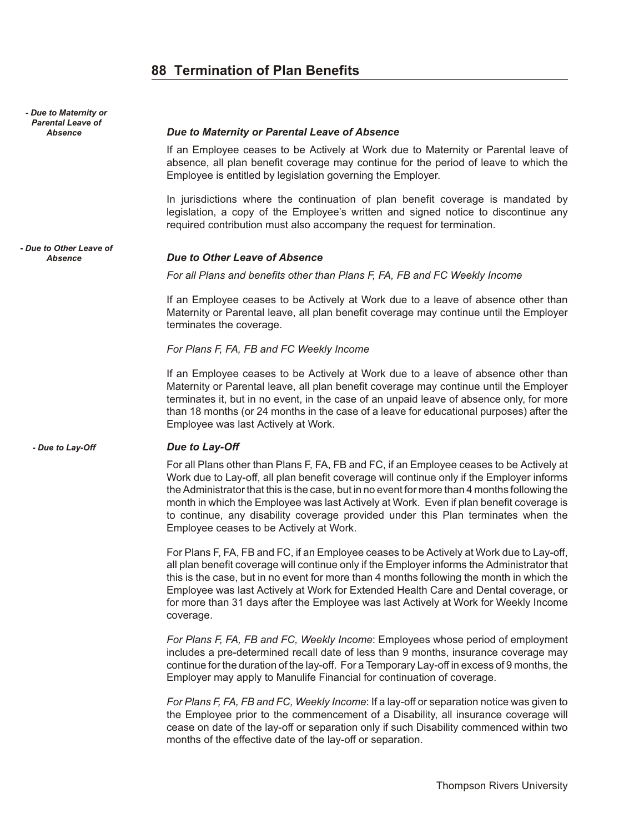## **88 Termination of Plan Benefits**

| - Due to Maternity or<br><b>Parental Leave of</b><br><b>Absence</b> | Due to Maternity or Parental Leave of Absence                                                                                                                                                                                                                                                                                                                                                                                                                                                                     |
|---------------------------------------------------------------------|-------------------------------------------------------------------------------------------------------------------------------------------------------------------------------------------------------------------------------------------------------------------------------------------------------------------------------------------------------------------------------------------------------------------------------------------------------------------------------------------------------------------|
|                                                                     | If an Employee ceases to be Actively at Work due to Maternity or Parental leave of<br>absence, all plan benefit coverage may continue for the period of leave to which the<br>Employee is entitled by legislation governing the Employer.                                                                                                                                                                                                                                                                         |
|                                                                     | In jurisdictions where the continuation of plan benefit coverage is mandated by<br>legislation, a copy of the Employee's written and signed notice to discontinue any<br>required contribution must also accompany the request for termination.                                                                                                                                                                                                                                                                   |
| - Due to Other Leave of<br><b>Absence</b>                           | Due to Other Leave of Absence                                                                                                                                                                                                                                                                                                                                                                                                                                                                                     |
|                                                                     | For all Plans and benefits other than Plans F, FA, FB and FC Weekly Income                                                                                                                                                                                                                                                                                                                                                                                                                                        |
|                                                                     | If an Employee ceases to be Actively at Work due to a leave of absence other than<br>Maternity or Parental leave, all plan benefit coverage may continue until the Employer<br>terminates the coverage.                                                                                                                                                                                                                                                                                                           |
|                                                                     | For Plans F, FA, FB and FC Weekly Income                                                                                                                                                                                                                                                                                                                                                                                                                                                                          |
|                                                                     | If an Employee ceases to be Actively at Work due to a leave of absence other than<br>Maternity or Parental leave, all plan benefit coverage may continue until the Employer<br>terminates it, but in no event, in the case of an unpaid leave of absence only, for more<br>than 18 months (or 24 months in the case of a leave for educational purposes) after the<br>Employee was last Actively at Work.                                                                                                         |
| - Due to Lay-Off                                                    | Due to Lay-Off                                                                                                                                                                                                                                                                                                                                                                                                                                                                                                    |
|                                                                     | For all Plans other than Plans F, FA, FB and FC, if an Employee ceases to be Actively at<br>Work due to Lay-off, all plan benefit coverage will continue only if the Employer informs<br>the Administrator that this is the case, but in no event for more than 4 months following the<br>month in which the Employee was last Actively at Work. Even if plan benefit coverage is<br>to continue, any disability coverage provided under this Plan terminates when the<br>Employee ceases to be Actively at Work. |
|                                                                     | For Plans F, FA, FB and FC, if an Employee ceases to be Actively at Work due to Lay-off,<br>all plan benefit coverage will continue only if the Employer informs the Administrator that<br>this is the case, but in no event for more than 4 months following the month in which the<br>Employee was last Actively at Work for Extended Health Care and Dental coverage, or<br>for more than 31 days after the Employee was last Actively at Work for Weekly Income<br>coverage.                                  |
|                                                                     | For Plans F, FA, FB and FC, Weekly Income: Employees whose period of employment<br>includes a pre-determined recall date of less than 9 months, insurance coverage may<br>continue for the duration of the lay-off. For a Temporary Lay-off in excess of 9 months, the<br>Employer may apply to Manulife Financial for continuation of coverage.                                                                                                                                                                  |
|                                                                     | For Plans F, FA, FB and FC, Weekly Income: If a lay-off or separation notice was given to<br>the Employee prior to the commencement of a Disability, all insurance coverage will<br>cease on date of the lay-off or separation only if such Disability commenced within two<br>months of the effective date of the lay-off or separation.                                                                                                                                                                         |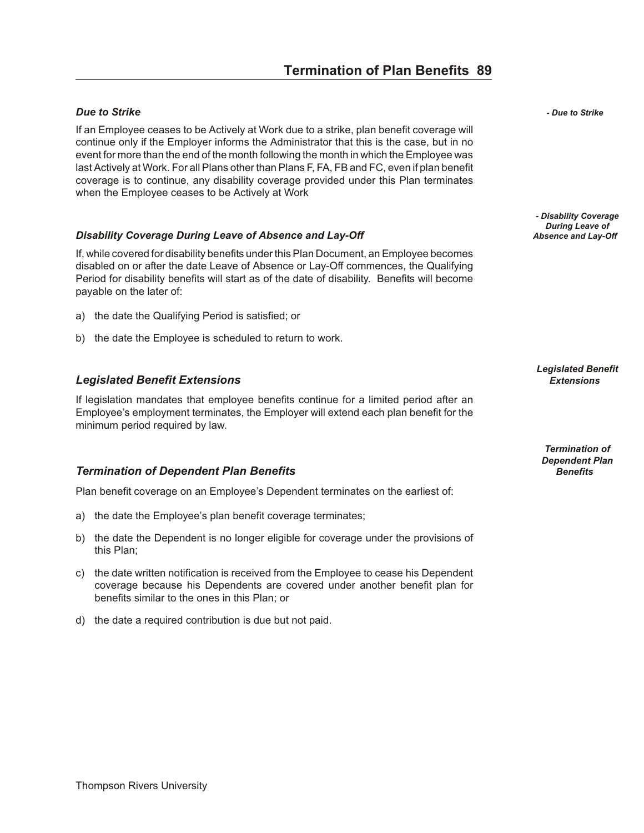### *Due to Strike - Due to Strike*

If an Employee ceases to be Actively at Work due to a strike, plan benefit coverage will continue only if the Employer informs the Administrator that this is the case, but in no event for more than the end of the month following the month in which the Employee was last Actively at Work. For all Plans other than Plans F, FA, FB and FC, even if plan benefit coverage is to continue, any disability coverage provided under this Plan terminates when the Employee ceases to be Actively at Work

### **Disability Coverage During Leave of Absence and Lay-Off**

If, while covered for disability benefits under this Plan Document, an Employee becomes disabled on or after the date Leave of Absence or Lay-Off commences, the Qualifying Period for disability benefits will start as of the date of disability. Benefits will become payable on the later of:

- a) the date the Qualifying Period is satisfied; or
- b) the date the Employee is scheduled to return to work.

## *Leg is lated Ben e fit Ex ten sions Extensions*

If legislation mandates that employee benefits continue for a limited period after an Employee's employment terminates, the Employer will extend each plan benefit for the minimum period required by law.

## *Ter mi na tion of De pend ent Plan Ben e fits Benefits*

Plan benefit coverage on an Employee's Dependent terminates on the earliest of:

- a) the date the Employee's plan benefit coverage terminates;
- b) the date the Dependent is no longer eligible for coverage under the provisions of this Plan;
- c) the date written notification is received from the Employee to cease his Dependent coverage because his Dependents are covered under another benefit plan for benefits similar to the ones in this Plan; or
- d) the date a required contribution is due but not paid.

*- Disability Coverage During Leave of*

*Legislated Benefit*

*Termination of Dependent Plan*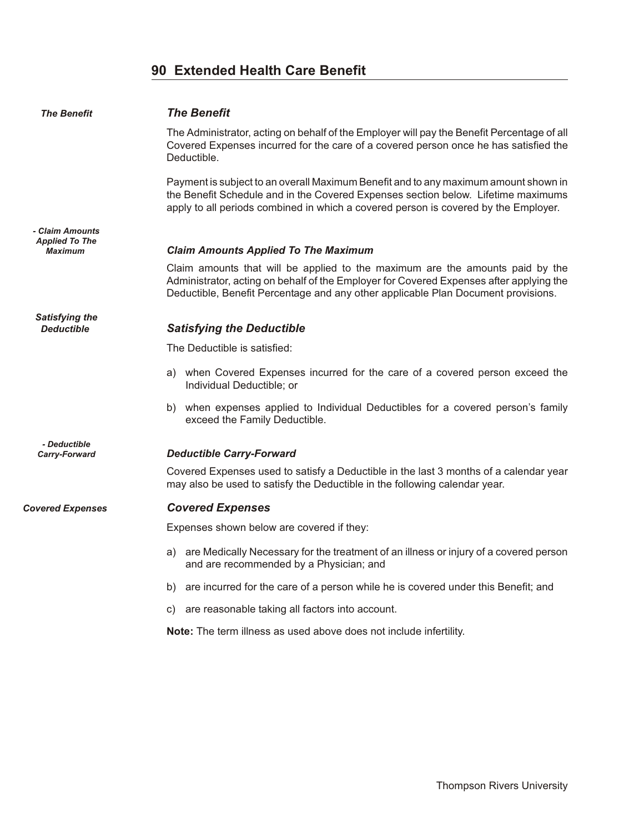## **90 Extended Health Care Benefit**

| <b>The Benefit</b>                         | <b>The Benefit</b>                                                                                                                                                                                                                                              |
|--------------------------------------------|-----------------------------------------------------------------------------------------------------------------------------------------------------------------------------------------------------------------------------------------------------------------|
|                                            | The Administrator, acting on behalf of the Employer will pay the Benefit Percentage of all<br>Covered Expenses incurred for the care of a covered person once he has satisfied the<br>Deductible.                                                               |
|                                            | Payment is subject to an overall Maximum Benefit and to any maximum amount shown in<br>the Benefit Schedule and in the Covered Expenses section below. Lifetime maximums<br>apply to all periods combined in which a covered person is covered by the Employer. |
| - Claim Amounts<br><b>Applied To The</b>   |                                                                                                                                                                                                                                                                 |
| <b>Maximum</b>                             | <b>Claim Amounts Applied To The Maximum</b>                                                                                                                                                                                                                     |
|                                            | Claim amounts that will be applied to the maximum are the amounts paid by the<br>Administrator, acting on behalf of the Employer for Covered Expenses after applying the<br>Deductible, Benefit Percentage and any other applicable Plan Document provisions.   |
| <b>Satisfying the</b><br><b>Deductible</b> | <b>Satisfying the Deductible</b>                                                                                                                                                                                                                                |
|                                            | The Deductible is satisfied:                                                                                                                                                                                                                                    |
|                                            | a) when Covered Expenses incurred for the care of a covered person exceed the<br>Individual Deductible; or                                                                                                                                                      |
|                                            | b) when expenses applied to Individual Deductibles for a covered person's family<br>exceed the Family Deductible.                                                                                                                                               |
| - Deductible<br>Carry-Forward              | <b>Deductible Carry-Forward</b>                                                                                                                                                                                                                                 |
|                                            | Covered Expenses used to satisfy a Deductible in the last 3 months of a calendar year<br>may also be used to satisfy the Deductible in the following calendar year.                                                                                             |
| <b>Covered Expenses</b>                    | <b>Covered Expenses</b>                                                                                                                                                                                                                                         |
|                                            | Expenses shown below are covered if they:                                                                                                                                                                                                                       |
|                                            | a) are Medically Necessary for the treatment of an illness or injury of a covered person<br>and are recommended by a Physician; and                                                                                                                             |
|                                            | are incurred for the care of a person while he is covered under this Benefit; and<br>b)                                                                                                                                                                         |
|                                            | are reasonable taking all factors into account.<br>C)                                                                                                                                                                                                           |
|                                            | Note: The term illness as used above does not include infertility.                                                                                                                                                                                              |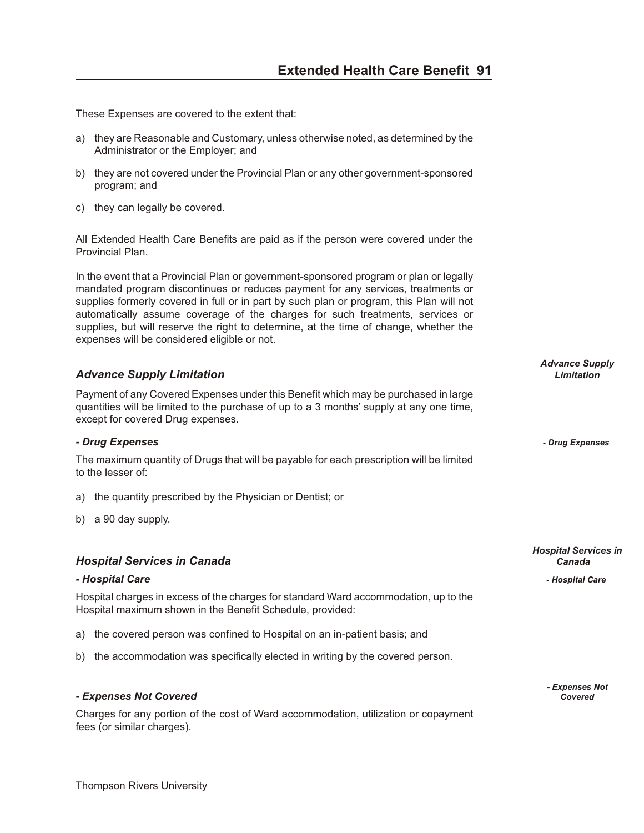These Expenses are covered to the extent that:

- a) they are Reasonable and Customary, unless otherwise noted, as determined by the Administrator or the Employer; and
- b) they are not covered under the Provincial Plan or any other government-sponsored program; and
- c) they can legally be covered.

All Extended Health Care Benefits are paid as if the person were covered under the Provincial Plan.

In the event that a Provincial Plan or government-sponsored program or plan or legally mandated program discontinues or reduces payment for any services, treatments or supplies formerly covered in full or in part by such plan or program, this Plan will not automatically assume coverage of the charges for such treatments, services or supplies, but will reserve the right to determine, at the time of change, whether the expenses will be considered eligible or not.

### *Ad vance Sup ply Lim i ta tion Limitation*

Payment of any Covered Expenses under this Benefit which may be purchased in large quantities will be limited to the purchase of up to a 3 months' supply at any one time, except for covered Drug expenses.

#### *- Drug Ex penses - Drug Expenses*

The maximum quantity of Drugs that will be payable for each prescription will be limited to the lesser of:

- a) the quantity prescribed by the Physician or Dentist; or
- b) a 90 day supply.

#### *Hos pi tal Ser vices in Can ada Canada*

#### *- Hos pi tal Care - Hospital Care*

Hospital charges in excess of the charges for standard Ward accommodation, up to the Hospital maximum shown in the Benefit Schedule, provided:

a) the covered person was confined to Hospital on an in-patient basis; and

b) the accommodation was specifically elected in writing by the covered person.

#### *- Ex penses Not Cov ered Covered*

Charges for any portion of the cost of Ward accommodation, utilization or copayment fees (or similar charges).

*Advance Supply*

*Hospital Services in*

*- Expenses Not*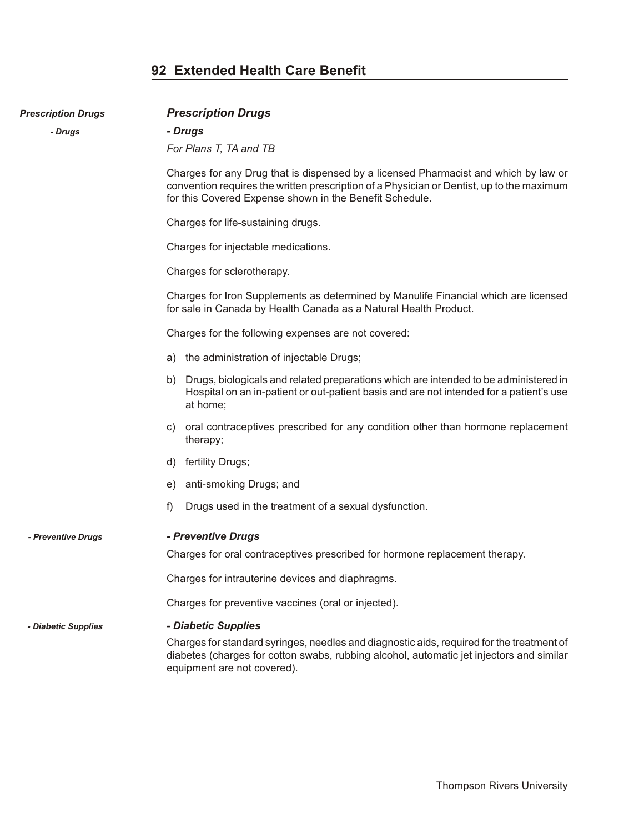## **92 Extended Health Care Benefit**

**Prescription Drugs Prescription Drugs** 

| - Drugs             | - Drugs                                                                                                                                                                                                                                     |
|---------------------|---------------------------------------------------------------------------------------------------------------------------------------------------------------------------------------------------------------------------------------------|
|                     | For Plans T, TA and TB                                                                                                                                                                                                                      |
|                     | Charges for any Drug that is dispensed by a licensed Pharmacist and which by law or<br>convention requires the written prescription of a Physician or Dentist, up to the maximum<br>for this Covered Expense shown in the Benefit Schedule. |
|                     | Charges for life-sustaining drugs.                                                                                                                                                                                                          |
|                     | Charges for injectable medications.                                                                                                                                                                                                         |
|                     | Charges for sclerotherapy.                                                                                                                                                                                                                  |
|                     | Charges for Iron Supplements as determined by Manulife Financial which are licensed<br>for sale in Canada by Health Canada as a Natural Health Product.                                                                                     |
|                     | Charges for the following expenses are not covered:                                                                                                                                                                                         |
|                     | the administration of injectable Drugs;<br>a)                                                                                                                                                                                               |
|                     | Drugs, biologicals and related preparations which are intended to be administered in<br>b)<br>Hospital on an in-patient or out-patient basis and are not intended for a patient's use<br>at home;                                           |
|                     | oral contraceptives prescribed for any condition other than hormone replacement<br>C)<br>therapy;                                                                                                                                           |
|                     | fertility Drugs;<br>d)                                                                                                                                                                                                                      |
|                     | anti-smoking Drugs; and<br>e)                                                                                                                                                                                                               |
|                     | f)<br>Drugs used in the treatment of a sexual dysfunction.                                                                                                                                                                                  |
| - Preventive Drugs  | - Preventive Drugs                                                                                                                                                                                                                          |
|                     | Charges for oral contraceptives prescribed for hormone replacement therapy.                                                                                                                                                                 |
|                     | Charges for intrauterine devices and diaphragms.                                                                                                                                                                                            |
|                     | Charges for preventive vaccines (oral or injected).                                                                                                                                                                                         |
| - Diabetic Supplies | - Diabetic Supplies                                                                                                                                                                                                                         |
|                     | Charges for standard syringes, needles and diagnostic aids, required for the treatment of<br>diabetes (charges for cotton swabs, rubbing alcohol, automatic jet injectors and similar<br>equipment are not covered).                        |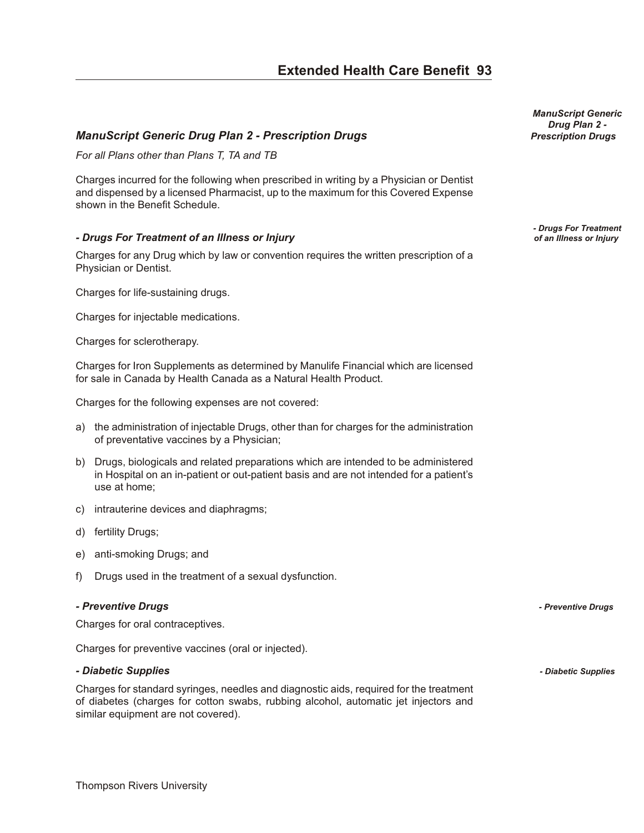## *Manu Script Ge neric Drug Plan 2 - Pre scrip tion Drugs Prescription Drugs*

*For all Plans other than Plans T, TA and TB*

Charges incurred for the following when prescribed in writing by a Physician or Dentist and dispensed by a licensed Pharmacist, up to the maximum for this Covered Expense shown in the Benefit Schedule.

#### *- Drugs For Treat ment of an Ill ness or In jury of an Illness or Injury*

Charges for any Drug which by law or convention requires the written prescription of a Physician or Dentist.

Charges for life-sustaining drugs.

Charges for injectable medications.

Charges for sclerotherapy.

Charges for Iron Supplements as determined by Manulife Financial which are licensed for sale in Canada by Health Canada as a Natural Health Product.

Charges for the following expenses are not covered:

- a) the administration of injectable Drugs, other than for charges for the administration of preventative vaccines by a Physician;
- b) Drugs, biologicals and related preparations which are intended to be administered in Hospital on an in-patient or out-patient basis and are not intended for a patient's use at home;
- c) intrauterine devices and diaphragms;
- d) fertility Drugs;
- e) anti-smoking Drugs; and
- f) Drugs used in the treatment of a sexual dysfunction.

#### *- Pre ven tive Drugs - Preventive Drugs*

Charges for oral contraceptives.

Charges for preventive vaccines (oral or injected).

#### *- Di a betic Sup plies - Diabetic Supplies*

Charges for standard syringes, needles and diagnostic aids, required for the treatment of diabetes (charges for cotton swabs, rubbing alcohol, automatic jet injectors and similar equipment are not covered).

*ManuScript Generic Drug Plan 2 -*

*- Drugs For Treatment*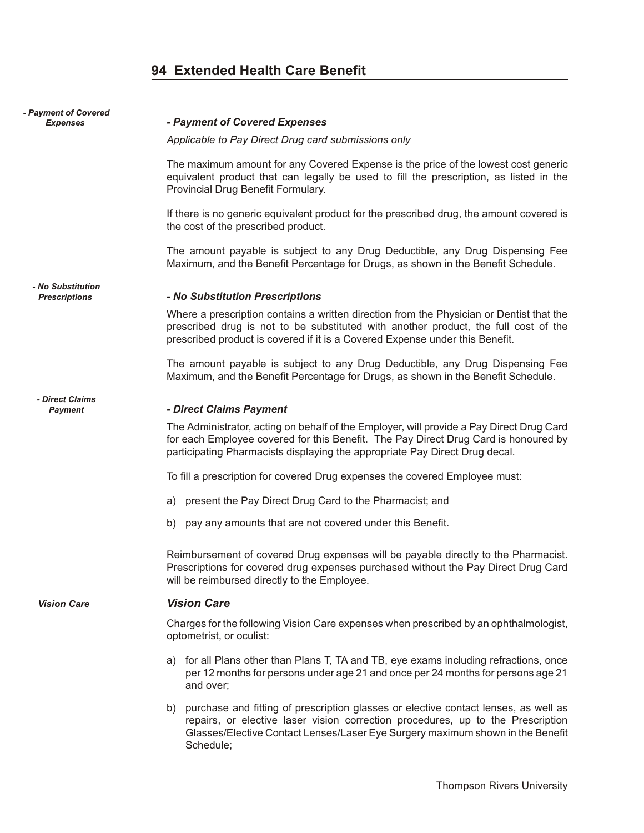## **94 Extended Health Care Benefit**

| - Payment of Covered<br><b>Expenses</b>   | - Payment of Covered Expenses                                                                                                                                                                                                                                               |
|-------------------------------------------|-----------------------------------------------------------------------------------------------------------------------------------------------------------------------------------------------------------------------------------------------------------------------------|
|                                           | Applicable to Pay Direct Drug card submissions only                                                                                                                                                                                                                         |
|                                           | The maximum amount for any Covered Expense is the price of the lowest cost generic<br>equivalent product that can legally be used to fill the prescription, as listed in the<br>Provincial Drug Benefit Formulary.                                                          |
|                                           | If there is no generic equivalent product for the prescribed drug, the amount covered is<br>the cost of the prescribed product.                                                                                                                                             |
|                                           | The amount payable is subject to any Drug Deductible, any Drug Dispensing Fee<br>Maximum, and the Benefit Percentage for Drugs, as shown in the Benefit Schedule.                                                                                                           |
| - No Substitution<br><b>Prescriptions</b> | - No Substitution Prescriptions                                                                                                                                                                                                                                             |
|                                           | Where a prescription contains a written direction from the Physician or Dentist that the<br>prescribed drug is not to be substituted with another product, the full cost of the<br>prescribed product is covered if it is a Covered Expense under this Benefit.             |
|                                           | The amount payable is subject to any Drug Deductible, any Drug Dispensing Fee<br>Maximum, and the Benefit Percentage for Drugs, as shown in the Benefit Schedule.                                                                                                           |
| - Direct Claims<br>Payment                | - Direct Claims Payment                                                                                                                                                                                                                                                     |
|                                           | The Administrator, acting on behalf of the Employer, will provide a Pay Direct Drug Card<br>for each Employee covered for this Benefit. The Pay Direct Drug Card is honoured by<br>participating Pharmacists displaying the appropriate Pay Direct Drug decal.              |
|                                           | To fill a prescription for covered Drug expenses the covered Employee must:                                                                                                                                                                                                 |
|                                           | a) present the Pay Direct Drug Card to the Pharmacist; and                                                                                                                                                                                                                  |
|                                           | pay any amounts that are not covered under this Benefit.<br>b)                                                                                                                                                                                                              |
|                                           | Reimbursement of covered Drug expenses will be payable directly to the Pharmacist.<br>Prescriptions for covered drug expenses purchased without the Pay Direct Drug Card<br>will be reimbursed directly to the Employee.                                                    |
| <b>Vision Care</b>                        | <b>Vision Care</b>                                                                                                                                                                                                                                                          |
|                                           | Charges for the following Vision Care expenses when prescribed by an ophthalmologist,<br>optometrist, or oculist:                                                                                                                                                           |
|                                           | for all Plans other than Plans T, TA and TB, eye exams including refractions, once<br>a)<br>per 12 months for persons under age 21 and once per 24 months for persons age 21<br>and over;                                                                                   |
|                                           | purchase and fitting of prescription glasses or elective contact lenses, as well as<br>b)<br>repairs, or elective laser vision correction procedures, up to the Prescription<br>Glasses/Elective Contact Lenses/Laser Eye Surgery maximum shown in the Benefit<br>Schedule; |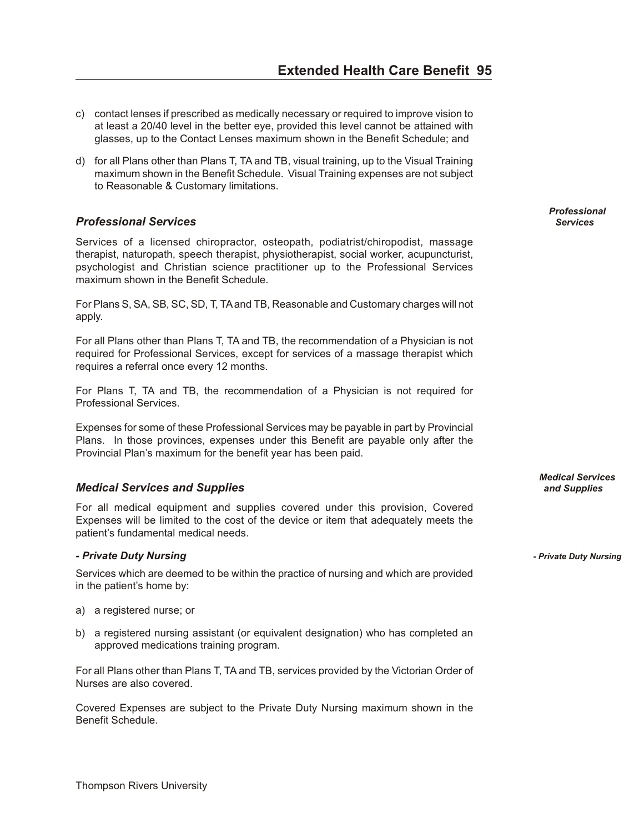- c) contact lenses if prescribed as medically necessary or required to improve vision to at least a 20/40 level in the better eye, provided this level cannot be attained with glasses, up to the Contact Lenses maximum shown in the Benefit Schedule; and
- d) for all Plans other than Plans T, TA and TB, visual training, up to the Visual Training maximum shown in the Benefit Schedule. Visual Training expenses are not subject to Reasonable & Customary limitations.

## *Pro fes sional Ser vices Services*

Services of a licensed chiropractor, osteopath, podiatrist/chiropodist, massage therapist, naturopath, speech therapist, physiotherapist, social worker, acupuncturist, psychologist and Christian science practitioner up to the Professional Services maximum shown in the Benefit Schedule.

For Plans S, SA, SB, SC, SD, T, TA and TB, Reasonable and Customary charges will not apply.

For all Plans other than Plans T, TA and TB, the recommendation of a Physician is not required for Professional Services, except for services of a massage therapist which requires a referral once every 12 months.

For Plans T, TA and TB, the recommendation of a Physician is not required for Professional Services.

Expenses for some of these Professional Services may be payable in part by Provincial Plans. In those provinces, expenses under this Benefit are payable only after the Provincial Plan's maximum for the benefit year has been paid.

## *Med i cal Ser vices and Sup plies and Supplies*

For all medical equipment and supplies covered under this provision, Covered Expenses will be limited to the cost of the device or item that adequately meets the patient's fundamental medical needs.

#### *- Private Duty Nurs ing - Private Duty Nursing*

Services which are deemed to be within the practice of nursing and which are provided in the patient's home by:

- a) a registered nurse; or
- b) a registered nursing assistant (or equivalent designation) who has completed an approved medications training program.

For all Plans other than Plans T, TA and TB, services provided by the Victorian Order of Nurses are also covered.

Covered Expenses are subject to the Private Duty Nursing maximum shown in the Benefit Schedule.

*Professional*

*Medical Services*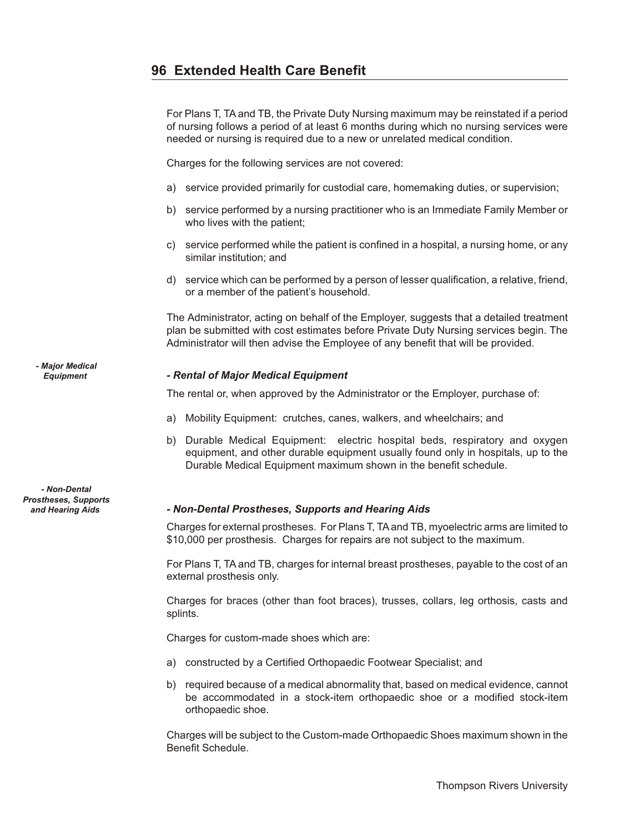For Plans T, TA and TB, the Private Duty Nursing maximum may be reinstated if a period of nursing follows a period of at least 6 months during which no nursing services were needed or nursing is required due to a new or unrelated medical condition.

Charges for the following services are not covered:

- a) service provided primarily for custodial care, homemaking duties, or supervision;
- b) service performed by a nursing practitioner who is an Immediate Family Member or who lives with the patient;
- c) service performed while the patient is confined in a hospital, a nursing home, or any similar institution; and
- d) service which can be performed by a person of lesser qualification, a relative, friend, or a member of the patient's household.

The Administrator, acting on behalf of the Employer, suggests that a detailed treatment plan be submitted with cost estimates before Private Duty Nursing services begin. The Administrator will then advise the Employee of any benefit that will be provided.

### *Equipment - Rental of Major Medical Equipment*

The rental or, when approved by the Administrator or the Employer, purchase of:

- a) Mobility Equipment: crutches, canes, walkers, and wheelchairs; and
- b) Durable Medical Equipment: electric hospital beds, respiratory and oxygen equipment, and other durable equipment usually found only in hospitals, up to the Durable Medical Equipment maximum shown in the benefit schedule.

#### *and Hearing Aids - Non-Den tal Pros the ses, Sup ports and Hearing Aids*

Charges for external prostheses. For Plans T, TA and TB, myoelectric arms are limited to \$10,000 per prosthesis. Charges for repairs are not subject to the maximum.

For Plans T, TA and TB, charges for internal breast prostheses, payable to the cost of an external prosthesis only.

Charges for braces (other than foot braces), trusses, collars, leg orthosis, casts and splints.

Charges for custom-made shoes which are:

- a) constructed by a Certified Orthopaedic Footwear Specialist; and
- b) required because of a medical abnormality that, based on medical evidence, cannot be accommodated in a stock-item orthopaedic shoe or a modified stock-item orthopaedic shoe.

Charges will be subject to the Custom-made Orthopaedic Shoes maximum shown in the Benefit Schedule.

*- Major Medical*

*- Non-Dental Prostheses, Supports*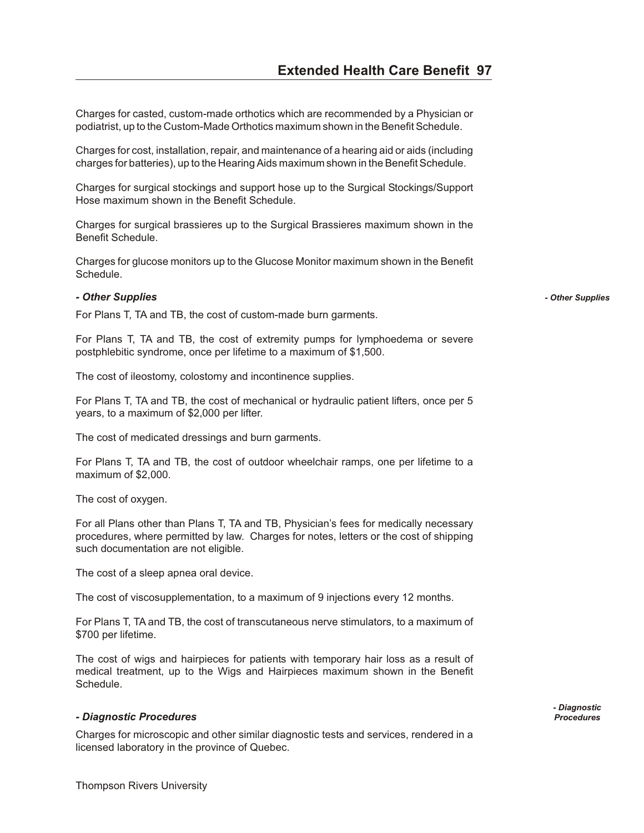Charges for casted, custom-made orthotics which are recommended by a Physician or podiatrist, up to the Custom-Made Orthotics maximum shown in the Benefit Schedule.

Charges for cost, installation, repair, and maintenance of a hearing aid or aids (including charges for batteries), up to the Hearing Aids maximum shown in the Benefit Schedule.

Charges for surgical stockings and support hose up to the Surgical Stockings/Support Hose maximum shown in the Benefit Schedule.

Charges for surgical brassieres up to the Surgical Brassieres maximum shown in the Benefit Schedule.

Charges for glucose monitors up to the Glucose Monitor maximum shown in the Benefit Schedule.

#### *- Other Sup plies - Other Supplies*

For Plans T, TA and TB, the cost of custom-made burn garments.

For Plans T, TA and TB, the cost of extremity pumps for lymphoedema or severe postphlebitic syndrome, once per lifetime to a maximum of \$1,500.

The cost of ileostomy, colostomy and incontinence supplies.

For Plans T, TA and TB, the cost of mechanical or hydraulic patient lifters, once per 5 years, to a maximum of \$2,000 per lifter.

The cost of medicated dressings and burn garments.

For Plans T, TA and TB, the cost of outdoor wheelchair ramps, one per lifetime to a maximum of \$2,000.

The cost of oxygen.

For all Plans other than Plans T, TA and TB, Physician's fees for medically necessary procedures, where permitted by law. Charges for notes, letters or the cost of shipping such documentation are not eligible.

The cost of a sleep apnea oral device.

The cost of viscosupplementation, to a maximum of 9 injections every 12 months.

For Plans T, TA and TB, the cost of transcutaneous nerve stimulators, to a maximum of \$700 per lifetime.

The cost of wigs and hairpieces for patients with temporary hair loss as a result of medical treatment, up to the Wigs and Hairpieces maximum shown in the Benefit Schedule.

#### *- Di ag nos tic Pro ce dures Procedures*

Charges for microscopic and other similar diagnostic tests and services, rendered in a licensed laboratory in the province of Quebec.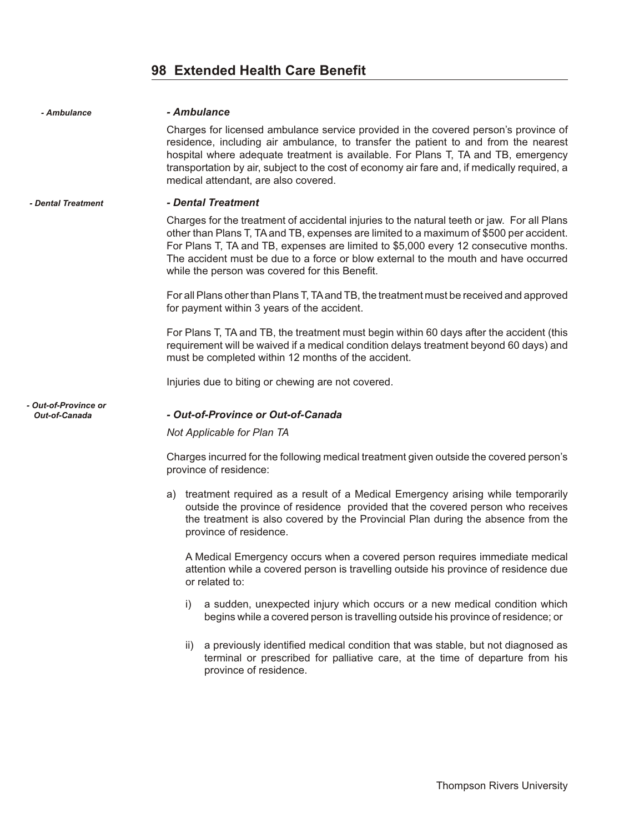## **98 Extended Health Care Benefit**

| - Ambulance                           | - Ambulance                                                                                                                                                                                                                                                                                                                                                                                                             |
|---------------------------------------|-------------------------------------------------------------------------------------------------------------------------------------------------------------------------------------------------------------------------------------------------------------------------------------------------------------------------------------------------------------------------------------------------------------------------|
|                                       | Charges for licensed ambulance service provided in the covered person's province of<br>residence, including air ambulance, to transfer the patient to and from the nearest<br>hospital where adequate treatment is available. For Plans T, TA and TB, emergency<br>transportation by air, subject to the cost of economy air fare and, if medically required, a<br>medical attendant, are also covered.                 |
| - Dental Treatment                    | - Dental Treatment                                                                                                                                                                                                                                                                                                                                                                                                      |
|                                       | Charges for the treatment of accidental injuries to the natural teeth or jaw. For all Plans<br>other than Plans T, TA and TB, expenses are limited to a maximum of \$500 per accident.<br>For Plans T, TA and TB, expenses are limited to \$5,000 every 12 consecutive months.<br>The accident must be due to a force or blow external to the mouth and have occurred<br>while the person was covered for this Benefit. |
|                                       | For all Plans other than Plans T, TA and TB, the treatment must be received and approved<br>for payment within 3 years of the accident.                                                                                                                                                                                                                                                                                 |
|                                       | For Plans T, TA and TB, the treatment must begin within 60 days after the accident (this<br>requirement will be waived if a medical condition delays treatment beyond 60 days) and<br>must be completed within 12 months of the accident.                                                                                                                                                                               |
|                                       | Injuries due to biting or chewing are not covered.                                                                                                                                                                                                                                                                                                                                                                      |
| - Out-of-Province or<br>Out-of-Canada | - Out-of-Province or Out-of-Canada                                                                                                                                                                                                                                                                                                                                                                                      |
|                                       | Not Applicable for Plan TA                                                                                                                                                                                                                                                                                                                                                                                              |
|                                       | Charges incurred for the following medical treatment given outside the covered person's<br>province of residence:                                                                                                                                                                                                                                                                                                       |
|                                       | a) treatment required as a result of a Medical Emergency arising while temporarily<br>outside the province of residence provided that the covered person who receives<br>the treatment is also covered by the Provincial Plan during the absence from the<br>province of residence.                                                                                                                                     |
|                                       | A Medical Emergency occurs when a covered person requires immediate medical<br>attention while a covered person is travelling outside his province of residence due<br>or related to:                                                                                                                                                                                                                                   |
|                                       | a sudden, unexpected injury which occurs or a new medical condition which<br>I)<br>begins while a covered person is travelling outside his province of residence; or                                                                                                                                                                                                                                                    |

ii) a previously identified medical condition that was stable, but not diagnosed as terminal or prescribed for palliative care, at the time of departure from his province of residence.

Thompson Rivers University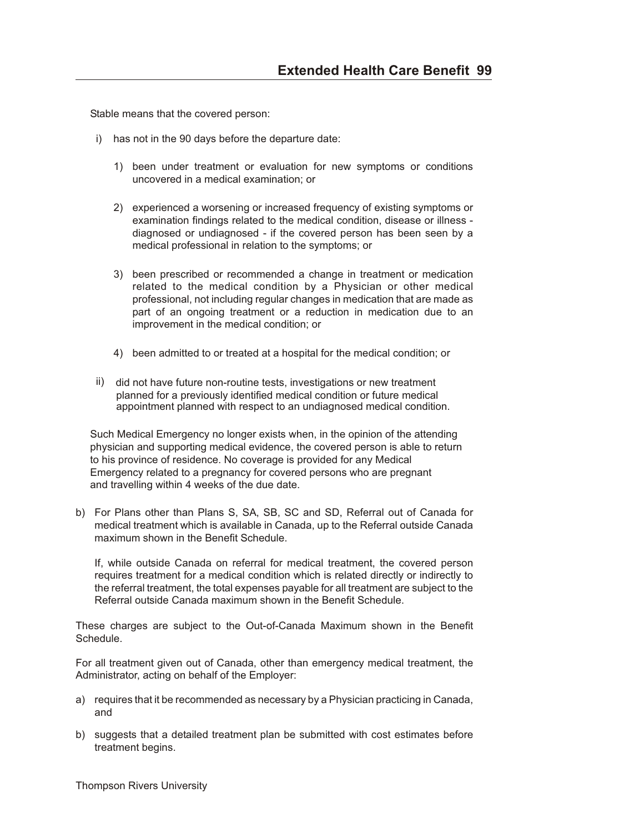Stable means that the covered person:

- i) has not in the 90 days before the departure date:
	- 1) been under treatment or evaluation for new symptoms or conditions uncovered in a medical examination; or
	- 2) experienced a worsening or increased frequency of existing symptoms or examination findings related to the medical condition, disease or illness diagnosed or undiagnosed - if the covered person has been seen by a medical professional in relation to the symptoms; or
	- 3) been prescribed or recommended a change in treatment or medication related to the medical condition by a Physician or other medical professional, not including regular changes in medication that are made as part of an ongoing treatment or a reduction in medication due to an improvement in the medical condition; or
	- 4) been admitted to or treated at a hospital for the medical condition; or
- ii) did not have future non-routine tests, investigations or new treatment planned for a previously identified medical condition or future medical appointment planned with respect to an undiagnosed medical condition.

 Such Medical Emergency no longer exists when, in the opinion of the attending physician and supporting medical evidence, the covered person is able to return to his province of residence. No coverage is provided for any Medical Emergency related to a pregnancy for covered persons who are pregnant and travelling within 4 weeks of the due date.

b) For Plans other than Plans S, SA, SB, SC and SD, Referral out of Canada for medical treatment which is available in Canada, up to the Referral outside Canada maximum shown in the Benefit Schedule.

If, while outside Canada on referral for medical treatment, the covered person requires treatment for a medical condition which is related directly or indirectly to the referral treatment, the total expenses payable for all treatment are subject to the Referral outside Canada maximum shown in the Benefit Schedule.

These charges are subject to the Out-of-Canada Maximum shown in the Benefit Schedule.

For all treatment given out of Canada, other than emergency medical treatment, the Administrator, acting on behalf of the Employer:

- a) requires that it be recommended as necessary by a Physician practicing in Canada, and
- b) suggests that a detailed treatment plan be submitted with cost estimates before treatment begins.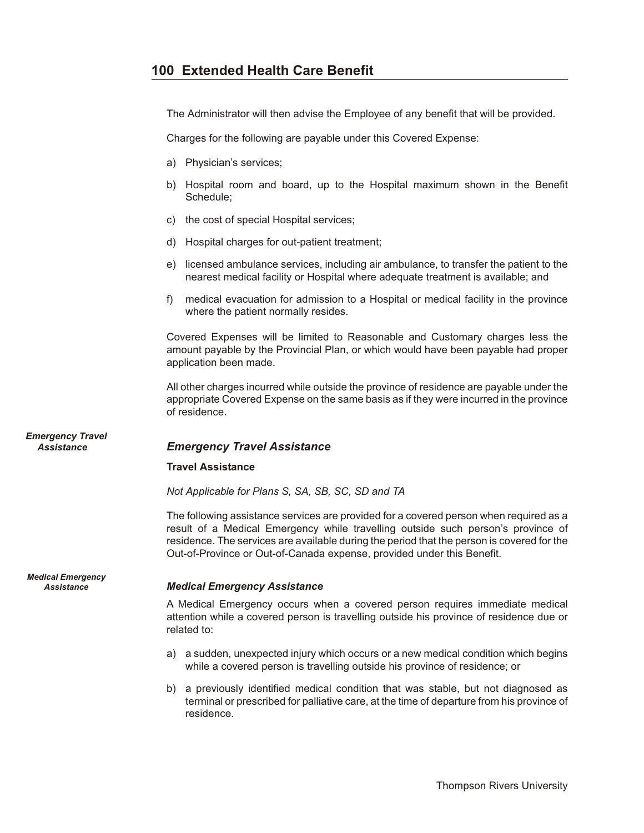The Administrator will then advise the Employee of any benefit that will be provided.

Charges for the following are payable under this Covered Expense:

- a) Physician's services;
- b) Hospital room and board, up to the Hospital maximum shown in the Benefit Schedule;
- c) the cost of special Hospital services;
- d) Hospital charges for out-patient treatment;
- e) licensed ambulance services, including air ambulance, to transfer the patient to the nearest medical facility or Hospital where adequate treatment is available; and
- f) medical evacuation for admission to a Hospital or medical facility in the province where the patient normally resides.

Covered Expenses will be limited to Reasonable and Customary charges less the amount payable by the Provincial Plan, or which would have been payable had proper application been made.

All other charges incurred while outside the province of residence are payable under the appropriate Covered Expense on the same basis as if they were incurred in the province of residence.

## *Assistance Emer gency Travel As sis tance*

#### **Travel Assistance**

*Not Applicable for Plans S, SA, SB, SC, SD and TA*

The following assistance services are provided for a covered person when required as a result of a Medical Emergency while travelling outside such person's province of residence. The services are available during the period that the person is covered for the Out-of-Province or Out-of-Canada expense, provided under this Benefit.

## Assistance *Medical Emergency Assistance*

A Medical Emergency occurs when a covered person requires immediate medical attention while a covered person is travelling outside his province of residence due or related to:

- a) a sudden, unexpected injury which occurs or a new medical condition which begins while a covered person is travelling outside his province of residence; or
- b) a previously identified medical condition that was stable, but not diagnosed as terminal or prescribed for palliative care, at the time of departure from his province of residence.

*Emergency Travel*

*Medical Emergency*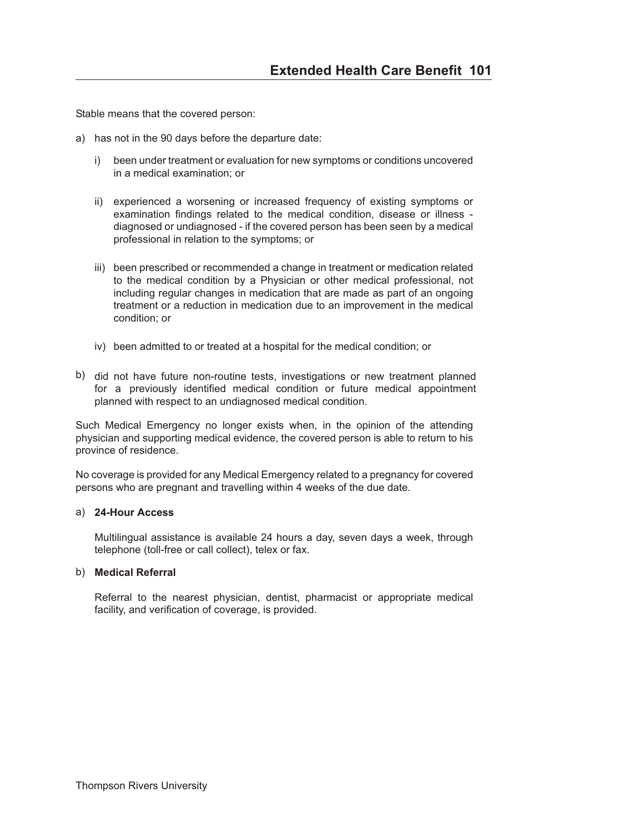Stable means that the covered person:

- a) has not in the 90 days before the departure date:
	- i) been under treatment or evaluation for new symptoms or conditions uncovered in a medical examination; or
	- ii) experienced a worsening or increased frequency of existing symptoms or examination findings related to the medical condition, disease or illness diagnosed or undiagnosed - if the covered person has been seen by a medical professional in relation to the symptoms; or
	- iii) been prescribed or recommended a change in treatment or medication related to the medical condition by a Physician or other medical professional, not including regular changes in medication that are made as part of an ongoing treatment or a reduction in medication due to an improvement in the medical condition; or
	- iv) been admitted to or treated at a hospital for the medical condition; or
- b) did not have future non-routine tests, investigations or new treatment planned for a previously identified medical condition or future medical appointment planned with respect to an undiagnosed medical condition.

Such Medical Emergency no longer exists when, in the opinion of the attending physician and supporting medical evidence, the covered person is able to return to his province of residence.

No coverage is provided for any Medical Emergency related to a pregnancy for covered persons who are pregnant and travelling within 4 weeks of the due date.

#### a) **24-Hour Access**

Multilingual assistance is available 24 hours a day, seven days a week, through telephone (toll-free or call collect), telex or fax.

#### b) **Medical Referral**

Referral to the nearest physician, dentist, pharmacist or appropriate medical facility, and verification of coverage, is provided.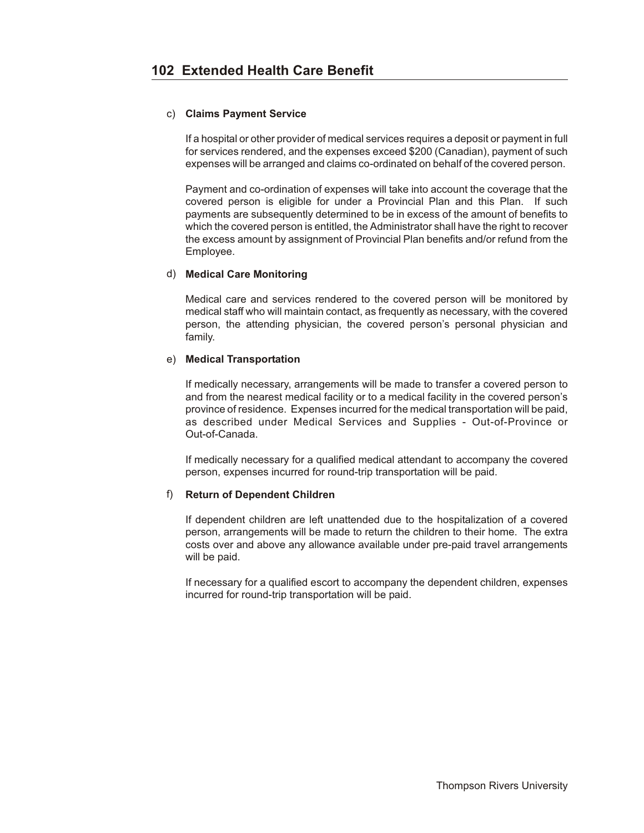#### c) **Claims Payment Service**

If a hospital or other provider of medical services requires a deposit or payment in full for services rendered, and the expenses exceed \$200 (Canadian), payment of such expenses will be arranged and claims co-ordinated on behalf of the covered person.

Payment and co-ordination of expenses will take into account the coverage that the covered person is eligible for under a Provincial Plan and this Plan. If such payments are subsequently determined to be in excess of the amount of benefits to which the covered person is entitled, the Administrator shall have the right to recover the excess amount by assignment of Provincial Plan benefits and/or refund from the Employee.

#### d) **Medical Care Monitoring**

Medical care and services rendered to the covered person will be monitored by medical staff who will maintain contact, as frequently as necessary, with the covered person, the attending physician, the covered person's personal physician and family.

### e) **Medical Transportation**

If medically necessary, arrangements will be made to transfer a covered person to and from the nearest medical facility or to a medical facility in the covered person's province of residence. Expenses incurred for the medical transportation will be paid, as described under Medical Services and Supplies - Out-of-Province or Out-of-Canada.

If medically necessary for a qualified medical attendant to accompany the covered person, expenses incurred for round-trip transportation will be paid.

#### f) **Return of Dependent Children**

If dependent children are left unattended due to the hospitalization of a covered person, arrangements will be made to return the children to their home. The extra costs over and above any allowance available under pre-paid travel arrangements will be paid.

If necessary for a qualified escort to accompany the dependent children, expenses incurred for round-trip transportation will be paid.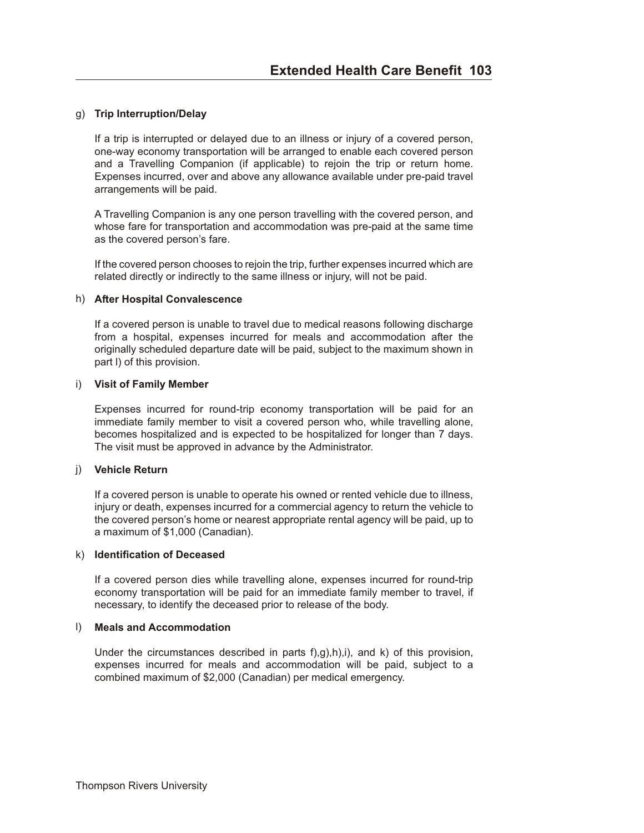#### g) **Trip Interruption/Delay**

If a trip is interrupted or delayed due to an illness or injury of a covered person, one-way economy transportation will be arranged to enable each covered person and a Travelling Companion (if applicable) to rejoin the trip or return home. Expenses incurred, over and above any allowance available under pre-paid travel arrangements will be paid.

A Travelling Companion is any one person travelling with the covered person, and whose fare for transportation and accommodation was pre-paid at the same time as the covered person's fare.

If the covered person chooses to rejoin the trip, further expenses incurred which are related directly or indirectly to the same illness or injury, will not be paid.

#### h) **After Hospital Convalescence**

If a covered person is unable to travel due to medical reasons following discharge from a hospital, expenses incurred for meals and accommodation after the originally scheduled departure date will be paid, subject to the maximum shown in part l) of this provision.

#### i) **Visit of Family Member**

Expenses incurred for round-trip economy transportation will be paid for an immediate family member to visit a covered person who, while travelling alone, becomes hospitalized and is expected to be hospitalized for longer than 7 days. The visit must be approved in advance by the Administrator.

#### j) **Vehicle Return**

If a covered person is unable to operate his owned or rented vehicle due to illness, injury or death, expenses incurred for a commercial agency to return the vehicle to the covered person's home or nearest appropriate rental agency will be paid, up to a maximum of \$1,000 (Canadian).

#### k) **Identification of Deceased**

If a covered person dies while travelling alone, expenses incurred for round-trip economy transportation will be paid for an immediate family member to travel, if necessary, to identify the deceased prior to release of the body.

#### l) **Meals and Accommodation**

Under the circumstances described in parts f),g),h),i), and k) of this provision, expenses incurred for meals and accommodation will be paid, subject to a combined maximum of \$2,000 (Canadian) per medical emergency.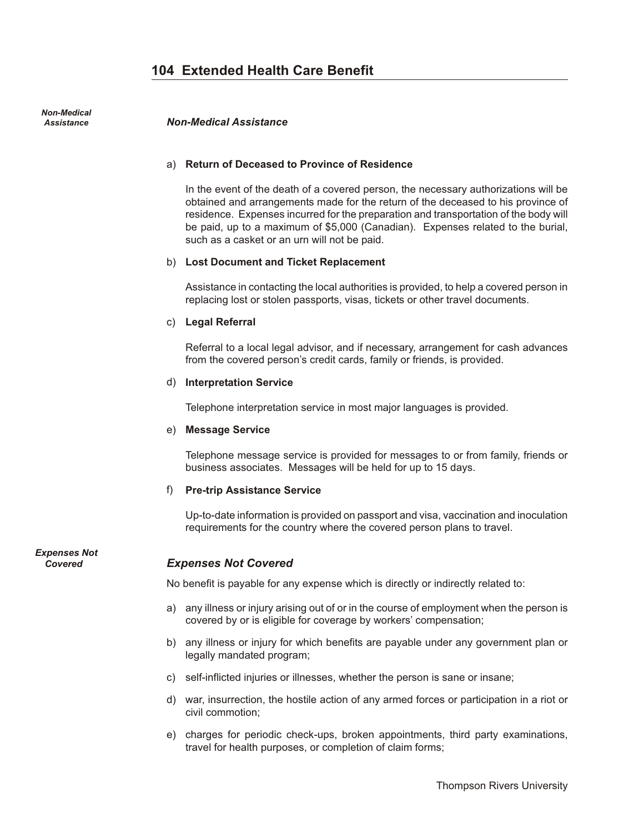*Non-Medical*

#### *Assistance Non-Med i cal As sis tance*

#### a) **Return of Deceased to Province of Residence**

In the event of the death of a covered person, the necessary authorizations will be obtained and arrangements made for the return of the deceased to his province of residence. Expenses incurred for the preparation and transportation of the body will be paid, up to a maximum of \$5,000 (Canadian). Expenses related to the burial, such as a casket or an urn will not be paid.

#### b) **Lost Document and Ticket Replacement**

Assistance in contacting the local authorities is provided, to help a covered person in replacing lost or stolen passports, visas, tickets or other travel documents.

#### c) **Legal Referral**

Referral to a local legal advisor, and if necessary, arrangement for cash advances from the covered person's credit cards, family or friends, is provided.

#### d) **Interpretation Service**

Telephone interpretation service in most major languages is provided.

#### e) **Message Service**

Telephone message service is provided for messages to or from family, friends or business associates. Messages will be held for up to 15 days.

#### f) **Pre-trip Assistance Service**

Up-to-date information is provided on passport and visa, vaccination and inoculation requirements for the country where the covered person plans to travel.

*Expenses Not*

## **Covered <b>***Expenses Not Covered*

No benefit is payable for any expense which is directly or indirectly related to:

- a) any illness or injury arising out of or in the course of employment when the person is covered by or is eligible for coverage by workers' compensation;
- b) any illness or injury for which benefits are payable under any government plan or legally mandated program;
- c) self-inflicted injuries or illnesses, whether the person is sane or insane;
- d) war, insurrection, the hostile action of any armed forces or participation in a riot or civil commotion;
- e) charges for periodic check-ups, broken appointments, third party examinations, travel for health purposes, or completion of claim forms;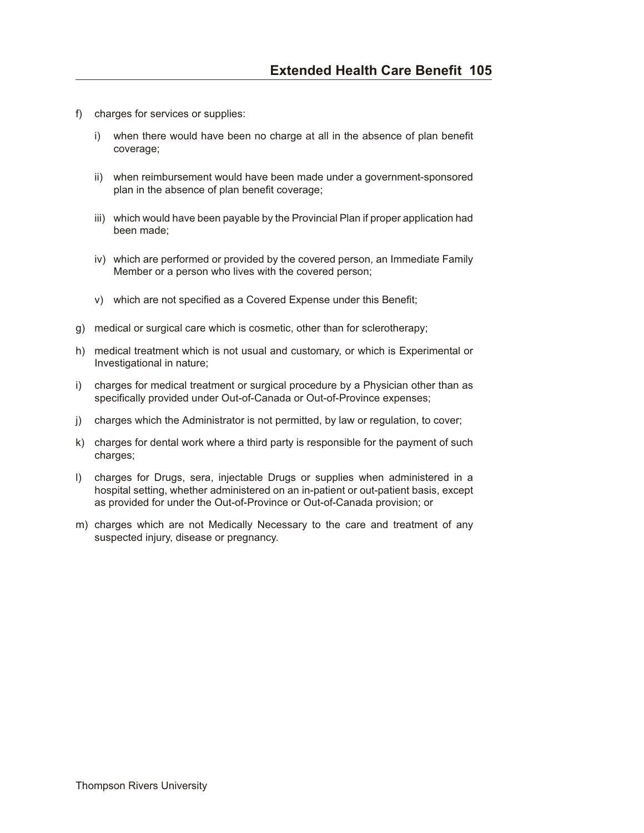- f) charges for services or supplies:
	- i) when there would have been no charge at all in the absence of plan benefit coverage;
	- ii) when reimbursement would have been made under a government-sponsored plan in the absence of plan benefit coverage;
	- iii) which would have been payable by the Provincial Plan if proper application had been made;
	- iv) which are performed or provided by the covered person, an Immediate Family Member or a person who lives with the covered person;
	- v) which are not specified as a Covered Expense under this Benefit;
- g) medical or surgical care which is cosmetic, other than for sclerotherapy;
- h) medical treatment which is not usual and customary, or which is Experimental or Investigational in nature;
- i) charges for medical treatment or surgical procedure by a Physician other than as specifically provided under Out-of-Canada or Out-of-Province expenses;
- j) charges which the Administrator is not permitted, by law or regulation, to cover;
- k) charges for dental work where a third party is responsible for the payment of such charges;
- l) charges for Drugs, sera, injectable Drugs or supplies when administered in a hospital setting, whether administered on an in-patient or out-patient basis, except as provided for under the Out-of-Province or Out-of-Canada provision; or
- m) charges which are not Medically Necessary to the care and treatment of any suspected injury, disease or pregnancy.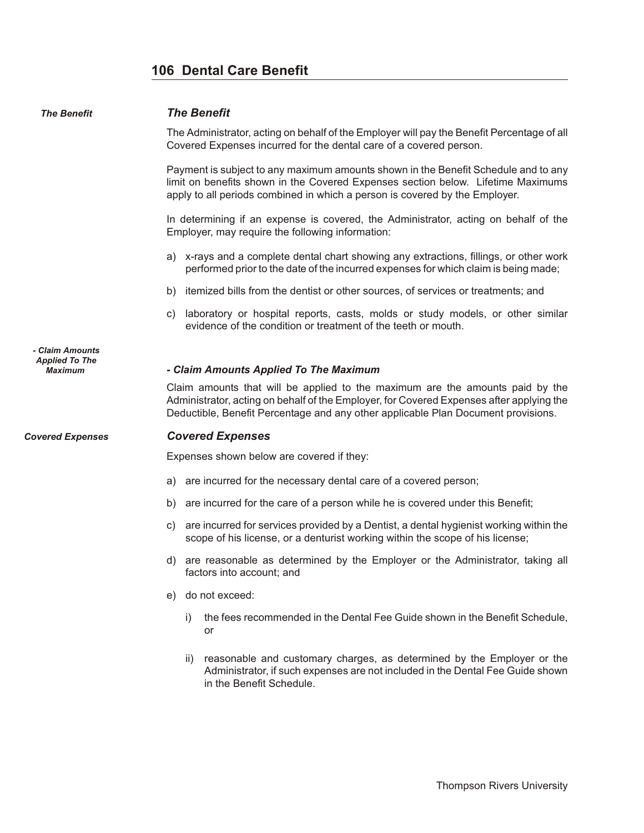## **106 Dental Care Benefit**

| <b>The Benefit</b>                                  | <b>The Benefit</b>                                                                                                                                                                                                                                    |
|-----------------------------------------------------|-------------------------------------------------------------------------------------------------------------------------------------------------------------------------------------------------------------------------------------------------------|
|                                                     | The Administrator, acting on behalf of the Employer will pay the Benefit Percentage of all<br>Covered Expenses incurred for the dental care of a covered person.                                                                                      |
|                                                     | Payment is subject to any maximum amounts shown in the Benefit Schedule and to any<br>limit on benefits shown in the Covered Expenses section below. Lifetime Maximums<br>apply to all periods combined in which a person is covered by the Employer. |
|                                                     | In determining if an expense is covered, the Administrator, acting on behalf of the<br>Employer, may require the following information:                                                                                                               |
|                                                     | x-rays and a complete dental chart showing any extractions, fillings, or other work<br>a)<br>performed prior to the date of the incurred expenses for which claim is being made;                                                                      |
|                                                     | itemized bills from the dentist or other sources, of services or treatments; and<br>b)                                                                                                                                                                |
|                                                     | laboratory or hospital reports, casts, molds or study models, or other similar<br>C)<br>evidence of the condition or treatment of the teeth or mouth.                                                                                                 |
| - Claim Amounts<br><b>Applied To The</b><br>Maximum | - Claim Amounts Applied To The Maximum<br>Claim amounts that will be applied to the maximum are the amounts paid by the<br>Administrator, acting on behalf of the Employer, for Covered Expenses after applying the                                   |
|                                                     | Deductible, Benefit Percentage and any other applicable Plan Document provisions.                                                                                                                                                                     |
| <b>Covered Expenses</b>                             | <b>Covered Expenses</b>                                                                                                                                                                                                                               |
|                                                     | Expenses shown below are covered if they:                                                                                                                                                                                                             |
|                                                     | are incurred for the necessary dental care of a covered person;<br>a)                                                                                                                                                                                 |
|                                                     | are incurred for the care of a person while he is covered under this Benefit;<br>b)                                                                                                                                                                   |
|                                                     | are incurred for services provided by a Dentist, a dental hygienist working within the<br>C)<br>scope of his license, or a denturist working within the scope of his license;                                                                         |
|                                                     | are reasonable as determined by the Employer or the Administrator, taking all<br>d)<br>factors into account; and                                                                                                                                      |
|                                                     | do not exceed:<br>e)                                                                                                                                                                                                                                  |
|                                                     | the fees recommended in the Dental Fee Guide shown in the Benefit Schedule,<br>i)<br>or                                                                                                                                                               |
|                                                     | reasonable and customary charges, as determined by the Employer or the<br>ii)<br>Administrator, if such expenses are not included in the Dental Fee Guide shown<br>in the Benefit Schedule.                                                           |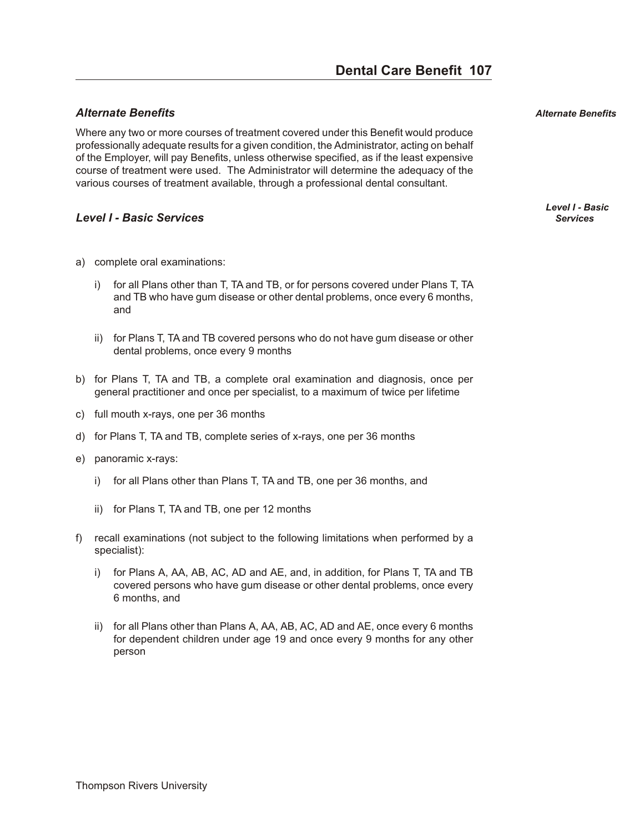## *Al ter nate Ben e fits Alternate Benefits*

Where any two or more courses of treatment covered under this Benefit would produce professionally adequate results for a given condition, the Administrator, acting on behalf of the Employer, will pay Benefits, unless otherwise specified, as if the least expensive course of treatment were used. The Administrator will determine the adequacy of the various courses of treatment available, through a professional dental consultant.

## *Level I - Ba sic Ser vices Services*

- a) complete oral examinations:
	- i) for all Plans other than T, TA and TB, or for persons covered under Plans T, TA and TB who have gum disease or other dental problems, once every 6 months, and
	- ii) for Plans T, TA and TB covered persons who do not have gum disease or other dental problems, once every 9 months
- b) for Plans T, TA and TB, a complete oral examination and diagnosis, once per general practitioner and once per specialist, to a maximum of twice per lifetime
- c) full mouth x-rays, one per 36 months
- d) for Plans T, TA and TB, complete series of x-rays, one per 36 months
- e) panoramic x-rays:
	- i) for all Plans other than Plans T, TA and TB, one per 36 months, and
	- ii) for Plans T, TA and TB, one per 12 months
- f) recall examinations (not subject to the following limitations when performed by a specialist):
	- i) for Plans A, AA, AB, AC, AD and AE, and, in addition, for Plans T, TA and TB covered persons who have gum disease or other dental problems, once every 6 months, and
	- ii) for all Plans other than Plans A, AA, AB, AC, AD and AE, once every 6 months for dependent children under age 19 and once every 9 months for any other person

*Level I - Basic*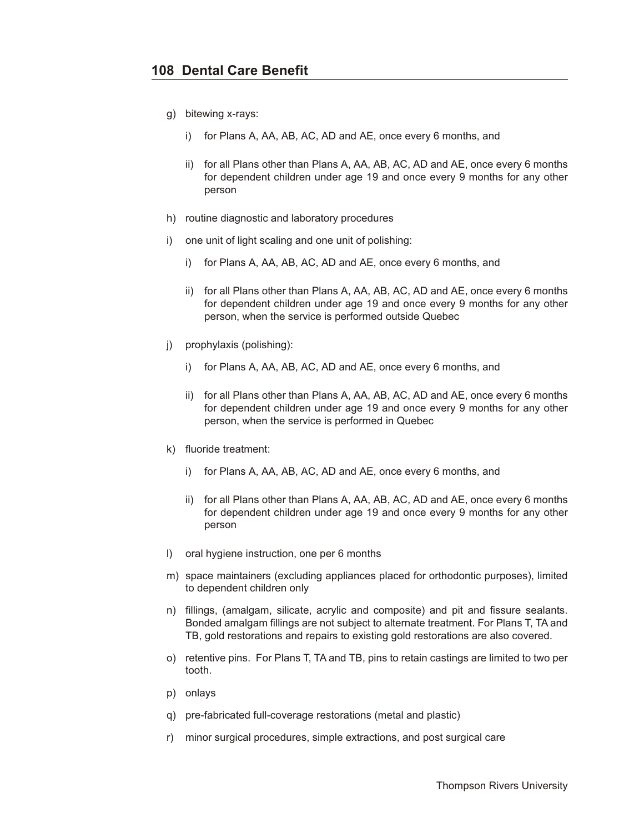- g) bitewing x-rays:
	- i) for Plans A, AA, AB, AC, AD and AE, once every 6 months, and
	- ii) for all Plans other than Plans A, AA, AB, AC, AD and AE, once every 6 months for dependent children under age 19 and once every 9 months for any other person
- h) routine diagnostic and laboratory procedures
- i) one unit of light scaling and one unit of polishing:
	- i) for Plans A, AA, AB, AC, AD and AE, once every 6 months, and
	- ii) for all Plans other than Plans A, AA, AB, AC, AD and AE, once every 6 months for dependent children under age 19 and once every 9 months for any other person, when the service is performed outside Quebec
- j) prophylaxis (polishing):
	- i) for Plans A, AA, AB, AC, AD and AE, once every 6 months, and
	- ii) for all Plans other than Plans A, AA, AB, AC, AD and AE, once every 6 months for dependent children under age 19 and once every 9 months for any other person, when the service is performed in Quebec
- k) fluoride treatment:
	- i) for Plans A, AA, AB, AC, AD and AE, once every 6 months, and
	- ii) for all Plans other than Plans A, AA, AB, AC, AD and AE, once every 6 months for dependent children under age 19 and once every 9 months for any other person
- l) oral hygiene instruction, one per 6 months
- m) space maintainers (excluding appliances placed for orthodontic purposes), limited to dependent children only
- n) fillings, (amalgam, silicate, acrylic and composite) and pit and fissure sealants. Bonded amalgam fillings are not subject to alternate treatment. For Plans T, TA and TB, gold restorations and repairs to existing gold restorations are also covered.
- o) retentive pins. For Plans T, TA and TB, pins to retain castings are limited to two per tooth.
- p) onlays
- q) pre-fabricated full-coverage restorations (metal and plastic)
- r) minor surgical procedures, simple extractions, and post surgical care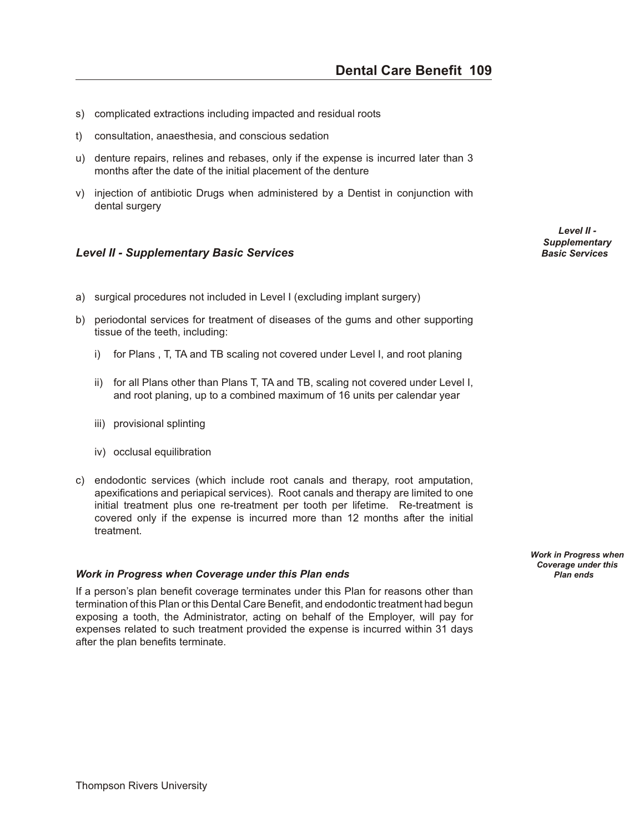- <span id="page-108-0"></span>s) complicated extractions including impacted and residual roots
- t) consultation, anaesthesia, and conscious sedation
- u) denture repairs, relines and rebases, only if the expense is incurred later than 3 months after the date of the initial placement of the denture
- v) injection of antibiotic Drugs when administered by a Dentist in conjunction with dental surgery

#### *Level II - Sup ple men tary Ba sic Ser vices Basic Services*

- a) surgical procedures not included in Level I (excluding implant surgery)
- b) periodontal services for treatment of diseases of the gums and other supporting tissue of the teeth, including:
	- i) for Plans , T, TA and TB scaling not covered under Level I, and root planing
	- ii) for all Plans other than Plans T, TA and TB, scaling not covered under Level I, and root planing, up to a combined maximum of 16 units per calendar year
	- iii) provisional splinting
	- iv) occlusal equilibration
- c) endodontic services (which include root canals and therapy, root amputation, apexifications and periapical services). Root canals and therapy are limited to one initial treatment plus one re-treatment per tooth per lifetime. Re-treatment is covered only if the expense is incurred more than 12 months after the initial treatment.

#### *Work in Progress when Coverage under this Plan ends**Plan ends**Plan ends**Plan ends*

If a person's plan benefit coverage terminates under this Plan for reasons other than termination of this Plan or this Dental Care Benefit, and endodontic treatment had begun exposing a tooth, the Administrator, acting on behalf of the Employer, will pay for expenses related to such treatment provided the expense is incurred within 31 days after the plan benefits terminate.

*Level II - Supplementary*

*Work in Progress when Coverage under this*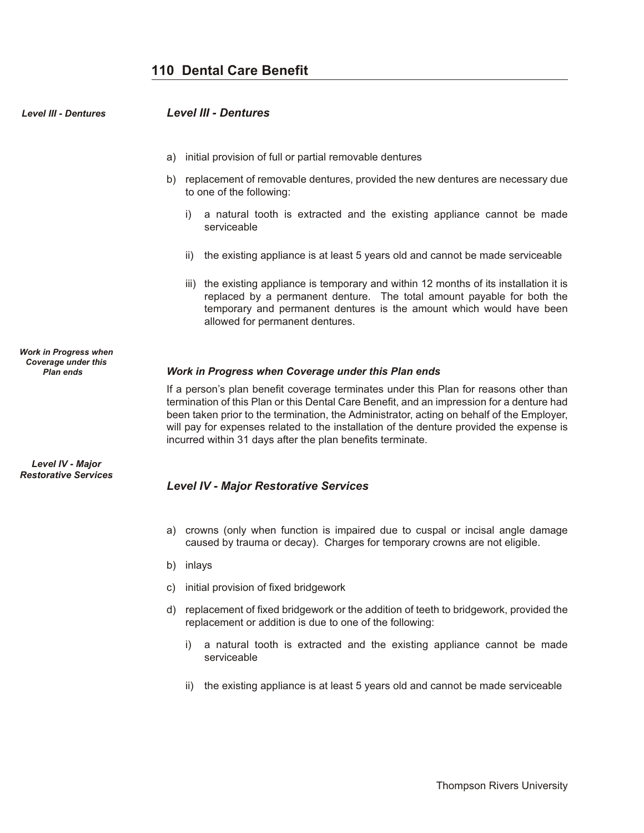# **110 Dental Care Benefit**

<span id="page-109-0"></span>

| <b>Level III - Dentures</b>                                             | <b>Level III - Dentures</b>                                                                                                                                                                                                                                                                                                                                                                                                               |
|-------------------------------------------------------------------------|-------------------------------------------------------------------------------------------------------------------------------------------------------------------------------------------------------------------------------------------------------------------------------------------------------------------------------------------------------------------------------------------------------------------------------------------|
|                                                                         | initial provision of full or partial removable dentures<br>a)                                                                                                                                                                                                                                                                                                                                                                             |
|                                                                         | replacement of removable dentures, provided the new dentures are necessary due<br>b)<br>to one of the following:                                                                                                                                                                                                                                                                                                                          |
|                                                                         | a natural tooth is extracted and the existing appliance cannot be made<br>i)<br>serviceable                                                                                                                                                                                                                                                                                                                                               |
|                                                                         | the existing appliance is at least 5 years old and cannot be made serviceable<br>ii)                                                                                                                                                                                                                                                                                                                                                      |
|                                                                         | iii) the existing appliance is temporary and within 12 months of its installation it is<br>replaced by a permanent denture. The total amount payable for both the<br>temporary and permanent dentures is the amount which would have been<br>allowed for permanent dentures.                                                                                                                                                              |
| Work in Progress when<br><b>Coverage under this</b><br><b>Plan ends</b> | Work in Progress when Coverage under this Plan ends                                                                                                                                                                                                                                                                                                                                                                                       |
|                                                                         | If a person's plan benefit coverage terminates under this Plan for reasons other than<br>termination of this Plan or this Dental Care Benefit, and an impression for a denture had<br>been taken prior to the termination, the Administrator, acting on behalf of the Employer,<br>will pay for expenses related to the installation of the denture provided the expense is<br>incurred within 31 days after the plan benefits terminate. |
| Level IV - Major<br><b>Restorative Services</b>                         | <b>Level IV - Major Restorative Services</b>                                                                                                                                                                                                                                                                                                                                                                                              |
|                                                                         | crowns (only when function is impaired due to cuspal or incisal angle damage<br>a)<br>caused by trauma or decay). Charges for temporary crowns are not eligible.                                                                                                                                                                                                                                                                          |
|                                                                         | inlays<br>b)                                                                                                                                                                                                                                                                                                                                                                                                                              |
|                                                                         | initial provision of fixed bridgework<br>C)                                                                                                                                                                                                                                                                                                                                                                                               |
|                                                                         | replacement of fixed bridgework or the addition of teeth to bridgework, provided the<br>d)<br>replacement or addition is due to one of the following:                                                                                                                                                                                                                                                                                     |
|                                                                         |                                                                                                                                                                                                                                                                                                                                                                                                                                           |

- i) a natural tooth is extracted and the existing appliance cannot be made serviceable
- ii) the existing appliance is at least 5 years old and cannot be made serviceable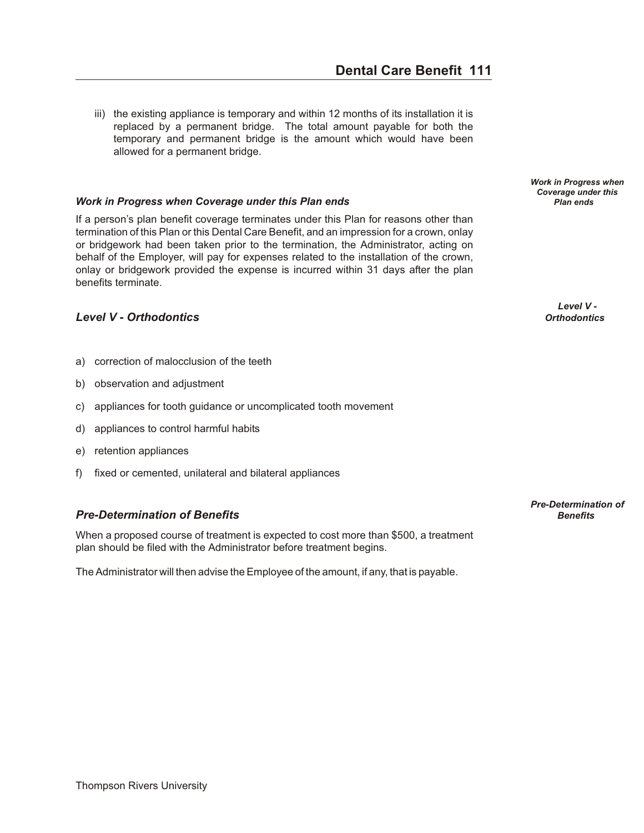<span id="page-110-0"></span>iii) the existing appliance is temporary and within 12 months of its installation it is replaced by a permanent bridge. The total amount payable for both the temporary and permanent bridge is the amount which would have been allowed for a permanent bridge.

# *Work in Progress when Coverage under this Plan ends* **<b>***Planet ends Plan ends Plan ends*

If a person's plan benefit coverage terminates under this Plan for reasons other than termination of this Plan or this Dental Care Benefit, and an impression for a crown, onlay or bridgework had been taken prior to the termination, the Administrator, acting on behalf of the Employer, will pay for expenses related to the installation of the crown, onlay or bridgework provided the expense is incurred within 31 days after the plan benefits terminate.

# **Level V - Orthodontics**

- a) correction of malocclusion of the teeth
- b) observation and adjustment
- c) appliances for tooth guidance or uncomplicated tooth movement
- d) appliances to control harmful habits
- e) retention appliances
- f) fixed or cemented, unilateral and bilateral appliances

# *Pre-De ter mi na tion of Ben e fits Benefits*

When a proposed course of treatment is expected to cost more than \$500, a treatment plan should be filed with the Administrator before treatment begins.

The Administrator will then advise the Employee of the amount, if any, that is payable.

*Work in Progress when Coverage under this*

*Level V -*

*Pre-Determination of*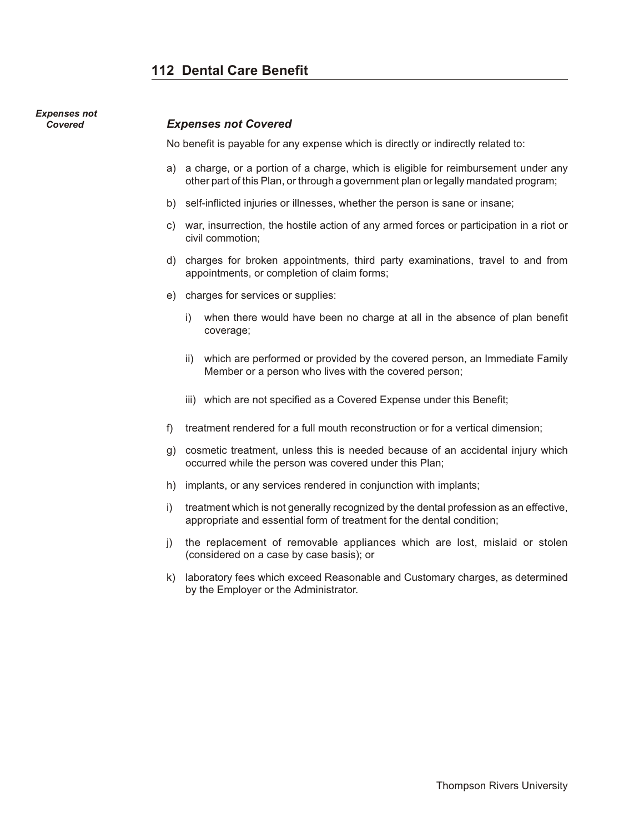# <span id="page-111-0"></span>*Expenses not*

#### **Covered** *Expenses not Covered*

No benefit is payable for any expense which is directly or indirectly related to:

- a) a charge, or a portion of a charge, which is eligible for reimbursement under any other part of this Plan, or through a government plan or legally mandated program;
- b) self-inflicted injuries or illnesses, whether the person is sane or insane;
- c) war, insurrection, the hostile action of any armed forces or participation in a riot or civil commotion;
- d) charges for broken appointments, third party examinations, travel to and from appointments, or completion of claim forms;
- e) charges for services or supplies:
	- i) when there would have been no charge at all in the absence of plan benefit coverage;
	- ii) which are performed or provided by the covered person, an Immediate Family Member or a person who lives with the covered person;
	- iii) which are not specified as a Covered Expense under this Benefit;
- f) treatment rendered for a full mouth reconstruction or for a vertical dimension;
- g) cosmetic treatment, unless this is needed because of an accidental injury which occurred while the person was covered under this Plan;
- h) implants, or any services rendered in conjunction with implants;
- i) treatment which is not generally recognized by the dental profession as an effective, appropriate and essential form of treatment for the dental condition;
- j) the replacement of removable appliances which are lost, mislaid or stolen (considered on a case by case basis); or
- k) laboratory fees which exceed Reasonable and Customary charges, as determined by the Employer or the Administrator.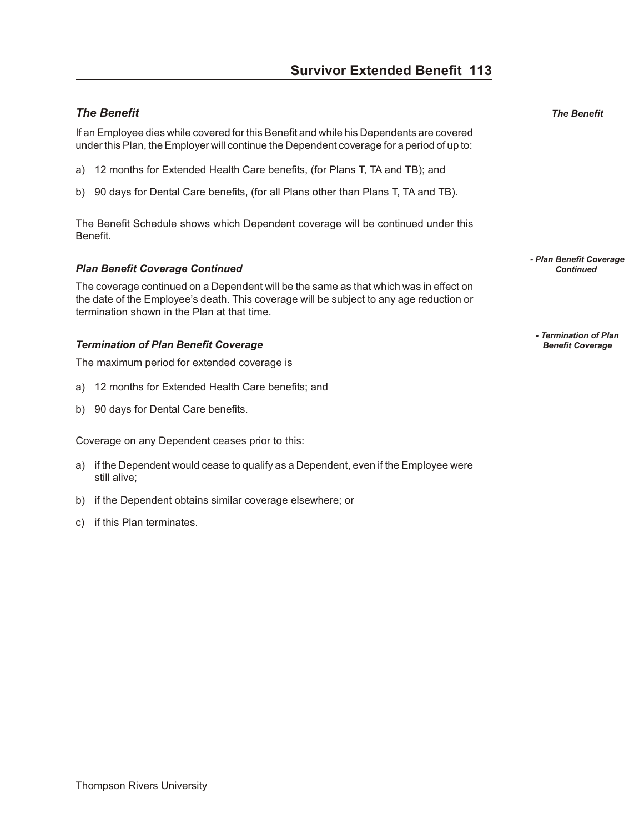# <span id="page-112-0"></span>**The Benefit The Benefit The Benefit**

If an Employee dies while covered for this Benefit and while his Dependents are covered under this Plan, the Employer will continue the Dependent coverage for a period of up to:

- a) 12 months for Extended Health Care benefits, (for Plans T, TA and TB); and
- b) 90 days for Dental Care benefits, (for all Plans other than Plans T, TA and TB).

The Benefit Schedule shows which Dependent coverage will be continued under this Benefit.

#### **Plan Benefit Coverage Continued Continued Continued Continued Continued Continued Continued Continued Continued Continued Continued Continued Continued Continued Continued Cont**

The coverage continued on a Dependent will be the same as that which was in effect on the date of the Employee's death. This coverage will be subject to any age reduction or termination shown in the Plan at that time.

#### *Termination of Plan Benefit Coverage*

The maximum period for extended coverage is

- a) 12 months for Extended Health Care benefits; and
- b) 90 days for Dental Care benefits.

Coverage on any Dependent ceases prior to this:

- a) if the Dependent would cease to qualify as a Dependent, even if the Employee were still alive;
- b) if the Dependent obtains similar coverage elsewhere; or
- c) if this Plan terminates.

*- Plan Benefit Coverage* 

*- Termination of Plan*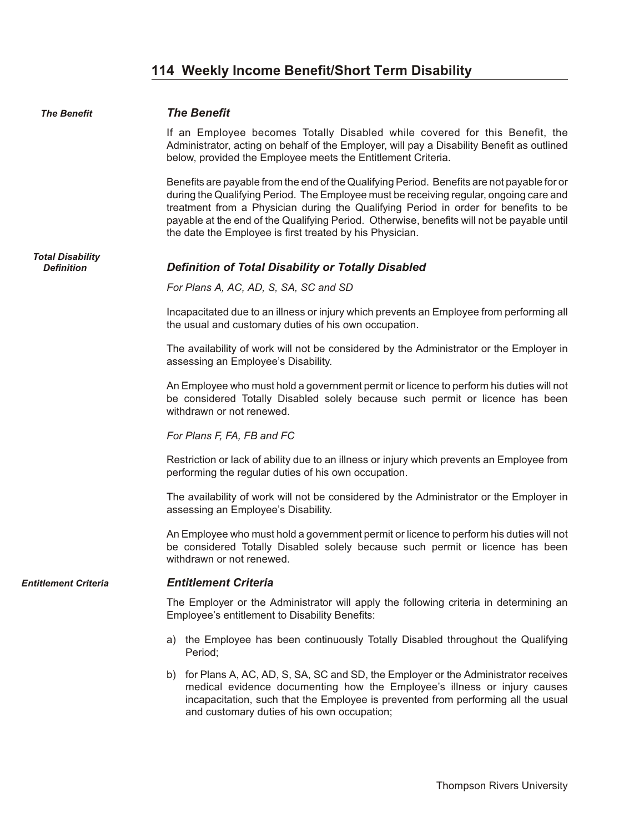# **114 Weekly Income Benefit/Short Term Disability**

<span id="page-113-0"></span>

| <b>The Benefit</b>                           | <b>The Benefit</b>                                                                                                                                                                                                                                                                                                                                                                                                                     |
|----------------------------------------------|----------------------------------------------------------------------------------------------------------------------------------------------------------------------------------------------------------------------------------------------------------------------------------------------------------------------------------------------------------------------------------------------------------------------------------------|
|                                              | If an Employee becomes Totally Disabled while covered for this Benefit, the<br>Administrator, acting on behalf of the Employer, will pay a Disability Benefit as outlined<br>below, provided the Employee meets the Entitlement Criteria.                                                                                                                                                                                              |
|                                              | Benefits are payable from the end of the Qualifying Period. Benefits are not payable for or<br>during the Qualifying Period. The Employee must be receiving regular, ongoing care and<br>treatment from a Physician during the Qualifying Period in order for benefits to be<br>payable at the end of the Qualifying Period. Otherwise, benefits will not be payable until<br>the date the Employee is first treated by his Physician. |
| <b>Total Disability</b><br><b>Definition</b> | <b>Definition of Total Disability or Totally Disabled</b>                                                                                                                                                                                                                                                                                                                                                                              |
|                                              | For Plans A, AC, AD, S, SA, SC and SD                                                                                                                                                                                                                                                                                                                                                                                                  |
|                                              | Incapacitated due to an illness or injury which prevents an Employee from performing all<br>the usual and customary duties of his own occupation.                                                                                                                                                                                                                                                                                      |
|                                              | The availability of work will not be considered by the Administrator or the Employer in<br>assessing an Employee's Disability.                                                                                                                                                                                                                                                                                                         |
|                                              | An Employee who must hold a government permit or licence to perform his duties will not<br>be considered Totally Disabled solely because such permit or licence has been<br>withdrawn or not renewed.                                                                                                                                                                                                                                  |
|                                              | For Plans F, FA, FB and FC                                                                                                                                                                                                                                                                                                                                                                                                             |
|                                              | Restriction or lack of ability due to an illness or injury which prevents an Employee from<br>performing the regular duties of his own occupation.                                                                                                                                                                                                                                                                                     |
|                                              | The availability of work will not be considered by the Administrator or the Employer in<br>assessing an Employee's Disability.                                                                                                                                                                                                                                                                                                         |
|                                              | An Employee who must hold a government permit or licence to perform his duties will not<br>be considered Totally Disabled solely because such permit or licence has been<br>withdrawn or not renewed.                                                                                                                                                                                                                                  |
| <b>Entitlement Criteria</b>                  | <b>Entitlement Criteria</b>                                                                                                                                                                                                                                                                                                                                                                                                            |
|                                              | The Employer or the Administrator will apply the following criteria in determining an<br>Employee's entitlement to Disability Benefits:                                                                                                                                                                                                                                                                                                |
|                                              | the Employee has been continuously Totally Disabled throughout the Qualifying<br>a)<br>Period;                                                                                                                                                                                                                                                                                                                                         |
|                                              | for Plans A, AC, AD, S, SA, SC and SD, the Employer or the Administrator receives<br>b)<br>medical evidence documenting how the Employee's illness or injury causes<br>incapacitation, such that the Employee is prevented from performing all the usual                                                                                                                                                                               |

and customary duties of his own occupation;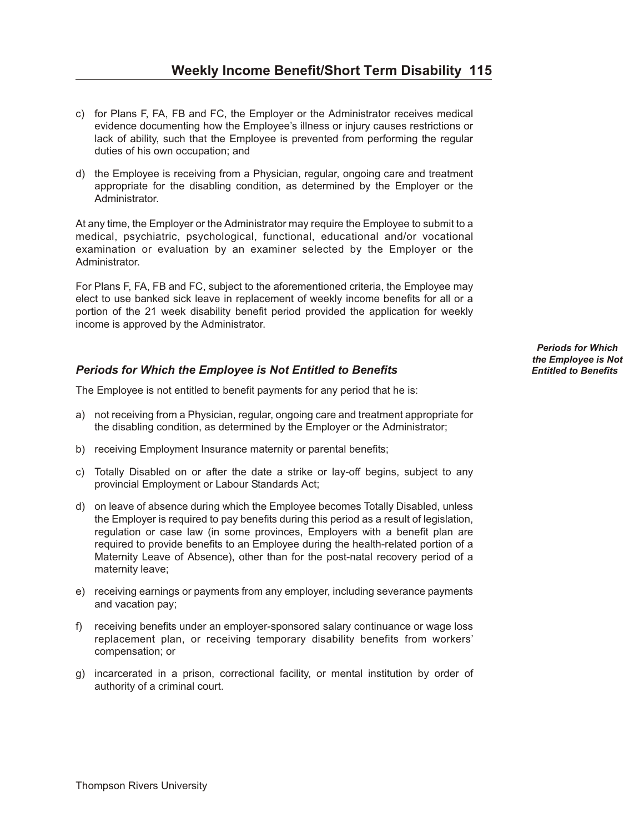- <span id="page-114-0"></span>c) for Plans F, FA, FB and FC, the Employer or the Administrator receives medical evidence documenting how the Employee's illness or injury causes restrictions or lack of ability, such that the Employee is prevented from performing the regular duties of his own occupation; and
- d) the Employee is receiving from a Physician, regular, ongoing care and treatment appropriate for the disabling condition, as determined by the Employer or the Administrator.

At any time, the Employer or the Administrator may require the Employee to submit to a medical, psychiatric, psychological, functional, educational and/or vocational examination or evaluation by an examiner selected by the Employer or the Administrator.

For Plans F, FA, FB and FC, subject to the aforementioned criteria, the Employee may elect to use banked sick leave in replacement of weekly income benefits for all or a portion of the 21 week disability benefit period provided the application for weekly income is approved by the Administrator.

### **Periods for Which the Employee is Not Entitled to Benefits**

The Employee is not entitled to benefit payments for any period that he is:

- a) not receiving from a Physician, regular, ongoing care and treatment appropriate for the disabling condition, as determined by the Employer or the Administrator;
- b) receiving Employment Insurance maternity or parental benefits;
- c) Totally Disabled on or after the date a strike or lay-off begins, subject to any provincial Employment or Labour Standards Act;
- d) on leave of absence during which the Employee becomes Totally Disabled, unless the Employer is required to pay benefits during this period as a result of legislation, regulation or case law (in some provinces, Employers with a benefit plan are required to provide benefits to an Employee during the health-related portion of a Maternity Leave of Absence), other than for the post-natal recovery period of a maternity leave;
- e) receiving earnings or payments from any employer, including severance payments and vacation pay;
- f) receiving benefits under an employer-sponsored salary continuance or wage loss replacement plan, or receiving temporary disability benefits from workers' compensation; or
- g) incarcerated in a prison, correctional facility, or mental institution by order of authority of a criminal court.

*Periods for Which the Employee is Not*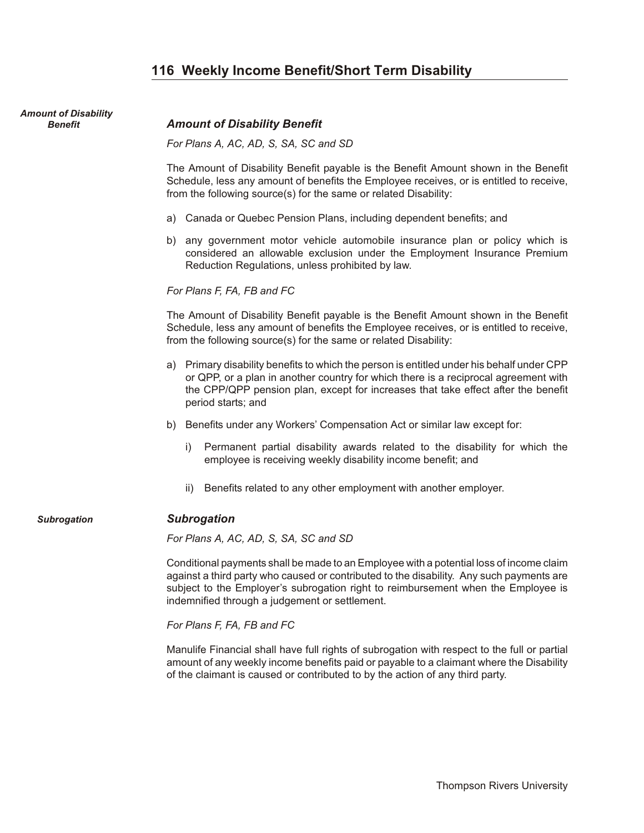# **116 Weekly Income Benefit/Short Term Disability**

<span id="page-115-0"></span>

| <b>Amount of Disability</b> |                                                                                                                                                                                                                                                                                                                            |
|-----------------------------|----------------------------------------------------------------------------------------------------------------------------------------------------------------------------------------------------------------------------------------------------------------------------------------------------------------------------|
| <b>Benefit</b>              | <b>Amount of Disability Benefit</b>                                                                                                                                                                                                                                                                                        |
|                             | For Plans A, AC, AD, S, SA, SC and SD                                                                                                                                                                                                                                                                                      |
|                             | The Amount of Disability Benefit payable is the Benefit Amount shown in the Benefit<br>Schedule, less any amount of benefits the Employee receives, or is entitled to receive,<br>from the following source(s) for the same or related Disability:                                                                         |
|                             | a) Canada or Quebec Pension Plans, including dependent benefits; and                                                                                                                                                                                                                                                       |
|                             | any government motor vehicle automobile insurance plan or policy which is<br>b)<br>considered an allowable exclusion under the Employment Insurance Premium<br>Reduction Regulations, unless prohibited by law.                                                                                                            |
|                             | For Plans F, FA, FB and FC                                                                                                                                                                                                                                                                                                 |
|                             | The Amount of Disability Benefit payable is the Benefit Amount shown in the Benefit<br>Schedule, less any amount of benefits the Employee receives, or is entitled to receive,<br>from the following source(s) for the same or related Disability:                                                                         |
|                             | a) Primary disability benefits to which the person is entitled under his behalf under CPP<br>or QPP, or a plan in another country for which there is a reciprocal agreement with<br>the CPP/QPP pension plan, except for increases that take effect after the benefit<br>period starts; and                                |
|                             | Benefits under any Workers' Compensation Act or similar law except for:<br>b)                                                                                                                                                                                                                                              |
|                             | Permanent partial disability awards related to the disability for which the<br>i)<br>employee is receiving weekly disability income benefit; and                                                                                                                                                                           |
|                             | Benefits related to any other employment with another employer.<br>ii)                                                                                                                                                                                                                                                     |
| <b>Subrogation</b>          | <b>Subrogation</b>                                                                                                                                                                                                                                                                                                         |
|                             | For Plans A, AC, AD, S, SA, SC and SD                                                                                                                                                                                                                                                                                      |
|                             | Conditional payments shall be made to an Employee with a potential loss of income claim<br>against a third party who caused or contributed to the disability. Any such payments are<br>subject to the Employer's subrogation right to reimbursement when the Employee is<br>indemnified through a judgement or settlement. |
|                             | For Plans F, FA, FB and FC                                                                                                                                                                                                                                                                                                 |
|                             | Manulife Financial shall have full rights of subrogation with respect to the full or partial<br>amount of any weekly income benefits paid or payable to a claimant where the Disability<br>of the claimant is caused or contributed to by the action of any third party.                                                   |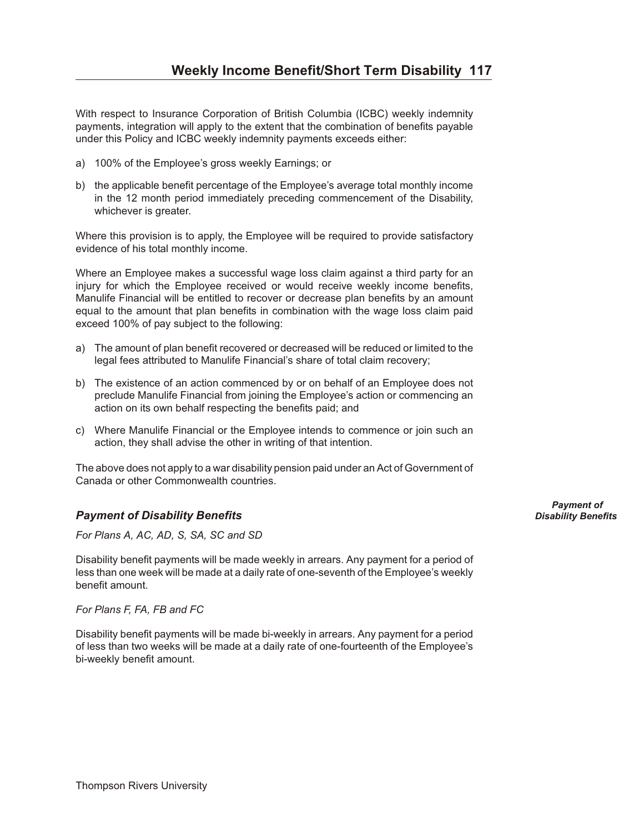<span id="page-116-0"></span>With respect to Insurance Corporation of British Columbia (ICBC) weekly indemnity payments, integration will apply to the extent that the combination of benefits payable under this Policy and ICBC weekly indemnity payments exceeds either:

- a) 100% of the Employee's gross weekly Earnings; or
- b) the applicable benefit percentage of the Employee's average total monthly income in the 12 month period immediately preceding commencement of the Disability, whichever is greater.

Where this provision is to apply, the Employee will be required to provide satisfactory evidence of his total monthly income.

Where an Employee makes a successful wage loss claim against a third party for an injury for which the Employee received or would receive weekly income benefits, Manulife Financial will be entitled to recover or decrease plan benefits by an amount equal to the amount that plan benefits in combination with the wage loss claim paid exceed 100% of pay subject to the following:

- a) The amount of plan benefit recovered or decreased will be reduced or limited to the legal fees attributed to Manulife Financial's share of total claim recovery;
- b) The existence of an action commenced by or on behalf of an Employee does not preclude Manulife Financial from joining the Employee's action or commencing an action on its own behalf respecting the benefits paid; and
- c) Where Manulife Financial or the Employee intends to commence or join such an action, they shall advise the other in writing of that intention.

The above does not apply to a war disability pension paid under an Act of Government of Canada or other Commonwealth countries.

# *Pay ment of Dis abil ity Ben e fits Disability Benefits*

*For Plans A, AC, AD, S, SA, SC and SD*

Disability benefit payments will be made weekly in arrears. Any payment for a period of less than one week will be made at a daily rate of one-seventh of the Employee's weekly benefit amount.

*For Plans F, FA, FB and FC*

Disability benefit payments will be made bi-weekly in arrears. Any payment for a period of less than two weeks will be made at a daily rate of one-fourteenth of the Employee's bi-weekly benefit amount.

*Payment of*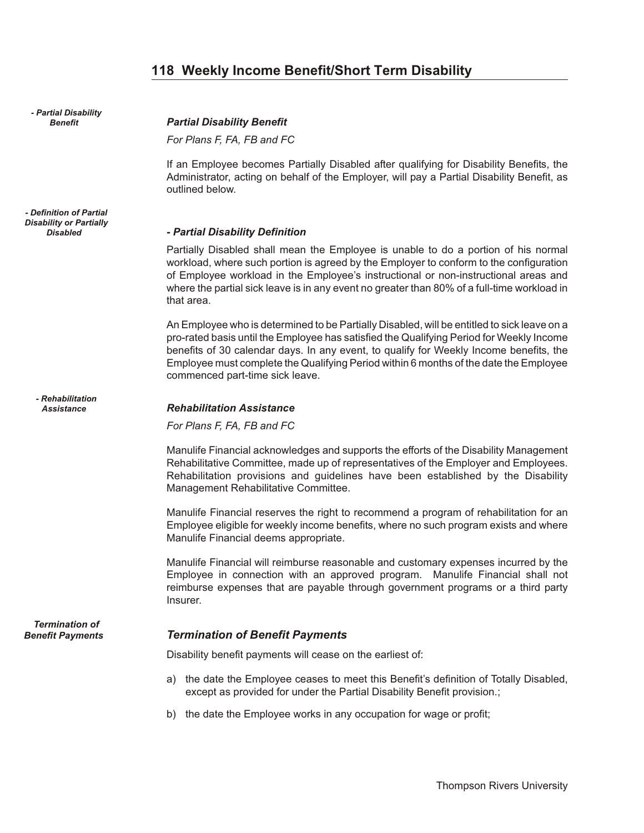# **118 Weekly Income Benefit/Short Term Disability**

<span id="page-117-0"></span>*- Partial Disability*

*- Definition of Partial Disability or Partially*

*- Rehabilitation*

*Termination of*

#### *Benefit Par tial Dis abil ity Ben e fit*

*For Plans F, FA, FB and FC*

If an Employee becomes Partially Disabled after qualifying for Disability Benefits, the Administrator, acting on behalf of the Employer, will pay a Partial Disability Benefit, as outlined below.

#### *Disabled - Par tial Dis abil ity Def i ni tion*

Partially Disabled shall mean the Employee is unable to do a portion of his normal workload, where such portion is agreed by the Employer to conform to the configuration of Employee workload in the Employee's instructional or non-instructional areas and where the partial sick leave is in any event no greater than 80% of a full-time workload in that area.

An Employee who is determined to be Partially Disabled, will be entitled to sick leave on a pro-rated basis until the Employee has satisfied the Qualifying Period for Weekly Income benefits of 30 calendar days. In any event, to qualify for Weekly Income benefits, the Employee must complete the Qualifying Period within 6 months of the date the Employee commenced part-time sick leave.

#### Assistance *Rehabilitation Assistance*

*For Plans F, FA, FB and FC*

Manulife Financial acknowledges and supports the efforts of the Disability Management Rehabilitative Committee, made up of representatives of the Employer and Employees. Rehabilitation provisions and guidelines have been established by the Disability Management Rehabilitative Committee.

Manulife Financial reserves the right to recommend a program of rehabilitation for an Employee eligible for weekly income benefits, where no such program exists and where Manulife Financial deems appropriate.

Manulife Financial will reimburse reasonable and customary expenses incurred by the Employee in connection with an approved program. Manulife Financial shall not reimburse expenses that are payable through government programs or a third party Insurer.

#### *Benefit Payments Termination of Benefit Payments*

Disability benefit payments will cease on the earliest of:

- a) the date the Employee ceases to meet this Benefit's definition of Totally Disabled, except as provided for under the Partial Disability Benefit provision.;
- b) the date the Employee works in any occupation for wage or profit;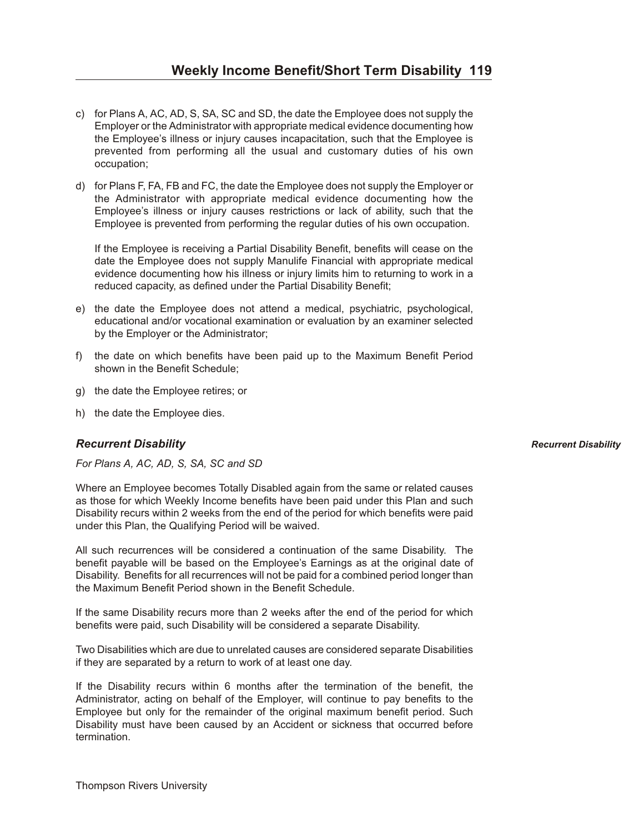- <span id="page-118-0"></span>c) for Plans A, AC, AD, S, SA, SC and SD, the date the Employee does not supply the Employer or the Administrator with appropriate medical evidence documenting how the Employee's illness or injury causes incapacitation, such that the Employee is prevented from performing all the usual and customary duties of his own occupation;
- d) for Plans F, FA, FB and FC, the date the Employee does not supply the Employer or the Administrator with appropriate medical evidence documenting how the Employee's illness or injury causes restrictions or lack of ability, such that the Employee is prevented from performing the regular duties of his own occupation.

If the Employee is receiving a Partial Disability Benefit, benefits will cease on the date the Employee does not supply Manulife Financial with appropriate medical evidence documenting how his illness or injury limits him to returning to work in a reduced capacity, as defined under the Partial Disability Benefit;

- e) the date the Employee does not attend a medical, psychiatric, psychological, educational and/or vocational examination or evaluation by an examiner selected by the Employer or the Administrator;
- f) the date on which benefits have been paid up to the Maximum Benefit Period shown in the Benefit Schedule;
- g) the date the Employee retires; or
- h) the date the Employee dies.

#### *Re cur rent Dis abil ity Recurrent Disability*

*For Plans A, AC, AD, S, SA, SC and SD*

Where an Employee becomes Totally Disabled again from the same or related causes as those for which Weekly Income benefits have been paid under this Plan and such Disability recurs within 2 weeks from the end of the period for which benefits were paid under this Plan, the Qualifying Period will be waived.

All such recurrences will be considered a continuation of the same Disability. The benefit payable will be based on the Employee's Earnings as at the original date of Disability. Benefits for all recurrences will not be paid for a combined period longer than the Maximum Benefit Period shown in the Benefit Schedule.

If the same Disability recurs more than 2 weeks after the end of the period for which benefits were paid, such Disability will be considered a separate Disability.

Two Disabilities which are due to unrelated causes are considered separate Disabilities if they are separated by a return to work of at least one day.

If the Disability recurs within 6 months after the termination of the benefit, the Administrator, acting on behalf of the Employer, will continue to pay benefits to the Employee but only for the remainder of the original maximum benefit period. Such Disability must have been caused by an Accident or sickness that occurred before termination.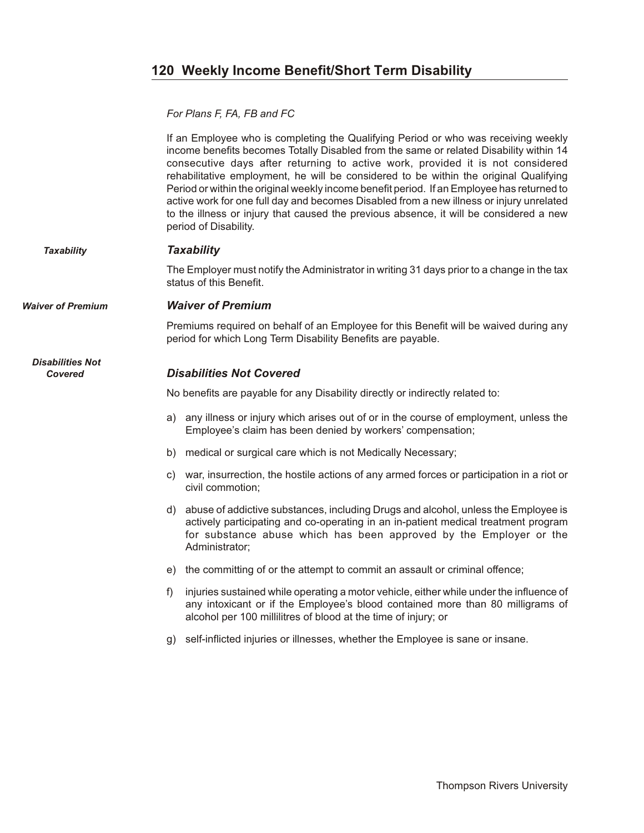# <span id="page-119-0"></span>**120 Weekly Income Benefit/Short Term Disability**

*For Plans F, FA, FB and FC*

If an Employee who is completing the Qualifying Period or who was receiving weekly income benefits becomes Totally Disabled from the same or related Disability within 14 consecutive days after returning to active work, provided it is not considered rehabilitative employment, he will be considered to be within the original Qualifying Period or within the original weekly income benefit period. If an Employee has returned to active work for one full day and becomes Disabled from a new illness or injury unrelated to the illness or injury that caused the previous absence, it will be considered a new period of Disability.

#### **Taxability Taxability**

The Employer must notify the Administrator in writing 31 days prior to a change in the tax status of this Benefit.

*Waiver of Premium Waiver of Premium* 

*Disabilities Not*

Premiums required on behalf of an Employee for this Benefit will be waived during any period for which Long Term Disability Benefits are payable.

#### **Covered** *Disabilities Not Covered*

No benefits are payable for any Disability directly or indirectly related to:

- a) any illness or injury which arises out of or in the course of employment, unless the Employee's claim has been denied by workers' compensation;
- b) medical or surgical care which is not Medically Necessary;
- c) war, insurrection, the hostile actions of any armed forces or participation in a riot or civil commotion;
- d) abuse of addictive substances, including Drugs and alcohol, unless the Employee is actively participating and co-operating in an in-patient medical treatment program for substance abuse which has been approved by the Employer or the Administrator;
- e) the committing of or the attempt to commit an assault or criminal offence;
- f) injuries sustained while operating a motor vehicle, either while under the influence of any intoxicant or if the Employee's blood contained more than 80 milligrams of alcohol per 100 millilitres of blood at the time of injury; or
- g) self-inflicted injuries or illnesses, whether the Employee is sane or insane.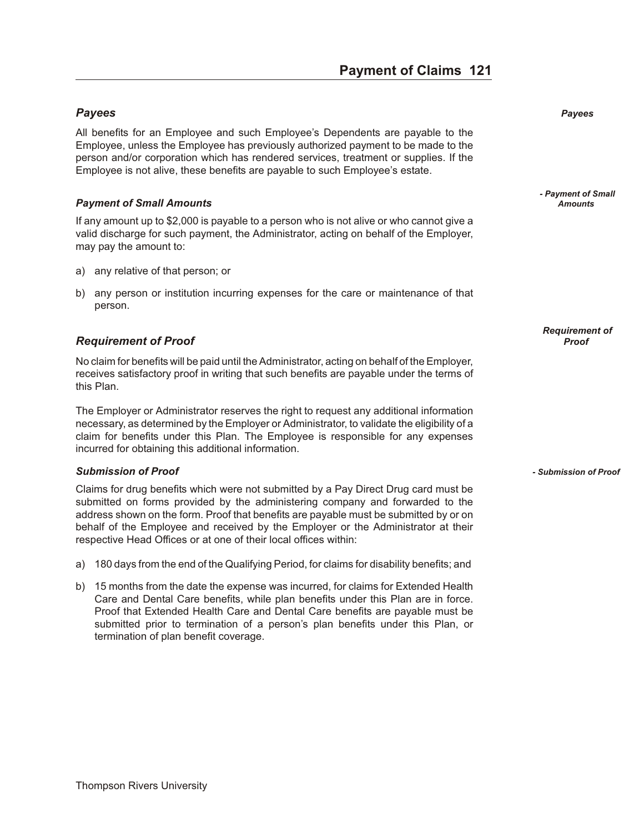# **Payment of Claims 121**

### <span id="page-120-0"></span>ay ent of C ai *Pay ees Payees*

All benefits for an Employee and such Employee's Dependents are payable to the Employee, unless the Employee has previously authorized payment to be made to the person and/or corporation which has rendered services, treatment or supplies. If the Employee is not alive, these benefits are payable to such Employee's estate.

#### **Payment of Small Amounts** *Amounts Amounts Amounts*

If any amount up to \$2,000 is payable to a person who is not alive or who cannot give a valid discharge for such payment, the Administrator, acting on behalf of the Employer, may pay the amount to:

- a) any relative of that person; or
- b) any person or institution incurring expenses for the care or maintenance of that person.

#### *Re quire ment of Proof Proof*

No claim for benefits will be paid until the Administrator, acting on behalf of the Employer, receives satisfactory proof in writing that such benefits are payable under the terms of this Plan.

The Employer or Administrator reserves the right to request any additional information necessary, as determined by the Employer or Administrator, to validate the eligibility of a claim for benefits under this Plan. The Employee is responsible for any expenses incurred for obtaining this additional information.

#### *Sub mis sion of Proof - Submission of Proof*

Claims for drug benefits which were not submitted by a Pay Direct Drug card must be submitted on forms provided by the administering company and forwarded to the address shown on the form. Proof that benefits are payable must be submitted by or on behalf of the Employee and received by the Employer or the Administrator at their respective Head Offices or at one of their local offices within:

- a) 180 days from the end of the Qualifying Period, for claims for disability benefits; and
- b) 15 months from the date the expense was incurred, for claims for Extended Health Care and Dental Care benefits, while plan benefits under this Plan are in force. Proof that Extended Health Care and Dental Care benefits are payable must be submitted prior to termination of a person's plan benefits under this Plan, or termination of plan benefit coverage.

*- Payment of Small*

*Requirement of*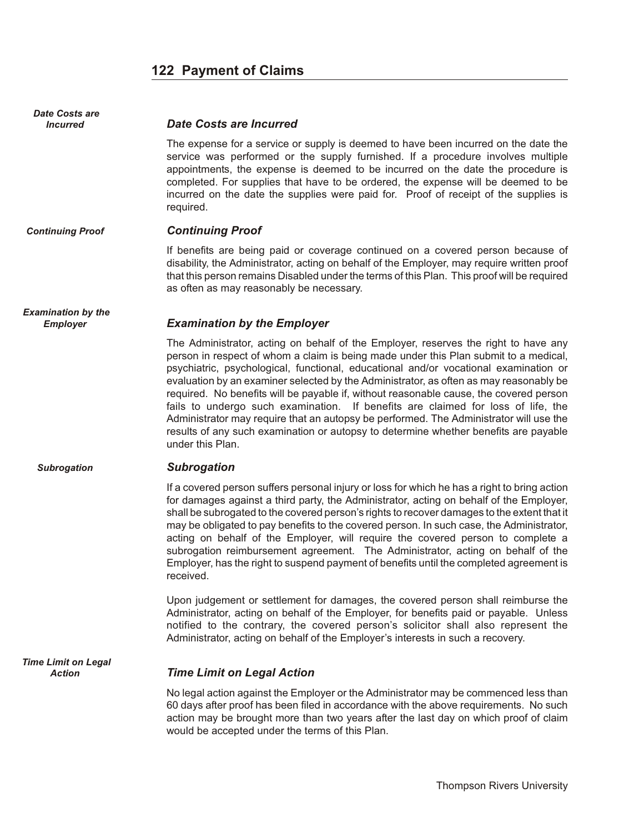# **122 Payment of Claims**

<span id="page-121-0"></span>

| <b>Date Costs are</b>                        |                                                                                                                                                                                                                                                                                                                                                                                                                                                                                                                                                                                                                                                                                                                                                   |
|----------------------------------------------|---------------------------------------------------------------------------------------------------------------------------------------------------------------------------------------------------------------------------------------------------------------------------------------------------------------------------------------------------------------------------------------------------------------------------------------------------------------------------------------------------------------------------------------------------------------------------------------------------------------------------------------------------------------------------------------------------------------------------------------------------|
| <b>Incurred</b>                              | <b>Date Costs are Incurred</b>                                                                                                                                                                                                                                                                                                                                                                                                                                                                                                                                                                                                                                                                                                                    |
|                                              | The expense for a service or supply is deemed to have been incurred on the date the<br>service was performed or the supply furnished. If a procedure involves multiple<br>appointments, the expense is deemed to be incurred on the date the procedure is<br>completed. For supplies that have to be ordered, the expense will be deemed to be<br>incurred on the date the supplies were paid for. Proof of receipt of the supplies is<br>required.                                                                                                                                                                                                                                                                                               |
| <b>Continuing Proof</b>                      | <b>Continuing Proof</b>                                                                                                                                                                                                                                                                                                                                                                                                                                                                                                                                                                                                                                                                                                                           |
|                                              | If benefits are being paid or coverage continued on a covered person because of<br>disability, the Administrator, acting on behalf of the Employer, may require written proof<br>that this person remains Disabled under the terms of this Plan. This proof will be required<br>as often as may reasonably be necessary.                                                                                                                                                                                                                                                                                                                                                                                                                          |
| <b>Examination by the</b><br><b>Employer</b> | <b>Examination by the Employer</b>                                                                                                                                                                                                                                                                                                                                                                                                                                                                                                                                                                                                                                                                                                                |
|                                              | The Administrator, acting on behalf of the Employer, reserves the right to have any<br>person in respect of whom a claim is being made under this Plan submit to a medical,<br>psychiatric, psychological, functional, educational and/or vocational examination or<br>evaluation by an examiner selected by the Administrator, as often as may reasonably be<br>required. No benefits will be payable if, without reasonable cause, the covered person<br>fails to undergo such examination. If benefits are claimed for loss of life, the<br>Administrator may require that an autopsy be performed. The Administrator will use the<br>results of any such examination or autopsy to determine whether benefits are payable<br>under this Plan. |
| <b>Subrogation</b>                           | <b>Subrogation</b>                                                                                                                                                                                                                                                                                                                                                                                                                                                                                                                                                                                                                                                                                                                                |
|                                              | If a covered person suffers personal injury or loss for which he has a right to bring action<br>for damages against a third party, the Administrator, acting on behalf of the Employer,<br>shall be subrogated to the covered person's rights to recover damages to the extent that it<br>may be obligated to pay benefits to the covered person. In such case, the Administrator,<br>acting on behalf of the Employer, will require the covered person to complete a<br>subrogation reimbursement agreement. The Administrator, acting on behalf of the<br>Employer, has the right to suspend payment of benefits until the completed agreement is<br>received.                                                                                  |
|                                              | Upon judgement or settlement for damages, the covered person shall reimburse the<br>Administrator, acting on behalf of the Employer, for benefits paid or payable. Unless<br>notified to the contrary, the covered person's solicitor shall also represent the<br>Administrator, acting on behalf of the Employer's interests in such a recovery.                                                                                                                                                                                                                                                                                                                                                                                                 |
| <b>Time Limit on Legal</b><br><b>Action</b>  | <b>Time Limit on Legal Action</b>                                                                                                                                                                                                                                                                                                                                                                                                                                                                                                                                                                                                                                                                                                                 |
|                                              | No legal action against the Employer or the Administrator may be commenced less than<br>60 days after proof has been filed in accordance with the above requirements. No such<br>action may be brought more than two years after the last day on which proof of claim<br>would be accepted under the terms of this Plan.                                                                                                                                                                                                                                                                                                                                                                                                                          |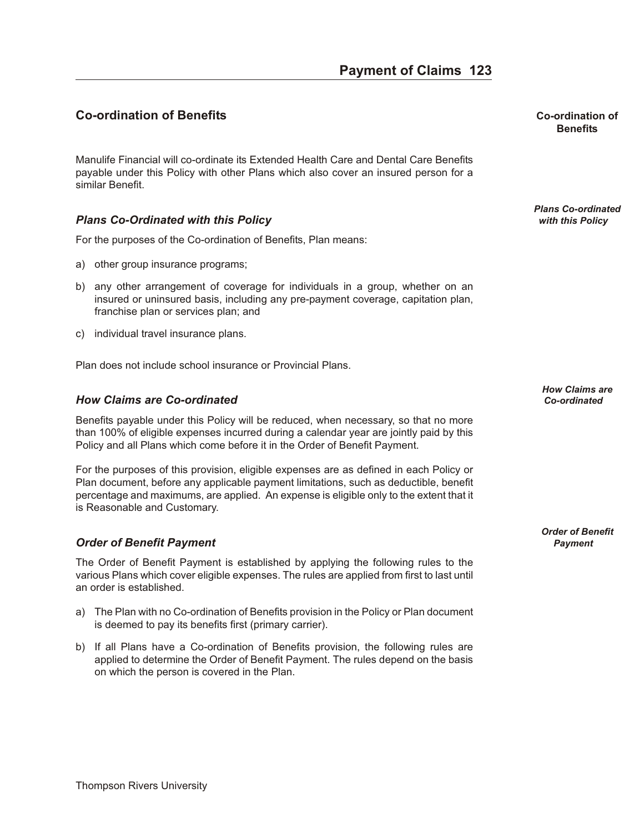# <span id="page-122-0"></span>**Co-ordination of Benefits Co-ordination of**

Manulife Financial will co-ordinate its Extended Health Care and Dental Care Benefits payable under this Policy with other Plans which also cover an insured person for a similar Benefit.

#### **Plans Co-Ordinated with this Policy**

For the purposes of the Co-ordination of Benefits, Plan means:

- a) other group insurance programs;
- b) any other arrangement of coverage for individuals in a group, whether on an insured or uninsured basis, including any pre-payment coverage, capitation plan, franchise plan or services plan; and
- c) individual travel insurance plans.

Plan does not include school insurance or Provincial Plans.

#### *How Claims are Co-ordinated Co-ordinated*

Benefits payable under this Policy will be reduced, when necessary, so that no more than 100% of eligible expenses incurred during a calendar year are jointly paid by this Policy and all Plans which come before it in the Order of Benefit Payment.

For the purposes of this provision, eligible expenses are as defined in each Policy or Plan document, before any applicable payment limitations, such as deductible, benefit percentage and maximums, are applied. An expense is eligible only to the extent that it is Reasonable and Customary.

#### *Or der of Ben e fit Pay ment Payment*

The Order of Benefit Payment is established by applying the following rules to the various Plans which cover eligible expenses. The rules are applied from first to last until an order is established.

- a) The Plan with no Co-ordination of Benefits provision in the Policy or Plan document is deemed to pay its benefits first (primary carrier).
- b) If all Plans have a Co-ordination of Benefits provision, the following rules are applied to determine the Order of Benefit Payment. The rules depend on the basis on which the person is covered in the Plan.

**Benefits**

*Plans Co-ordinated*

*How Claims are*

*Order of Benefit*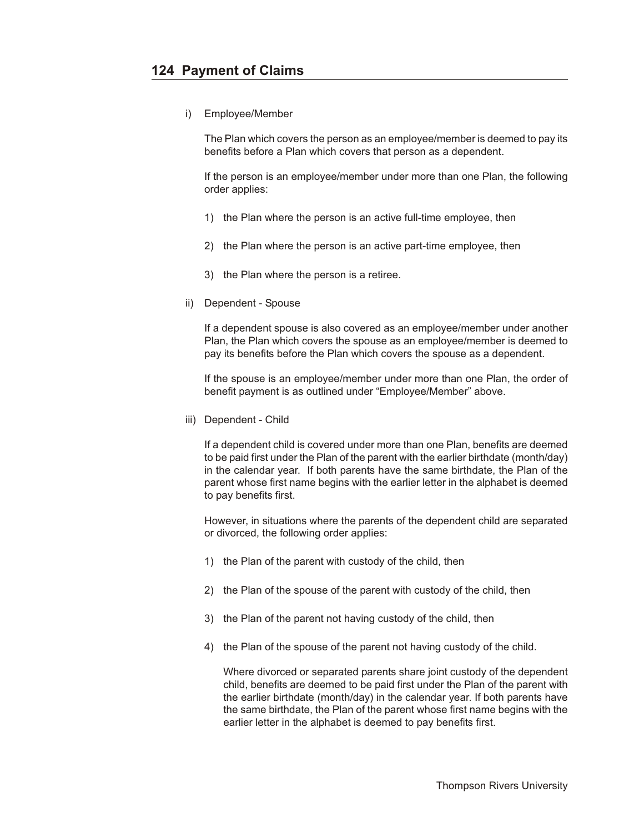i) Employee/Member

The Plan which covers the person as an employee/member is deemed to pay its benefits before a Plan which covers that person as a dependent.

If the person is an employee/member under more than one Plan, the following order applies:

- 1) the Plan where the person is an active full-time employee, then
- 2) the Plan where the person is an active part-time employee, then
- 3) the Plan where the person is a retiree.
- ii) Dependent Spouse

If a dependent spouse is also covered as an employee/member under another Plan, the Plan which covers the spouse as an employee/member is deemed to pay its benefits before the Plan which covers the spouse as a dependent.

If the spouse is an employee/member under more than one Plan, the order of benefit payment is as outlined under "Employee/Member" above.

iii) Dependent - Child

If a dependent child is covered under more than one Plan, benefits are deemed to be paid first under the Plan of the parent with the earlier birthdate (month/day) in the calendar year. If both parents have the same birthdate, the Plan of the parent whose first name begins with the earlier letter in the alphabet is deemed to pay benefits first.

However, in situations where the parents of the dependent child are separated or divorced, the following order applies:

- 1) the Plan of the parent with custody of the child, then
- 2) the Plan of the spouse of the parent with custody of the child, then
- 3) the Plan of the parent not having custody of the child, then
- 4) the Plan of the spouse of the parent not having custody of the child.

Where divorced or separated parents share joint custody of the dependent child, benefits are deemed to be paid first under the Plan of the parent with the earlier birthdate (month/day) in the calendar year. If both parents have the same birthdate, the Plan of the parent whose first name begins with the earlier letter in the alphabet is deemed to pay benefits first.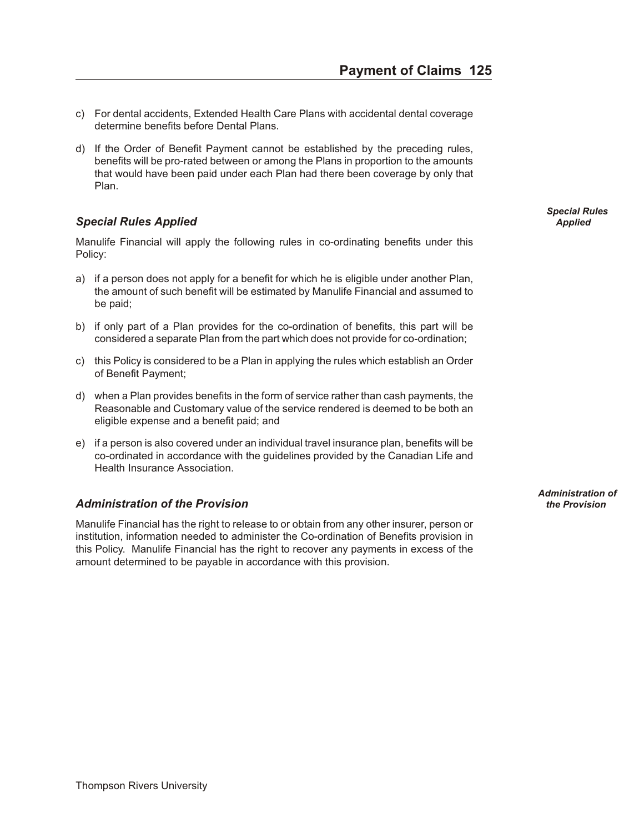- <span id="page-124-0"></span>c) For dental accidents, Extended Health Care Plans with accidental dental coverage determine benefits before Dental Plans.
- d) If the Order of Benefit Payment cannot be established by the preceding rules, benefits will be pro-rated between or among the Plans in proportion to the amounts that would have been paid under each Plan had there been coverage by only that Plan.

### **Special Rules Applied Applied Applied** *Applied* **Applied** *Applied* **<b>***Applied Applied Applied Applied*

Manulife Financial will apply the following rules in co-ordinating benefits under this Policy:

- a) if a person does not apply for a benefit for which he is eligible under another Plan, the amount of such benefit will be estimated by Manulife Financial and assumed to be paid;
- b) if only part of a Plan provides for the co-ordination of benefits, this part will be considered a separate Plan from the part which does not provide for co-ordination;
- c) this Policy is considered to be a Plan in applying the rules which establish an Order of Benefit Payment;
- d) when a Plan provides benefits in the form of service rather than cash payments, the Reasonable and Customary value of the service rendered is deemed to be both an eligible expense and a benefit paid; and
- e) if a person is also covered under an individual travel insurance plan, benefits will be co-ordinated in accordance with the guidelines provided by the Canadian Life and Health Insurance Association.

#### *Ad min is tra tion of the Pro vi sion the Provision*

Manulife Financial has the right to release to or obtain from any other insurer, person or institution, information needed to administer the Co-ordination of Benefits provision in this Policy. Manulife Financial has the right to recover any payments in excess of the amount determined to be payable in accordance with this provision.

*Special Rules*

*Administration of*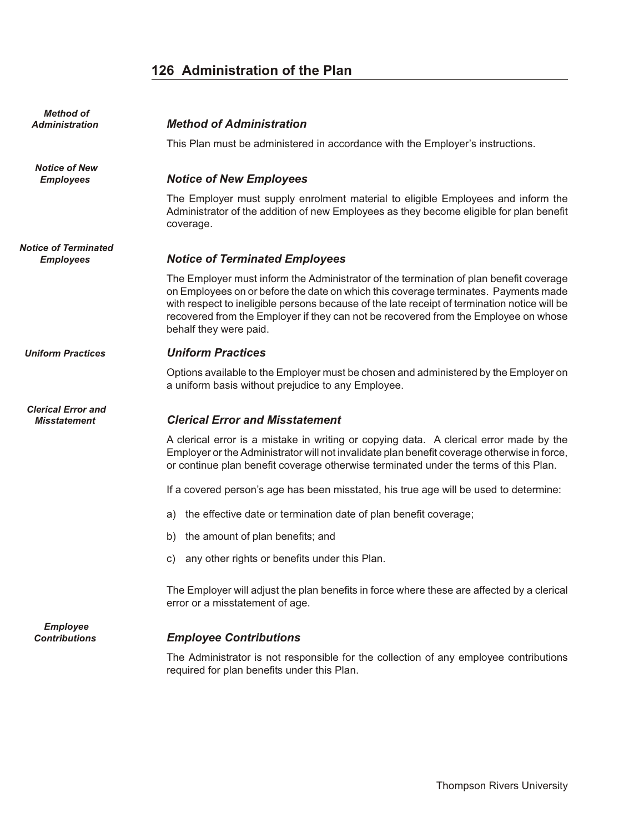# **126 Administration of the Plan**

<span id="page-125-0"></span>

| <b>Method of</b><br>Administration               | <b>Method of Administration</b>                                                                                                                                                                                                                                                                                                                                                                |
|--------------------------------------------------|------------------------------------------------------------------------------------------------------------------------------------------------------------------------------------------------------------------------------------------------------------------------------------------------------------------------------------------------------------------------------------------------|
|                                                  | This Plan must be administered in accordance with the Employer's instructions.                                                                                                                                                                                                                                                                                                                 |
| <b>Notice of New</b><br><b>Employees</b>         | <b>Notice of New Employees</b>                                                                                                                                                                                                                                                                                                                                                                 |
|                                                  | The Employer must supply enrolment material to eligible Employees and inform the<br>Administrator of the addition of new Employees as they become eligible for plan benefit<br>coverage.                                                                                                                                                                                                       |
| <b>Notice of Terminated</b><br><b>Employees</b>  | <b>Notice of Terminated Employees</b>                                                                                                                                                                                                                                                                                                                                                          |
|                                                  | The Employer must inform the Administrator of the termination of plan benefit coverage<br>on Employees on or before the date on which this coverage terminates. Payments made<br>with respect to ineligible persons because of the late receipt of termination notice will be<br>recovered from the Employer if they can not be recovered from the Employee on whose<br>behalf they were paid. |
| <b>Uniform Practices</b>                         | <b>Uniform Practices</b>                                                                                                                                                                                                                                                                                                                                                                       |
|                                                  | Options available to the Employer must be chosen and administered by the Employer on<br>a uniform basis without prejudice to any Employee.                                                                                                                                                                                                                                                     |
| <b>Clerical Error and</b><br><b>Misstatement</b> | <b>Clerical Error and Misstatement</b>                                                                                                                                                                                                                                                                                                                                                         |
|                                                  | A clerical error is a mistake in writing or copying data. A clerical error made by the<br>Employer or the Administrator will not invalidate plan benefit coverage otherwise in force,<br>or continue plan benefit coverage otherwise terminated under the terms of this Plan.                                                                                                                  |
|                                                  | If a covered person's age has been misstated, his true age will be used to determine:                                                                                                                                                                                                                                                                                                          |
|                                                  | the effective date or termination date of plan benefit coverage;<br>a)                                                                                                                                                                                                                                                                                                                         |
|                                                  | the amount of plan benefits; and<br>b)                                                                                                                                                                                                                                                                                                                                                         |
|                                                  | any other rights or benefits under this Plan.<br>C)                                                                                                                                                                                                                                                                                                                                            |
|                                                  | The Employer will adjust the plan benefits in force where these are affected by a clerical<br>error or a misstatement of age.                                                                                                                                                                                                                                                                  |
| <b>Employee</b><br><b>Contributions</b>          | <b>Employee Contributions</b>                                                                                                                                                                                                                                                                                                                                                                  |
|                                                  | The Administrator is not responsible for the collection of any employee contributions<br>required for plan benefits under this Plan.                                                                                                                                                                                                                                                           |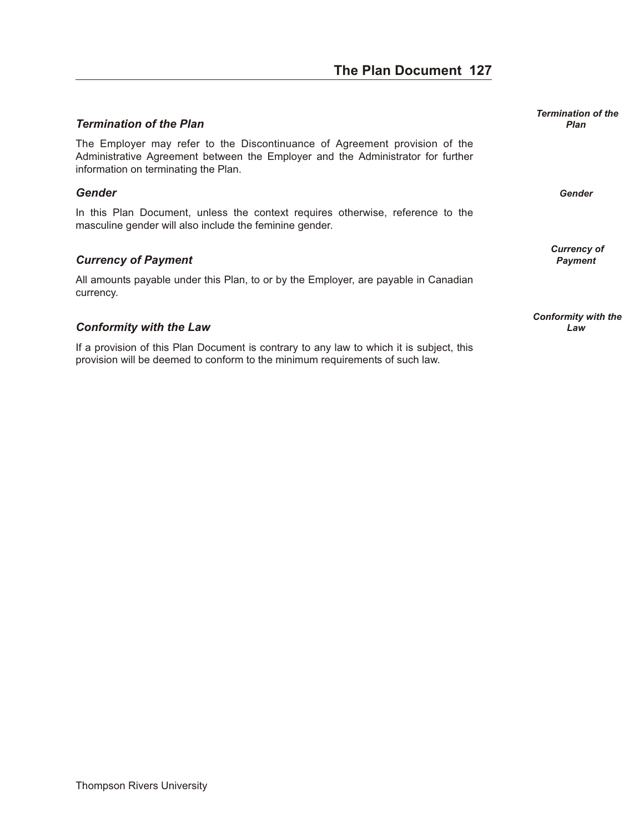# **The Plan Document 127**

#### <span id="page-126-0"></span>*Ter mi na tion of the Plan Plan*

The Employer may refer to the Discontinuance of Agreement provision of the Administrative Agreement between the Employer and the Administrator for further information on terminating the Plan.

#### *Gen der Gender*

In this Plan Document, unless the context requires otherwise, reference to the masculine gender will also include the feminine gender.

#### **Currency of Payment** *Payment Payment*

All amounts payable under this Plan, to or by the Employer, are payable in Canadian currency.

#### *Con for mity with the Law Law*

If a provision of this Plan Document is contrary to any law to which it is subject, this provision will be deemed to conform to the minimum requirements of such law.

*Termination of the*

*Currency of*

*Conformity with the*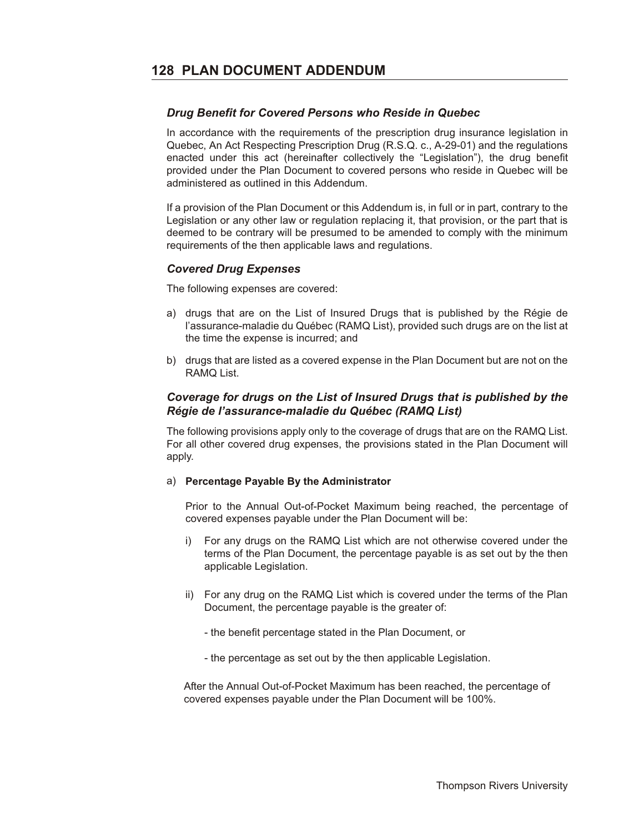#### <span id="page-127-0"></span>**Drug Benefit for Covered Persons who Reside in Quebec**

In accordance with the requirements of the prescription drug insurance legislation in Quebec, An Act Respecting Prescription Drug (R.S.Q. c., A-29-01) and the regulations enacted under this act (hereinafter collectively the "Legislation"), the drug benefit provided under the Plan Document to covered persons who reside in Quebec will be administered as outlined in this Addendum.

If a provision of the Plan Document or this Addendum is, in full or in part, contrary to the Legislation or any other law or regulation replacing it, that provision, or the part that is deemed to be contrary will be presumed to be amended to comply with the minimum requirements of the then applicable laws and regulations.

#### *Cov ered Drug Ex penses*

The following expenses are covered:

- a) drugs that are on the List of Insured Drugs that is published by the Régie de l'assurance-maladie du Québec (RAMQ List), provided such drugs are on the list at the time the expense is incurred; and
- b) drugs that are listed as a covered expense in the Plan Document but are not on the RAMQ List.

#### **Coverage for drugs on the List of Insured Drugs that is published by the** *Régie de l'assurance-maladie du Qué bec (RAMQ List)*

The following provisions apply only to the coverage of drugs that are on the RAMQ List. For all other covered drug expenses, the provisions stated in the Plan Document will apply.

#### a) **Percentage Payable By the Administrator**

Prior to the Annual Out-of-Pocket Maximum being reached, the percentage of covered expenses payable under the Plan Document will be:

- i) For any drugs on the RAMQ List which are not otherwise covered under the terms of the Plan Document, the percentage payable is as set out by the then applicable Legislation.
- ii) For any drug on the RAMQ List which is covered under the terms of the Plan Document, the percentage payable is the greater of:
	- the benefit percentage stated in the Plan Document, or
	- the percentage as set out by the then applicable Legislation.

 After the Annual Out-of-Pocket Maximum has been reached, the percentage of covered expenses payable under the Plan Document will be 100%.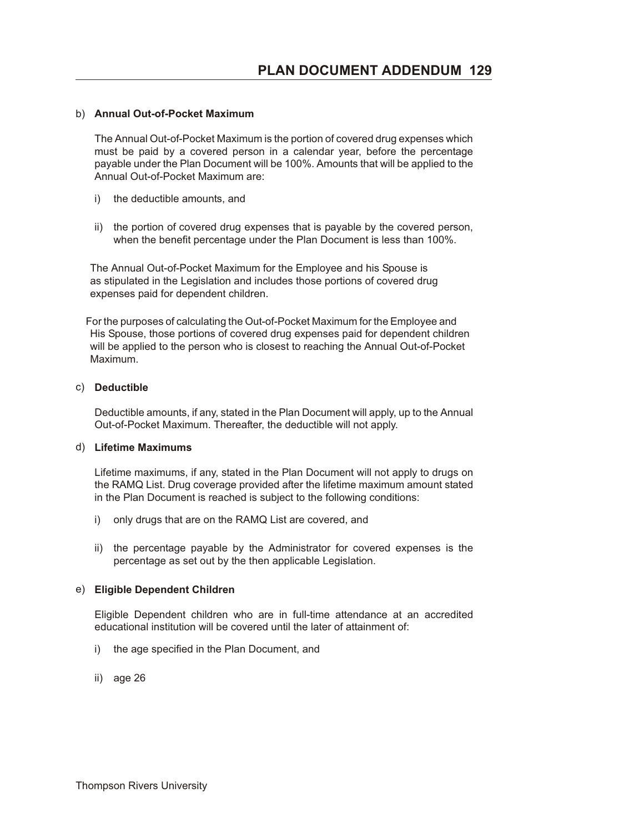#### b) **Annual Out-of-Pocket Maximum**

The Annual Out-of-Pocket Maximum is the portion of covered drug expenses which must be paid by a covered person in a calendar year, before the percentage payable under the Plan Document will be 100%. Amounts that will be applied to the Annual Out-of-Pocket Maximum are:

- i) the deductible amounts, and
- ii) the portion of covered drug expenses that is payable by the covered person, when the benefit percentage under the Plan Document is less than 100%.

 The Annual Out-of-Pocket Maximum for the Employee and his Spouse is as stipulated in the Legislation and includes those portions of covered drug expenses paid for dependent children.

 For the purposes of calculating the Out-of-Pocket Maximum for the Employee and His Spouse, those portions of covered drug expenses paid for dependent children will be applied to the person who is closest to reaching the Annual Out-of-Pocket Maximum.

#### c) **Deductible**

Deductible amounts, if any, stated in the Plan Document will apply, up to the Annual Out-of-Pocket Maximum. Thereafter, the deductible will not apply.

#### d) **Lifetime Maximums**

Lifetime maximums, if any, stated in the Plan Document will not apply to drugs on the RAMQ List. Drug coverage provided after the lifetime maximum amount stated in the Plan Document is reached is subject to the following conditions:

- i) only drugs that are on the RAMQ List are covered, and
- ii) the percentage payable by the Administrator for covered expenses is the percentage as set out by the then applicable Legislation.

#### e) **Eligible Dependent Children**

Eligible Dependent children who are in full-time attendance at an accredited educational institution will be covered until the later of attainment of:

- i) the age specified in the Plan Document, and
- ii) age 26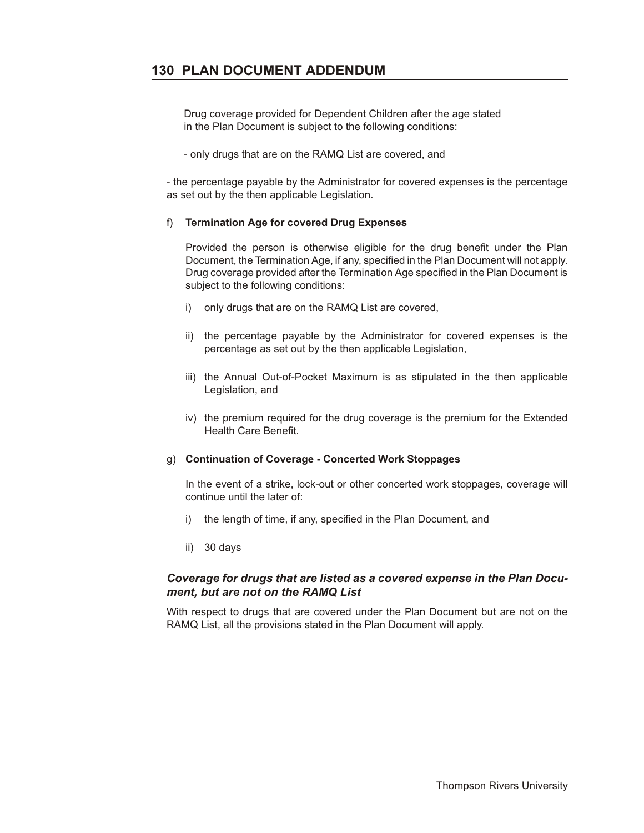# **130 PLAN DOCUMENT ADDENDUM**

 Drug coverage provided for Dependent Children after the age stated in the Plan Document is subject to the following conditions:

- only drugs that are on the RAMQ List are covered, and

- the percentage payable by the Administrator for covered expenses is the percentage as set out by the then applicable Legislation.

#### f) **Termination Age for covered Drug Expenses**

Provided the person is otherwise eligible for the drug benefit under the Plan Document, the Termination Age, if any, specified in the Plan Document will not apply. Drug coverage provided after the Termination Age specified in the Plan Document is subject to the following conditions:

- i) only drugs that are on the RAMQ List are covered,
- ii) the percentage payable by the Administrator for covered expenses is the percentage as set out by the then applicable Legislation,
- iii) the Annual Out-of-Pocket Maximum is as stipulated in the then applicable Legislation, and
- iv) the premium required for the drug coverage is the premium for the Extended Health Care Benefit.

#### g) **Continuation of Coverage - Concerted Work Stoppages**

In the event of a strike, lock-out or other concerted work stoppages, coverage will continue until the later of:

- i) the length of time, if any, specified in the Plan Document, and
- ii) 30 days

#### *Coverage for drugs that are listed as a covered expense in the Plan Document, but are not on the RAMQ List*

With respect to drugs that are covered under the Plan Document but are not on the RAMQ List, all the provisions stated in the Plan Document will apply.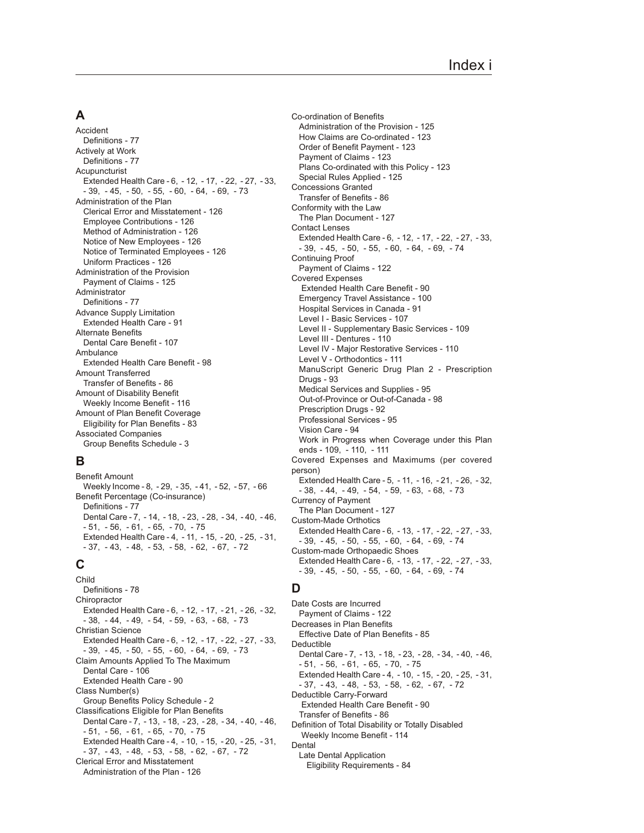# **A**

Accident [Definitions - 77](#page-76-0) Actively at Work [Definitions - 77](#page-76-0) Acupuncturist [Extended Health Care - 6](#page-5-0), [- 12](#page-11-0), [- 17](#page-16-0), [- 22](#page-21-0), [- 27](#page-26-0), [- 33](#page-32-0)[,](#page-38-0)  [- 39](#page-38-0), [- 45](#page-44-0), [- 50](#page-49-0), [- 55](#page-54-0), [- 60](#page-59-0), [- 64](#page-63-0), [- 69](#page-68-0), [- 73](#page-72-0) Administration of the Plan [Clerical Error and Misstatement - 126](#page-125-0) [Employee Contributions - 126](#page-125-0) [Method of Administration - 126](#page-125-0) [Notice of New Employees - 126](#page-125-0) [Notice of Terminated Employees - 126](#page-125-0) [Uniform Practices - 126](#page-125-0) Administration of the Provision [Payment of Claims - 125](#page-124-0) Administrator [Definitions - 77](#page-76-0) Advance Supply Limitation [Extended Health Care - 91](#page-90-0) Alternate Benefits [Dental Care Benefit - 107](#page-106-0) Ambulance [Extended Health Care Benefit - 98](#page-97-0) Amount Transferred [Transfer of Benefits - 86](#page-85-0) Amount of Disability Benefit [Weekly Income Benefit - 116](#page-115-0) Amount of Plan Benefit Coverage [Eligibility for Plan Benefits - 83](#page-82-0) Associated Companies [Group Benefits Schedule - 3](#page-2-0)

# **B**

Benefit Amount [Weekly Income - 8](#page-7-0), [- 29](#page-28-0), [- 35](#page-34-0), [- 41](#page-40-0), [- 52](#page-51-0), [- 57](#page-56-0), [- 66](#page-65-0) Benefit Percentage (Co-insurance) [Definitions - 77](#page-76-0) [Dental Care - 7](#page-6-0), [- 14](#page-13-0), [- 18](#page-17-0), [- 23](#page-22-0), [- 28](#page-27-0), [- 34](#page-33-0), [- 40](#page-39-0), [- 46](#page-45-0)[,](#page-50-0)  [- 51](#page-50-0), [- 56](#page-55-0), [- 61](#page-60-0), [- 65](#page-64-0), [- 70](#page-69-0), [- 75](#page-74-0) [Extended Health Care - 4](#page-3-0), [- 11](#page-10-0), [- 15](#page-14-0), [- 20](#page-19-0), [- 25](#page-24-0), [- 31](#page-30-0)[,](#page-36-0)  [- 37](#page-36-0), [- 43](#page-42-0), [- 48](#page-47-0), [- 53](#page-52-0), [- 58](#page-57-0), [- 62](#page-61-0), [- 67](#page-66-0), [- 72](#page-71-0)

# **C**

Child [Definitions - 78](#page-77-0) **Chiropractor** [Extended Health Care - 6](#page-5-0), [- 12](#page-11-0), [- 17](#page-16-0), [- 21](#page-20-0), [- 26](#page-25-0), [- 32](#page-31-0)[,](#page-37-0)  [- 38](#page-37-0), [- 44](#page-43-0), [- 49](#page-48-0), [- 54](#page-53-0), [- 59](#page-58-0), [- 63](#page-62-0), [- 68](#page-67-0), [- 73](#page-72-0) Christian Science [Extended Health Care - 6](#page-5-0), [- 12](#page-11-0), [- 17](#page-16-0), [- 22](#page-21-0), [- 27](#page-26-0), [- 33](#page-32-0)[,](#page-38-0)  [- 39](#page-38-0), [- 45](#page-44-0), [- 50](#page-49-0), [- 55](#page-54-0), [- 60](#page-59-0), [- 64](#page-63-0), [- 69](#page-68-0), [- 73](#page-72-0) Claim Amounts Applied To The Maximum [Dental Care - 106](#page-105-0) [Extended Health Care - 90](#page-89-0) Class Number(s) [Group Benefits Policy Schedule - 2](#page-1-0) Classifications Eligible for Plan Benefits [Dental Care - 7](#page-6-0), [- 13](#page-12-0), [- 18](#page-17-0), [- 23](#page-22-0), [- 28](#page-27-0), [- 34](#page-33-0), [- 40](#page-39-0), [- 46](#page-45-0)[,](#page-50-0)  [- 51](#page-50-0), [- 56](#page-55-0), [- 61](#page-60-0), [- 65](#page-64-0), [- 70](#page-69-0), [- 75](#page-74-0) [Extended Health Care - 4](#page-3-0), [- 10](#page-9-0), [- 15](#page-14-0), [- 20](#page-19-0), [- 25](#page-24-0), [- 31](#page-30-0)[,](#page-36-0)  [- 37](#page-36-0), [- 43](#page-42-0), [- 48](#page-47-0), [- 53](#page-52-0), [- 58](#page-57-0), [- 62](#page-61-0), [- 67](#page-66-0), [- 72](#page-71-0) Clerical Error and Misstatement [Administration of the Plan - 126](#page-125-0)

Co-ordination of Benefits [Administration of the Provision - 125](#page-124-0) [How Claims are Co-ordinated - 123](#page-122-0) [Order of Benefit Payment - 123](#page-122-0) [Payment of Claims - 123](#page-122-0) [Plans Co-ordinated with this Policy - 123](#page-122-0) [Special Rules Applied - 125](#page-124-0) Concessions Granted [Transfer of Benefits - 86](#page-85-0) Conformity with the Law [The Plan Document - 127](#page-126-0) Contact Lenses [Extended Health Care - 6](#page-5-0), [- 12](#page-11-0), [- 17](#page-16-0), [- 22](#page-21-0), [- 27](#page-26-0), [- 33](#page-32-0)[,](#page-38-0)  [- 39](#page-38-0), [- 45](#page-44-0), [- 50](#page-49-0), [- 55](#page-54-0), [- 60](#page-59-0), [- 64](#page-63-0), [- 69](#page-68-0), [- 74](#page-73-0) Continuing Proof [Payment of Claims - 122](#page-121-0) Covered Expenses  [Extended Health Care Benefit - 90](#page-89-0) [Emergency Travel Assistance - 100](#page-99-0) [Hospital Services in Canada - 91](#page-90-0) [Level I - Basic Services - 107](#page-106-0) [Level II - Supplementary Basic Services - 109](#page-108-0) [Level III - Dentures - 110](#page-109-0) [Level IV - Major Restorative Services - 110](#page-109-0) [Level V - Orthodontics - 111](#page-110-0) [ManuScript Generic Drug Plan 2 - Prescription](#page-92-0) [Drugs - 93](#page-92-0) [Medical Services and Supplies - 95](#page-94-0) [Out-of-Province or Out-of-Canada - 98](#page-97-0) [Prescription Drugs - 92](#page-91-0) [Professional Services - 95](#page-94-0) [Vision Care - 94](#page-93-0) [Work in Progress when Coverage under this Plan](#page-108-0) [ends - 109](#page-108-0), [- 110](#page-109-0), [- 111](#page-110-0) Covered Expenses and Maximums (per covered person) [Extended Health Care - 5](#page-4-0), [- 11](#page-10-0), [- 16](#page-15-0), [- 21](#page-20-0), [- 26](#page-25-0), [- 32](#page-31-0)[,](#page-37-0)  [- 38](#page-37-0), [- 44](#page-43-0), [- 49](#page-48-0), [- 54](#page-53-0), [- 59](#page-58-0), [- 63](#page-62-0), [- 68](#page-67-0), [- 73](#page-72-0) Currency of Payment [The Plan Document - 127](#page-126-0) Custom-Made Orthotics [Extended Health Care - 6](#page-5-0), [- 13](#page-12-0), [- 17](#page-16-0), [- 22](#page-21-0), [- 27](#page-26-0), [- 33](#page-32-0)[,](#page-38-0)  [- 39](#page-38-0), [- 45](#page-44-0), [- 50](#page-49-0), [- 55](#page-54-0), [- 60](#page-59-0), [- 64](#page-63-0), [- 69](#page-68-0), [- 74](#page-73-0) Custom-made Orthopaedic Shoes [Extended Health Care - 6](#page-5-0), [- 13](#page-12-0), [- 17](#page-16-0), [- 22](#page-21-0), [- 27](#page-26-0), [- 33](#page-32-0)[,](#page-38-0)  [- 39](#page-38-0), [- 45](#page-44-0), [- 50](#page-49-0), [- 55](#page-54-0), [- 60](#page-59-0), [- 64](#page-63-0), [- 69](#page-68-0), [- 74](#page-73-0)

# **D**

Date Costs are Incurred [Payment of Claims - 122](#page-121-0) Decreases in Plan Benefits [Effective Date of Plan Benefits - 85](#page-84-0) Deductible [Dental Care - 7](#page-6-0), [- 13](#page-12-0), [- 18](#page-17-0), [- 23](#page-22-0), [- 28](#page-27-0), [- 34](#page-33-0), [- 40](#page-39-0), [- 46](#page-45-0)[,](#page-50-0)  [- 51](#page-50-0), [- 56](#page-55-0), [- 61](#page-60-0), [- 65](#page-64-0), [- 70](#page-69-0), [- 75](#page-74-0) [Extended Health Care - 4](#page-3-0), [- 10](#page-9-0), [- 15](#page-14-0), [- 20](#page-19-0), [- 25](#page-24-0), [- 31](#page-30-0)[,](#page-36-0)  [- 37](#page-36-0), [- 43](#page-42-0), [- 48](#page-47-0), [- 53](#page-52-0), [- 58](#page-57-0), [- 62](#page-61-0), [- 67](#page-66-0), [- 72](#page-71-0) Deductible Carry-Forward  [Extended Health Care Benefit - 90](#page-89-0) [Transfer of Benefits - 86](#page-85-0) Definition of Total Disability or Totally Disabled  [Weekly Income Benefit - 114](#page-113-0) Dental Late Dental Application [Eligibility Requirements - 84](#page-83-0)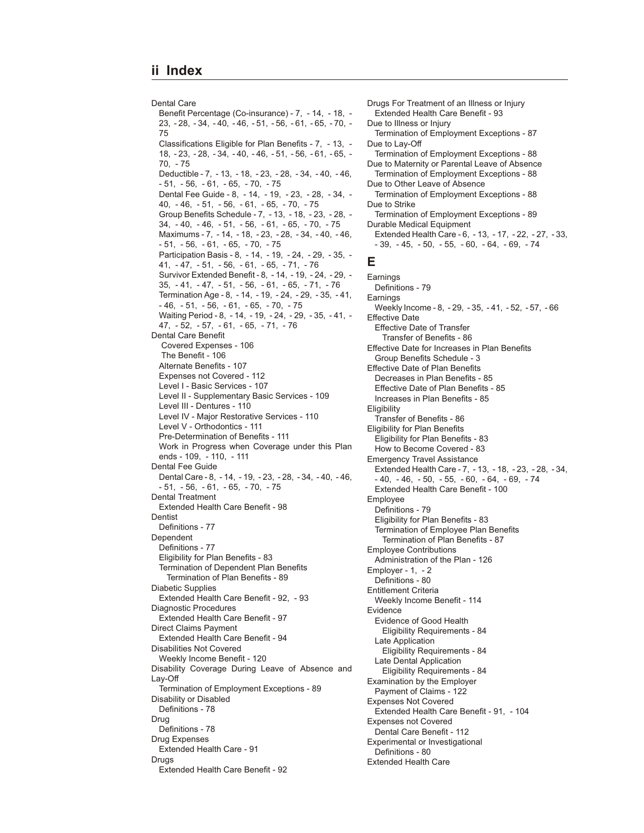Dental Care [Benefit Percentage \(Co-insurance\) - 7](#page-6-0), [- 14](#page-13-0), [- 18](#page-17-0), [-](#page-22-0) [23](#page-22-0), [- 28](#page-27-0), [- 34](#page-33-0), [- 40](#page-39-0), [- 46](#page-45-0), [- 51](#page-50-0), [- 56](#page-55-0), [- 61](#page-60-0), [- 65](#page-64-0), [- 70](#page-69-0), [-](#page-74-0) [75](#page-74-0) [Classifications Eligible for Plan Benefits - 7](#page-6-0), [- 13](#page-12-0), [-](#page-17-0) [18](#page-17-0), [- 23](#page-22-0), [- 28](#page-27-0), [- 34](#page-33-0), [- 40](#page-39-0), [- 46](#page-45-0), [- 51](#page-50-0), [- 56](#page-55-0), [- 61](#page-60-0), [- 65](#page-64-0), [-](#page-69-0) [70](#page-69-0), [- 75](#page-74-0) [Deductible - 7](#page-6-0), [- 13](#page-12-0), [- 18](#page-17-0), [- 23](#page-22-0), [- 28](#page-27-0), [- 34](#page-33-0), [- 40](#page-39-0), [- 46](#page-45-0)[,](#page-50-0)  [- 51](#page-50-0), [- 56](#page-55-0), [- 61](#page-60-0), [- 65](#page-64-0), [- 70](#page-69-0), [- 75](#page-74-0) [Dental Fee Guide - 8](#page-7-0), [- 14](#page-13-0), [- 19](#page-18-0), [- 23](#page-22-0), [- 28](#page-27-0), [- 34](#page-33-0), [-](#page-39-0) [40](#page-39-0), [- 46](#page-45-0), [- 51,](#page-50-0) [- 56](#page-55-0), [- 61](#page-60-0), [- 65](#page-64-0), [- 70](#page-69-0), [- 75](#page-74-0) [Group Benefits Schedule - 7](#page-6-0), [- 13](#page-12-0), [- 18](#page-17-0), [- 23](#page-22-0), [- 28](#page-27-0), [-](#page-33-0) [34](#page-33-0), [- 40](#page-39-0), [- 46,](#page-45-0) [- 51](#page-50-0), [- 56](#page-55-0), [- 61](#page-60-0), [- 65](#page-64-0), [- 70](#page-69-0), [- 75](#page-74-0) [Maximums - 7](#page-6-0), [- 14](#page-13-0), [- 18](#page-17-0), [- 23](#page-22-0), [- 28](#page-27-0), [- 34](#page-33-0), [- 40](#page-39-0), [- 46](#page-45-0)[,](#page-50-0)  [- 51](#page-50-0), [- 56](#page-55-0), [- 61](#page-60-0), [- 65](#page-64-0), [- 70](#page-69-0), [- 75](#page-74-0) [Participation Basis - 8](#page-7-0), [- 14](#page-13-0), [- 19](#page-18-0), [- 24](#page-23-0), [- 29](#page-28-0), [- 35,](#page-34-0) [-](#page-40-0) [41](#page-40-0), [- 47](#page-46-0), [- 51,](#page-50-0) [- 56](#page-55-0), [- 61](#page-60-0), [- 65](#page-64-0), [- 71](#page-70-0), [- 76](#page-75-0) [Survivor Extended Benefit - 8](#page-7-0), [- 14](#page-13-0), [- 19](#page-18-0), [- 24](#page-23-0), [- 29](#page-28-0), [-](#page-34-0) [35](#page-34-0), [- 41](#page-40-0), [- 47,](#page-46-0) [- 51](#page-50-0), [- 56](#page-55-0), [- 61](#page-60-0), [- 65](#page-64-0), [- 71](#page-70-0), [- 76](#page-75-0) [Termination Age - 8,](#page-7-0) [- 14](#page-13-0), [- 19](#page-18-0), [- 24](#page-23-0), [- 29](#page-28-0), [- 35](#page-34-0), [- 41](#page-40-0)[,](#page-45-0)  [- 46](#page-45-0), [- 51](#page-50-0), [- 56](#page-55-0), [- 61](#page-60-0), [- 65](#page-64-0), [- 70](#page-69-0), [- 75](#page-74-0) [Waiting Period - 8,](#page-7-0) [- 14](#page-13-0), [- 19](#page-18-0), [- 24](#page-23-0), [- 29](#page-28-0), [- 35](#page-34-0), [- 41](#page-40-0), [-](#page-46-0) [47](#page-46-0), [- 52](#page-51-0), [- 57,](#page-56-0) [- 61](#page-60-0), [- 65](#page-64-0), [- 71](#page-70-0), [- 76](#page-75-0) Dental Care Benefit  [Covered Expenses - 106](#page-105-0)  [The Benefit - 106](#page-105-0) [Alternate Benefits - 107](#page-106-0) [Expenses not Covered - 112](#page-111-0) [Level I - Basic Services - 107](#page-106-0) [Level II - Supplementary Basic Services - 109](#page-108-0) [Level III - Dentures - 110](#page-109-0) [Level IV - Major Restorative Services - 110](#page-109-0) [Level V - Orthodontics - 111](#page-110-0) [Pre-Determination of Benefits - 111](#page-110-0) [Work in Progress when Coverage under this Plan](#page-108-0) [ends - 109](#page-108-0), [- 110](#page-109-0), [- 111](#page-110-0) Dental Fee Guide [Dental Care - 8](#page-7-0), [- 14](#page-13-0), [- 19](#page-18-0), [- 23](#page-22-0), [- 28](#page-27-0), [- 34](#page-33-0), [- 40](#page-39-0), [- 46](#page-45-0)[,](#page-50-0)  [- 51](#page-50-0), [- 56](#page-55-0), [- 61](#page-60-0), [- 65](#page-64-0), [- 70](#page-69-0), [- 75](#page-74-0) Dental Treatment [Extended Health Care Benefit - 98](#page-97-0) **Dentist** [Definitions - 77](#page-76-0) Dependent [Definitions - 77](#page-76-0) [Eligibility for Plan Benefits - 83](#page-82-0) Termination of Dependent Plan Benefits [Termination of Plan Benefits - 89](#page-88-0) Diabetic Supplies [Extended Health Care Benefit - 92](#page-91-0), [- 93](#page-92-0) Diagnostic Procedures [Extended Health Care Benefit - 97](#page-96-0) Direct Claims Payment [Extended Health Care Benefit - 94](#page-93-0) Disabilities Not Covered [Weekly Income Benefit - 120](#page-119-0) Disability Coverage During Leave of Absence and Lay-Off [Termination of Employment Exceptions - 89](#page-88-0) Disability or Disabled [Definitions - 78](#page-77-0) Drug [Definitions - 78](#page-77-0) Drug Expenses [Extended Health Care - 91](#page-90-0) Drugs [Extended Health Care Benefit - 92](#page-91-0)

Drugs For Treatment of an Illness or Injury [Extended Health Care Benefit - 93](#page-92-0) Due to Illness or Injury [Termination of Employment Exceptions - 87](#page-86-0) Due to Lay-Off [Termination of Employment Exceptions - 88](#page-87-0) Due to Maternity or Parental Leave of Absence [Termination of Employment Exceptions - 88](#page-87-0) Due to Other Leave of Absence [Termination of Employment Exceptions - 88](#page-87-0) Due to Strike [Termination of Employment Exceptions - 89](#page-88-0) Durable Medical Equipment [Extended Health Care - 6](#page-5-0), [- 13](#page-12-0), [- 17](#page-16-0), [- 22](#page-21-0), [- 27](#page-26-0), [- 33](#page-32-0)[,](#page-38-0)  [- 39](#page-38-0), [- 45](#page-44-0), [- 50](#page-49-0), [- 55](#page-54-0), [- 60](#page-59-0), [- 64](#page-63-0), [- 69](#page-68-0), [- 74](#page-73-0) **E** Earnings [Definitions - 79](#page-78-0) **Earnings** [Weekly Income - 8](#page-7-0), [- 29](#page-28-0), [- 35](#page-34-0), [- 41](#page-40-0), [- 52](#page-51-0), [- 57](#page-56-0), [- 66](#page-65-0) Effective Date Effective Date of Transfer [Transfer of Benefits - 86](#page-85-0) Effective Date for Increases in Plan Benefits [Group Benefits Schedule - 3](#page-2-0) Effective Date of Plan Benefits [Decreases in Plan Benefits - 85](#page-84-0) [Effective Date of Plan Benefits - 85](#page-84-0) [Increases in Plan Benefits - 85](#page-84-0) Eligibility [Transfer of Benefits - 86](#page-85-0) Eligibility for Plan Benefits [Eligibility for Plan Benefits - 83](#page-82-0) [How to Become Covered - 83](#page-82-0) Emergency Travel Assistance [Extended Health Care - 7](#page-6-0), [- 13](#page-12-0), [- 18](#page-17-0), [- 23](#page-22-0), [- 28](#page-27-0), [- 34](#page-33-0)[,](#page-39-0)  [- 40](#page-39-0), [- 46](#page-45-0), [- 50](#page-49-0), [- 55](#page-54-0), [- 60](#page-59-0), [- 64](#page-63-0), [- 69](#page-68-0), [- 74](#page-73-0) [Extended Health Care Benefit - 100](#page-99-0) Employee [Definitions - 79](#page-78-0) [Eligibility for Plan Benefits - 83](#page-82-0) Termination of Employee Plan Benefits [Termination of Plan Benefits - 87](#page-86-0) Employee Contributions [Administration of the Plan - 126](#page-125-0) [Employer - 1](#page-0-0), [- 2](#page-1-0) [Definitions - 80](#page-79-0) Entitlement Criteria [Weekly Income Benefit - 114](#page-113-0) Evidence Evidence of Good Health [Eligibility Requirements - 84](#page-83-0) Late Application [Eligibility Requirements - 84](#page-83-0) Late Dental Application [Eligibility Requirements - 84](#page-83-0) Examination by the Employer [Payment of Claims - 122](#page-121-0) Expenses Not Covered [Extended Health Care Benefit - 91](#page-90-0), [- 104](#page-103-0) Expenses not Covered [Dental Care Benefit - 112](#page-111-0) Experimental or Investigational [Definitions - 80](#page-79-0) Extended Health Care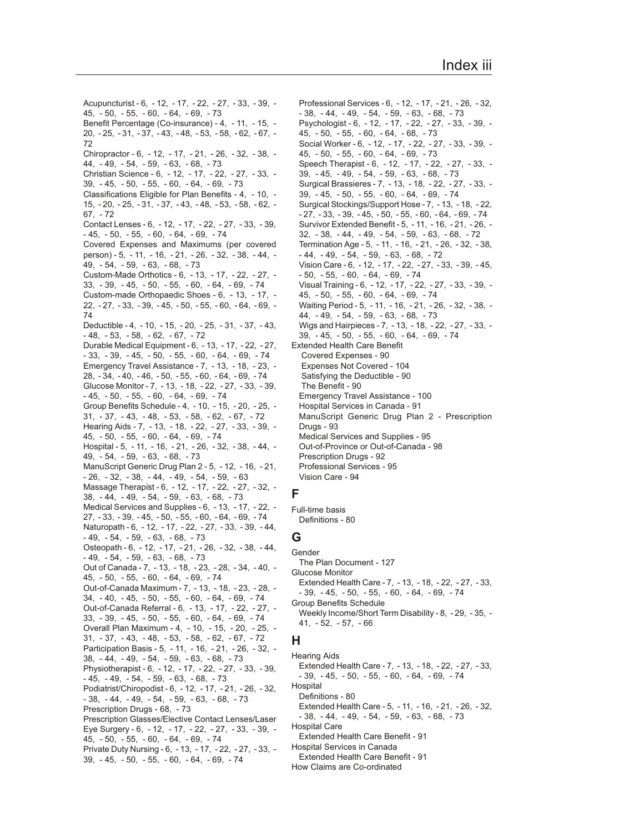[Acupuncturist - 6](#page-5-0), [- 12](#page-11-0), [- 17](#page-16-0), [- 22](#page-21-0), [- 27](#page-26-0), [- 33](#page-32-0), [- 39](#page-38-0), [-](#page-44-0) [45](#page-44-0), [- 50](#page-49-0), [- 55,](#page-54-0) [- 60](#page-59-0), [- 64](#page-63-0), [- 69](#page-68-0), [- 73](#page-72-0) [Benefit Percentage \(Co-insurance\) - 4](#page-3-0), [- 11](#page-10-0), [- 15](#page-14-0), [-](#page-19-0) [20](#page-19-0), [- 25](#page-24-0), [- 31](#page-30-0), [- 37](#page-36-0), [- 43](#page-42-0), [- 48](#page-47-0), [- 53](#page-52-0), [- 58](#page-57-0), [- 62](#page-61-0), [- 67](#page-66-0), [-](#page-71-0) [72](#page-71-0) [Chiropractor - 6](#page-5-0), [- 12](#page-11-0), [- 17](#page-16-0), [- 21](#page-20-0), [- 26](#page-25-0), [- 32](#page-31-0), [- 38](#page-37-0), [-](#page-43-0) [44](#page-43-0), [- 49](#page-48-0), [- 54,](#page-53-0) [- 59](#page-58-0), [- 63](#page-62-0), [- 68](#page-67-0), [- 73](#page-72-0) [Christian Science - 6](#page-5-0), [- 12,](#page-11-0) [- 17](#page-16-0), [- 22](#page-21-0), [- 27](#page-26-0), [- 33](#page-32-0), [-](#page-38-0) [39](#page-38-0), [- 45](#page-44-0), [- 50,](#page-49-0) [- 55](#page-54-0), [- 60](#page-59-0), [- 64](#page-63-0), [- 69](#page-68-0), [- 73](#page-72-0) [Classifications Eligible for Plan Benefits - 4](#page-3-0), [- 10](#page-9-0), [-](#page-14-0) [15](#page-14-0), [- 20](#page-19-0), [- 25](#page-24-0), [- 31](#page-30-0), [- 37](#page-36-0), [- 43](#page-42-0), [- 48](#page-47-0), [- 53](#page-52-0), [- 58](#page-57-0), [- 62](#page-61-0), [-](#page-66-0) [67](#page-66-0), [- 72](#page-71-0) [Contact Lenses - 6,](#page-5-0) [- 12](#page-11-0), [- 17](#page-16-0), [- 22](#page-21-0), [- 27](#page-26-0), [- 33](#page-32-0), [- 39](#page-38-0)[,](#page-44-0)  [- 45](#page-44-0), [- 50](#page-49-0), [- 55](#page-54-0), [- 60](#page-59-0), [- 64](#page-63-0), [- 69](#page-68-0), [- 74](#page-73-0) [Covered Expenses and Maximums \(per covered](#page-4-0) [person\) - 5](#page-4-0), [- 11](#page-10-0), [- 16](#page-15-0), [- 21](#page-20-0), [- 26](#page-25-0), [- 32](#page-31-0), [- 38](#page-37-0), [- 44](#page-43-0), [-](#page-48-0) [49](#page-48-0), [- 54](#page-53-0), [- 59](#page-58-0), [- 63](#page-62-0), [- 68](#page-67-0), [- 73](#page-72-0) [Custom-Made Orthotics - 6](#page-5-0), [- 13](#page-12-0), [- 17](#page-16-0), [- 22](#page-21-0), [- 27](#page-26-0), [-](#page-32-0) [33](#page-32-0), [- 39](#page-38-0), [- 45](#page-44-0), [- 50](#page-49-0), [- 55](#page-54-0), [- 60](#page-59-0), [- 64](#page-63-0), [- 69](#page-68-0), [- 74](#page-73-0) [Custom-made Orthopaedic Shoes - 6](#page-5-0), [- 13](#page-12-0), [- 17](#page-16-0), [-](#page-21-0) [22](#page-21-0), [- 27](#page-26-0), [- 33](#page-32-0), [- 39](#page-38-0), [- 45](#page-44-0), [- 50](#page-49-0), [- 55](#page-54-0), [- 60](#page-59-0), [- 64](#page-63-0), [- 69](#page-68-0), [-](#page-73-0) [74](#page-73-0) [Deductible - 4](#page-3-0), [- 10](#page-9-0), [- 15](#page-14-0), [- 20](#page-19-0), [- 25](#page-24-0), [- 31](#page-30-0), [- 37](#page-36-0), [- 43](#page-42-0)[,](#page-47-0)  [- 48](#page-47-0), [- 53](#page-52-0), [- 58](#page-57-0), [- 62](#page-61-0), [- 67](#page-66-0), [- 72](#page-71-0) [Durable Medical Equipment - 6](#page-5-0), [- 13](#page-12-0), [- 17](#page-16-0), [- 22](#page-21-0), [- 27](#page-26-0)[,](#page-32-0)  [- 33](#page-32-0), [- 39](#page-38-0), [- 45](#page-44-0), [- 50](#page-49-0), [- 55](#page-54-0), [- 60](#page-59-0), [- 64](#page-63-0), [- 69](#page-68-0), [- 74](#page-73-0) [Emergency Travel Assistance - 7](#page-6-0), [- 13](#page-12-0), [- 18](#page-17-0), [- 23](#page-22-0), [-](#page-27-0) [28](#page-27-0), [- 34](#page-33-0), [- 40](#page-39-0), [- 46](#page-45-0), [- 50](#page-49-0), [- 55](#page-54-0), [- 60](#page-59-0), [- 64](#page-63-0), [- 69](#page-68-0), [- 74](#page-73-0) [Glucose Monitor - 7](#page-6-0), [- 13](#page-12-0), [- 18](#page-17-0), [- 22](#page-21-0), [- 27](#page-26-0), [- 33](#page-32-0), [- 39](#page-38-0)[,](#page-44-0)  [- 45](#page-44-0), [- 50](#page-49-0), [- 55](#page-54-0), [- 60](#page-59-0), [- 64](#page-63-0), [- 69](#page-68-0), [- 74](#page-73-0) [Group Benefits Schedule - 4](#page-3-0), [- 10](#page-9-0), [- 15](#page-14-0), [- 20](#page-19-0), [- 25](#page-24-0), [-](#page-30-0) [31](#page-30-0), [- 37](#page-36-0), [- 43](#page-42-0), [- 48](#page-47-0), [- 53](#page-52-0), [- 58](#page-57-0), [- 62](#page-61-0), [- 67](#page-66-0), [- 72](#page-71-0) [Hearing Aids - 7](#page-6-0), [- 13](#page-12-0), [- 18](#page-17-0), [- 22](#page-21-0), [- 27](#page-26-0), [- 33](#page-32-0), [- 39](#page-38-0), [-](#page-44-0) [45](#page-44-0), [- 50](#page-49-0), [- 55](#page-54-0), [- 60](#page-59-0), [- 64](#page-63-0), [- 69](#page-68-0), [- 74](#page-73-0) [Hospital - 5](#page-4-0), [- 11](#page-10-0), [- 16](#page-15-0), [- 21](#page-20-0), [- 26](#page-25-0), [- 32](#page-31-0), [- 38](#page-37-0), [- 44](#page-43-0), [-](#page-48-0) [49](#page-48-0), [- 54](#page-53-0), [- 59](#page-58-0), [- 63](#page-62-0), [- 68](#page-67-0), [- 73](#page-72-0) [ManuScript Generic Drug Plan 2 - 5](#page-4-0), [- 12](#page-11-0), [- 16](#page-15-0), [- 21](#page-20-0)[,](#page-25-0)  [- 26](#page-25-0), [- 32](#page-31-0), [- 38](#page-37-0), [- 44](#page-43-0), [- 49](#page-48-0), [- 54](#page-53-0), [- 59](#page-58-0), [- 63](#page-62-0) [Massage Therapist - 6](#page-5-0), [- 12,](#page-11-0) [- 17](#page-16-0), [- 22](#page-21-0), [- 27](#page-26-0), [- 32](#page-31-0), [-](#page-37-0) [38](#page-37-0), [- 44](#page-43-0), [- 49](#page-48-0), [- 54](#page-53-0), [- 59](#page-58-0), [- 63](#page-62-0), [- 68](#page-67-0), [- 73](#page-72-0) [Medical Services and Supplies - 6](#page-5-0), [- 13](#page-12-0), [- 17](#page-16-0), [- 22](#page-21-0), [-](#page-26-0) [27](#page-26-0), [- 33](#page-32-0), [- 39](#page-38-0), [- 45](#page-44-0), [- 50](#page-49-0), [- 55](#page-54-0), [- 60](#page-59-0), [- 64](#page-63-0), [- 69](#page-68-0), [- 74](#page-73-0) [Naturopath - 6](#page-5-0), [- 12](#page-11-0), [- 17](#page-16-0), [- 22](#page-21-0), [- 27](#page-26-0), [- 33](#page-32-0), [- 39](#page-38-0), [- 44](#page-43-0)[,](#page-48-0)  [- 49](#page-48-0), [- 54](#page-53-0), [- 59](#page-58-0), [- 63](#page-62-0), [- 68](#page-67-0), [- 73](#page-72-0) [Osteopath - 6](#page-5-0), [- 12](#page-11-0), [- 17](#page-16-0), [- 21](#page-20-0), [- 26](#page-25-0), [- 32](#page-31-0), [- 38](#page-37-0), [- 44](#page-43-0)[,](#page-48-0)  [- 49](#page-48-0), [- 54](#page-53-0), [- 59](#page-58-0), [- 63](#page-62-0), [- 68](#page-67-0), [- 73](#page-72-0) [Out of Canada - 7](#page-6-0), [- 13](#page-12-0), [- 18](#page-17-0), [- 23](#page-22-0), [- 28](#page-27-0), [- 34](#page-33-0), [- 40](#page-39-0), [-](#page-44-0) [45](#page-44-0), [- 50](#page-49-0), [- 55](#page-54-0), [- 60](#page-59-0), [- 64](#page-63-0), [- 69](#page-68-0), [- 74](#page-73-0) [Out-of-Canada Maximum - 7](#page-6-0), [- 13](#page-12-0), [- 18](#page-17-0), [- 23](#page-22-0), [- 28](#page-27-0), [-](#page-33-0) [34](#page-33-0), [- 40](#page-39-0), [- 45](#page-44-0), [- 50](#page-49-0), [- 55](#page-54-0), [- 60](#page-59-0), [- 64](#page-63-0), [- 69](#page-68-0), [- 74](#page-73-0) [Out-of-Canada Referral - 6](#page-5-0), [- 13](#page-12-0), [- 17](#page-16-0), [- 22](#page-21-0), [- 27](#page-26-0), [-](#page-32-0) [33](#page-32-0), [- 39](#page-38-0), [- 45](#page-44-0), [- 50](#page-49-0), [- 55](#page-54-0), [- 60](#page-59-0), [- 64](#page-63-0), [- 69](#page-68-0), [- 74](#page-73-0) [Overall Plan Maximum - 4](#page-3-0), [- 10](#page-9-0), [- 15](#page-14-0), [- 20](#page-19-0), [- 25](#page-24-0), [-](#page-30-0) [31](#page-30-0), [- 37](#page-36-0), [- 43](#page-42-0), [- 48](#page-47-0), [- 53](#page-52-0), [- 58](#page-57-0), [- 62](#page-61-0), [- 67](#page-66-0), [- 72](#page-71-0) [Participation Basis - 5](#page-4-0), [- 11](#page-10-0), [- 16](#page-15-0), [- 21](#page-20-0), [- 26](#page-25-0), [- 32](#page-31-0), [-](#page-37-0) [38](#page-37-0), [- 44](#page-43-0), [- 49](#page-48-0), [- 54](#page-53-0), [- 59](#page-58-0), [- 63](#page-62-0), [- 68](#page-67-0), [- 73](#page-72-0) [Physiotherapist - 6](#page-5-0), [- 12](#page-11-0), [- 17](#page-16-0), [- 22](#page-21-0), [- 27](#page-26-0), [- 33](#page-32-0), [- 39](#page-38-0)[,](#page-44-0)  [- 45](#page-44-0), [- 49](#page-48-0), [- 54](#page-53-0), [- 59](#page-58-0), [- 63](#page-62-0), [- 68](#page-67-0), [- 73](#page-72-0) [Podiatrist/Chiropodist - 6](#page-5-0), [- 12](#page-11-0), [- 17](#page-16-0), [- 21](#page-20-0), [- 26](#page-25-0), [- 32](#page-31-0)[,](#page-37-0)  [- 38](#page-37-0), [- 44](#page-43-0), [- 49](#page-48-0), [- 54](#page-53-0), [- 59](#page-58-0), [- 63](#page-62-0), [- 68](#page-67-0), [- 73](#page-72-0) [Prescription Drugs - 68](#page-67-0), [- 73](#page-72-0) [Prescription Glasses/Elective Contact Lenses/Laser](#page-5-0) [Eye Surgery - 6](#page-5-0), [- 12](#page-11-0), [- 17](#page-16-0), [- 22](#page-21-0), [- 27](#page-26-0), [- 33](#page-32-0), [- 39](#page-38-0), [-](#page-44-0) [45](#page-44-0), [- 50](#page-49-0), [- 55](#page-54-0), [- 60](#page-59-0), [- 64](#page-63-0), [- 69](#page-68-0), [- 74](#page-73-0) [Private Duty Nursing - 6](#page-5-0), [- 13](#page-12-0), [- 17](#page-16-0), [- 22](#page-21-0), [- 27](#page-26-0), [- 33](#page-32-0), [-](#page-38-0) [39](#page-38-0), [- 45](#page-44-0), [- 50](#page-49-0), [- 55](#page-54-0), [- 60](#page-59-0), [- 64](#page-63-0), [- 69](#page-68-0), [- 74](#page-73-0)

[Professional Services - 6](#page-5-0), [- 12](#page-11-0), [- 17](#page-16-0), [- 21](#page-20-0), [- 26](#page-25-0), [- 32](#page-31-0)[,](#page-37-0)  [- 38](#page-37-0), [- 44](#page-43-0), [- 49](#page-48-0), [- 54](#page-53-0), [- 59](#page-58-0), [- 63](#page-62-0), [- 68](#page-67-0), [- 73](#page-72-0) [Psychologist - 6](#page-5-0), [- 12](#page-11-0), [- 17](#page-16-0), [- 22](#page-21-0), [- 27](#page-26-0), [- 33](#page-32-0), [- 39](#page-38-0), [-](#page-44-0) [45](#page-44-0), [- 50](#page-49-0), [- 55](#page-54-0), [- 60](#page-59-0), [- 64](#page-63-0), [- 68](#page-67-0), [- 73](#page-72-0) [Social Worker - 6](#page-5-0), [- 12](#page-11-0), [- 17](#page-16-0), [- 22](#page-21-0), [- 27](#page-26-0), [- 33](#page-32-0), [- 39](#page-38-0), [-](#page-44-0) [45](#page-44-0), [- 50](#page-49-0), [- 55](#page-54-0), [- 60](#page-59-0), [- 64](#page-63-0), [- 69](#page-68-0), [- 73](#page-72-0) [Speech Therapist - 6](#page-5-0), [- 12](#page-11-0), [- 17](#page-16-0), [- 22](#page-21-0), [- 27](#page-26-0), [- 33](#page-32-0), [-](#page-38-0) [39](#page-38-0), [- 45](#page-44-0), [- 49](#page-48-0), [- 54](#page-53-0), [- 59](#page-58-0), [- 63](#page-62-0), [- 68](#page-67-0), [- 73](#page-72-0) [Surgical Brassieres - 7](#page-6-0), [- 13](#page-12-0), [- 18](#page-17-0), [- 22](#page-21-0), [- 27](#page-26-0), [- 33](#page-32-0), [-](#page-38-0) [39](#page-38-0), [- 45](#page-44-0), [- 50](#page-49-0), [- 55](#page-54-0), [- 60](#page-59-0), [- 64](#page-63-0), [- 69](#page-68-0), [- 74](#page-73-0) [Surgical Stockings/Support Hose - 7](#page-6-0), [- 13](#page-12-0), [- 18](#page-17-0), [- 22](#page-21-0)[,](#page-26-0)  [- 27](#page-26-0), [- 33](#page-32-0), [- 39](#page-38-0), [- 45](#page-44-0), [- 50](#page-49-0), [- 55](#page-54-0), [- 60](#page-59-0), [- 64](#page-63-0), [- 69](#page-68-0), [- 74](#page-73-0) [Survivor Extended Benefit - 5](#page-4-0), [- 11](#page-10-0), [- 16](#page-15-0), [- 21](#page-20-0), [- 26](#page-25-0), [-](#page-31-0) [32](#page-31-0), [- 38](#page-37-0), [- 44](#page-43-0), [- 49](#page-48-0), [- 54](#page-53-0), [- 59](#page-58-0), [- 63](#page-62-0), [- 68](#page-67-0), [- 72](#page-71-0) [Termination Age - 5](#page-4-0), [- 11](#page-10-0), [- 16](#page-15-0), [- 21](#page-20-0), [- 26](#page-25-0), [- 32](#page-31-0), [- 38](#page-37-0)[,](#page-43-0)  [- 44](#page-43-0), [- 49](#page-48-0), [- 54](#page-53-0), [- 59](#page-58-0), [- 63](#page-62-0), [- 68](#page-67-0), [- 72](#page-71-0) [Vision Care - 6](#page-5-0), [- 12](#page-11-0), [- 17](#page-16-0), [- 22](#page-21-0), [- 27](#page-26-0), [- 33](#page-32-0), [- 39](#page-38-0), [- 45](#page-44-0)[,](#page-49-0)  [- 50](#page-49-0), [- 55](#page-54-0), [- 60](#page-59-0), [- 64](#page-63-0), [- 69](#page-68-0), [- 74](#page-73-0) [Visual Training - 6](#page-5-0), [- 12](#page-11-0), [- 17](#page-16-0), [- 22](#page-21-0), [- 27](#page-26-0), [- 33](#page-32-0), [- 39](#page-38-0), [-](#page-44-0) [45](#page-44-0), [- 50](#page-49-0), [- 55](#page-54-0), [- 60](#page-59-0), [- 64](#page-63-0), [- 69](#page-68-0), [- 74](#page-73-0) [Waiting Period - 5](#page-4-0), [- 11](#page-10-0), [- 16](#page-15-0), [- 21](#page-20-0), [- 26](#page-25-0), [- 32](#page-31-0), [- 38](#page-37-0), [-](#page-43-0) [44](#page-43-0), [- 49](#page-48-0), [- 54](#page-53-0), [- 59](#page-58-0), [- 63](#page-62-0), [- 68](#page-67-0), [- 73](#page-72-0) [Wigs and Hairpieces - 7,](#page-6-0) [- 13](#page-12-0), [- 18](#page-17-0), [- 22](#page-21-0), [- 27](#page-26-0), [- 33](#page-32-0), [-](#page-38-0) [39](#page-38-0), [- 45](#page-44-0), [- 50](#page-49-0), [- 55](#page-54-0), [- 60](#page-59-0), [- 64](#page-63-0), [- 69](#page-68-0), [- 74](#page-73-0) Extended Health Care Benefit  [Covered Expenses - 90](#page-89-0)  [Expenses Not Covered - 104](#page-103-0)  [Satisfying the Deductible - 90](#page-89-0)  [The Benefit - 90](#page-89-0) [Emergency Travel Assistance - 100](#page-99-0) [Hospital Services in Canada - 91](#page-90-0) [ManuScript Generic Drug Plan 2 - Prescription](#page-92-0) [Drugs - 93](#page-92-0) [Medical Services and Supplies - 95](#page-94-0) [Out-of-Province or Out-of-Canada - 98](#page-97-0) [Prescription Drugs - 92](#page-91-0) [Professional Services - 95](#page-94-0) [Vision Care - 94](#page-93-0)

### **F**

Full-time basis

[Definitions - 80](#page-79-0)

# **G**

Gender

[The Plan Document - 127](#page-126-0)

- Glucose Monitor
- [Extended Health Care 7](#page-6-0), [13](#page-12-0), [18](#page-17-0), [22](#page-21-0), [27](#page-26-0), [33](#page-32-0)[,](#page-38-0)  [- 39](#page-38-0), [- 45](#page-44-0), [- 50](#page-49-0), [- 55](#page-54-0), [- 60](#page-59-0), [- 64](#page-63-0), [- 69](#page-68-0), [- 74](#page-73-0) Group Benefits Schedule
- [Weekly Income/Short Term Disability 8](#page-7-0), [29](#page-28-0), [35](#page-34-0), [-](#page-40-0) [41](#page-40-0), [- 52](#page-51-0), [- 57](#page-56-0), [- 66](#page-65-0)

#### **H**

Hearing Aids [Extended Health Care - 7](#page-6-0), [- 13](#page-12-0), [- 18](#page-17-0), [- 22](#page-21-0), [- 27](#page-26-0), [- 33](#page-32-0)[,](#page-38-0)  [- 39](#page-38-0), [- 45](#page-44-0), [- 50](#page-49-0), [- 55](#page-54-0), [- 60](#page-59-0), [- 64](#page-63-0), [- 69](#page-68-0), [- 74](#page-73-0) Hospital

[Definitions - 80](#page-79-0)

[Extended Health Care - 5](#page-4-0), [- 11](#page-10-0), [- 16](#page-15-0), [- 21](#page-20-0), [- 26](#page-25-0), [- 32](#page-31-0)[,](#page-37-0) 

- [38](#page-37-0), [44](#page-43-0), [49](#page-48-0), [54](#page-53-0), [59](#page-58-0), [63](#page-62-0), [68](#page-67-0), [73](#page-72-0)
- Hospital Care
- [Extended Health Care Benefit 91](#page-90-0)

Hospital Services in Canada

- [Extended Health Care Benefit 91](#page-90-0)
- How Claims are Co-ordinated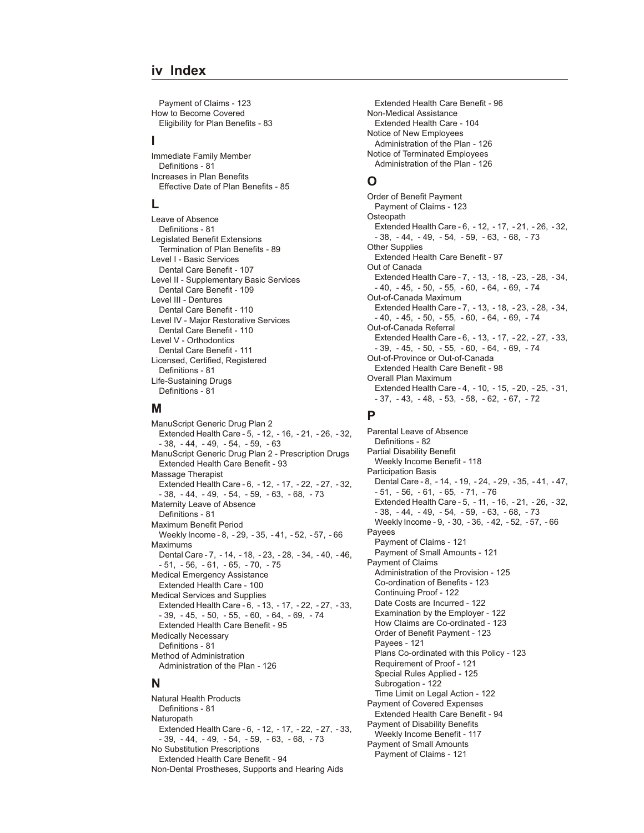#### **iv Index**

[Payment of Claims - 123](#page-122-0) How to Become Covered [Eligibility for Plan Benefits - 83](#page-82-0)

#### **I**

Immediate Family Member [Definitions - 81](#page-80-0) Increases in Plan Benefits [Effective Date of Plan Benefits - 85](#page-84-0)

#### **L**

Leave of Absence [Definitions - 81](#page-80-0) Legislated Benefit Extensions [Termination of Plan Benefits - 89](#page-88-0) Level I - Basic Services [Dental Care Benefit - 107](#page-106-0) Level II - Supplementary Basic Services [Dental Care Benefit - 109](#page-108-0) Level III - Dentures [Dental Care Benefit - 110](#page-109-0) Level IV - Major Restorative Services [Dental Care Benefit - 110](#page-109-0) Level V - Orthodontics [Dental Care Benefit - 111](#page-110-0) Licensed, Certified, Registered [Definitions - 81](#page-80-0) Life-Sustaining Drugs [Definitions - 81](#page-80-0)

#### **M**

ManuScript Generic Drug Plan 2 [Extended Health Care - 5](#page-4-0), [- 12](#page-11-0), [- 16](#page-15-0), [- 21](#page-20-0), [- 26](#page-25-0), [- 32](#page-31-0)[,](#page-37-0)  [- 38](#page-37-0), [- 44](#page-43-0), [- 49](#page-48-0), [- 54](#page-53-0), [- 59](#page-58-0), [- 63](#page-62-0) ManuScript Generic Drug Plan 2 - Prescription Drugs [Extended Health Care Benefit - 93](#page-92-0) Massage Therapist [Extended Health Care - 6](#page-5-0), [- 12](#page-11-0), [- 17](#page-16-0), [- 22](#page-21-0), [- 27](#page-26-0), [- 32](#page-31-0)[,](#page-37-0)  [- 38](#page-37-0), [- 44](#page-43-0), [- 49](#page-48-0), [- 54](#page-53-0), [- 59](#page-58-0), [- 63](#page-62-0), [- 68](#page-67-0), [- 73](#page-72-0) Maternity Leave of Absence [Definitions - 81](#page-80-0) Maximum Benefit Period [Weekly Income - 8](#page-7-0), [- 29](#page-28-0), [- 35](#page-34-0), [- 41](#page-40-0), [- 52](#page-51-0), [- 57](#page-56-0), [- 66](#page-65-0) Maximums [Dental Care - 7](#page-6-0), [- 14](#page-13-0), [- 18](#page-17-0), [- 23](#page-22-0), [- 28](#page-27-0), [- 34](#page-33-0), [- 40](#page-39-0), [- 46](#page-45-0)[,](#page-50-0)  [- 51](#page-50-0), [- 56](#page-55-0), [- 61](#page-60-0), [- 65](#page-64-0), [- 70](#page-69-0), [- 75](#page-74-0) Medical Emergency Assistance [Extended Health Care - 100](#page-99-0) Medical Services and Supplies [Extended Health Care - 6](#page-5-0), [- 13](#page-12-0), [- 17](#page-16-0), [- 22](#page-21-0), [- 27](#page-26-0), [- 33](#page-32-0)[,](#page-38-0)  [- 39](#page-38-0), [- 45](#page-44-0), [- 50](#page-49-0), [- 55](#page-54-0), [- 60](#page-59-0), [- 64](#page-63-0), [- 69](#page-68-0), [- 74](#page-73-0) [Extended Health Care Benefit - 95](#page-94-0) Medically Necessary [Definitions - 81](#page-80-0) Method of Administration [Administration of the Plan - 126](#page-125-0)

#### **N**

Natural Health Products [Definitions - 81](#page-80-0) **Naturopath** [Extended Health Care - 6](#page-5-0), [- 12](#page-11-0), [- 17](#page-16-0), [- 22](#page-21-0), [- 27](#page-26-0), [- 33](#page-32-0)[,](#page-38-0)  [- 39](#page-38-0), [- 44](#page-43-0), [- 49](#page-48-0), [- 54](#page-53-0), [- 59](#page-58-0), [- 63](#page-62-0), [- 68](#page-67-0), [- 73](#page-72-0) No Substitution Prescriptions [Extended Health Care Benefit - 94](#page-93-0) Non-Dental Prostheses, Supports and Hearing Aids

[Extended Health Care Benefit - 96](#page-95-0) Non-Medical Assistance [Extended Health Care - 104](#page-103-0) Notice of New Employees [Administration of the Plan - 126](#page-125-0) Notice of Terminated Employees [Administration of the Plan - 126](#page-125-0)

#### **O**

Order of Benefit Payment [Payment of Claims - 123](#page-122-0) **Osteopath** [Extended Health Care - 6](#page-5-0), [- 12](#page-11-0), [- 17](#page-16-0), [- 21](#page-20-0), [- 26](#page-25-0), [- 32](#page-31-0)[,](#page-37-0)  [- 38](#page-37-0), [- 44](#page-43-0), [- 49](#page-48-0), [- 54](#page-53-0), [- 59](#page-58-0), [- 63](#page-62-0), [- 68](#page-67-0), [- 73](#page-72-0) Other Supplies [Extended Health Care Benefit - 97](#page-96-0) Out of Canada [Extended Health Care - 7](#page-6-0), [- 13](#page-12-0), [- 18](#page-17-0), [- 23](#page-22-0), [- 28](#page-27-0), [- 34](#page-33-0)[,](#page-39-0)  [- 40](#page-39-0), [- 45](#page-44-0), [- 50](#page-49-0), [- 55](#page-54-0), [- 60](#page-59-0), [- 64](#page-63-0), [- 69](#page-68-0), [- 74](#page-73-0) Out-of-Canada Maximum [Extended Health Care - 7](#page-6-0), [- 13](#page-12-0), [- 18](#page-17-0), [- 23](#page-22-0), [- 28](#page-27-0), [- 34](#page-33-0)[,](#page-39-0)  [- 40](#page-39-0), [- 45](#page-44-0), [- 50](#page-49-0), [- 55](#page-54-0), [- 60](#page-59-0), [- 64](#page-63-0), [- 69](#page-68-0), [- 74](#page-73-0) Out-of-Canada Referral [Extended Health Care - 6](#page-5-0), [- 13](#page-12-0), [- 17](#page-16-0), [- 22](#page-21-0), [- 27](#page-26-0), [- 33](#page-32-0)[,](#page-38-0)  [- 39](#page-38-0), [- 45](#page-44-0), [- 50](#page-49-0), [- 55](#page-54-0), [- 60](#page-59-0), [- 64](#page-63-0), [- 69](#page-68-0), [- 74](#page-73-0) Out-of-Province or Out-of-Canada [Extended Health Care Benefit - 98](#page-97-0) Overall Plan Maximum [Extended Health Care - 4](#page-3-0), [- 10](#page-9-0), [- 15](#page-14-0), [- 20](#page-19-0), [- 25](#page-24-0), [- 31](#page-30-0)[,](#page-36-0)  [- 37](#page-36-0), [- 43](#page-42-0), [- 48](#page-47-0), [- 53](#page-52-0), [- 58](#page-57-0), [- 62](#page-61-0), [- 67](#page-66-0), [- 72](#page-71-0)

#### **P**

Parental Leave of Absence [Definitions - 82](#page-81-0) Partial Disability Benefit [Weekly Income Benefit - 118](#page-117-0) Participation Basis [Dental Care - 8](#page-7-0), [- 14](#page-13-0), [- 19](#page-18-0), [- 24](#page-23-0), [- 29](#page-28-0), [- 35](#page-34-0), [- 41](#page-40-0), [- 47](#page-46-0)[,](#page-50-0)  [- 51](#page-50-0), [- 56](#page-55-0), [- 61](#page-60-0), [- 65](#page-64-0), [- 71](#page-70-0), [- 76](#page-75-0) [Extended Health Care - 5](#page-4-0), [- 11](#page-10-0), [- 16](#page-15-0), [- 21](#page-20-0), [- 26](#page-25-0), [- 32](#page-31-0)[,](#page-37-0)  [- 38](#page-37-0), [- 44](#page-43-0), [- 49](#page-48-0), [- 54](#page-53-0), [- 59](#page-58-0), [- 63](#page-62-0), [- 68](#page-67-0), [- 73](#page-72-0) [Weekly Income - 9](#page-8-0), [- 30](#page-29-0), [- 36](#page-35-0), [- 42](#page-41-0), [- 52](#page-51-0), [- 57](#page-56-0), [- 66](#page-65-0) Payees [Payment of Claims - 121](#page-120-0) [Payment of Small Amounts - 121](#page-120-0) Payment of Claims [Administration of the Provision - 125](#page-124-0) [Co-ordination of Benefits - 123](#page-122-0) [Continuing Proof - 122](#page-121-0) [Date Costs are Incurred - 122](#page-121-0) [Examination by the Employer - 122](#page-121-0) [How Claims are Co-ordinated - 123](#page-122-0) [Order of Benefit Payment - 123](#page-122-0) [Payees - 121](#page-120-0) [Plans Co-ordinated with this Policy - 123](#page-122-0) [Requirement of Proof - 121](#page-120-0) [Special Rules Applied - 125](#page-124-0) [Subrogation - 122](#page-121-0) [Time Limit on Legal Action - 122](#page-121-0) Payment of Covered Expenses [Extended Health Care Benefit - 94](#page-93-0) Payment of Disability Benefits [Weekly Income Benefit - 117](#page-116-0) Payment of Small Amounts [Payment of Claims - 121](#page-120-0)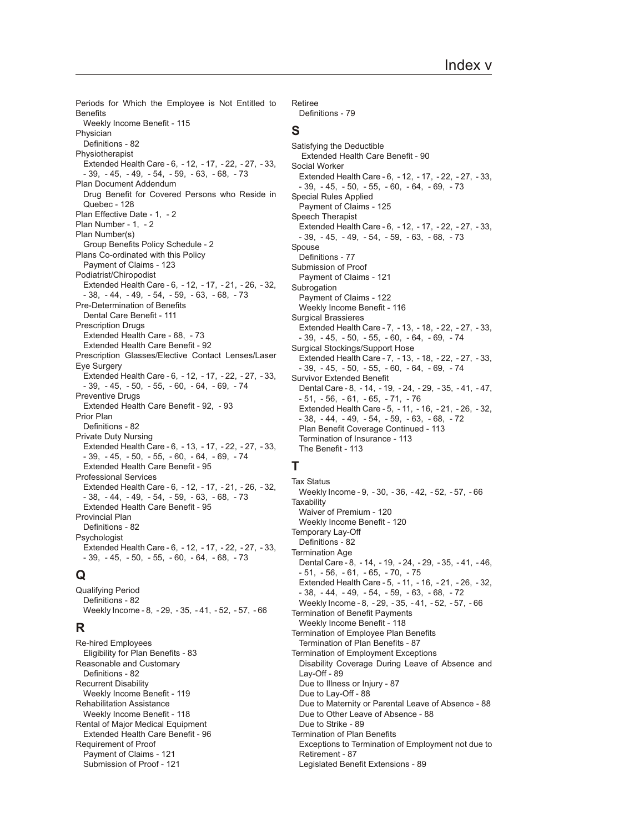Periods for Which the Employee is Not Entitled to **Benefits** [Weekly Income Benefit - 115](#page-114-0) Physician [Definitions - 82](#page-81-0) Physiotherapist [Extended Health Care - 6](#page-5-0), [- 12](#page-11-0), [- 17](#page-16-0), [- 22](#page-21-0), [- 27](#page-26-0), [- 33](#page-32-0)[,](#page-38-0)  [- 39](#page-38-0), [- 45](#page-44-0), [- 49](#page-48-0), [- 54](#page-53-0), [- 59](#page-58-0), [- 63](#page-62-0), [- 68](#page-67-0), [- 73](#page-72-0) Plan Document Addendum [Drug Benefit for Covered Persons who Reside in](#page-127-0) [Quebec - 128](#page-127-0) [Plan Effective Date - 1](#page-0-0), [- 2](#page-1-0) [Plan Number - 1](#page-0-0), [- 2](#page-1-0) Plan Number(s) [Group Benefits Policy Schedule - 2](#page-1-0) Plans Co-ordinated with this Policy [Payment of Claims - 123](#page-122-0) Podiatrist/Chiropodist [Extended Health Care - 6](#page-5-0), [- 12](#page-11-0), [- 17](#page-16-0), [- 21](#page-20-0), [- 26](#page-25-0), [- 32](#page-31-0)[,](#page-37-0)  [- 38](#page-37-0), [- 44](#page-43-0), [- 49](#page-48-0), [- 54](#page-53-0), [- 59](#page-58-0), [- 63](#page-62-0), [- 68](#page-67-0), [- 73](#page-72-0) Pre-Determination of Benefits [Dental Care Benefit - 111](#page-110-0) Prescription Drugs [Extended Health Care - 68](#page-67-0), [- 73](#page-72-0) [Extended Health Care Benefit - 92](#page-91-0) Prescription Glasses/Elective Contact Lenses/Laser Eye Surgery [Extended Health Care - 6](#page-5-0), [- 12](#page-11-0), [- 17](#page-16-0), [- 22](#page-21-0), [- 27](#page-26-0), [- 33](#page-32-0)[,](#page-38-0)  [- 39](#page-38-0), [- 45](#page-44-0), [- 50](#page-49-0), [- 55](#page-54-0), [- 60](#page-59-0), [- 64](#page-63-0), [- 69](#page-68-0), [- 74](#page-73-0) Preventive Drugs [Extended Health Care Benefit - 92](#page-91-0), [- 93](#page-92-0) Prior Plan [Definitions - 82](#page-81-0) Private Duty Nursing [Extended Health Care - 6](#page-5-0), [- 13](#page-12-0), [- 17](#page-16-0), [- 22](#page-21-0), [- 27](#page-26-0), [- 33](#page-32-0)[,](#page-38-0)  [- 39](#page-38-0), [- 45](#page-44-0), [- 50](#page-49-0), [- 55](#page-54-0), [- 60](#page-59-0), [- 64](#page-63-0), [- 69](#page-68-0), [- 74](#page-73-0) [Extended Health Care Benefit - 95](#page-94-0) Professional Services [Extended Health Care - 6](#page-5-0), [- 12](#page-11-0), [- 17](#page-16-0), [- 21](#page-20-0), [- 26](#page-25-0), [- 32](#page-31-0)[,](#page-37-0)  [- 38](#page-37-0), [- 44](#page-43-0), [- 49](#page-48-0), [- 54](#page-53-0), [- 59](#page-58-0), [- 63](#page-62-0), [- 68](#page-67-0), [- 73](#page-72-0) [Extended Health Care Benefit - 95](#page-94-0) Provincial Plan [Definitions - 82](#page-81-0) **Psychologist** [Extended Health Care - 6](#page-5-0), [- 12](#page-11-0), [- 17](#page-16-0), [- 22](#page-21-0), [- 27](#page-26-0), [- 33](#page-32-0)[,](#page-38-0)  [- 39](#page-38-0), [- 45](#page-44-0), [- 50](#page-49-0), [- 55](#page-54-0), [- 60](#page-59-0), [- 64](#page-63-0), [- 68](#page-67-0), [- 73](#page-72-0)

#### **Q**

Qualifying Period [Definitions - 82](#page-81-0) [Weekly Income - 8](#page-7-0), [- 29](#page-28-0), [- 35](#page-34-0), [- 41](#page-40-0), [- 52](#page-51-0), [- 57](#page-56-0), [- 66](#page-65-0)

### **R**

Re-hired Employees [Eligibility for Plan Benefits - 83](#page-82-0) Reasonable and Customary [Definitions - 82](#page-81-0) Recurrent Disability [Weekly Income Benefit - 119](#page-118-0) Rehabilitation Assistance [Weekly Income Benefit - 118](#page-117-0) Rental of Major Medical Equipment [Extended Health Care Benefit - 96](#page-95-0) Requirement of Proof [Payment of Claims - 121](#page-120-0) [Submission of Proof - 121](#page-120-0)

Retiree [Definitions - 79](#page-78-0)

#### **S**

Satisfying the Deductible  [Extended Health Care Benefit - 90](#page-89-0) Social Worker [Extended Health Care - 6](#page-5-0), [- 12](#page-11-0), [- 17](#page-16-0), [- 22](#page-21-0), [- 27](#page-26-0), [- 33](#page-32-0)[,](#page-38-0)  [- 39](#page-38-0), [- 45](#page-44-0), [- 50](#page-49-0), [- 55](#page-54-0), [- 60](#page-59-0), [- 64](#page-63-0), [- 69](#page-68-0), [- 73](#page-72-0) Special Rules Applied [Payment of Claims - 125](#page-124-0) Speech Therapist [Extended Health Care - 6](#page-5-0), [- 12](#page-11-0), [- 17](#page-16-0), [- 22](#page-21-0), [- 27](#page-26-0), [- 33](#page-32-0)[,](#page-38-0)  [- 39](#page-38-0), [- 45](#page-44-0), [- 49](#page-48-0), [- 54](#page-53-0), [- 59](#page-58-0), [- 63](#page-62-0), [- 68](#page-67-0), [- 73](#page-72-0) Spouse [Definitions - 77](#page-76-0) Submission of Proof [Payment of Claims - 121](#page-120-0) Subrogation [Payment of Claims - 122](#page-121-0) [Weekly Income Benefit - 116](#page-115-0) Surgical Brassieres [Extended Health Care - 7](#page-6-0), [- 13](#page-12-0), [- 18](#page-17-0), [- 22](#page-21-0), [- 27](#page-26-0), [- 33](#page-32-0)[,](#page-38-0)  [- 39](#page-38-0), [- 45](#page-44-0), [- 50](#page-49-0), [- 55](#page-54-0), [- 60](#page-59-0), [- 64](#page-63-0), [- 69](#page-68-0), [- 74](#page-73-0) Surgical Stockings/Support Hose [Extended Health Care - 7](#page-6-0), [- 13](#page-12-0), [- 18](#page-17-0), [- 22](#page-21-0), [- 27](#page-26-0), [- 33](#page-32-0)[,](#page-38-0)  [- 39](#page-38-0), [- 45](#page-44-0), [- 50](#page-49-0), [- 55](#page-54-0), [- 60](#page-59-0), [- 64](#page-63-0), [- 69](#page-68-0), [- 74](#page-73-0) Survivor Extended Benefit [Dental Care - 8](#page-7-0), [- 14](#page-13-0), [- 19](#page-18-0), [- 24](#page-23-0), [- 29](#page-28-0), [- 35](#page-34-0), [- 41](#page-40-0), [- 47](#page-46-0)[,](#page-50-0)  [- 51](#page-50-0), [- 56](#page-55-0), [- 61](#page-60-0), [- 65](#page-64-0), [- 71](#page-70-0), [- 76](#page-75-0) [Extended Health Care - 5](#page-4-0), [- 11](#page-10-0), [- 16](#page-15-0), [- 21](#page-20-0), [- 26](#page-25-0), [- 32](#page-31-0)[,](#page-37-0)  [- 38](#page-37-0), [- 44](#page-43-0), [- 49](#page-48-0), [- 54](#page-53-0), [- 59](#page-58-0), [- 63](#page-62-0), [- 68](#page-67-0), [- 72](#page-71-0) [Plan Benefit Coverage Continued - 113](#page-112-0) [Termination of Insurance - 113](#page-112-0) [The Benefit - 113](#page-112-0)

# **T**

Tax Status [Weekly Income - 9](#page-8-0), [- 30,](#page-29-0) [- 36](#page-35-0), [- 42](#page-41-0), [- 52](#page-51-0), [- 57](#page-56-0), [- 66](#page-65-0) **Taxability** [Waiver of Premium - 120](#page-119-0) [Weekly Income Benefit - 120](#page-119-0) Temporary Lay-Off [Definitions - 82](#page-81-0) Termination Age [Dental Care - 8](#page-7-0), [- 14](#page-13-0), [- 19](#page-18-0), [- 24](#page-23-0), [- 29](#page-28-0), [- 35](#page-34-0), [- 41](#page-40-0), [- 46](#page-45-0)[,](#page-50-0)  [- 51](#page-50-0), [- 56](#page-55-0), [- 61](#page-60-0), [- 65](#page-64-0), [- 70](#page-69-0), [- 75](#page-74-0) [Extended Health Care - 5](#page-4-0), [- 11](#page-10-0), [- 16](#page-15-0), [- 21](#page-20-0), [- 26](#page-25-0), [- 32](#page-31-0)[,](#page-37-0)  [- 38](#page-37-0), [- 44](#page-43-0), [- 49](#page-48-0), [- 54](#page-53-0), [- 59](#page-58-0), [- 63](#page-62-0), [- 68](#page-67-0), [- 72](#page-71-0) [Weekly Income - 8](#page-7-0), [- 29,](#page-28-0) [- 35](#page-34-0), [- 41](#page-40-0), [- 52](#page-51-0), [- 57](#page-56-0), [- 66](#page-65-0) Termination of Benefit Payments [Weekly Income Benefit - 118](#page-117-0) Termination of Employee Plan Benefits [Termination of Plan Benefits - 87](#page-86-0) Termination of Employment Exceptions [Disability Coverage During Leave of Absence and](#page-88-0) [Lay-Off - 89](#page-88-0) [Due to Illness or Injury - 87](#page-86-0) [Due to Lay-Off - 88](#page-87-0) [Due to Maternity or Parental Leave of Absence - 88](#page-87-0) [Due to Other Leave of Absence - 88](#page-87-0) [Due to Strike - 89](#page-88-0) Termination of Plan Benefits [Exceptions to Termination of Employment not due to](#page-86-0) [Retirement - 87](#page-86-0) [Legislated Benefit Extensions - 89](#page-88-0)